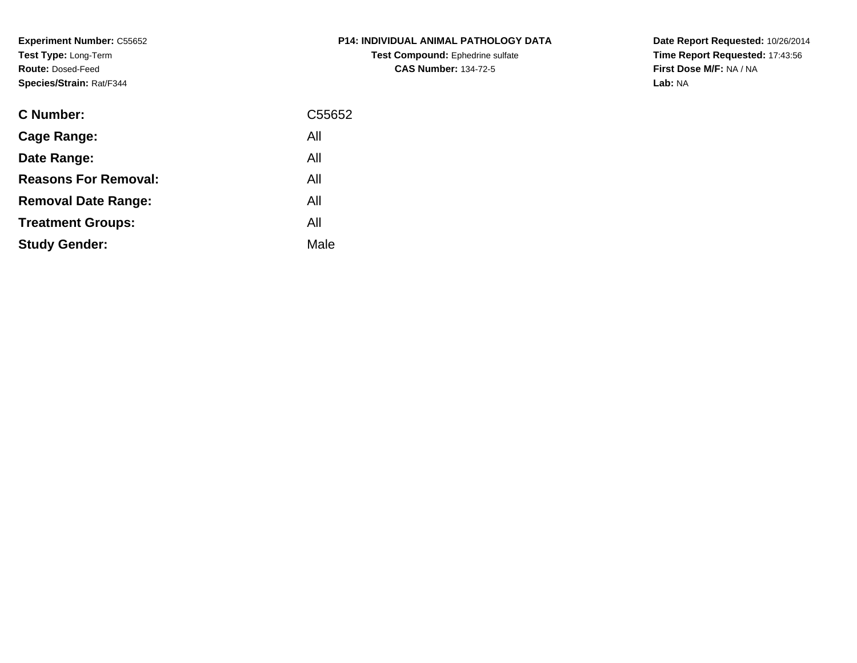**Experiment Number:** C55652**Test Type:** Long-Term**Route:** Dosed-Feed**Species/Strain:** Rat/F344

| <b>C Number:</b>            | C55652 |
|-----------------------------|--------|
| <b>Cage Range:</b>          | All    |
| Date Range:                 | All    |
| <b>Reasons For Removal:</b> | All    |
| <b>Removal Date Range:</b>  | All    |
| <b>Treatment Groups:</b>    | All    |
| <b>Study Gender:</b>        | Male   |
|                             |        |

# **P14: INDIVIDUAL ANIMAL PATHOLOGY DATATest Compound:** Ephedrine sulfate**CAS Number:** 134-72-5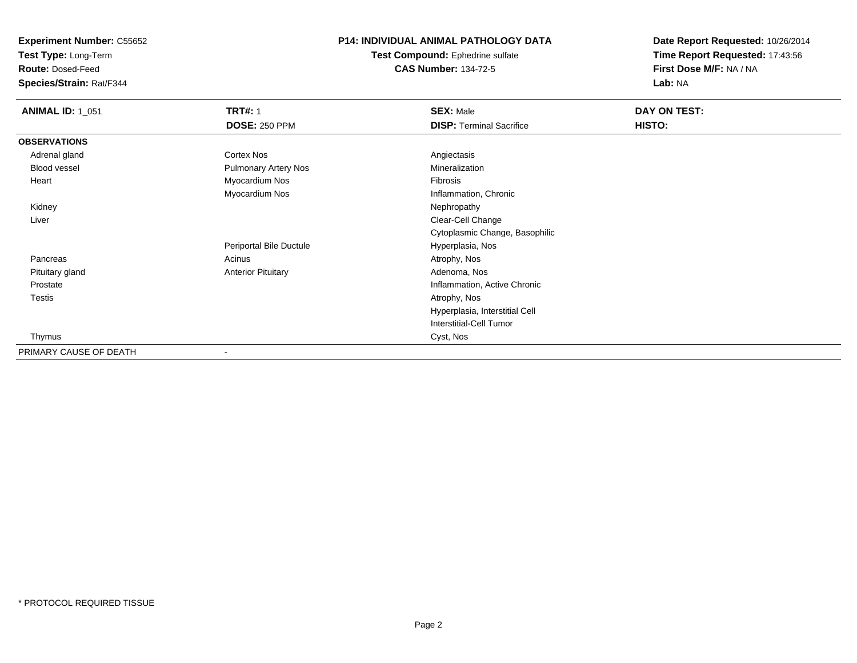**Test Type:** Long-Term

**Route:** Dosed-Feed

**Species/Strain:** Rat/F344

### **P14: INDIVIDUAL ANIMAL PATHOLOGY DATA**

**Test Compound:** Ephedrine sulfate**CAS Number:** 134-72-5

| <b>ANIMAL ID: 1_051</b> | <b>TRT#: 1</b>              | <b>SEX: Male</b>                | DAY ON TEST:  |  |
|-------------------------|-----------------------------|---------------------------------|---------------|--|
|                         | <b>DOSE: 250 PPM</b>        | <b>DISP: Terminal Sacrifice</b> | <b>HISTO:</b> |  |
| <b>OBSERVATIONS</b>     |                             |                                 |               |  |
| Adrenal gland           | <b>Cortex Nos</b>           | Angiectasis                     |               |  |
| Blood vessel            | <b>Pulmonary Artery Nos</b> | Mineralization                  |               |  |
| Heart                   | Myocardium Nos              | Fibrosis                        |               |  |
|                         | Myocardium Nos              | Inflammation, Chronic           |               |  |
| Kidney                  |                             | Nephropathy                     |               |  |
| Liver                   |                             | Clear-Cell Change               |               |  |
|                         |                             | Cytoplasmic Change, Basophilic  |               |  |
|                         | Periportal Bile Ductule     | Hyperplasia, Nos                |               |  |
| Pancreas                | Acinus                      | Atrophy, Nos                    |               |  |
| Pituitary gland         | <b>Anterior Pituitary</b>   | Adenoma, Nos                    |               |  |
| Prostate                |                             | Inflammation, Active Chronic    |               |  |
| Testis                  |                             | Atrophy, Nos                    |               |  |
|                         |                             | Hyperplasia, Interstitial Cell  |               |  |
|                         |                             | Interstitial-Cell Tumor         |               |  |
| Thymus                  |                             | Cyst, Nos                       |               |  |
| PRIMARY CAUSE OF DEATH  |                             |                                 |               |  |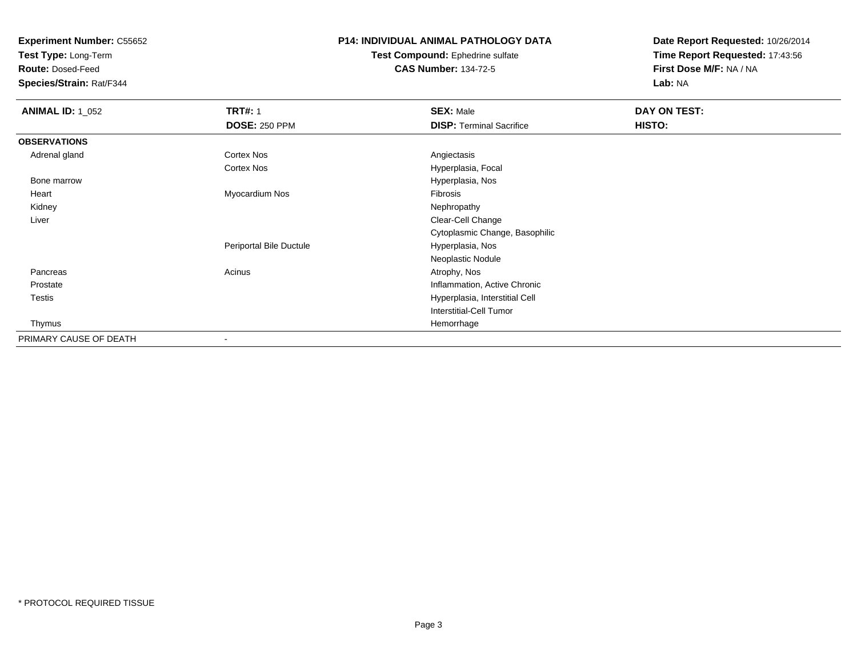**Test Type:** Long-Term

**Route:** Dosed-Feed

**Species/Strain:** Rat/F344

### **P14: INDIVIDUAL ANIMAL PATHOLOGY DATA**

#### **Test Compound:** Ephedrine sulfate**CAS Number:** 134-72-5

| <b>ANIMAL ID: 1_052</b> | <b>TRT#: 1</b>          | <b>SEX: Male</b>                | DAY ON TEST:  |
|-------------------------|-------------------------|---------------------------------|---------------|
|                         | <b>DOSE: 250 PPM</b>    | <b>DISP: Terminal Sacrifice</b> | <b>HISTO:</b> |
| <b>OBSERVATIONS</b>     |                         |                                 |               |
| Adrenal gland           | Cortex Nos              | Angiectasis                     |               |
|                         | Cortex Nos              | Hyperplasia, Focal              |               |
| Bone marrow             |                         | Hyperplasia, Nos                |               |
| Heart                   | Myocardium Nos          | Fibrosis                        |               |
| Kidney                  |                         | Nephropathy                     |               |
| Liver                   |                         | Clear-Cell Change               |               |
|                         |                         | Cytoplasmic Change, Basophilic  |               |
|                         | Periportal Bile Ductule | Hyperplasia, Nos                |               |
|                         |                         | Neoplastic Nodule               |               |
| Pancreas                | Acinus                  | Atrophy, Nos                    |               |
| Prostate                |                         | Inflammation, Active Chronic    |               |
| Testis                  |                         | Hyperplasia, Interstitial Cell  |               |
|                         |                         | <b>Interstitial-Cell Tumor</b>  |               |
| Thymus                  |                         | Hemorrhage                      |               |
| PRIMARY CAUSE OF DEATH  |                         |                                 |               |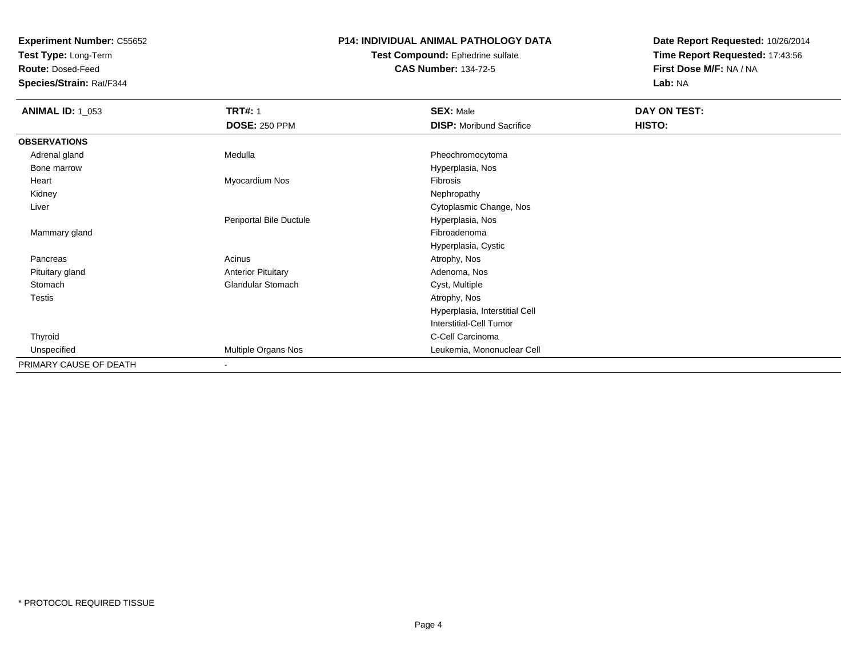**Test Type:** Long-Term

**Route:** Dosed-Feed

**Species/Strain:** Rat/F344

### **P14: INDIVIDUAL ANIMAL PATHOLOGY DATA**

#### **Test Compound:** Ephedrine sulfate**CAS Number:** 134-72-5

| <b>ANIMAL ID: 1_053</b> | <b>TRT#: 1</b>            | <b>SEX: Male</b>                | DAY ON TEST: |  |
|-------------------------|---------------------------|---------------------------------|--------------|--|
|                         | <b>DOSE: 250 PPM</b>      | <b>DISP:</b> Moribund Sacrifice | HISTO:       |  |
| <b>OBSERVATIONS</b>     |                           |                                 |              |  |
| Adrenal gland           | Medulla                   | Pheochromocytoma                |              |  |
| Bone marrow             |                           | Hyperplasia, Nos                |              |  |
| Heart                   | Myocardium Nos            | Fibrosis                        |              |  |
| Kidney                  |                           | Nephropathy                     |              |  |
| Liver                   |                           | Cytoplasmic Change, Nos         |              |  |
|                         | Periportal Bile Ductule   | Hyperplasia, Nos                |              |  |
| Mammary gland           |                           | Fibroadenoma                    |              |  |
|                         |                           | Hyperplasia, Cystic             |              |  |
| Pancreas                | Acinus                    | Atrophy, Nos                    |              |  |
| Pituitary gland         | <b>Anterior Pituitary</b> | Adenoma, Nos                    |              |  |
| Stomach                 | <b>Glandular Stomach</b>  | Cyst, Multiple                  |              |  |
| Testis                  |                           | Atrophy, Nos                    |              |  |
|                         |                           | Hyperplasia, Interstitial Cell  |              |  |
|                         |                           | <b>Interstitial-Cell Tumor</b>  |              |  |
| Thyroid                 |                           | C-Cell Carcinoma                |              |  |
| Unspecified             | Multiple Organs Nos       | Leukemia, Mononuclear Cell      |              |  |
| PRIMARY CAUSE OF DEATH  | $\overline{\phantom{a}}$  |                                 |              |  |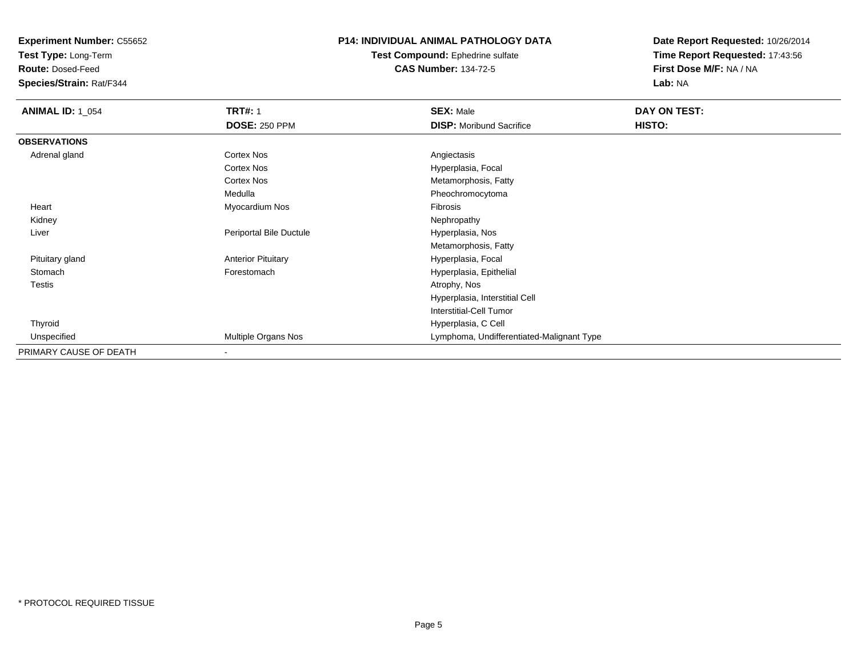**Test Type:** Long-Term

**Route:** Dosed-Feed

**Species/Strain:** Rat/F344

# **P14: INDIVIDUAL ANIMAL PATHOLOGY DATA**

**Test Compound:** Ephedrine sulfate**CAS Number:** 134-72-5

| <b>ANIMAL ID: 1_054</b> | <b>TRT#: 1</b>            | <b>SEX: Male</b>                          | DAY ON TEST:  |  |
|-------------------------|---------------------------|-------------------------------------------|---------------|--|
|                         | <b>DOSE: 250 PPM</b>      | <b>DISP:</b> Moribund Sacrifice           | <b>HISTO:</b> |  |
| <b>OBSERVATIONS</b>     |                           |                                           |               |  |
| Adrenal gland           | <b>Cortex Nos</b>         | Angiectasis                               |               |  |
|                         | Cortex Nos                | Hyperplasia, Focal                        |               |  |
|                         | Cortex Nos                | Metamorphosis, Fatty                      |               |  |
|                         | Medulla                   | Pheochromocytoma                          |               |  |
| Heart                   | Myocardium Nos            | Fibrosis                                  |               |  |
| Kidney                  |                           | Nephropathy                               |               |  |
| Liver                   | Periportal Bile Ductule   | Hyperplasia, Nos                          |               |  |
|                         |                           | Metamorphosis, Fatty                      |               |  |
| Pituitary gland         | <b>Anterior Pituitary</b> | Hyperplasia, Focal                        |               |  |
| Stomach                 | Forestomach               | Hyperplasia, Epithelial                   |               |  |
| Testis                  |                           | Atrophy, Nos                              |               |  |
|                         |                           | Hyperplasia, Interstitial Cell            |               |  |
|                         |                           | Interstitial-Cell Tumor                   |               |  |
| Thyroid                 |                           | Hyperplasia, C Cell                       |               |  |
| Unspecified             | Multiple Organs Nos       | Lymphoma, Undifferentiated-Malignant Type |               |  |
| PRIMARY CAUSE OF DEATH  | $\,$                      |                                           |               |  |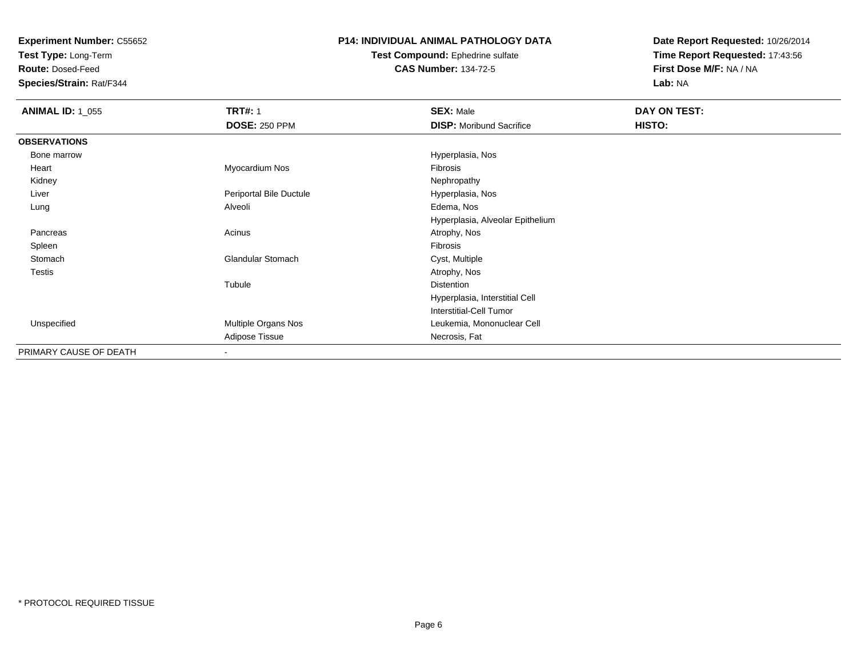**Test Type:** Long-Term

**Route:** Dosed-Feed

**Species/Strain:** Rat/F344

### **P14: INDIVIDUAL ANIMAL PATHOLOGY DATA**

#### **Test Compound:** Ephedrine sulfate**CAS Number:** 134-72-5

| <b>ANIMAL ID: 1_055</b> | <b>TRT#: 1</b>           | <b>SEX: Male</b>                 | DAY ON TEST: |  |
|-------------------------|--------------------------|----------------------------------|--------------|--|
|                         | <b>DOSE: 250 PPM</b>     | <b>DISP:</b> Moribund Sacrifice  | HISTO:       |  |
| <b>OBSERVATIONS</b>     |                          |                                  |              |  |
| Bone marrow             |                          | Hyperplasia, Nos                 |              |  |
| Heart                   | Myocardium Nos           | Fibrosis                         |              |  |
| Kidney                  |                          | Nephropathy                      |              |  |
| Liver                   | Periportal Bile Ductule  | Hyperplasia, Nos                 |              |  |
| Lung                    | Alveoli                  | Edema, Nos                       |              |  |
|                         |                          | Hyperplasia, Alveolar Epithelium |              |  |
| Pancreas                | Acinus                   | Atrophy, Nos                     |              |  |
| Spleen                  |                          | Fibrosis                         |              |  |
| Stomach                 | <b>Glandular Stomach</b> | Cyst, Multiple                   |              |  |
| <b>Testis</b>           |                          | Atrophy, Nos                     |              |  |
|                         | Tubule                   | <b>Distention</b>                |              |  |
|                         |                          | Hyperplasia, Interstitial Cell   |              |  |
|                         |                          | Interstitial-Cell Tumor          |              |  |
| Unspecified             | Multiple Organs Nos      | Leukemia, Mononuclear Cell       |              |  |
|                         | Adipose Tissue           | Necrosis, Fat                    |              |  |
| PRIMARY CAUSE OF DEATH  | $\overline{\phantom{a}}$ |                                  |              |  |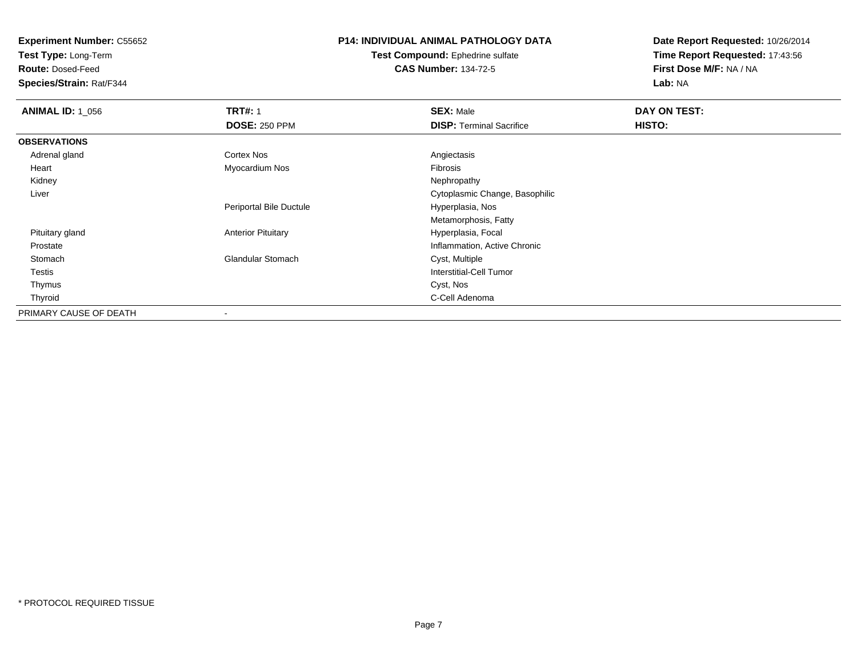**Test Type:** Long-Term

**Route:** Dosed-Feed

**Species/Strain:** Rat/F344

# **P14: INDIVIDUAL ANIMAL PATHOLOGY DATA**

**Test Compound:** Ephedrine sulfate**CAS Number:** 134-72-5

| <b>ANIMAL ID: 1_056</b> | <b>TRT#: 1</b>            | <b>SEX: Male</b>                | DAY ON TEST: |
|-------------------------|---------------------------|---------------------------------|--------------|
|                         | <b>DOSE: 250 PPM</b>      | <b>DISP: Terminal Sacrifice</b> | HISTO:       |
| <b>OBSERVATIONS</b>     |                           |                                 |              |
| Adrenal gland           | <b>Cortex Nos</b>         | Angiectasis                     |              |
| Heart                   | Myocardium Nos            | Fibrosis                        |              |
| Kidney                  |                           | Nephropathy                     |              |
| Liver                   |                           | Cytoplasmic Change, Basophilic  |              |
|                         | Periportal Bile Ductule   | Hyperplasia, Nos                |              |
|                         |                           | Metamorphosis, Fatty            |              |
| Pituitary gland         | <b>Anterior Pituitary</b> | Hyperplasia, Focal              |              |
| Prostate                |                           | Inflammation, Active Chronic    |              |
| Stomach                 | <b>Glandular Stomach</b>  | Cyst, Multiple                  |              |
| Testis                  |                           | <b>Interstitial-Cell Tumor</b>  |              |
| Thymus                  |                           | Cyst, Nos                       |              |
| Thyroid                 |                           | C-Cell Adenoma                  |              |
| PRIMARY CAUSE OF DEATH  |                           |                                 |              |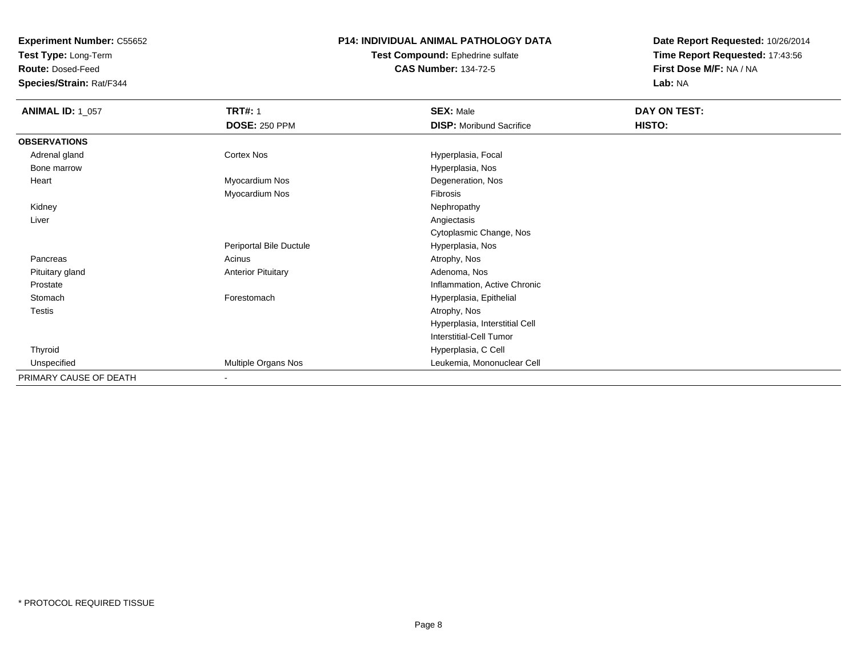**Test Type:** Long-Term

**Route:** Dosed-Feed

**Species/Strain:** Rat/F344

## **P14: INDIVIDUAL ANIMAL PATHOLOGY DATA**

**Test Compound:** Ephedrine sulfate**CAS Number:** 134-72-5

| <b>ANIMAL ID: 1_057</b> | <b>TRT#: 1</b>            | <b>SEX: Male</b>                | DAY ON TEST: |
|-------------------------|---------------------------|---------------------------------|--------------|
|                         | <b>DOSE: 250 PPM</b>      | <b>DISP:</b> Moribund Sacrifice | HISTO:       |
| <b>OBSERVATIONS</b>     |                           |                                 |              |
| Adrenal gland           | Cortex Nos                | Hyperplasia, Focal              |              |
| Bone marrow             |                           | Hyperplasia, Nos                |              |
| Heart                   | Myocardium Nos            | Degeneration, Nos               |              |
|                         | Myocardium Nos            | Fibrosis                        |              |
| Kidney                  |                           | Nephropathy                     |              |
| Liver                   |                           | Angiectasis                     |              |
|                         |                           | Cytoplasmic Change, Nos         |              |
|                         | Periportal Bile Ductule   | Hyperplasia, Nos                |              |
| Pancreas                | Acinus                    | Atrophy, Nos                    |              |
| Pituitary gland         | <b>Anterior Pituitary</b> | Adenoma, Nos                    |              |
| Prostate                |                           | Inflammation, Active Chronic    |              |
| Stomach                 | Forestomach               | Hyperplasia, Epithelial         |              |
| <b>Testis</b>           |                           | Atrophy, Nos                    |              |
|                         |                           | Hyperplasia, Interstitial Cell  |              |
|                         |                           | Interstitial-Cell Tumor         |              |
| Thyroid                 |                           | Hyperplasia, C Cell             |              |
| Unspecified             | Multiple Organs Nos       | Leukemia, Mononuclear Cell      |              |
| PRIMARY CAUSE OF DEATH  | $\blacksquare$            |                                 |              |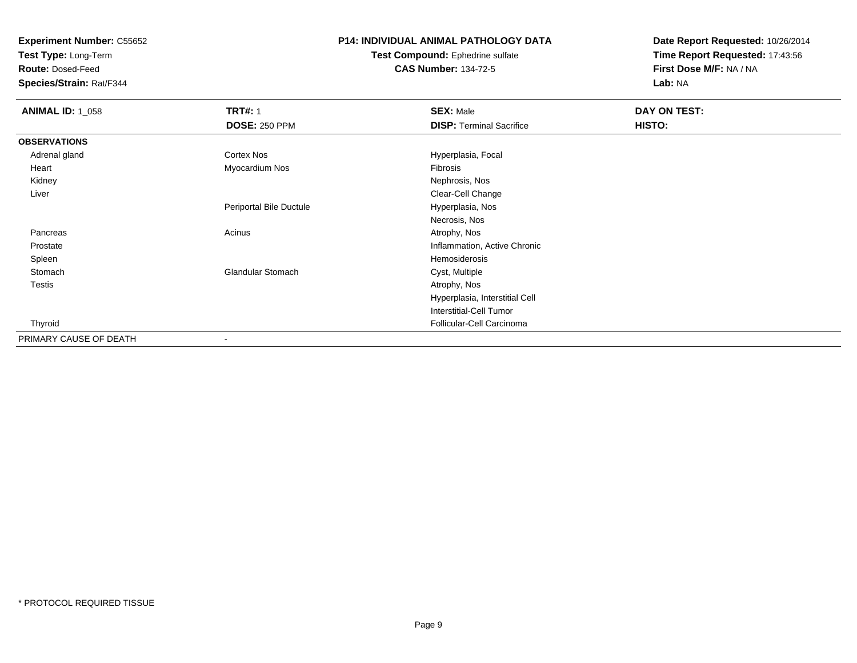**Test Type:** Long-Term

**Route:** Dosed-Feed

**Species/Strain:** Rat/F344

# **P14: INDIVIDUAL ANIMAL PATHOLOGY DATA**

#### **Test Compound:** Ephedrine sulfate**CAS Number:** 134-72-5

| <b>ANIMAL ID: 1_058</b> | <b>TRT#: 1</b>           | <b>SEX: Male</b>                | DAY ON TEST: |
|-------------------------|--------------------------|---------------------------------|--------------|
|                         | <b>DOSE: 250 PPM</b>     | <b>DISP: Terminal Sacrifice</b> | HISTO:       |
| <b>OBSERVATIONS</b>     |                          |                                 |              |
| Adrenal gland           | Cortex Nos               | Hyperplasia, Focal              |              |
| Heart                   | Myocardium Nos           | Fibrosis                        |              |
| Kidney                  |                          | Nephrosis, Nos                  |              |
| Liver                   |                          | Clear-Cell Change               |              |
|                         | Periportal Bile Ductule  | Hyperplasia, Nos                |              |
|                         |                          | Necrosis, Nos                   |              |
| Pancreas                | Acinus                   | Atrophy, Nos                    |              |
| Prostate                |                          | Inflammation, Active Chronic    |              |
| Spleen                  |                          | Hemosiderosis                   |              |
| Stomach                 | <b>Glandular Stomach</b> | Cyst, Multiple                  |              |
| <b>Testis</b>           |                          | Atrophy, Nos                    |              |
|                         |                          | Hyperplasia, Interstitial Cell  |              |
|                         |                          | <b>Interstitial-Cell Tumor</b>  |              |
| Thyroid                 |                          | Follicular-Cell Carcinoma       |              |
| PRIMARY CAUSE OF DEATH  | $\overline{\phantom{a}}$ |                                 |              |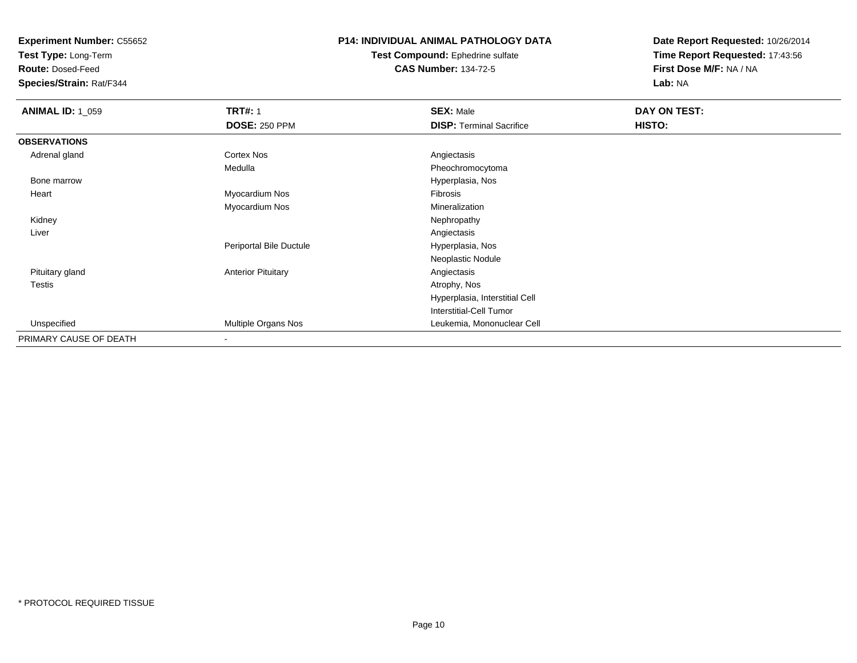**Test Type:** Long-Term

**Route:** Dosed-Feed

**Species/Strain:** Rat/F344

# **P14: INDIVIDUAL ANIMAL PATHOLOGY DATA**

**Test Compound:** Ephedrine sulfate**CAS Number:** 134-72-5

| <b>ANIMAL ID: 1_059</b> | <b>TRT#: 1</b>            | <b>SEX: Male</b>                | DAY ON TEST: |
|-------------------------|---------------------------|---------------------------------|--------------|
|                         | <b>DOSE: 250 PPM</b>      | <b>DISP: Terminal Sacrifice</b> | HISTO:       |
| <b>OBSERVATIONS</b>     |                           |                                 |              |
| Adrenal gland           | Cortex Nos                | Angiectasis                     |              |
|                         | Medulla                   | Pheochromocytoma                |              |
| Bone marrow             |                           | Hyperplasia, Nos                |              |
| Heart                   | Myocardium Nos            | Fibrosis                        |              |
|                         | Myocardium Nos            | Mineralization                  |              |
| Kidney                  |                           | Nephropathy                     |              |
| Liver                   |                           | Angiectasis                     |              |
|                         | Periportal Bile Ductule   | Hyperplasia, Nos                |              |
|                         |                           | Neoplastic Nodule               |              |
| Pituitary gland         | <b>Anterior Pituitary</b> | Angiectasis                     |              |
| <b>Testis</b>           |                           | Atrophy, Nos                    |              |
|                         |                           | Hyperplasia, Interstitial Cell  |              |
|                         |                           | Interstitial-Cell Tumor         |              |
| Unspecified             | Multiple Organs Nos       | Leukemia, Mononuclear Cell      |              |
| PRIMARY CAUSE OF DEATH  | $\blacksquare$            |                                 |              |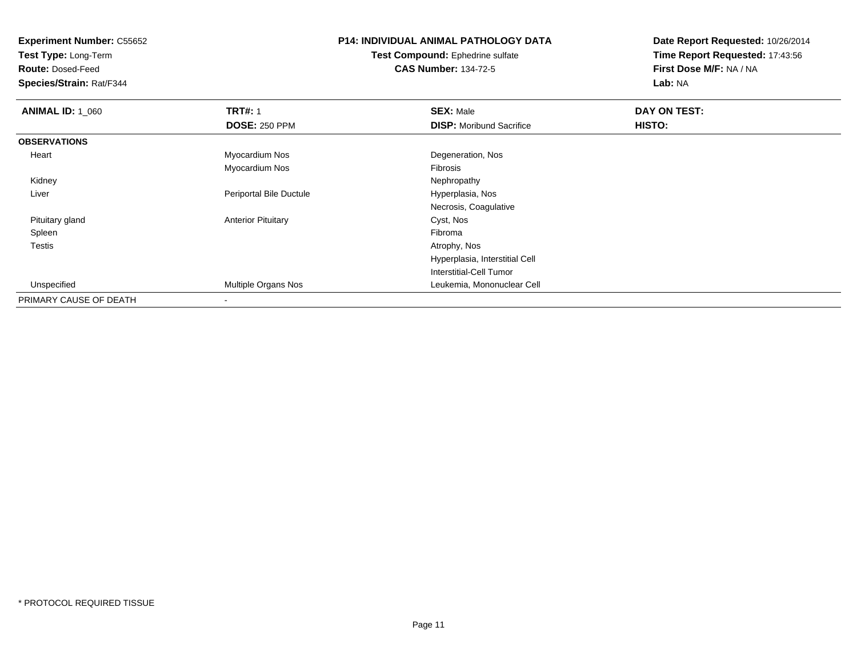**Test Type:** Long-Term

**Route:** Dosed-Feed

**Species/Strain:** Rat/F344

# **P14: INDIVIDUAL ANIMAL PATHOLOGY DATA**

**Test Compound:** Ephedrine sulfate**CAS Number:** 134-72-5

| <b>ANIMAL ID: 1_060</b> | <b>TRT#: 1</b>            | <b>SEX: Male</b>                | DAY ON TEST: |  |
|-------------------------|---------------------------|---------------------------------|--------------|--|
|                         | <b>DOSE: 250 PPM</b>      | <b>DISP:</b> Moribund Sacrifice | HISTO:       |  |
| <b>OBSERVATIONS</b>     |                           |                                 |              |  |
| Heart                   | Myocardium Nos            | Degeneration, Nos               |              |  |
|                         | Myocardium Nos            | Fibrosis                        |              |  |
| Kidney                  |                           | Nephropathy                     |              |  |
| Liver                   | Periportal Bile Ductule   | Hyperplasia, Nos                |              |  |
|                         |                           | Necrosis, Coagulative           |              |  |
| Pituitary gland         | <b>Anterior Pituitary</b> | Cyst, Nos                       |              |  |
| Spleen                  |                           | Fibroma                         |              |  |
| Testis                  |                           | Atrophy, Nos                    |              |  |
|                         |                           | Hyperplasia, Interstitial Cell  |              |  |
|                         |                           | Interstitial-Cell Tumor         |              |  |
| Unspecified             | Multiple Organs Nos       | Leukemia, Mononuclear Cell      |              |  |
| PRIMARY CAUSE OF DEATH  | $\blacksquare$            |                                 |              |  |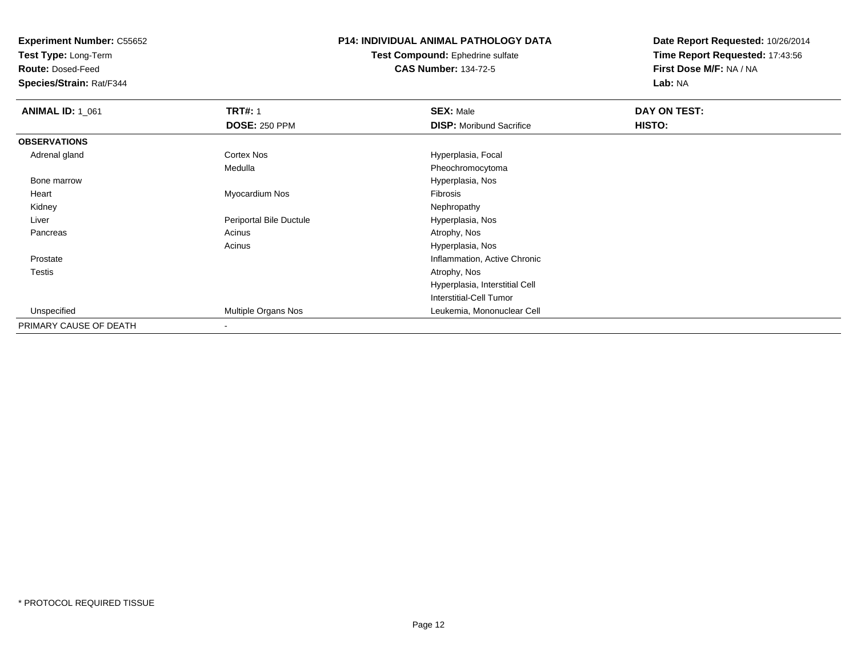**Test Type:** Long-Term

**Route:** Dosed-Feed

**Species/Strain:** Rat/F344

# **P14: INDIVIDUAL ANIMAL PATHOLOGY DATA**

**Test Compound:** Ephedrine sulfate**CAS Number:** 134-72-5

| <b>ANIMAL ID: 1_061</b> | <b>TRT#: 1</b>          | <b>SEX: Male</b>                | DAY ON TEST: |  |
|-------------------------|-------------------------|---------------------------------|--------------|--|
|                         | <b>DOSE: 250 PPM</b>    | <b>DISP:</b> Moribund Sacrifice | HISTO:       |  |
| <b>OBSERVATIONS</b>     |                         |                                 |              |  |
| Adrenal gland           | <b>Cortex Nos</b>       | Hyperplasia, Focal              |              |  |
|                         | Medulla                 | Pheochromocytoma                |              |  |
| Bone marrow             |                         | Hyperplasia, Nos                |              |  |
| Heart                   | Myocardium Nos          | Fibrosis                        |              |  |
| Kidney                  |                         | Nephropathy                     |              |  |
| Liver                   | Periportal Bile Ductule | Hyperplasia, Nos                |              |  |
| Pancreas                | Acinus                  | Atrophy, Nos                    |              |  |
|                         | Acinus                  | Hyperplasia, Nos                |              |  |
| Prostate                |                         | Inflammation, Active Chronic    |              |  |
| Testis                  |                         | Atrophy, Nos                    |              |  |
|                         |                         | Hyperplasia, Interstitial Cell  |              |  |
|                         |                         | Interstitial-Cell Tumor         |              |  |
| Unspecified             | Multiple Organs Nos     | Leukemia, Mononuclear Cell      |              |  |
| PRIMARY CAUSE OF DEATH  |                         |                                 |              |  |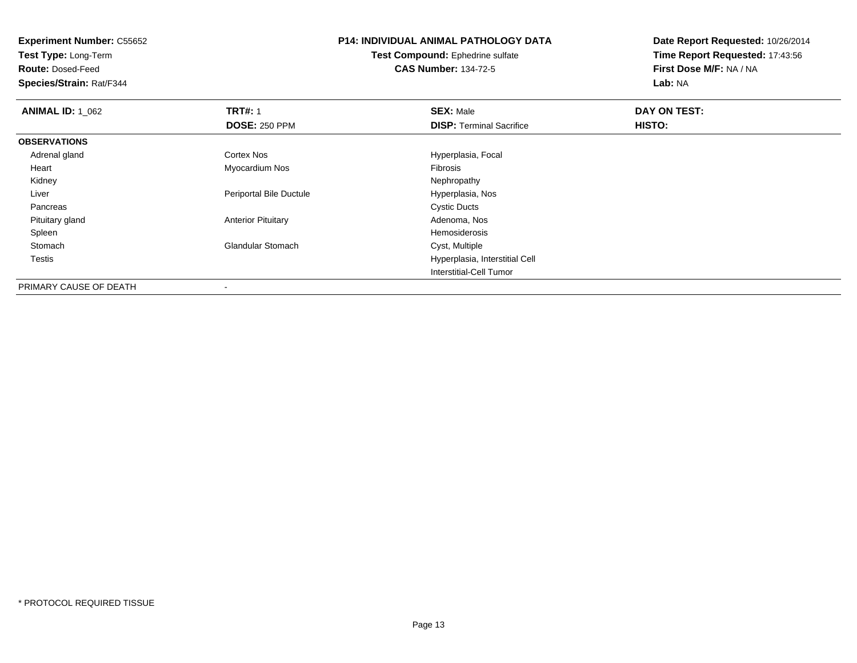**Test Type:** Long-Term

**Route:** Dosed-Feed

**Species/Strain:** Rat/F344

# **P14: INDIVIDUAL ANIMAL PATHOLOGY DATA**

**Test Compound:** Ephedrine sulfate**CAS Number:** 134-72-5

| <b>ANIMAL ID: 1 062</b> | <b>TRT#: 1</b>            | <b>SEX: Male</b>                | DAY ON TEST: |  |
|-------------------------|---------------------------|---------------------------------|--------------|--|
|                         | <b>DOSE: 250 PPM</b>      | <b>DISP: Terminal Sacrifice</b> | HISTO:       |  |
| <b>OBSERVATIONS</b>     |                           |                                 |              |  |
| Adrenal gland           | <b>Cortex Nos</b>         | Hyperplasia, Focal              |              |  |
| Heart                   | Myocardium Nos            | Fibrosis                        |              |  |
| Kidney                  |                           | Nephropathy                     |              |  |
| Liver                   | Periportal Bile Ductule   | Hyperplasia, Nos                |              |  |
| Pancreas                |                           | <b>Cystic Ducts</b>             |              |  |
| Pituitary gland         | <b>Anterior Pituitary</b> | Adenoma, Nos                    |              |  |
| Spleen                  |                           | Hemosiderosis                   |              |  |
| Stomach                 | <b>Glandular Stomach</b>  | Cyst, Multiple                  |              |  |
| Testis                  |                           | Hyperplasia, Interstitial Cell  |              |  |
|                         |                           | Interstitial-Cell Tumor         |              |  |
| PRIMARY CAUSE OF DEATH  |                           |                                 |              |  |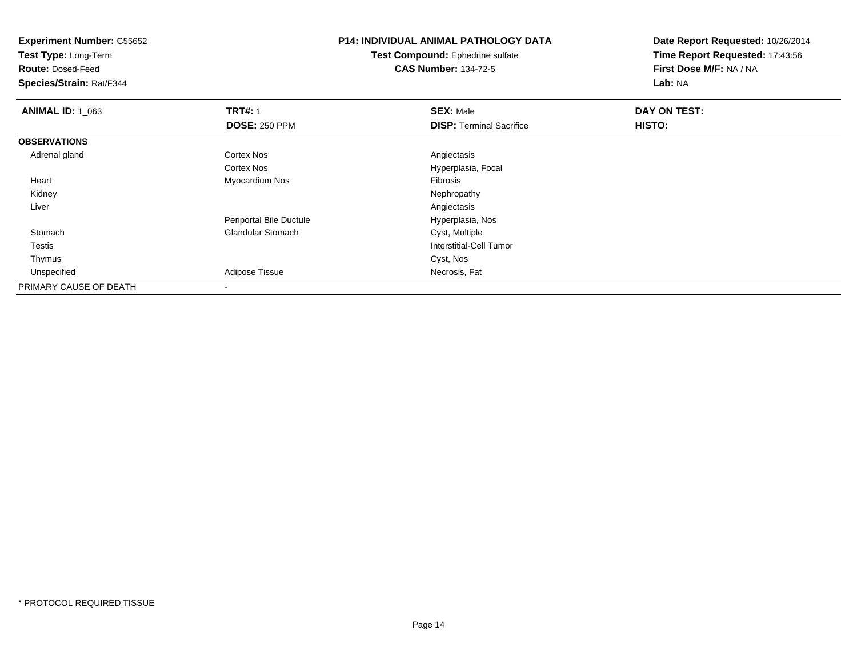**Experiment Number:** C55652**Test Type:** Long-Term**Route:** Dosed-Feed **Species/Strain:** Rat/F344**P14: INDIVIDUAL ANIMAL PATHOLOGY DATATest Compound:** Ephedrine sulfate**CAS Number:** 134-72-5**Date Report Requested:** 10/26/2014**Time Report Requested:** 17:43:56**First Dose M/F:** NA / NA**Lab:** NA**ANIMAL ID: 1\_063 TRT#:** 1 **SEX:** Male **DAY ON TEST: DOSE:** 250 PPM**DISP:** Terminal Sacrifice **HISTO: OBSERVATIONS** Adrenal glandd and the Cortex Nos and the Cortex Nos and the Angiectasis Cortex Nos Hyperplasia, Focal Heart Myocardium Nos Fibrosis Kidneyy the control of the control of the control of the control of the control of the control of the control of the control of the control of the control of the control of the control of the control of the control of the contro Liverr and the contract of the contract of the contract of the contract of the contract of the contract of the contract of the contract of the contract of the contract of the contract of the contract of the contract of the cont Hyperplasia, Nos Periportal Bile Ductule**Stomach** Glandular Stomach Cyst, Multiple Testis Interstitial-Cell Tumor Thymuss and the control of the control of the control of the control of the control of the control of the control of the control of the control of the control of the control of the control of the control of the control of the co UnspecifiedAdipose Tissue **Necrosis**, Fat PRIMARY CAUSE OF DEATH-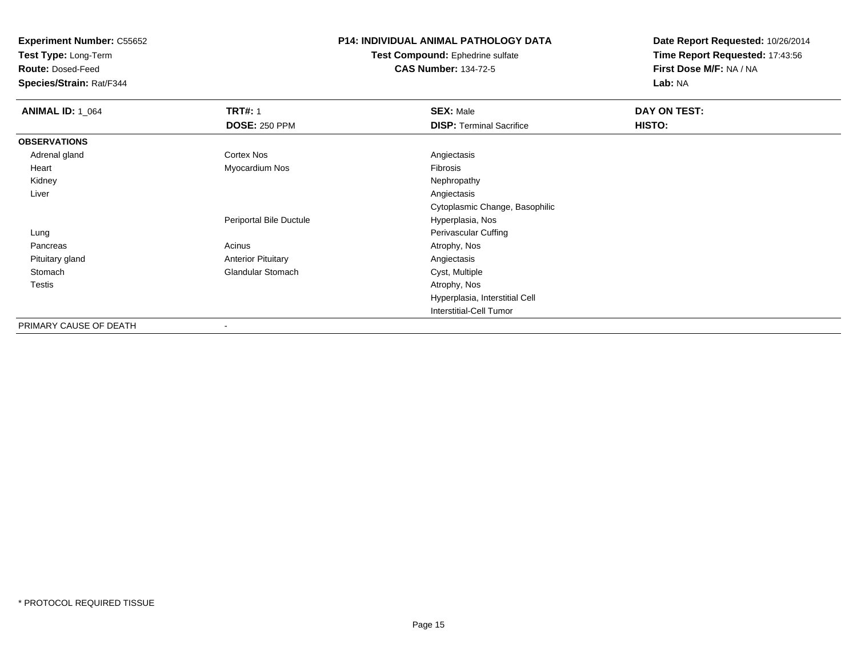**Test Type:** Long-Term

**Route:** Dosed-Feed

**Species/Strain:** Rat/F344

# **P14: INDIVIDUAL ANIMAL PATHOLOGY DATA**

**Test Compound:** Ephedrine sulfate**CAS Number:** 134-72-5

| <b>ANIMAL ID: 1_064</b> | <b>TRT#: 1</b><br><b>DOSE: 250 PPM</b> | <b>SEX: Male</b><br><b>DISP: Terminal Sacrifice</b> | DAY ON TEST:<br>HISTO: |
|-------------------------|----------------------------------------|-----------------------------------------------------|------------------------|
| <b>OBSERVATIONS</b>     |                                        |                                                     |                        |
| Adrenal gland           | Cortex Nos                             | Angiectasis                                         |                        |
| Heart                   | Myocardium Nos                         | Fibrosis                                            |                        |
| Kidney                  |                                        | Nephropathy                                         |                        |
| Liver                   |                                        | Angiectasis                                         |                        |
|                         |                                        | Cytoplasmic Change, Basophilic                      |                        |
|                         | Periportal Bile Ductule                | Hyperplasia, Nos                                    |                        |
| Lung                    |                                        | <b>Perivascular Cuffing</b>                         |                        |
| Pancreas                | Acinus                                 | Atrophy, Nos                                        |                        |
| Pituitary gland         | <b>Anterior Pituitary</b>              | Angiectasis                                         |                        |
| Stomach                 | Glandular Stomach                      | Cyst, Multiple                                      |                        |
| <b>Testis</b>           |                                        | Atrophy, Nos                                        |                        |
|                         |                                        | Hyperplasia, Interstitial Cell                      |                        |
|                         |                                        | <b>Interstitial-Cell Tumor</b>                      |                        |
| PRIMARY CAUSE OF DEATH  | ۰                                      |                                                     |                        |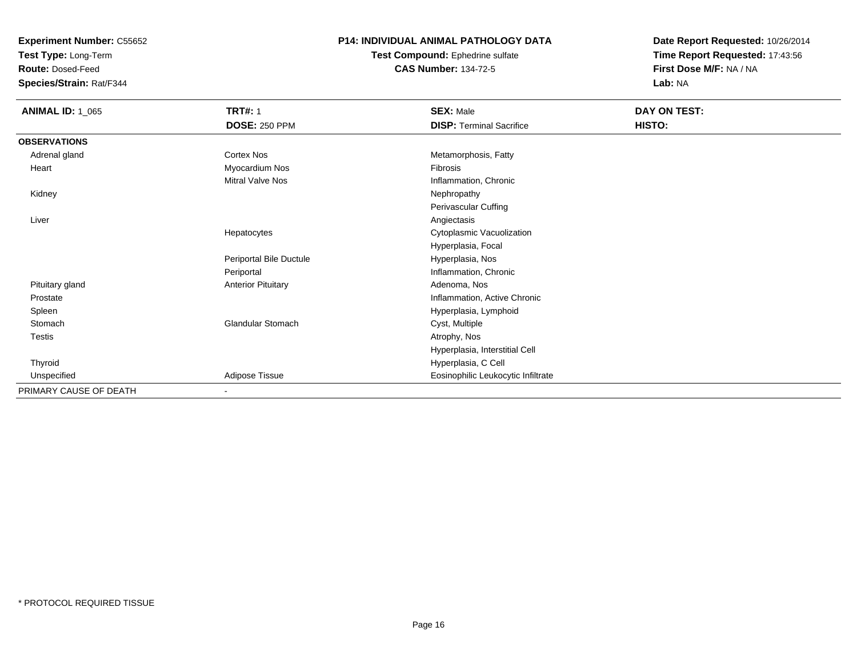**Test Type:** Long-Term

**Route:** Dosed-Feed

**Species/Strain:** Rat/F344

### **P14: INDIVIDUAL ANIMAL PATHOLOGY DATA**

**Test Compound:** Ephedrine sulfate**CAS Number:** 134-72-5

| <b>ANIMAL ID: 1_065</b> | <b>TRT#: 1</b><br><b>DOSE: 250 PPM</b> | <b>SEX: Male</b><br><b>DISP: Terminal Sacrifice</b> | DAY ON TEST:<br>HISTO: |
|-------------------------|----------------------------------------|-----------------------------------------------------|------------------------|
| <b>OBSERVATIONS</b>     |                                        |                                                     |                        |
| Adrenal gland           | Cortex Nos                             | Metamorphosis, Fatty                                |                        |
| Heart                   | Myocardium Nos                         | Fibrosis                                            |                        |
|                         | Mitral Valve Nos                       | Inflammation, Chronic                               |                        |
| Kidney                  |                                        | Nephropathy                                         |                        |
|                         |                                        | Perivascular Cuffing                                |                        |
| Liver                   |                                        | Angiectasis                                         |                        |
|                         | Hepatocytes                            | Cytoplasmic Vacuolization                           |                        |
|                         |                                        | Hyperplasia, Focal                                  |                        |
|                         | Periportal Bile Ductule                | Hyperplasia, Nos                                    |                        |
|                         | Periportal                             | Inflammation, Chronic                               |                        |
| Pituitary gland         | <b>Anterior Pituitary</b>              | Adenoma, Nos                                        |                        |
| Prostate                |                                        | Inflammation, Active Chronic                        |                        |
| Spleen                  |                                        | Hyperplasia, Lymphoid                               |                        |
| Stomach                 | <b>Glandular Stomach</b>               | Cyst, Multiple                                      |                        |
| Testis                  |                                        | Atrophy, Nos                                        |                        |
|                         |                                        | Hyperplasia, Interstitial Cell                      |                        |
| Thyroid                 |                                        | Hyperplasia, C Cell                                 |                        |
| Unspecified             | Adipose Tissue                         | Eosinophilic Leukocytic Infiltrate                  |                        |
| PRIMARY CAUSE OF DEATH  | $\overline{\phantom{a}}$               |                                                     |                        |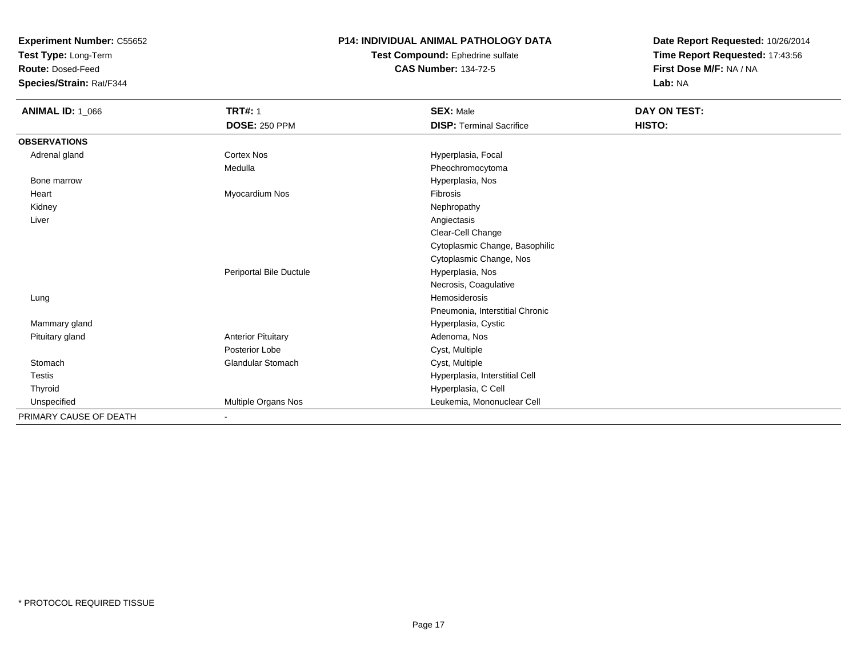**Test Type:** Long-Term

**Route:** Dosed-Feed

**Species/Strain:** Rat/F344

#### **P14: INDIVIDUAL ANIMAL PATHOLOGY DATA**

**Test Compound:** Ephedrine sulfate**CAS Number:** 134-72-5

| <b>ANIMAL ID: 1_066</b> | <b>TRT#: 1</b>            | <b>SEX: Male</b>                | DAY ON TEST: |  |
|-------------------------|---------------------------|---------------------------------|--------------|--|
|                         | <b>DOSE: 250 PPM</b>      | <b>DISP: Terminal Sacrifice</b> | HISTO:       |  |
| <b>OBSERVATIONS</b>     |                           |                                 |              |  |
| Adrenal gland           | <b>Cortex Nos</b>         | Hyperplasia, Focal              |              |  |
|                         | Medulla                   | Pheochromocytoma                |              |  |
| Bone marrow             |                           | Hyperplasia, Nos                |              |  |
| Heart                   | Myocardium Nos            | Fibrosis                        |              |  |
| Kidney                  |                           | Nephropathy                     |              |  |
| Liver                   |                           | Angiectasis                     |              |  |
|                         |                           | Clear-Cell Change               |              |  |
|                         |                           | Cytoplasmic Change, Basophilic  |              |  |
|                         |                           | Cytoplasmic Change, Nos         |              |  |
|                         | Periportal Bile Ductule   | Hyperplasia, Nos                |              |  |
|                         |                           | Necrosis, Coagulative           |              |  |
| Lung                    |                           | <b>Hemosiderosis</b>            |              |  |
|                         |                           | Pneumonia, Interstitial Chronic |              |  |
| Mammary gland           |                           | Hyperplasia, Cystic             |              |  |
| Pituitary gland         | <b>Anterior Pituitary</b> | Adenoma, Nos                    |              |  |
|                         | Posterior Lobe            | Cyst, Multiple                  |              |  |
| Stomach                 | <b>Glandular Stomach</b>  | Cyst, Multiple                  |              |  |
| <b>Testis</b>           |                           | Hyperplasia, Interstitial Cell  |              |  |
| Thyroid                 |                           | Hyperplasia, C Cell             |              |  |
| Unspecified             | Multiple Organs Nos       | Leukemia, Mononuclear Cell      |              |  |
| PRIMARY CAUSE OF DEATH  | $\blacksquare$            |                                 |              |  |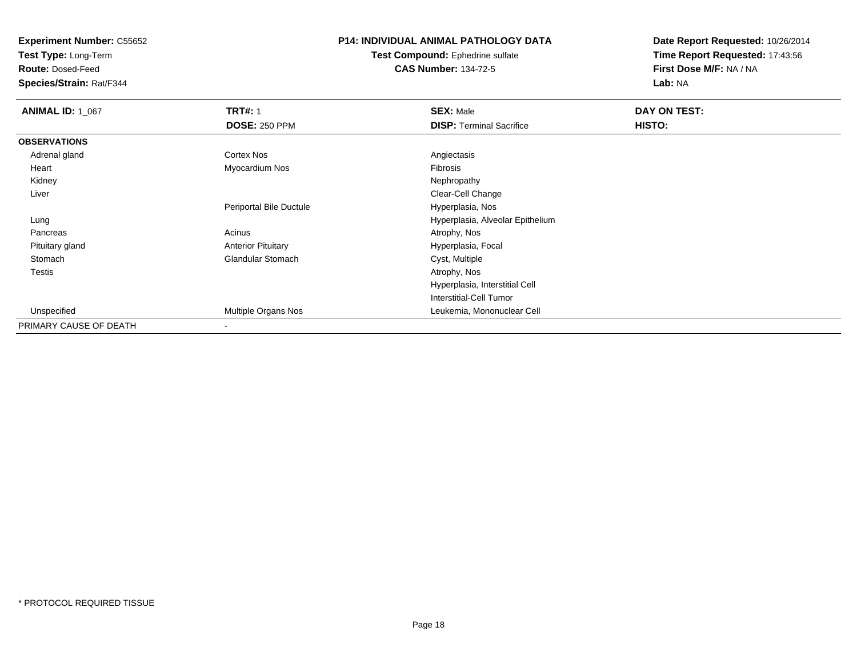**Test Type:** Long-Term

**Route:** Dosed-Feed

**Species/Strain:** Rat/F344

# **P14: INDIVIDUAL ANIMAL PATHOLOGY DATA**

#### **Test Compound:** Ephedrine sulfate**CAS Number:** 134-72-5

| <b>ANIMAL ID: 1_067</b> | <b>TRT#: 1</b><br><b>DOSE: 250 PPM</b> | <b>SEX: Male</b><br><b>DISP: Terminal Sacrifice</b> | DAY ON TEST:<br>HISTO: |
|-------------------------|----------------------------------------|-----------------------------------------------------|------------------------|
| <b>OBSERVATIONS</b>     |                                        |                                                     |                        |
| Adrenal gland           | Cortex Nos                             | Angiectasis                                         |                        |
| Heart                   | Myocardium Nos                         | Fibrosis                                            |                        |
| Kidney                  |                                        | Nephropathy                                         |                        |
| Liver                   |                                        | Clear-Cell Change                                   |                        |
|                         | Periportal Bile Ductule                | Hyperplasia, Nos                                    |                        |
| Lung                    |                                        | Hyperplasia, Alveolar Epithelium                    |                        |
| Pancreas                | Acinus                                 | Atrophy, Nos                                        |                        |
| Pituitary gland         | <b>Anterior Pituitary</b>              | Hyperplasia, Focal                                  |                        |
| Stomach                 | <b>Glandular Stomach</b>               | Cyst, Multiple                                      |                        |
| <b>Testis</b>           |                                        | Atrophy, Nos                                        |                        |
|                         |                                        | Hyperplasia, Interstitial Cell                      |                        |
|                         |                                        | Interstitial-Cell Tumor                             |                        |
| Unspecified             | Multiple Organs Nos                    | Leukemia, Mononuclear Cell                          |                        |
| PRIMARY CAUSE OF DEATH  | $\blacksquare$                         |                                                     |                        |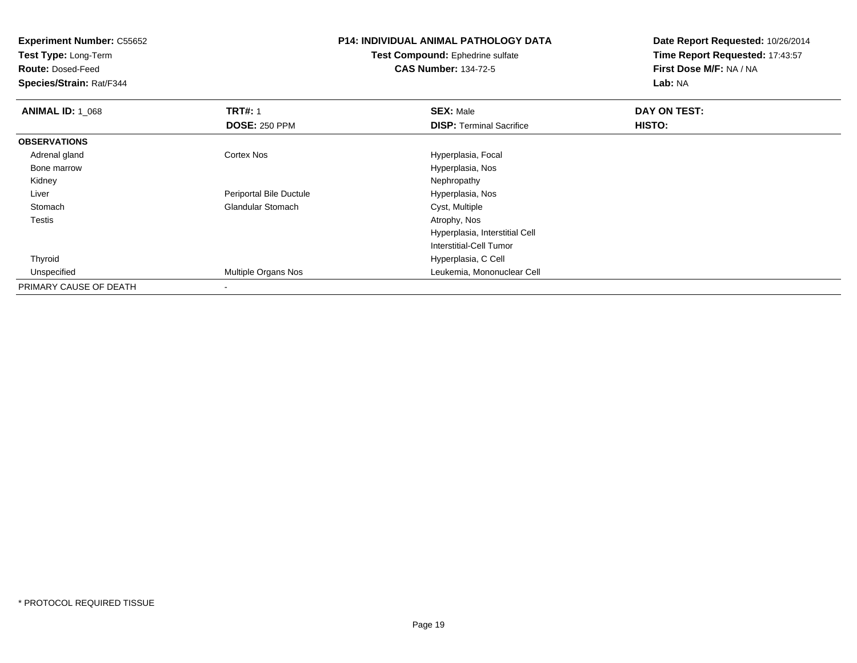**Experiment Number:** C55652**Test Type:** Long-Term**Route:** Dosed-Feed **Species/Strain:** Rat/F344**P14: INDIVIDUAL ANIMAL PATHOLOGY DATATest Compound:** Ephedrine sulfate**CAS Number:** 134-72-5**Date Report Requested:** 10/26/2014**Time Report Requested:** 17:43:57**First Dose M/F:** NA / NA**Lab:** NA**ANIMAL ID: 1\_068 REX:** Male **DAY ON TEST: TRT#:** 1 **SEX:** Male **SEX:** Male **DOSE:** 250 PPM**DISP:** Terminal Sacrifice **HISTO: OBSERVATIONS** Adrenal glandCortex Nos **Hyperplasia**, Focal Bone marrow Hyperplasia, Nos Kidneyy the control of the control of the control of the control of the control of the control of the control of the control of the control of the control of the control of the control of the control of the control of the contro Liver Periportal Bile Ductule Hyperplasia, Nos StomachGlandular Stomach Cyst, Multiple<br>
Atrophy, Nos Testiss and the contract of the contract of the contract of the contract of the contract of the contract of the contract of the contract of the contract of the contract of the contract of the contract of the contract of the cont Hyperplasia, Interstitial CellInterstitial-Cell Tumor Thyroid Hyperplasia, C Cell UnspecifiedLeukemia, Mononuclear Cell PRIMARY CAUSE OF DEATH-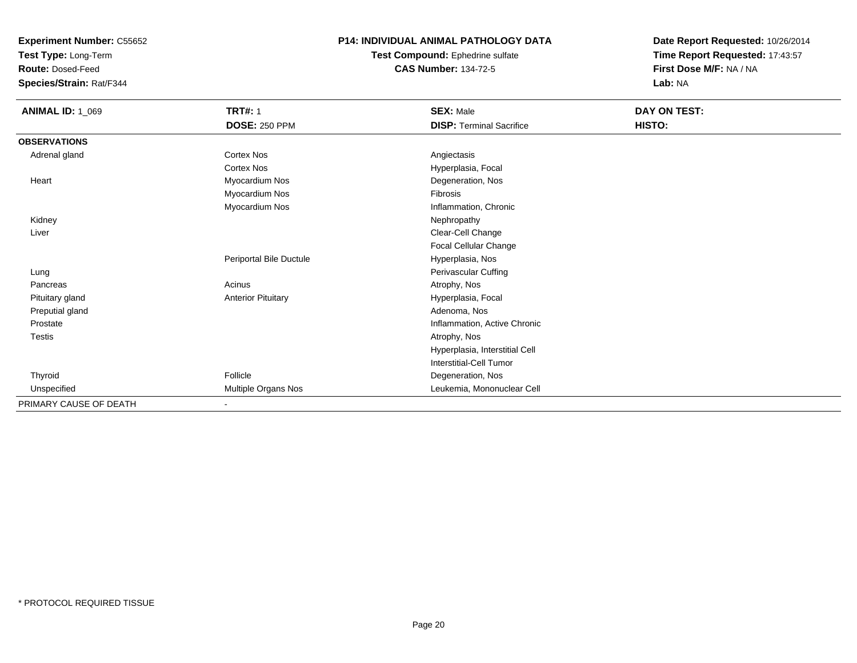**Test Type:** Long-Term

**Route:** Dosed-Feed

**Species/Strain:** Rat/F344

#### **P14: INDIVIDUAL ANIMAL PATHOLOGY DATA**

**Test Compound:** Ephedrine sulfate**CAS Number:** 134-72-5

| <b>ANIMAL ID: 1_069</b> | <b>TRT#: 1</b>            | <b>SEX: Male</b>                | DAY ON TEST: |  |
|-------------------------|---------------------------|---------------------------------|--------------|--|
|                         | <b>DOSE: 250 PPM</b>      | <b>DISP: Terminal Sacrifice</b> | HISTO:       |  |
| <b>OBSERVATIONS</b>     |                           |                                 |              |  |
| Adrenal gland           | <b>Cortex Nos</b>         | Angiectasis                     |              |  |
|                         | <b>Cortex Nos</b>         | Hyperplasia, Focal              |              |  |
| Heart                   | Myocardium Nos            | Degeneration, Nos               |              |  |
|                         | Myocardium Nos            | Fibrosis                        |              |  |
|                         | Myocardium Nos            | Inflammation, Chronic           |              |  |
| Kidney                  |                           | Nephropathy                     |              |  |
| Liver                   |                           | Clear-Cell Change               |              |  |
|                         |                           | Focal Cellular Change           |              |  |
|                         | Periportal Bile Ductule   | Hyperplasia, Nos                |              |  |
| Lung                    |                           | Perivascular Cuffing            |              |  |
| Pancreas                | Acinus                    | Atrophy, Nos                    |              |  |
| Pituitary gland         | <b>Anterior Pituitary</b> | Hyperplasia, Focal              |              |  |
| Preputial gland         |                           | Adenoma, Nos                    |              |  |
| Prostate                |                           | Inflammation, Active Chronic    |              |  |
| Testis                  |                           | Atrophy, Nos                    |              |  |
|                         |                           | Hyperplasia, Interstitial Cell  |              |  |
|                         |                           | Interstitial-Cell Tumor         |              |  |
| Thyroid                 | Follicle                  | Degeneration, Nos               |              |  |
| Unspecified             | Multiple Organs Nos       | Leukemia, Mononuclear Cell      |              |  |
| PRIMARY CAUSE OF DEATH  | $\overline{\phantom{0}}$  |                                 |              |  |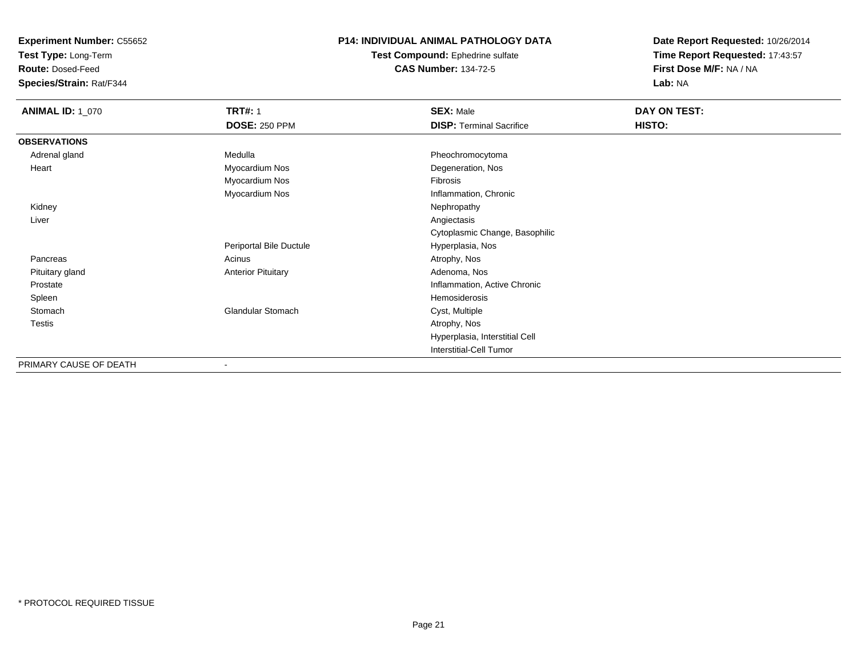**Test Type:** Long-Term

**Route:** Dosed-Feed

**Species/Strain:** Rat/F344

### **P14: INDIVIDUAL ANIMAL PATHOLOGY DATA**

**Test Compound:** Ephedrine sulfate**CAS Number:** 134-72-5

| <b>ANIMAL ID: 1_070</b> | <b>TRT#: 1</b>            | <b>SEX: Male</b>                | DAY ON TEST: |  |
|-------------------------|---------------------------|---------------------------------|--------------|--|
|                         | <b>DOSE: 250 PPM</b>      | <b>DISP: Terminal Sacrifice</b> | HISTO:       |  |
| <b>OBSERVATIONS</b>     |                           |                                 |              |  |
| Adrenal gland           | Medulla                   | Pheochromocytoma                |              |  |
| Heart                   | Myocardium Nos            | Degeneration, Nos               |              |  |
|                         | Myocardium Nos            | Fibrosis                        |              |  |
|                         | Myocardium Nos            | Inflammation, Chronic           |              |  |
| Kidney                  |                           | Nephropathy                     |              |  |
| Liver                   |                           | Angiectasis                     |              |  |
|                         |                           | Cytoplasmic Change, Basophilic  |              |  |
|                         | Periportal Bile Ductule   | Hyperplasia, Nos                |              |  |
| Pancreas                | Acinus                    | Atrophy, Nos                    |              |  |
| Pituitary gland         | <b>Anterior Pituitary</b> | Adenoma, Nos                    |              |  |
| Prostate                |                           | Inflammation, Active Chronic    |              |  |
| Spleen                  |                           | Hemosiderosis                   |              |  |
| Stomach                 | Glandular Stomach         | Cyst, Multiple                  |              |  |
| Testis                  |                           | Atrophy, Nos                    |              |  |
|                         |                           | Hyperplasia, Interstitial Cell  |              |  |
|                         |                           | Interstitial-Cell Tumor         |              |  |
| PRIMARY CAUSE OF DEATH  |                           |                                 |              |  |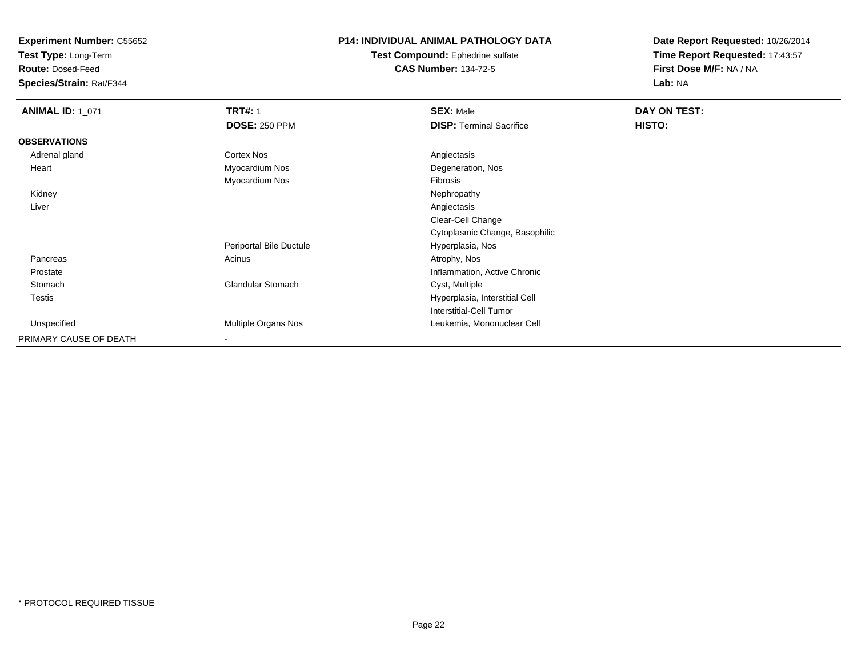**Test Type:** Long-Term

**Route:** Dosed-Feed

**Species/Strain:** Rat/F344

## **P14: INDIVIDUAL ANIMAL PATHOLOGY DATA**

#### **Test Compound:** Ephedrine sulfate**CAS Number:** 134-72-5

| <b>ANIMAL ID: 1_071</b> | <b>TRT#: 1</b>           | <b>SEX: Male</b>                | DAY ON TEST: |  |
|-------------------------|--------------------------|---------------------------------|--------------|--|
|                         | <b>DOSE: 250 PPM</b>     | <b>DISP: Terminal Sacrifice</b> | HISTO:       |  |
| <b>OBSERVATIONS</b>     |                          |                                 |              |  |
| Adrenal gland           | <b>Cortex Nos</b>        | Angiectasis                     |              |  |
| Heart                   | Myocardium Nos           | Degeneration, Nos               |              |  |
|                         | Myocardium Nos           | Fibrosis                        |              |  |
| Kidney                  |                          | Nephropathy                     |              |  |
| Liver                   |                          | Angiectasis                     |              |  |
|                         |                          | Clear-Cell Change               |              |  |
|                         |                          | Cytoplasmic Change, Basophilic  |              |  |
|                         | Periportal Bile Ductule  | Hyperplasia, Nos                |              |  |
| Pancreas                | Acinus                   | Atrophy, Nos                    |              |  |
| Prostate                |                          | Inflammation, Active Chronic    |              |  |
| Stomach                 | <b>Glandular Stomach</b> | Cyst, Multiple                  |              |  |
| Testis                  |                          | Hyperplasia, Interstitial Cell  |              |  |
|                         |                          | <b>Interstitial-Cell Tumor</b>  |              |  |
| Unspecified             | Multiple Organs Nos      | Leukemia, Mononuclear Cell      |              |  |
| PRIMARY CAUSE OF DEATH  | $\,$                     |                                 |              |  |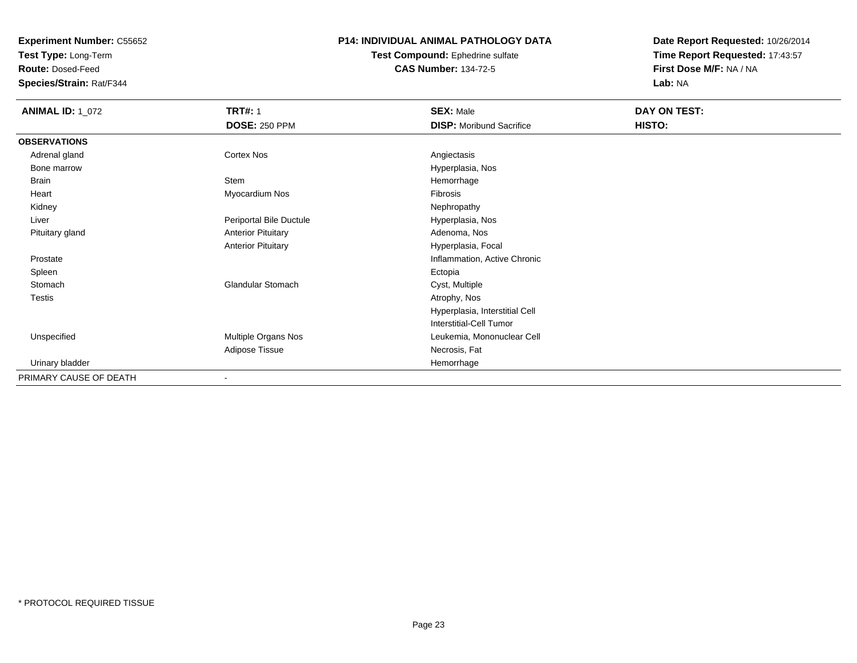**Test Type:** Long-Term

**Route:** Dosed-Feed

**Species/Strain:** Rat/F344

### **P14: INDIVIDUAL ANIMAL PATHOLOGY DATA**

**Test Compound:** Ephedrine sulfate**CAS Number:** 134-72-5

| <b>ANIMAL ID: 1_072</b> | <b>TRT#: 1</b>            | <b>SEX: Male</b>                | DAY ON TEST: |  |
|-------------------------|---------------------------|---------------------------------|--------------|--|
|                         | <b>DOSE: 250 PPM</b>      | <b>DISP:</b> Moribund Sacrifice | HISTO:       |  |
| <b>OBSERVATIONS</b>     |                           |                                 |              |  |
| Adrenal gland           | Cortex Nos                | Angiectasis                     |              |  |
| Bone marrow             |                           | Hyperplasia, Nos                |              |  |
| Brain                   | Stem                      | Hemorrhage                      |              |  |
| Heart                   | Myocardium Nos            | Fibrosis                        |              |  |
| Kidney                  |                           | Nephropathy                     |              |  |
| Liver                   | Periportal Bile Ductule   | Hyperplasia, Nos                |              |  |
| Pituitary gland         | <b>Anterior Pituitary</b> | Adenoma, Nos                    |              |  |
|                         | <b>Anterior Pituitary</b> | Hyperplasia, Focal              |              |  |
| Prostate                |                           | Inflammation, Active Chronic    |              |  |
| Spleen                  |                           | Ectopia                         |              |  |
| Stomach                 | <b>Glandular Stomach</b>  | Cyst, Multiple                  |              |  |
| <b>Testis</b>           |                           | Atrophy, Nos                    |              |  |
|                         |                           | Hyperplasia, Interstitial Cell  |              |  |
|                         |                           | Interstitial-Cell Tumor         |              |  |
| Unspecified             | Multiple Organs Nos       | Leukemia, Mononuclear Cell      |              |  |
|                         | Adipose Tissue            | Necrosis, Fat                   |              |  |
| Urinary bladder         |                           | Hemorrhage                      |              |  |
| PRIMARY CAUSE OF DEATH  |                           |                                 |              |  |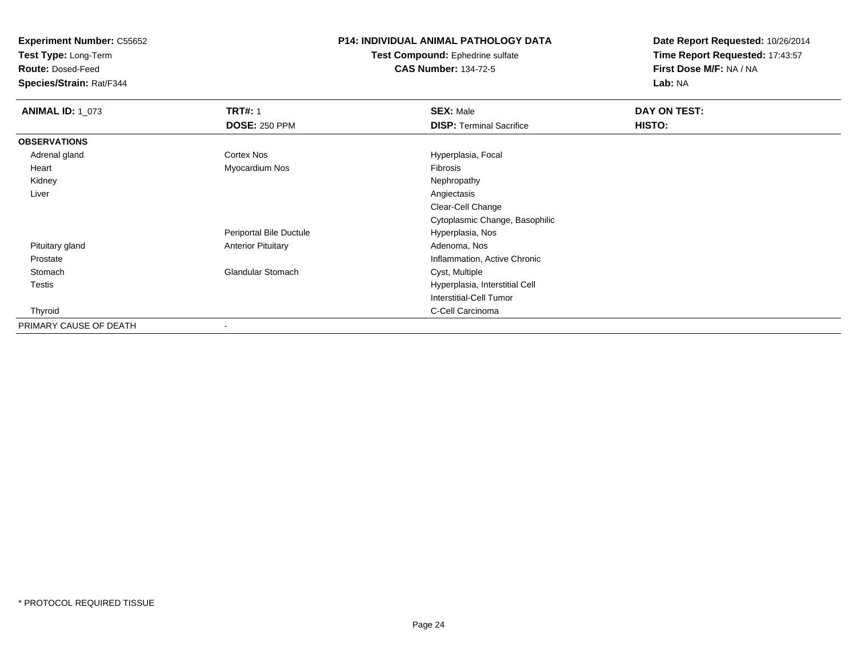**Test Type:** Long-Term

**Route:** Dosed-Feed

**Species/Strain:** Rat/F344

# **P14: INDIVIDUAL ANIMAL PATHOLOGY DATA**

**Test Compound:** Ephedrine sulfate**CAS Number:** 134-72-5

| <b>ANIMAL ID: 1_073</b> | <b>TRT#: 1</b>            | <b>SEX: Male</b>                | DAY ON TEST: |  |
|-------------------------|---------------------------|---------------------------------|--------------|--|
|                         | <b>DOSE: 250 PPM</b>      | <b>DISP: Terminal Sacrifice</b> | HISTO:       |  |
| <b>OBSERVATIONS</b>     |                           |                                 |              |  |
| Adrenal gland           | <b>Cortex Nos</b>         | Hyperplasia, Focal              |              |  |
| Heart                   | Myocardium Nos            | Fibrosis                        |              |  |
| Kidney                  |                           | Nephropathy                     |              |  |
| Liver                   |                           | Angiectasis                     |              |  |
|                         |                           | Clear-Cell Change               |              |  |
|                         |                           | Cytoplasmic Change, Basophilic  |              |  |
|                         | Periportal Bile Ductule   | Hyperplasia, Nos                |              |  |
| Pituitary gland         | <b>Anterior Pituitary</b> | Adenoma, Nos                    |              |  |
| Prostate                |                           | Inflammation, Active Chronic    |              |  |
| Stomach                 | <b>Glandular Stomach</b>  | Cyst, Multiple                  |              |  |
| Testis                  |                           | Hyperplasia, Interstitial Cell  |              |  |
|                         |                           | Interstitial-Cell Tumor         |              |  |
| Thyroid                 |                           | C-Cell Carcinoma                |              |  |
| PRIMARY CAUSE OF DEATH  | $\overline{\phantom{a}}$  |                                 |              |  |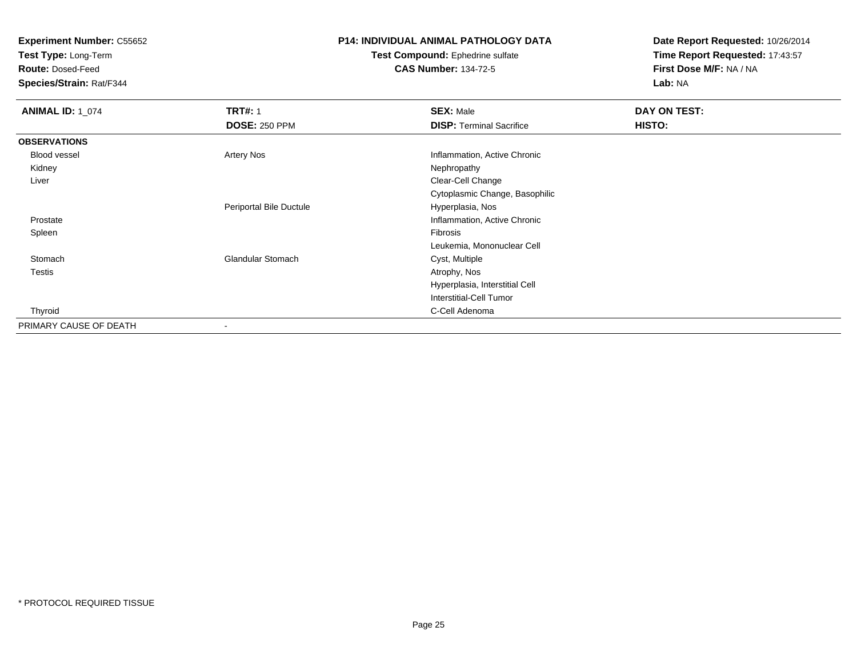**Test Type:** Long-Term

**Route:** Dosed-Feed

**Species/Strain:** Rat/F344

# **P14: INDIVIDUAL ANIMAL PATHOLOGY DATA**

#### **Test Compound:** Ephedrine sulfate**CAS Number:** 134-72-5

| <b>ANIMAL ID: 1_074</b> | <b>TRT#: 1</b>           | <b>SEX: Male</b>                | DAY ON TEST: |  |
|-------------------------|--------------------------|---------------------------------|--------------|--|
|                         | <b>DOSE: 250 PPM</b>     | <b>DISP: Terminal Sacrifice</b> | HISTO:       |  |
| <b>OBSERVATIONS</b>     |                          |                                 |              |  |
| Blood vessel            | <b>Artery Nos</b>        | Inflammation, Active Chronic    |              |  |
| Kidney                  |                          | Nephropathy                     |              |  |
| Liver                   |                          | Clear-Cell Change               |              |  |
|                         |                          | Cytoplasmic Change, Basophilic  |              |  |
|                         | Periportal Bile Ductule  | Hyperplasia, Nos                |              |  |
| Prostate                |                          | Inflammation, Active Chronic    |              |  |
| Spleen                  |                          | Fibrosis                        |              |  |
|                         |                          | Leukemia, Mononuclear Cell      |              |  |
| Stomach                 | <b>Glandular Stomach</b> | Cyst, Multiple                  |              |  |
| Testis                  |                          | Atrophy, Nos                    |              |  |
|                         |                          | Hyperplasia, Interstitial Cell  |              |  |
|                         |                          | Interstitial-Cell Tumor         |              |  |
| Thyroid                 |                          | C-Cell Adenoma                  |              |  |
| PRIMARY CAUSE OF DEATH  | $\overline{\phantom{a}}$ |                                 |              |  |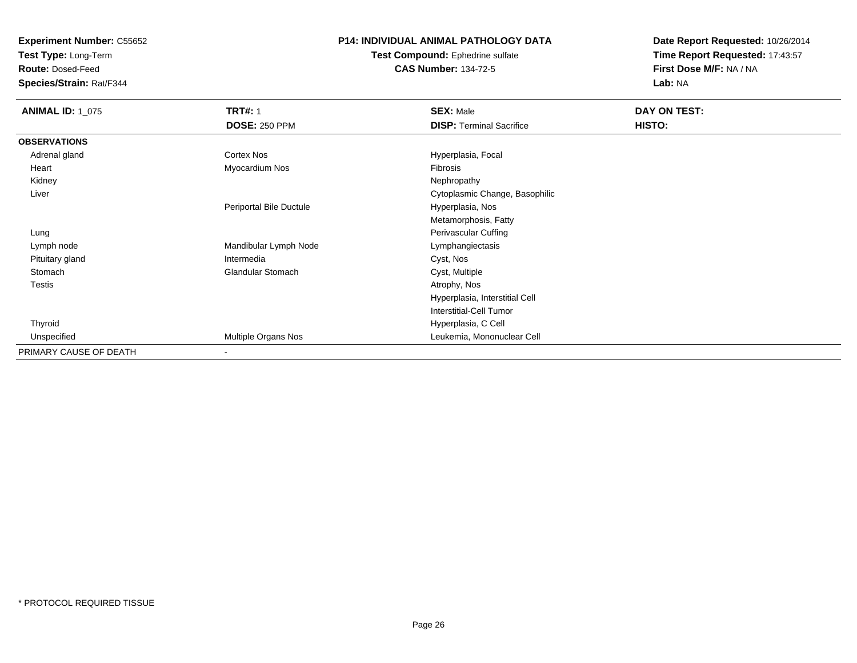**Test Type:** Long-Term

**Route:** Dosed-Feed

**Species/Strain:** Rat/F344

# **P14: INDIVIDUAL ANIMAL PATHOLOGY DATA**

**Test Compound:** Ephedrine sulfate**CAS Number:** 134-72-5

| <b>ANIMAL ID: 1 075</b> | <b>TRT#: 1</b>           | <b>SEX: Male</b>                | DAY ON TEST: |
|-------------------------|--------------------------|---------------------------------|--------------|
|                         | <b>DOSE: 250 PPM</b>     | <b>DISP: Terminal Sacrifice</b> | HISTO:       |
| <b>OBSERVATIONS</b>     |                          |                                 |              |
| Adrenal gland           | Cortex Nos               | Hyperplasia, Focal              |              |
| Heart                   | Myocardium Nos           | Fibrosis                        |              |
| Kidney                  |                          | Nephropathy                     |              |
| Liver                   |                          | Cytoplasmic Change, Basophilic  |              |
|                         | Periportal Bile Ductule  | Hyperplasia, Nos                |              |
|                         |                          | Metamorphosis, Fatty            |              |
| Lung                    |                          | Perivascular Cuffing            |              |
| Lymph node              | Mandibular Lymph Node    | Lymphangiectasis                |              |
| Pituitary gland         | Intermedia               | Cyst, Nos                       |              |
| Stomach                 | <b>Glandular Stomach</b> | Cyst, Multiple                  |              |
| Testis                  |                          | Atrophy, Nos                    |              |
|                         |                          | Hyperplasia, Interstitial Cell  |              |
|                         |                          | Interstitial-Cell Tumor         |              |
| Thyroid                 |                          | Hyperplasia, C Cell             |              |
| Unspecified             | Multiple Organs Nos      | Leukemia, Mononuclear Cell      |              |
| PRIMARY CAUSE OF DEATH  | ۰                        |                                 |              |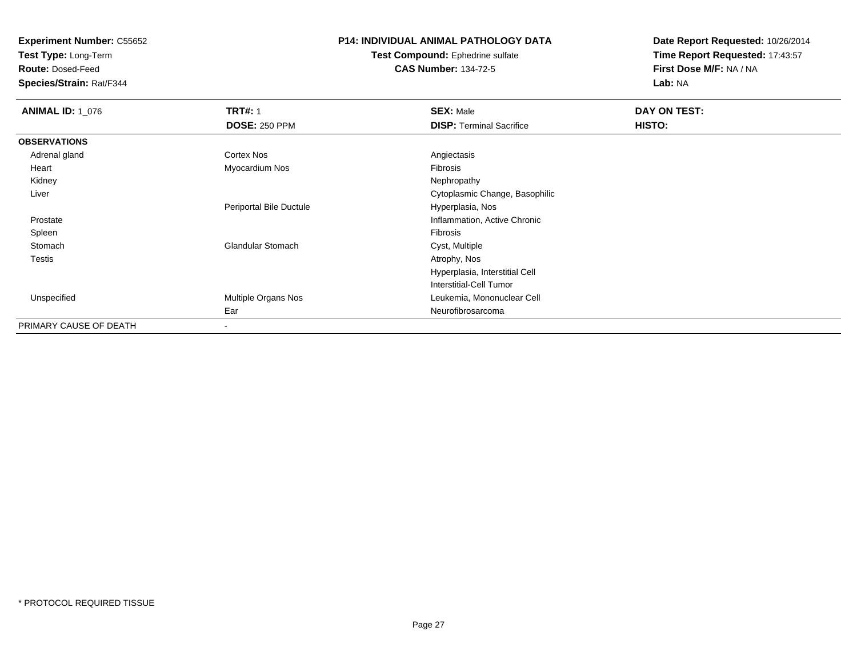**Test Type:** Long-Term

**Route:** Dosed-Feed

**Species/Strain:** Rat/F344

# **P14: INDIVIDUAL ANIMAL PATHOLOGY DATA**

**Test Compound:** Ephedrine sulfate**CAS Number:** 134-72-5

| <b>ANIMAL ID: 1_076</b> | <b>TRT#: 1</b><br><b>DOSE: 250 PPM</b> | <b>SEX: Male</b><br><b>DISP: Terminal Sacrifice</b> | DAY ON TEST:<br>HISTO: |
|-------------------------|----------------------------------------|-----------------------------------------------------|------------------------|
| <b>OBSERVATIONS</b>     |                                        |                                                     |                        |
| Adrenal gland           | Cortex Nos                             | Angiectasis                                         |                        |
| Heart                   | Myocardium Nos                         | Fibrosis                                            |                        |
| Kidney                  |                                        | Nephropathy                                         |                        |
| Liver                   |                                        | Cytoplasmic Change, Basophilic                      |                        |
|                         | Periportal Bile Ductule                | Hyperplasia, Nos                                    |                        |
| Prostate                |                                        | Inflammation, Active Chronic                        |                        |
| Spleen                  |                                        | Fibrosis                                            |                        |
| Stomach                 | <b>Glandular Stomach</b>               | Cyst, Multiple                                      |                        |
| <b>Testis</b>           |                                        | Atrophy, Nos                                        |                        |
|                         |                                        | Hyperplasia, Interstitial Cell                      |                        |
|                         |                                        | Interstitial-Cell Tumor                             |                        |
| Unspecified             | Multiple Organs Nos                    | Leukemia, Mononuclear Cell                          |                        |
|                         | Ear                                    | Neurofibrosarcoma                                   |                        |
| PRIMARY CAUSE OF DEATH  | $\overline{\phantom{a}}$               |                                                     |                        |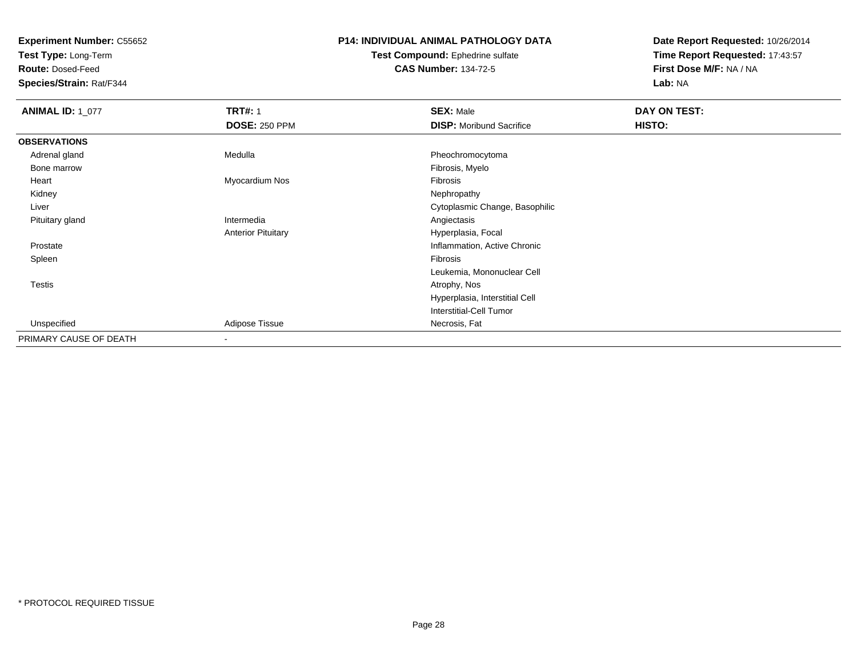**Test Type:** Long-Term

**Route:** Dosed-Feed

**Species/Strain:** Rat/F344

# **P14: INDIVIDUAL ANIMAL PATHOLOGY DATA**

#### **Test Compound:** Ephedrine sulfate**CAS Number:** 134-72-5

| <b>ANIMAL ID: 1_077</b> | <b>TRT#: 1</b>            | <b>SEX: Male</b>                | DAY ON TEST: |  |
|-------------------------|---------------------------|---------------------------------|--------------|--|
|                         | <b>DOSE: 250 PPM</b>      | <b>DISP:</b> Moribund Sacrifice | HISTO:       |  |
| <b>OBSERVATIONS</b>     |                           |                                 |              |  |
| Adrenal gland           | Medulla                   | Pheochromocytoma                |              |  |
| Bone marrow             |                           | Fibrosis, Myelo                 |              |  |
| Heart                   | Myocardium Nos            | Fibrosis                        |              |  |
| Kidney                  |                           | Nephropathy                     |              |  |
| Liver                   |                           | Cytoplasmic Change, Basophilic  |              |  |
| Pituitary gland         | Intermedia                | Angiectasis                     |              |  |
|                         | <b>Anterior Pituitary</b> | Hyperplasia, Focal              |              |  |
| Prostate                |                           | Inflammation, Active Chronic    |              |  |
| Spleen                  |                           | Fibrosis                        |              |  |
|                         |                           | Leukemia, Mononuclear Cell      |              |  |
| <b>Testis</b>           |                           | Atrophy, Nos                    |              |  |
|                         |                           | Hyperplasia, Interstitial Cell  |              |  |
|                         |                           | <b>Interstitial-Cell Tumor</b>  |              |  |
| Unspecified             | Adipose Tissue            | Necrosis, Fat                   |              |  |
| PRIMARY CAUSE OF DEATH  | $\blacksquare$            |                                 |              |  |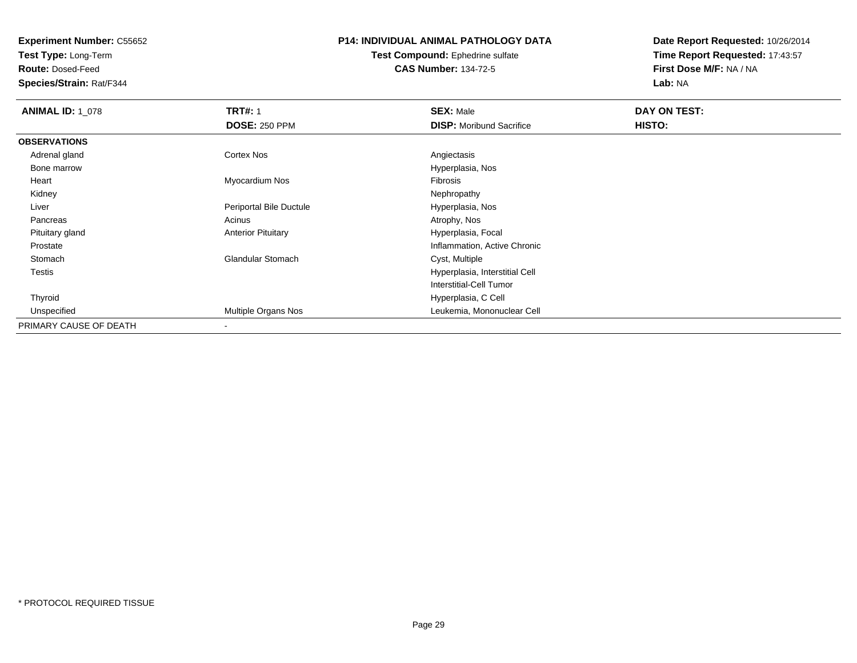**Test Type:** Long-Term

**Route:** Dosed-Feed

**Species/Strain:** Rat/F344

# **P14: INDIVIDUAL ANIMAL PATHOLOGY DATA**

#### **Test Compound:** Ephedrine sulfate**CAS Number:** 134-72-5

| <b>ANIMAL ID: 1 078</b> | <b>TRT#: 1</b>            | <b>SEX: Male</b>                | DAY ON TEST: |
|-------------------------|---------------------------|---------------------------------|--------------|
|                         | <b>DOSE: 250 PPM</b>      | <b>DISP:</b> Moribund Sacrifice | HISTO:       |
| <b>OBSERVATIONS</b>     |                           |                                 |              |
| Adrenal gland           | Cortex Nos                | Angiectasis                     |              |
| Bone marrow             |                           | Hyperplasia, Nos                |              |
| Heart                   | Myocardium Nos            | Fibrosis                        |              |
| Kidney                  |                           | Nephropathy                     |              |
| Liver                   | Periportal Bile Ductule   | Hyperplasia, Nos                |              |
| Pancreas                | Acinus                    | Atrophy, Nos                    |              |
| Pituitary gland         | <b>Anterior Pituitary</b> | Hyperplasia, Focal              |              |
| Prostate                |                           | Inflammation, Active Chronic    |              |
| Stomach                 | <b>Glandular Stomach</b>  | Cyst, Multiple                  |              |
| Testis                  |                           | Hyperplasia, Interstitial Cell  |              |
|                         |                           | <b>Interstitial-Cell Tumor</b>  |              |
| Thyroid                 |                           | Hyperplasia, C Cell             |              |
| Unspecified             | Multiple Organs Nos       | Leukemia, Mononuclear Cell      |              |
| PRIMARY CAUSE OF DEATH  | $\overline{\phantom{a}}$  |                                 |              |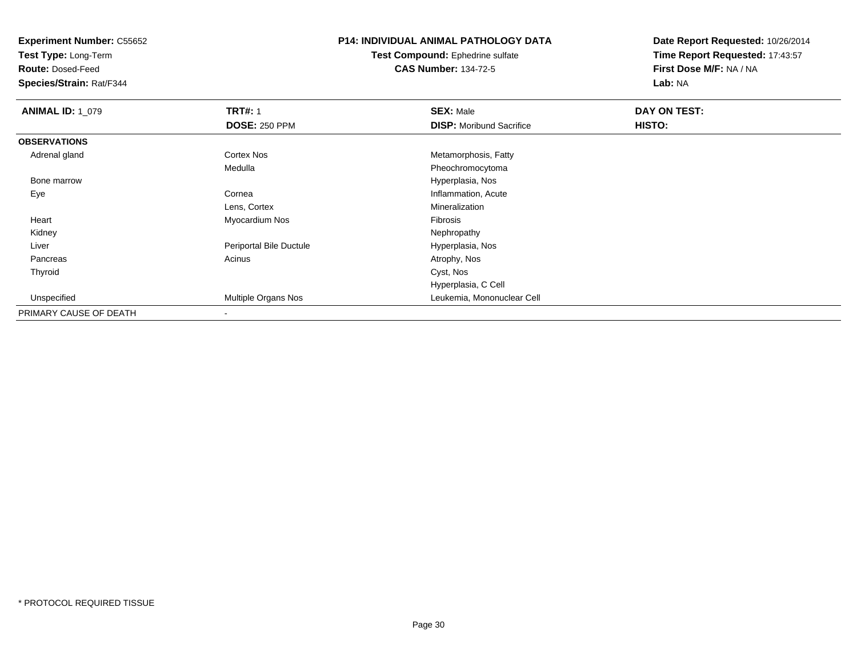**Test Type:** Long-Term

**Route:** Dosed-Feed

**Species/Strain:** Rat/F344

# **P14: INDIVIDUAL ANIMAL PATHOLOGY DATA**

**Test Compound:** Ephedrine sulfate**CAS Number:** 134-72-5

| <b>ANIMAL ID: 1_079</b> | <b>TRT#: 1</b>             | <b>SEX: Male</b>                | DAY ON TEST: |  |
|-------------------------|----------------------------|---------------------------------|--------------|--|
|                         | <b>DOSE: 250 PPM</b>       | <b>DISP:</b> Moribund Sacrifice | HISTO:       |  |
| <b>OBSERVATIONS</b>     |                            |                                 |              |  |
| Adrenal gland           | Cortex Nos                 | Metamorphosis, Fatty            |              |  |
|                         | Medulla                    | Pheochromocytoma                |              |  |
| Bone marrow             |                            | Hyperplasia, Nos                |              |  |
| Eye                     | Cornea                     | Inflammation, Acute             |              |  |
|                         | Lens, Cortex               | Mineralization                  |              |  |
| Heart                   | Myocardium Nos             | Fibrosis                        |              |  |
| Kidney                  |                            | Nephropathy                     |              |  |
| Liver                   | Periportal Bile Ductule    | Hyperplasia, Nos                |              |  |
| Pancreas                | Acinus                     | Atrophy, Nos                    |              |  |
| Thyroid                 |                            | Cyst, Nos                       |              |  |
|                         |                            | Hyperplasia, C Cell             |              |  |
| Unspecified             | <b>Multiple Organs Nos</b> | Leukemia, Mononuclear Cell      |              |  |
| PRIMARY CAUSE OF DEATH  |                            |                                 |              |  |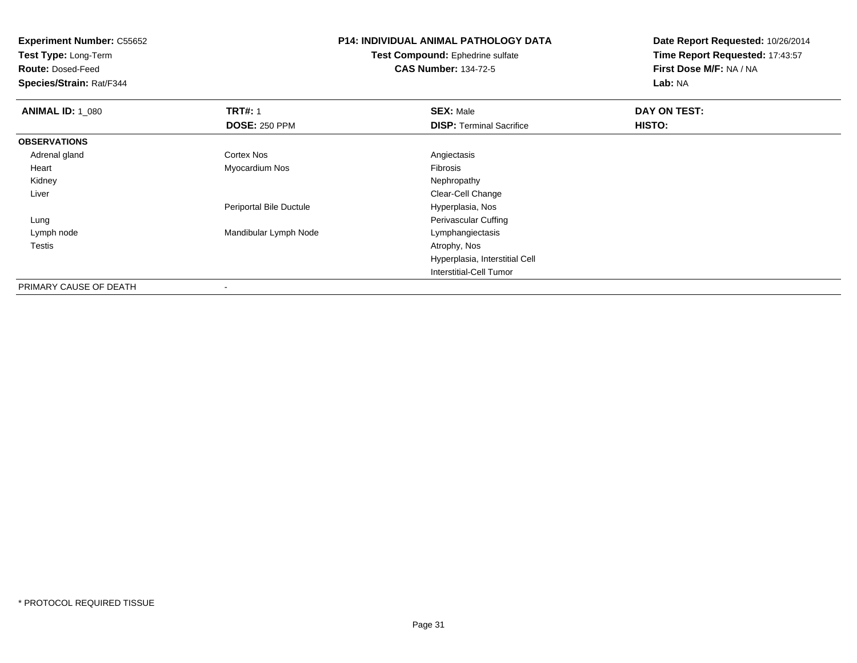**Test Type:** Long-Term

**Route:** Dosed-Feed

**Species/Strain:** Rat/F344

# **P14: INDIVIDUAL ANIMAL PATHOLOGY DATA**

**Test Compound:** Ephedrine sulfate**CAS Number:** 134-72-5

| <b>ANIMAL ID: 1 080</b> | <b>TRT#: 1</b>          | <b>SEX: Male</b>                | DAY ON TEST: |  |
|-------------------------|-------------------------|---------------------------------|--------------|--|
|                         | <b>DOSE: 250 PPM</b>    | <b>DISP:</b> Terminal Sacrifice | HISTO:       |  |
| <b>OBSERVATIONS</b>     |                         |                                 |              |  |
| Adrenal gland           | Cortex Nos              | Angiectasis                     |              |  |
| Heart                   | Myocardium Nos          | Fibrosis                        |              |  |
| Kidney                  |                         | Nephropathy                     |              |  |
| Liver                   |                         | Clear-Cell Change               |              |  |
|                         | Periportal Bile Ductule | Hyperplasia, Nos                |              |  |
| Lung                    |                         | Perivascular Cuffing            |              |  |
| Lymph node              | Mandibular Lymph Node   | Lymphangiectasis                |              |  |
| Testis                  |                         | Atrophy, Nos                    |              |  |
|                         |                         | Hyperplasia, Interstitial Cell  |              |  |
|                         |                         | Interstitial-Cell Tumor         |              |  |
| PRIMARY CAUSE OF DEATH  | $\,$                    |                                 |              |  |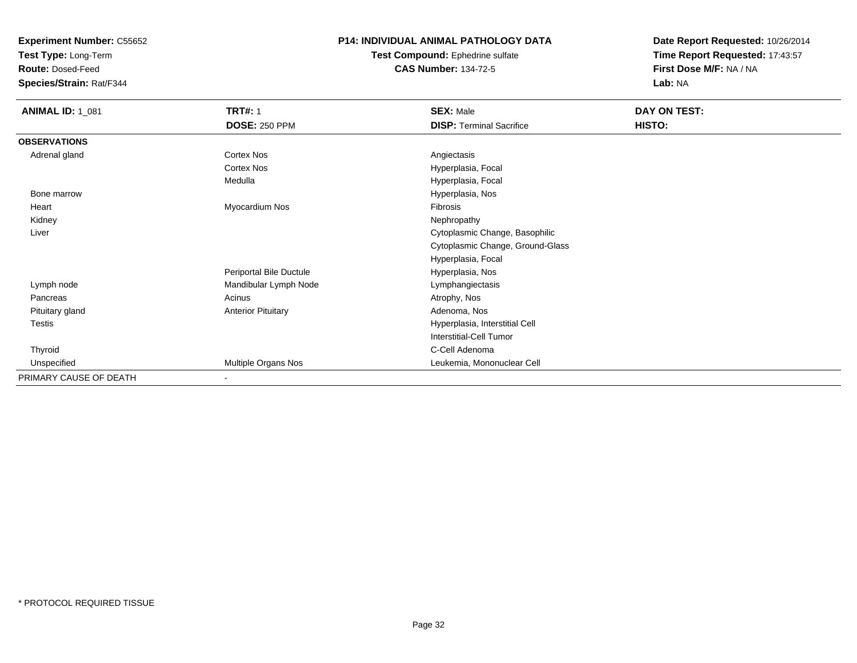**Test Type:** Long-Term

**Route:** Dosed-Feed

**Species/Strain:** Rat/F344

### **P14: INDIVIDUAL ANIMAL PATHOLOGY DATA**

**Test Compound:** Ephedrine sulfate**CAS Number:** 134-72-5

| <b>ANIMAL ID: 1_081</b> | <b>TRT#: 1</b>            | <b>SEX: Male</b>                 | DAY ON TEST: |
|-------------------------|---------------------------|----------------------------------|--------------|
|                         | <b>DOSE: 250 PPM</b>      | <b>DISP: Terminal Sacrifice</b>  | HISTO:       |
| <b>OBSERVATIONS</b>     |                           |                                  |              |
| Adrenal gland           | Cortex Nos                | Angiectasis                      |              |
|                         | Cortex Nos                | Hyperplasia, Focal               |              |
|                         | Medulla                   | Hyperplasia, Focal               |              |
| Bone marrow             |                           | Hyperplasia, Nos                 |              |
| Heart                   | Myocardium Nos            | Fibrosis                         |              |
| Kidney                  |                           | Nephropathy                      |              |
| Liver                   |                           | Cytoplasmic Change, Basophilic   |              |
|                         |                           | Cytoplasmic Change, Ground-Glass |              |
|                         |                           | Hyperplasia, Focal               |              |
|                         | Periportal Bile Ductule   | Hyperplasia, Nos                 |              |
| Lymph node              | Mandibular Lymph Node     | Lymphangiectasis                 |              |
| Pancreas                | Acinus                    | Atrophy, Nos                     |              |
| Pituitary gland         | <b>Anterior Pituitary</b> | Adenoma, Nos                     |              |
| Testis                  |                           | Hyperplasia, Interstitial Cell   |              |
|                         |                           | Interstitial-Cell Tumor          |              |
| Thyroid                 |                           | C-Cell Adenoma                   |              |
| Unspecified             | Multiple Organs Nos       | Leukemia, Mononuclear Cell       |              |
| PRIMARY CAUSE OF DEATH  | $\sim$                    |                                  |              |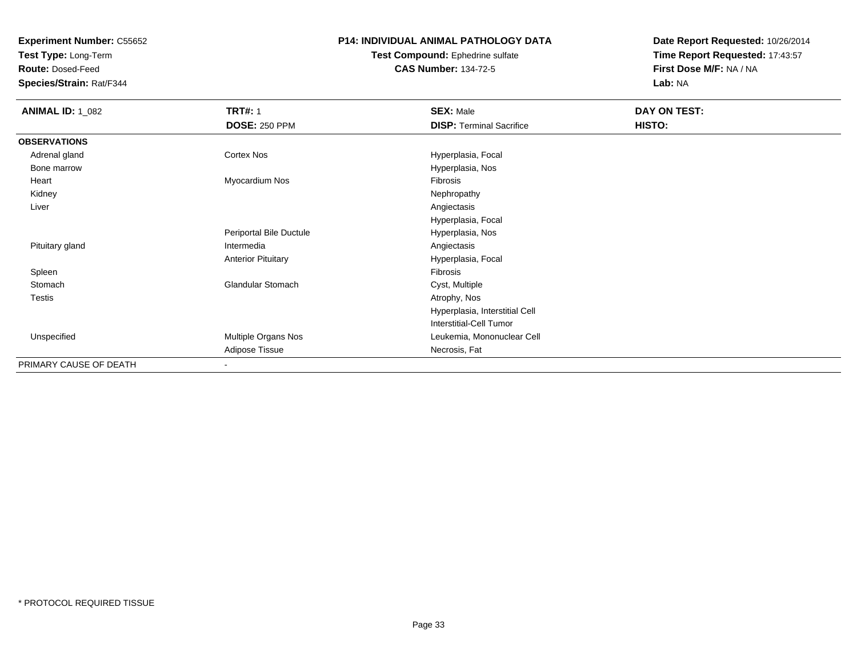**Test Type:** Long-Term

**Route:** Dosed-Feed

**Species/Strain:** Rat/F344

### **P14: INDIVIDUAL ANIMAL PATHOLOGY DATA**

#### **Test Compound:** Ephedrine sulfate**CAS Number:** 134-72-5

| <b>ANIMAL ID: 1_082</b> | <b>TRT#: 1</b>            | <b>SEX: Male</b>                | DAY ON TEST: |  |
|-------------------------|---------------------------|---------------------------------|--------------|--|
|                         | <b>DOSE: 250 PPM</b>      | <b>DISP: Terminal Sacrifice</b> | HISTO:       |  |
| <b>OBSERVATIONS</b>     |                           |                                 |              |  |
| Adrenal gland           | Cortex Nos                | Hyperplasia, Focal              |              |  |
| Bone marrow             |                           | Hyperplasia, Nos                |              |  |
| Heart                   | Myocardium Nos            | Fibrosis                        |              |  |
| Kidney                  |                           | Nephropathy                     |              |  |
| Liver                   |                           | Angiectasis                     |              |  |
|                         |                           | Hyperplasia, Focal              |              |  |
|                         | Periportal Bile Ductule   | Hyperplasia, Nos                |              |  |
| Pituitary gland         | Intermedia                | Angiectasis                     |              |  |
|                         | <b>Anterior Pituitary</b> | Hyperplasia, Focal              |              |  |
| Spleen                  |                           | Fibrosis                        |              |  |
| Stomach                 | <b>Glandular Stomach</b>  | Cyst, Multiple                  |              |  |
| <b>Testis</b>           |                           | Atrophy, Nos                    |              |  |
|                         |                           | Hyperplasia, Interstitial Cell  |              |  |
|                         |                           | <b>Interstitial-Cell Tumor</b>  |              |  |
| Unspecified             | Multiple Organs Nos       | Leukemia, Mononuclear Cell      |              |  |
|                         | Adipose Tissue            | Necrosis, Fat                   |              |  |
| PRIMARY CAUSE OF DEATH  | $\blacksquare$            |                                 |              |  |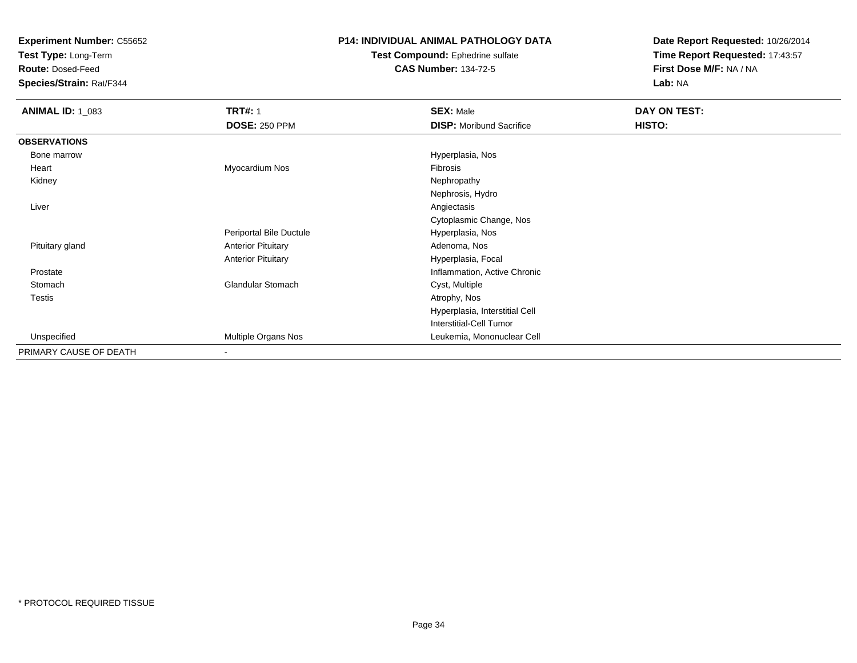**Test Type:** Long-Term

**Route:** Dosed-Feed

**Species/Strain:** Rat/F344

### **P14: INDIVIDUAL ANIMAL PATHOLOGY DATA**

#### **Test Compound:** Ephedrine sulfate**CAS Number:** 134-72-5

| <b>ANIMAL ID: 1_083</b> | <b>TRT#: 1</b>            | <b>SEX: Male</b>                | DAY ON TEST: |
|-------------------------|---------------------------|---------------------------------|--------------|
|                         | <b>DOSE: 250 PPM</b>      | <b>DISP:</b> Moribund Sacrifice | HISTO:       |
| <b>OBSERVATIONS</b>     |                           |                                 |              |
| Bone marrow             |                           | Hyperplasia, Nos                |              |
| Heart                   | Myocardium Nos            | Fibrosis                        |              |
| Kidney                  |                           | Nephropathy                     |              |
|                         |                           | Nephrosis, Hydro                |              |
| Liver                   |                           | Angiectasis                     |              |
|                         |                           | Cytoplasmic Change, Nos         |              |
|                         | Periportal Bile Ductule   | Hyperplasia, Nos                |              |
| Pituitary gland         | <b>Anterior Pituitary</b> | Adenoma, Nos                    |              |
|                         | <b>Anterior Pituitary</b> | Hyperplasia, Focal              |              |
| Prostate                |                           | Inflammation, Active Chronic    |              |
| Stomach                 | <b>Glandular Stomach</b>  | Cyst, Multiple                  |              |
| <b>Testis</b>           |                           | Atrophy, Nos                    |              |
|                         |                           | Hyperplasia, Interstitial Cell  |              |
|                         |                           | Interstitial-Cell Tumor         |              |
| Unspecified             | Multiple Organs Nos       | Leukemia, Mononuclear Cell      |              |
| PRIMARY CAUSE OF DEATH  | $\overline{\phantom{a}}$  |                                 |              |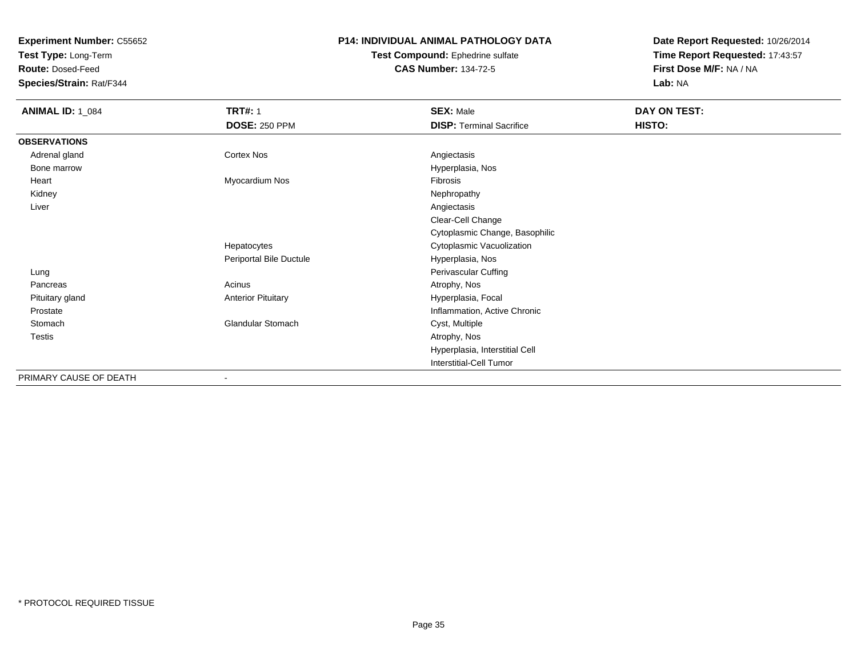**Test Type:** Long-Term

**Route:** Dosed-Feed

**Species/Strain:** Rat/F344

### **P14: INDIVIDUAL ANIMAL PATHOLOGY DATA**

#### **Test Compound:** Ephedrine sulfate**CAS Number:** 134-72-5

| <b>ANIMAL ID: 1_084</b> | <b>TRT#: 1</b>            | <b>SEX: Male</b>                | DAY ON TEST: |  |
|-------------------------|---------------------------|---------------------------------|--------------|--|
|                         | <b>DOSE: 250 PPM</b>      | <b>DISP: Terminal Sacrifice</b> | HISTO:       |  |
| <b>OBSERVATIONS</b>     |                           |                                 |              |  |
| Adrenal gland           | <b>Cortex Nos</b>         | Angiectasis                     |              |  |
| Bone marrow             |                           | Hyperplasia, Nos                |              |  |
| Heart                   | Myocardium Nos            | Fibrosis                        |              |  |
| Kidney                  |                           | Nephropathy                     |              |  |
| Liver                   |                           | Angiectasis                     |              |  |
|                         |                           | Clear-Cell Change               |              |  |
|                         |                           | Cytoplasmic Change, Basophilic  |              |  |
|                         | Hepatocytes               | Cytoplasmic Vacuolization       |              |  |
|                         | Periportal Bile Ductule   | Hyperplasia, Nos                |              |  |
| Lung                    |                           | Perivascular Cuffing            |              |  |
| Pancreas                | Acinus                    | Atrophy, Nos                    |              |  |
| Pituitary gland         | <b>Anterior Pituitary</b> | Hyperplasia, Focal              |              |  |
| Prostate                |                           | Inflammation, Active Chronic    |              |  |
| Stomach                 | <b>Glandular Stomach</b>  | Cyst, Multiple                  |              |  |
| Testis                  |                           | Atrophy, Nos                    |              |  |
|                         |                           | Hyperplasia, Interstitial Cell  |              |  |
|                         |                           | Interstitial-Cell Tumor         |              |  |
| PRIMARY CAUSE OF DEATH  |                           |                                 |              |  |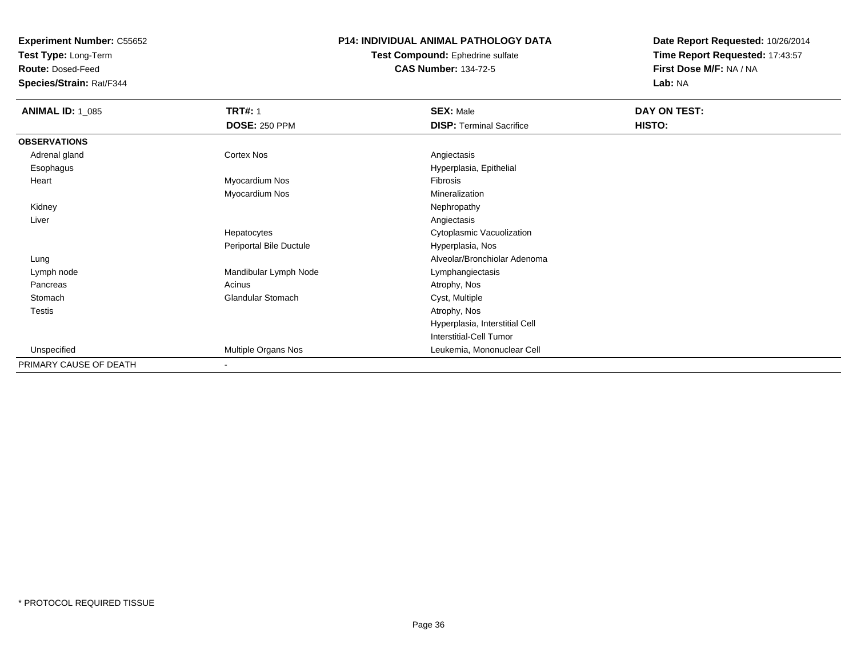**Test Type:** Long-Term

**Route:** Dosed-Feed

**Species/Strain:** Rat/F344

# **P14: INDIVIDUAL ANIMAL PATHOLOGY DATA**

#### **Test Compound:** Ephedrine sulfate**CAS Number:** 134-72-5

| <b>ANIMAL ID: 1_085</b> | <b>TRT#: 1</b>           | <b>SEX: Male</b>                | DAY ON TEST: |  |
|-------------------------|--------------------------|---------------------------------|--------------|--|
|                         | <b>DOSE: 250 PPM</b>     | <b>DISP: Terminal Sacrifice</b> | HISTO:       |  |
| <b>OBSERVATIONS</b>     |                          |                                 |              |  |
| Adrenal gland           | <b>Cortex Nos</b>        | Angiectasis                     |              |  |
| Esophagus               |                          | Hyperplasia, Epithelial         |              |  |
| Heart                   | Myocardium Nos           | Fibrosis                        |              |  |
|                         | Myocardium Nos           | Mineralization                  |              |  |
| Kidney                  |                          | Nephropathy                     |              |  |
| Liver                   |                          | Angiectasis                     |              |  |
|                         | Hepatocytes              | Cytoplasmic Vacuolization       |              |  |
|                         | Periportal Bile Ductule  | Hyperplasia, Nos                |              |  |
| Lung                    |                          | Alveolar/Bronchiolar Adenoma    |              |  |
| Lymph node              | Mandibular Lymph Node    | Lymphangiectasis                |              |  |
| Pancreas                | Acinus                   | Atrophy, Nos                    |              |  |
| Stomach                 | <b>Glandular Stomach</b> | Cyst, Multiple                  |              |  |
| Testis                  |                          | Atrophy, Nos                    |              |  |
|                         |                          | Hyperplasia, Interstitial Cell  |              |  |
|                         |                          | <b>Interstitial-Cell Tumor</b>  |              |  |
| Unspecified             | Multiple Organs Nos      | Leukemia, Mononuclear Cell      |              |  |
| PRIMARY CAUSE OF DEATH  | $\overline{\phantom{a}}$ |                                 |              |  |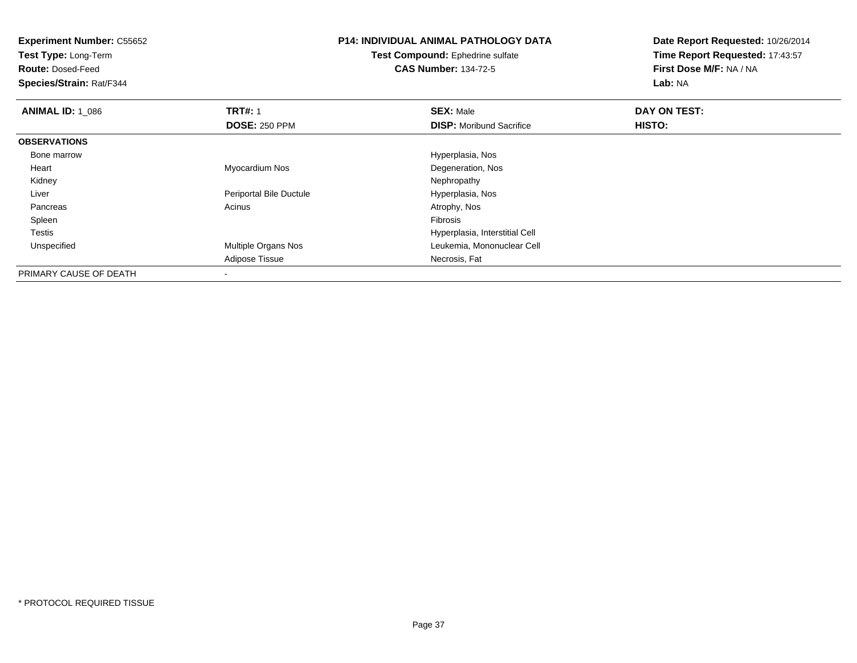**Test Type:** Long-Term

**Route:** Dosed-Feed

**Species/Strain:** Rat/F344

# **P14: INDIVIDUAL ANIMAL PATHOLOGY DATA**

**Test Compound:** Ephedrine sulfate**CAS Number:** 134-72-5

| <b>ANIMAL ID: 1 086</b> | <b>TRT#: 1</b>             | <b>SEX: Male</b>                | DAY ON TEST: |  |
|-------------------------|----------------------------|---------------------------------|--------------|--|
|                         | <b>DOSE: 250 PPM</b>       | <b>DISP:</b> Moribund Sacrifice | HISTO:       |  |
| <b>OBSERVATIONS</b>     |                            |                                 |              |  |
| Bone marrow             |                            | Hyperplasia, Nos                |              |  |
| Heart                   | Myocardium Nos             | Degeneration, Nos               |              |  |
| Kidney                  |                            | Nephropathy                     |              |  |
| Liver                   | Periportal Bile Ductule    | Hyperplasia, Nos                |              |  |
| Pancreas                | Acinus                     | Atrophy, Nos                    |              |  |
| Spleen                  |                            | Fibrosis                        |              |  |
| <b>Testis</b>           |                            | Hyperplasia, Interstitial Cell  |              |  |
| Unspecified             | <b>Multiple Organs Nos</b> | Leukemia, Mononuclear Cell      |              |  |
|                         | Adipose Tissue             | Necrosis, Fat                   |              |  |
| PRIMARY CAUSE OF DEATH  |                            |                                 |              |  |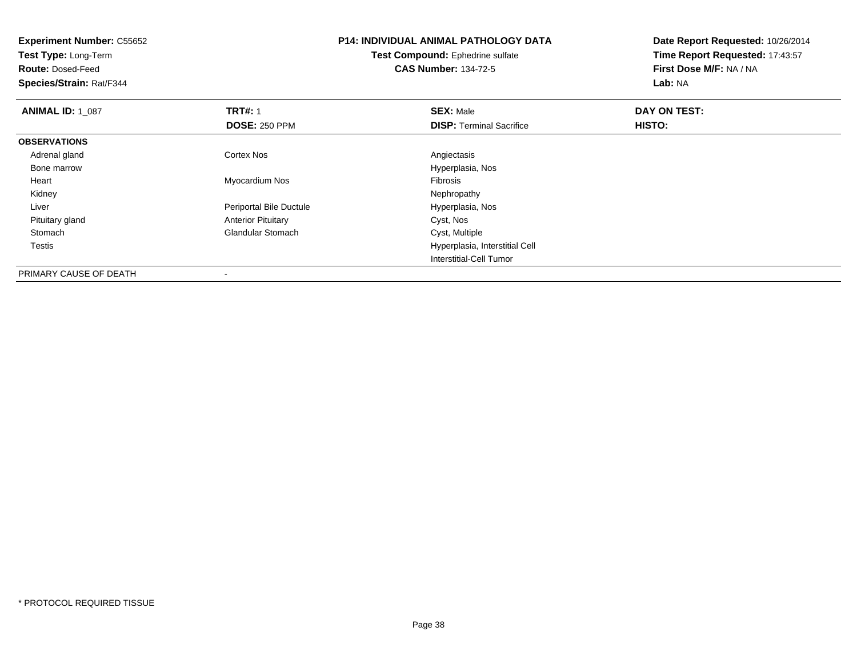| <b>Experiment Number: C55652</b><br>Test Type: Long-Term<br><b>Route: Dosed-Feed</b><br>Species/Strain: Rat/F344 |                           | <b>P14: INDIVIDUAL ANIMAL PATHOLOGY DATA</b><br><b>Test Compound: Ephedrine sulfate</b><br><b>CAS Number: 134-72-5</b> | Date Report Requested: 10/26/2014<br>Time Report Requested: 17:43:57<br>First Dose M/F: NA / NA<br>Lab: NA |  |
|------------------------------------------------------------------------------------------------------------------|---------------------------|------------------------------------------------------------------------------------------------------------------------|------------------------------------------------------------------------------------------------------------|--|
| <b>ANIMAL ID: 1_087</b>                                                                                          | <b>TRT#: 1</b>            | <b>SEX: Male</b>                                                                                                       | DAY ON TEST:                                                                                               |  |
|                                                                                                                  | <b>DOSE: 250 PPM</b>      | <b>DISP: Terminal Sacrifice</b>                                                                                        | HISTO:                                                                                                     |  |
| <b>OBSERVATIONS</b>                                                                                              |                           |                                                                                                                        |                                                                                                            |  |
| Adrenal gland                                                                                                    | <b>Cortex Nos</b>         | Angiectasis                                                                                                            |                                                                                                            |  |
| Bone marrow                                                                                                      |                           | Hyperplasia, Nos                                                                                                       |                                                                                                            |  |
| Heart                                                                                                            | Myocardium Nos            | Fibrosis                                                                                                               |                                                                                                            |  |
| Kidney                                                                                                           |                           | Nephropathy                                                                                                            |                                                                                                            |  |
| Liver                                                                                                            | Periportal Bile Ductule   | Hyperplasia, Nos                                                                                                       |                                                                                                            |  |
| Pituitary gland                                                                                                  | <b>Anterior Pituitary</b> | Cyst, Nos                                                                                                              |                                                                                                            |  |
| Stomach                                                                                                          | <b>Glandular Stomach</b>  | Cyst, Multiple                                                                                                         |                                                                                                            |  |
| Testis                                                                                                           |                           | Hyperplasia, Interstitial Cell                                                                                         |                                                                                                            |  |
|                                                                                                                  |                           | Interstitial-Cell Tumor                                                                                                |                                                                                                            |  |
| PRIMARY CAUSE OF DEATH                                                                                           |                           |                                                                                                                        |                                                                                                            |  |

-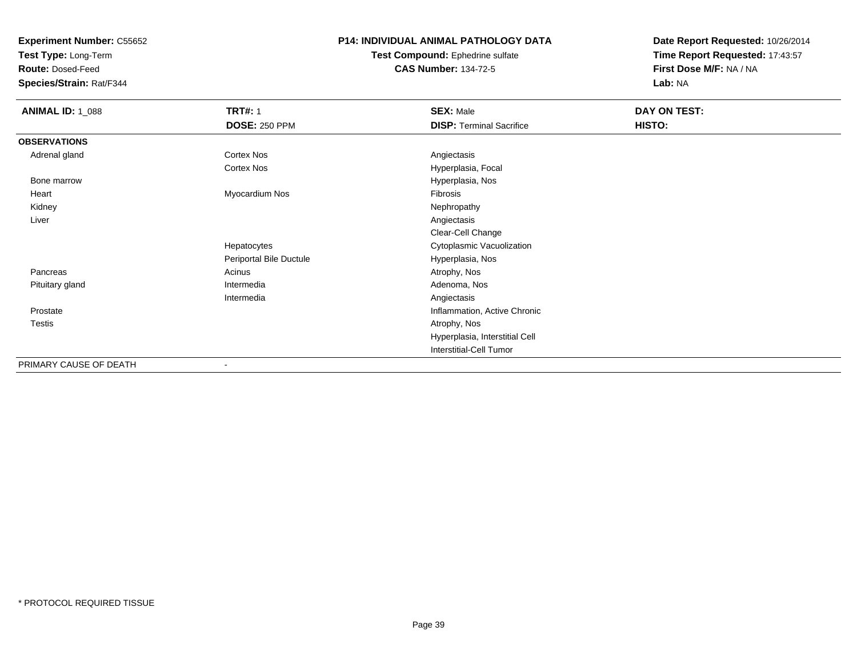**Test Type:** Long-Term

**Route:** Dosed-Feed

**Species/Strain:** Rat/F344

### **P14: INDIVIDUAL ANIMAL PATHOLOGY DATA**

**Test Compound:** Ephedrine sulfate**CAS Number:** 134-72-5

| <b>ANIMAL ID: 1_088</b> | <b>TRT#: 1</b>           | <b>SEX: Male</b>                | DAY ON TEST: |  |
|-------------------------|--------------------------|---------------------------------|--------------|--|
|                         | <b>DOSE: 250 PPM</b>     | <b>DISP: Terminal Sacrifice</b> | HISTO:       |  |
| <b>OBSERVATIONS</b>     |                          |                                 |              |  |
| Adrenal gland           | <b>Cortex Nos</b>        | Angiectasis                     |              |  |
|                         | <b>Cortex Nos</b>        | Hyperplasia, Focal              |              |  |
| Bone marrow             |                          | Hyperplasia, Nos                |              |  |
| Heart                   | Myocardium Nos           | Fibrosis                        |              |  |
| Kidney                  |                          | Nephropathy                     |              |  |
| Liver                   |                          | Angiectasis                     |              |  |
|                         |                          | Clear-Cell Change               |              |  |
|                         | Hepatocytes              | Cytoplasmic Vacuolization       |              |  |
|                         | Periportal Bile Ductule  | Hyperplasia, Nos                |              |  |
| Pancreas                | Acinus                   | Atrophy, Nos                    |              |  |
| Pituitary gland         | Intermedia               | Adenoma, Nos                    |              |  |
|                         | Intermedia               | Angiectasis                     |              |  |
| Prostate                |                          | Inflammation, Active Chronic    |              |  |
| <b>Testis</b>           |                          | Atrophy, Nos                    |              |  |
|                         |                          | Hyperplasia, Interstitial Cell  |              |  |
|                         |                          | <b>Interstitial-Cell Tumor</b>  |              |  |
| PRIMARY CAUSE OF DEATH  | $\overline{\phantom{a}}$ |                                 |              |  |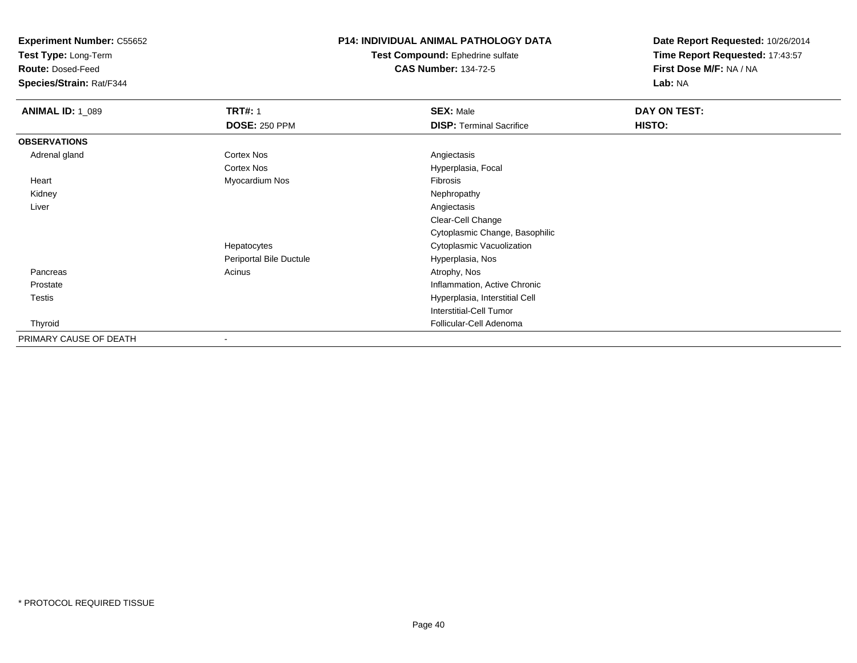**Test Type:** Long-Term

**Route:** Dosed-Feed

**Species/Strain:** Rat/F344

### **P14: INDIVIDUAL ANIMAL PATHOLOGY DATA**

**Test Compound:** Ephedrine sulfate**CAS Number:** 134-72-5

| <b>ANIMAL ID: 1_089</b> | <b>TRT#: 1</b>          | <b>SEX: Male</b>                | DAY ON TEST: |  |
|-------------------------|-------------------------|---------------------------------|--------------|--|
|                         | <b>DOSE: 250 PPM</b>    | <b>DISP: Terminal Sacrifice</b> | HISTO:       |  |
| <b>OBSERVATIONS</b>     |                         |                                 |              |  |
| Adrenal gland           | <b>Cortex Nos</b>       | Angiectasis                     |              |  |
|                         | <b>Cortex Nos</b>       | Hyperplasia, Focal              |              |  |
| Heart                   | Myocardium Nos          | Fibrosis                        |              |  |
| Kidney                  |                         | Nephropathy                     |              |  |
| Liver                   |                         | Angiectasis                     |              |  |
|                         |                         | Clear-Cell Change               |              |  |
|                         |                         | Cytoplasmic Change, Basophilic  |              |  |
|                         | Hepatocytes             | Cytoplasmic Vacuolization       |              |  |
|                         | Periportal Bile Ductule | Hyperplasia, Nos                |              |  |
| Pancreas                | Acinus                  | Atrophy, Nos                    |              |  |
| Prostate                |                         | Inflammation, Active Chronic    |              |  |
| Testis                  |                         | Hyperplasia, Interstitial Cell  |              |  |
|                         |                         | <b>Interstitial-Cell Tumor</b>  |              |  |
| Thyroid                 |                         | Follicular-Cell Adenoma         |              |  |
| PRIMARY CAUSE OF DEATH  |                         |                                 |              |  |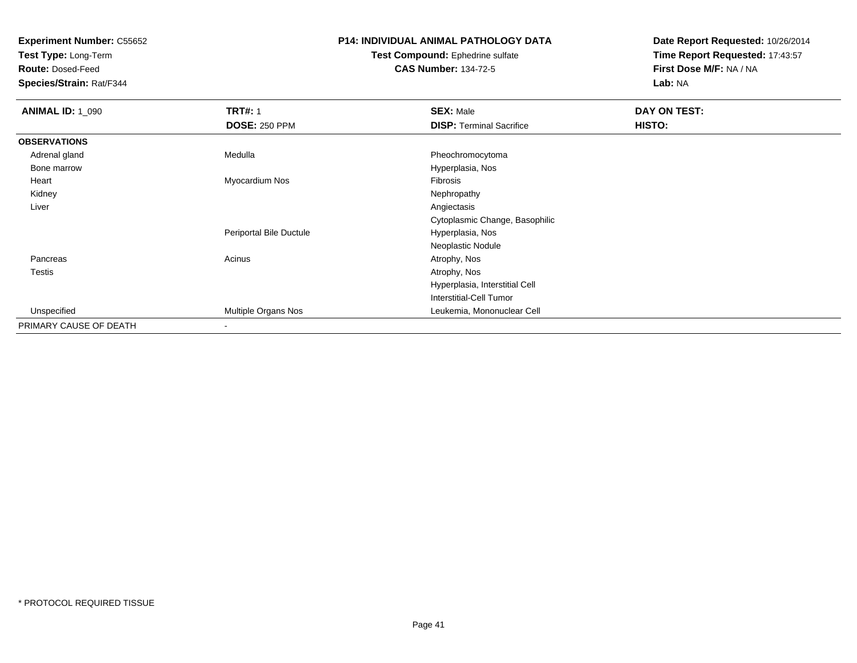**Test Type:** Long-Term

**Route:** Dosed-Feed

**Species/Strain:** Rat/F344

## **P14: INDIVIDUAL ANIMAL PATHOLOGY DATA**

#### **Test Compound:** Ephedrine sulfate**CAS Number:** 134-72-5

| <b>ANIMAL ID: 1_090</b> | <b>TRT#: 1</b>          | <b>SEX: Male</b>                | DAY ON TEST: |  |
|-------------------------|-------------------------|---------------------------------|--------------|--|
|                         | <b>DOSE: 250 PPM</b>    | <b>DISP: Terminal Sacrifice</b> | HISTO:       |  |
| <b>OBSERVATIONS</b>     |                         |                                 |              |  |
| Adrenal gland           | Medulla                 | Pheochromocytoma                |              |  |
| Bone marrow             |                         | Hyperplasia, Nos                |              |  |
| Heart                   | Myocardium Nos          | Fibrosis                        |              |  |
| Kidney                  |                         | Nephropathy                     |              |  |
| Liver                   |                         | Angiectasis                     |              |  |
|                         |                         | Cytoplasmic Change, Basophilic  |              |  |
|                         | Periportal Bile Ductule | Hyperplasia, Nos                |              |  |
|                         |                         | Neoplastic Nodule               |              |  |
| Pancreas                | Acinus                  | Atrophy, Nos                    |              |  |
| <b>Testis</b>           |                         | Atrophy, Nos                    |              |  |
|                         |                         | Hyperplasia, Interstitial Cell  |              |  |
|                         |                         | Interstitial-Cell Tumor         |              |  |
| Unspecified             | Multiple Organs Nos     | Leukemia, Mononuclear Cell      |              |  |
| PRIMARY CAUSE OF DEATH  |                         |                                 |              |  |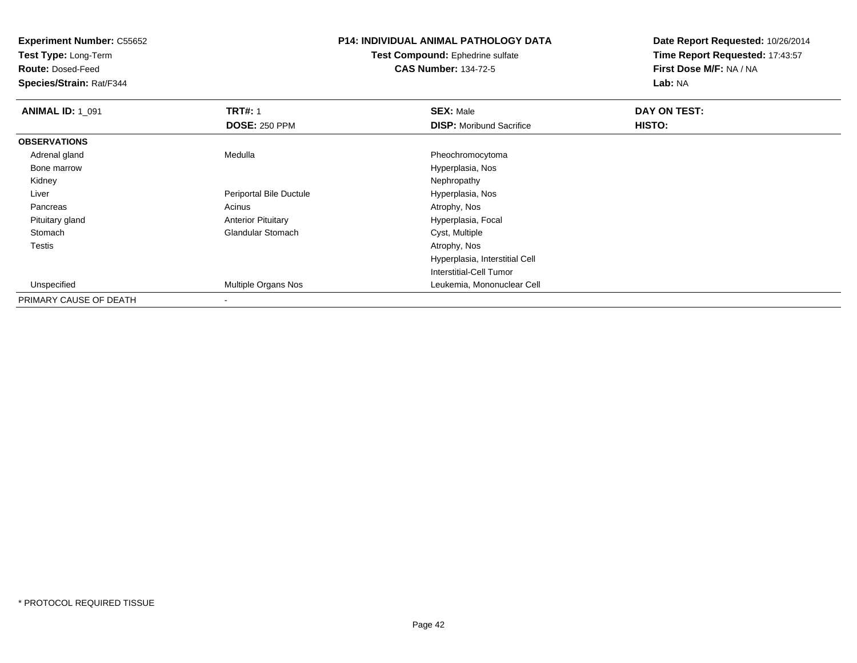**Test Type:** Long-Term

**Route:** Dosed-Feed

**Species/Strain:** Rat/F344

## **P14: INDIVIDUAL ANIMAL PATHOLOGY DATA**

#### **Test Compound:** Ephedrine sulfate**CAS Number:** 134-72-5

| <b>ANIMAL ID: 1_091</b> | <b>TRT#: 1</b>            | <b>SEX: Male</b>                | DAY ON TEST: |  |
|-------------------------|---------------------------|---------------------------------|--------------|--|
|                         | <b>DOSE: 250 PPM</b>      | <b>DISP:</b> Moribund Sacrifice | HISTO:       |  |
| <b>OBSERVATIONS</b>     |                           |                                 |              |  |
| Adrenal gland           | Medulla                   | Pheochromocytoma                |              |  |
| Bone marrow             |                           | Hyperplasia, Nos                |              |  |
| Kidney                  |                           | Nephropathy                     |              |  |
| Liver                   | Periportal Bile Ductule   | Hyperplasia, Nos                |              |  |
| Pancreas                | Acinus                    | Atrophy, Nos                    |              |  |
| Pituitary gland         | <b>Anterior Pituitary</b> | Hyperplasia, Focal              |              |  |
| Stomach                 | <b>Glandular Stomach</b>  | Cyst, Multiple                  |              |  |
| Testis                  |                           | Atrophy, Nos                    |              |  |
|                         |                           | Hyperplasia, Interstitial Cell  |              |  |
|                         |                           | Interstitial-Cell Tumor         |              |  |
| Unspecified             | Multiple Organs Nos       | Leukemia, Mononuclear Cell      |              |  |
| PRIMARY CAUSE OF DEATH  |                           |                                 |              |  |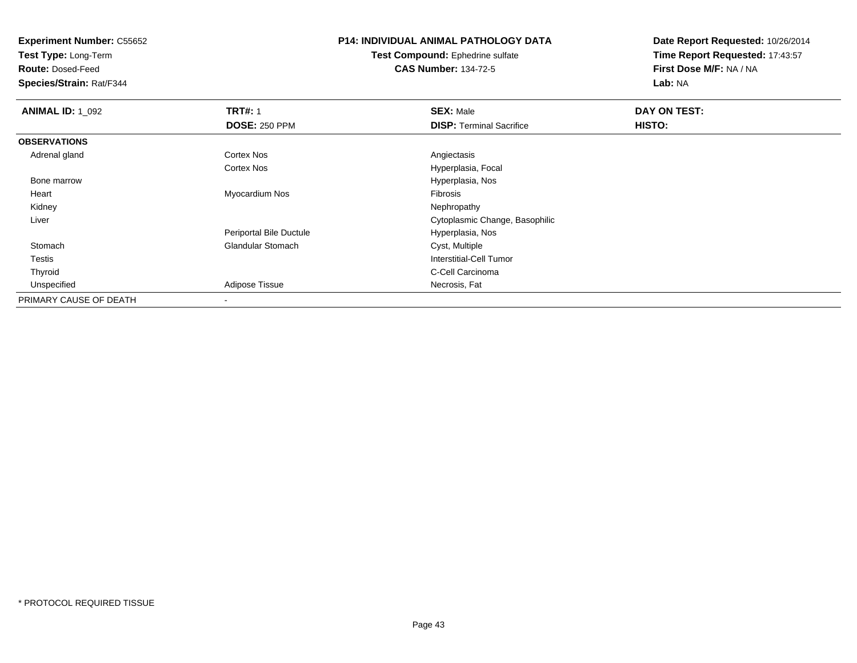**Test Type:** Long-Term

**Route:** Dosed-Feed

**Species/Strain:** Rat/F344

## **P14: INDIVIDUAL ANIMAL PATHOLOGY DATA**

**Test Compound:** Ephedrine sulfate**CAS Number:** 134-72-5

| <b>ANIMAL ID: 1 092</b> | <b>TRT#: 1</b>           | <b>SEX: Male</b>                | DAY ON TEST: |  |
|-------------------------|--------------------------|---------------------------------|--------------|--|
|                         | <b>DOSE: 250 PPM</b>     | <b>DISP: Terminal Sacrifice</b> | HISTO:       |  |
| <b>OBSERVATIONS</b>     |                          |                                 |              |  |
| Adrenal gland           | Cortex Nos               | Angiectasis                     |              |  |
|                         | Cortex Nos               | Hyperplasia, Focal              |              |  |
| Bone marrow             |                          | Hyperplasia, Nos                |              |  |
| Heart                   | Myocardium Nos           | Fibrosis                        |              |  |
| Kidney                  |                          | Nephropathy                     |              |  |
| Liver                   |                          | Cytoplasmic Change, Basophilic  |              |  |
|                         | Periportal Bile Ductule  | Hyperplasia, Nos                |              |  |
| Stomach                 | <b>Glandular Stomach</b> | Cyst, Multiple                  |              |  |
| <b>Testis</b>           |                          | Interstitial-Cell Tumor         |              |  |
| Thyroid                 |                          | C-Cell Carcinoma                |              |  |
| Unspecified             | Adipose Tissue           | Necrosis, Fat                   |              |  |
| PRIMARY CAUSE OF DEATH  |                          |                                 |              |  |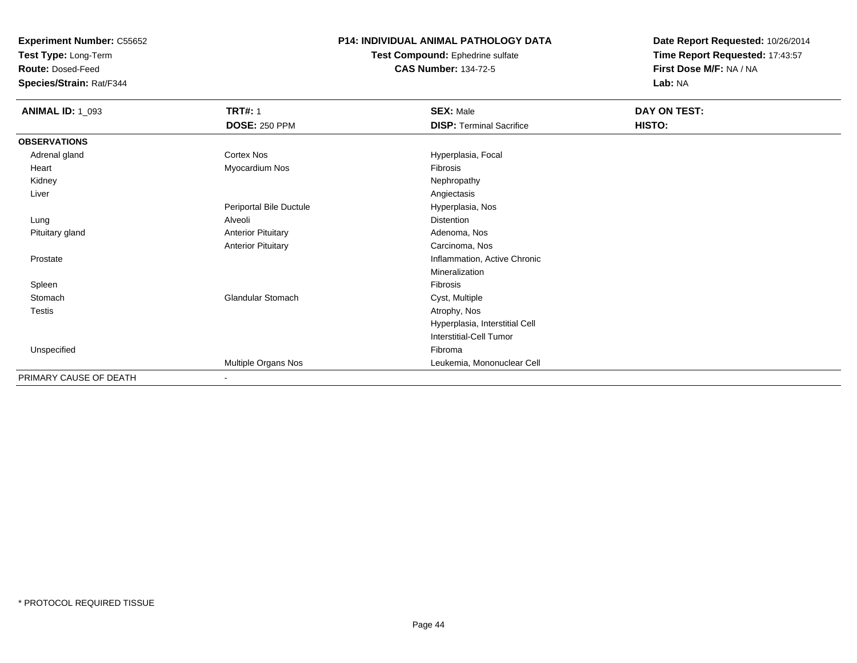**Test Type:** Long-Term

**Route:** Dosed-Feed

**Species/Strain:** Rat/F344

### **P14: INDIVIDUAL ANIMAL PATHOLOGY DATA**

#### **Test Compound:** Ephedrine sulfate**CAS Number:** 134-72-5

| <b>ANIMAL ID: 1_093</b> | <b>TRT#: 1</b>            | <b>SEX: Male</b>                | DAY ON TEST: |
|-------------------------|---------------------------|---------------------------------|--------------|
|                         | <b>DOSE: 250 PPM</b>      | <b>DISP: Terminal Sacrifice</b> | HISTO:       |
| <b>OBSERVATIONS</b>     |                           |                                 |              |
| Adrenal gland           | Cortex Nos                | Hyperplasia, Focal              |              |
| Heart                   | Myocardium Nos            | Fibrosis                        |              |
| Kidney                  |                           | Nephropathy                     |              |
| Liver                   |                           | Angiectasis                     |              |
|                         | Periportal Bile Ductule   | Hyperplasia, Nos                |              |
| Lung                    | Alveoli                   | <b>Distention</b>               |              |
| Pituitary gland         | <b>Anterior Pituitary</b> | Adenoma, Nos                    |              |
|                         | <b>Anterior Pituitary</b> | Carcinoma, Nos                  |              |
| Prostate                |                           | Inflammation, Active Chronic    |              |
|                         |                           | Mineralization                  |              |
| Spleen                  |                           | Fibrosis                        |              |
| Stomach                 | <b>Glandular Stomach</b>  | Cyst, Multiple                  |              |
| Testis                  |                           | Atrophy, Nos                    |              |
|                         |                           | Hyperplasia, Interstitial Cell  |              |
|                         |                           | <b>Interstitial-Cell Tumor</b>  |              |
| Unspecified             |                           | Fibroma                         |              |
|                         | Multiple Organs Nos       | Leukemia, Mononuclear Cell      |              |
| PRIMARY CAUSE OF DEATH  | $\sim$                    |                                 |              |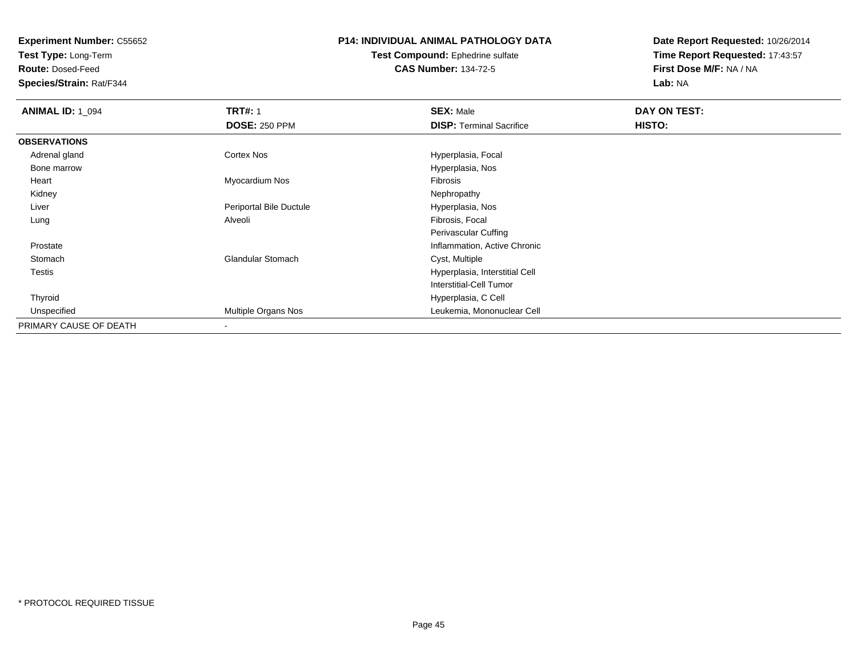**Test Type:** Long-Term

**Route:** Dosed-Feed

**Species/Strain:** Rat/F344

## **P14: INDIVIDUAL ANIMAL PATHOLOGY DATA**

#### **Test Compound:** Ephedrine sulfate**CAS Number:** 134-72-5

| <b>ANIMAL ID: 1_094</b> | <b>TRT#: 1</b>           | <b>SEX: Male</b>                | DAY ON TEST: |  |
|-------------------------|--------------------------|---------------------------------|--------------|--|
|                         | <b>DOSE: 250 PPM</b>     | <b>DISP: Terminal Sacrifice</b> | HISTO:       |  |
| <b>OBSERVATIONS</b>     |                          |                                 |              |  |
| Adrenal gland           | <b>Cortex Nos</b>        | Hyperplasia, Focal              |              |  |
| Bone marrow             |                          | Hyperplasia, Nos                |              |  |
| Heart                   | Myocardium Nos           | Fibrosis                        |              |  |
| Kidney                  |                          | Nephropathy                     |              |  |
| Liver                   | Periportal Bile Ductule  | Hyperplasia, Nos                |              |  |
| Lung                    | Alveoli                  | Fibrosis, Focal                 |              |  |
|                         |                          | Perivascular Cuffing            |              |  |
| Prostate                |                          | Inflammation, Active Chronic    |              |  |
| Stomach                 | <b>Glandular Stomach</b> | Cyst, Multiple                  |              |  |
| Testis                  |                          | Hyperplasia, Interstitial Cell  |              |  |
|                         |                          | Interstitial-Cell Tumor         |              |  |
| Thyroid                 |                          | Hyperplasia, C Cell             |              |  |
| Unspecified             | Multiple Organs Nos      | Leukemia, Mononuclear Cell      |              |  |
| PRIMARY CAUSE OF DEATH  |                          |                                 |              |  |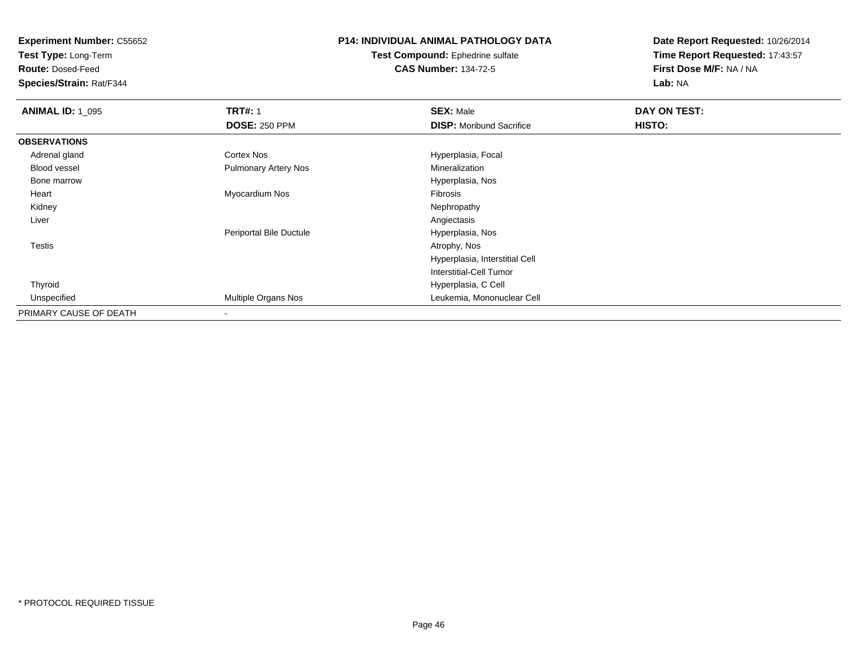**Test Type:** Long-Term

**Route:** Dosed-Feed

**Species/Strain:** Rat/F344

# **P14: INDIVIDUAL ANIMAL PATHOLOGY DATA**

**Test Compound:** Ephedrine sulfate**CAS Number:** 134-72-5

| <b>ANIMAL ID: 1_095</b> | <b>TRT#: 1</b>              | <b>SEX: Male</b>                | DAY ON TEST: |  |
|-------------------------|-----------------------------|---------------------------------|--------------|--|
|                         | <b>DOSE: 250 PPM</b>        | <b>DISP:</b> Moribund Sacrifice | HISTO:       |  |
| <b>OBSERVATIONS</b>     |                             |                                 |              |  |
| Adrenal gland           | Cortex Nos                  | Hyperplasia, Focal              |              |  |
| Blood vessel            | <b>Pulmonary Artery Nos</b> | Mineralization                  |              |  |
| Bone marrow             |                             | Hyperplasia, Nos                |              |  |
| Heart                   | Myocardium Nos              | Fibrosis                        |              |  |
| Kidney                  |                             | Nephropathy                     |              |  |
| Liver                   |                             | Angiectasis                     |              |  |
|                         | Periportal Bile Ductule     | Hyperplasia, Nos                |              |  |
| Testis                  |                             | Atrophy, Nos                    |              |  |
|                         |                             | Hyperplasia, Interstitial Cell  |              |  |
|                         |                             | Interstitial-Cell Tumor         |              |  |
| Thyroid                 |                             | Hyperplasia, C Cell             |              |  |
| Unspecified             | Multiple Organs Nos         | Leukemia, Mononuclear Cell      |              |  |
| PRIMARY CAUSE OF DEATH  |                             |                                 |              |  |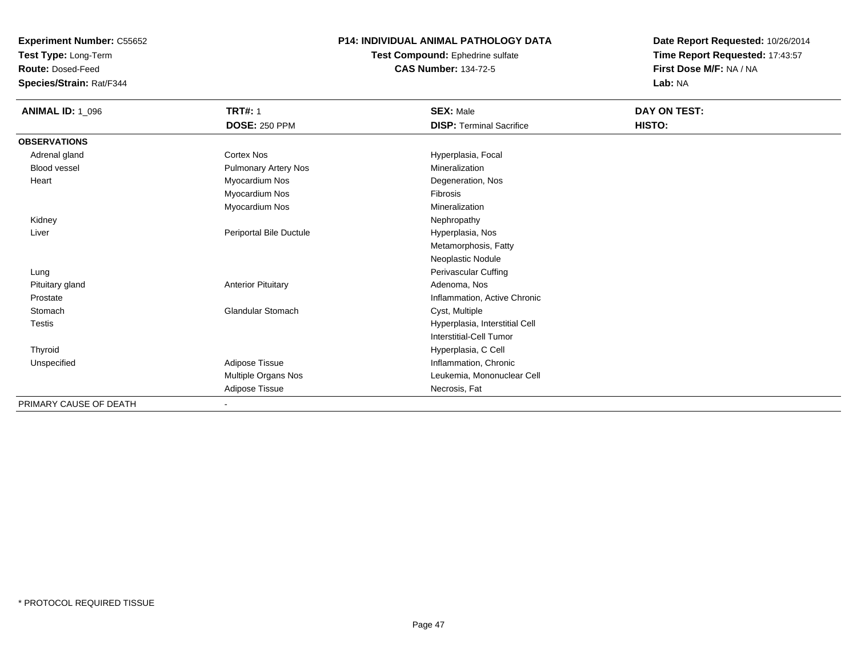**Test Type:** Long-Term

**Route:** Dosed-Feed

**Species/Strain:** Rat/F344

### **P14: INDIVIDUAL ANIMAL PATHOLOGY DATA**

**Test Compound:** Ephedrine sulfate**CAS Number:** 134-72-5

| <b>ANIMAL ID: 1_096</b> | <b>TRT#: 1</b>              | <b>SEX: Male</b>                | DAY ON TEST: |  |
|-------------------------|-----------------------------|---------------------------------|--------------|--|
|                         | <b>DOSE: 250 PPM</b>        | <b>DISP: Terminal Sacrifice</b> | HISTO:       |  |
| <b>OBSERVATIONS</b>     |                             |                                 |              |  |
| Adrenal gland           | Cortex Nos                  | Hyperplasia, Focal              |              |  |
| <b>Blood vessel</b>     | <b>Pulmonary Artery Nos</b> | Mineralization                  |              |  |
| Heart                   | Myocardium Nos              | Degeneration, Nos               |              |  |
|                         | Myocardium Nos              | <b>Fibrosis</b>                 |              |  |
|                         | Myocardium Nos              | Mineralization                  |              |  |
| Kidney                  |                             | Nephropathy                     |              |  |
| Liver                   | Periportal Bile Ductule     | Hyperplasia, Nos                |              |  |
|                         |                             | Metamorphosis, Fatty            |              |  |
|                         |                             | Neoplastic Nodule               |              |  |
| Lung                    |                             | Perivascular Cuffing            |              |  |
| Pituitary gland         | <b>Anterior Pituitary</b>   | Adenoma, Nos                    |              |  |
| Prostate                |                             | Inflammation, Active Chronic    |              |  |
| Stomach                 | <b>Glandular Stomach</b>    | Cyst, Multiple                  |              |  |
| <b>Testis</b>           |                             | Hyperplasia, Interstitial Cell  |              |  |
|                         |                             | <b>Interstitial-Cell Tumor</b>  |              |  |
| Thyroid                 |                             | Hyperplasia, C Cell             |              |  |
| Unspecified             | Adipose Tissue              | Inflammation, Chronic           |              |  |
|                         | Multiple Organs Nos         | Leukemia, Mononuclear Cell      |              |  |
|                         | Adipose Tissue              | Necrosis, Fat                   |              |  |
| PRIMARY CAUSE OF DEATH  |                             |                                 |              |  |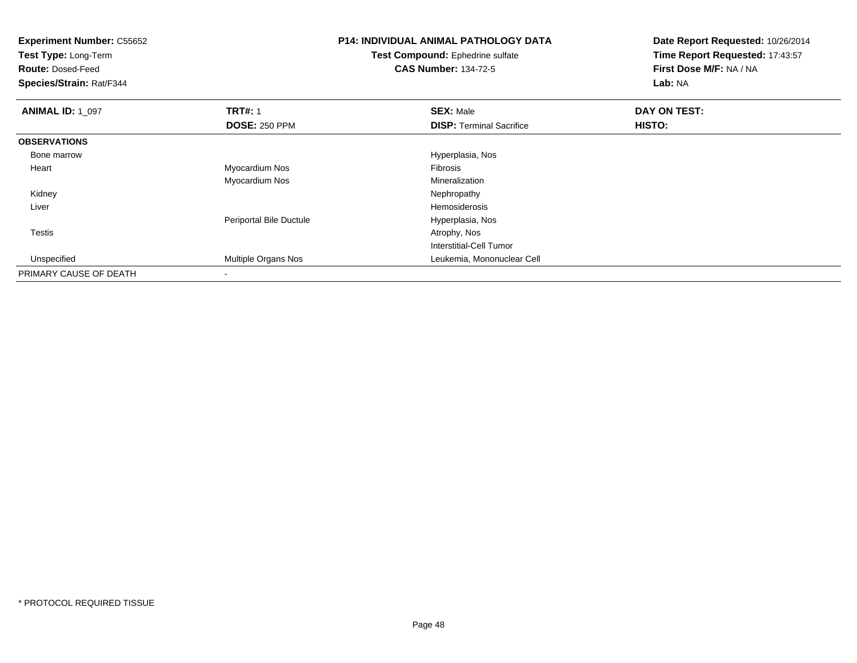| <b>Experiment Number: C55652</b><br>Test Type: Long-Term<br><b>Route: Dosed-Feed</b><br>Species/Strain: Rat/F344 |                         | <b>P14: INDIVIDUAL ANIMAL PATHOLOGY DATA</b><br><b>Test Compound:</b> Ephedrine sulfate<br><b>CAS Number: 134-72-5</b> | Date Report Requested: 10/26/2014<br>Time Report Requested: 17:43:57<br>First Dose M/F: NA / NA<br>Lab: NA |
|------------------------------------------------------------------------------------------------------------------|-------------------------|------------------------------------------------------------------------------------------------------------------------|------------------------------------------------------------------------------------------------------------|
| <b>ANIMAL ID: 1_097</b>                                                                                          | <b>TRT#: 1</b>          | <b>SEX: Male</b>                                                                                                       | DAY ON TEST:                                                                                               |
|                                                                                                                  | <b>DOSE: 250 PPM</b>    | <b>DISP:</b> Terminal Sacrifice                                                                                        | HISTO:                                                                                                     |
| <b>OBSERVATIONS</b>                                                                                              |                         |                                                                                                                        |                                                                                                            |
| Bone marrow                                                                                                      |                         | Hyperplasia, Nos                                                                                                       |                                                                                                            |
| Heart                                                                                                            | Myocardium Nos          | Fibrosis                                                                                                               |                                                                                                            |
|                                                                                                                  | Myocardium Nos          | Mineralization                                                                                                         |                                                                                                            |
| Kidney                                                                                                           |                         | Nephropathy                                                                                                            |                                                                                                            |
| Liver                                                                                                            |                         | Hemosiderosis                                                                                                          |                                                                                                            |
|                                                                                                                  | Periportal Bile Ductule | Hyperplasia, Nos                                                                                                       |                                                                                                            |
| Testis                                                                                                           |                         | Atrophy, Nos                                                                                                           |                                                                                                            |
|                                                                                                                  |                         | Interstitial-Cell Tumor                                                                                                |                                                                                                            |
| Unspecified                                                                                                      | Multiple Organs Nos     | Leukemia, Mononuclear Cell                                                                                             |                                                                                                            |
| PRIMARY CAUSE OF DEATH                                                                                           |                         |                                                                                                                        |                                                                                                            |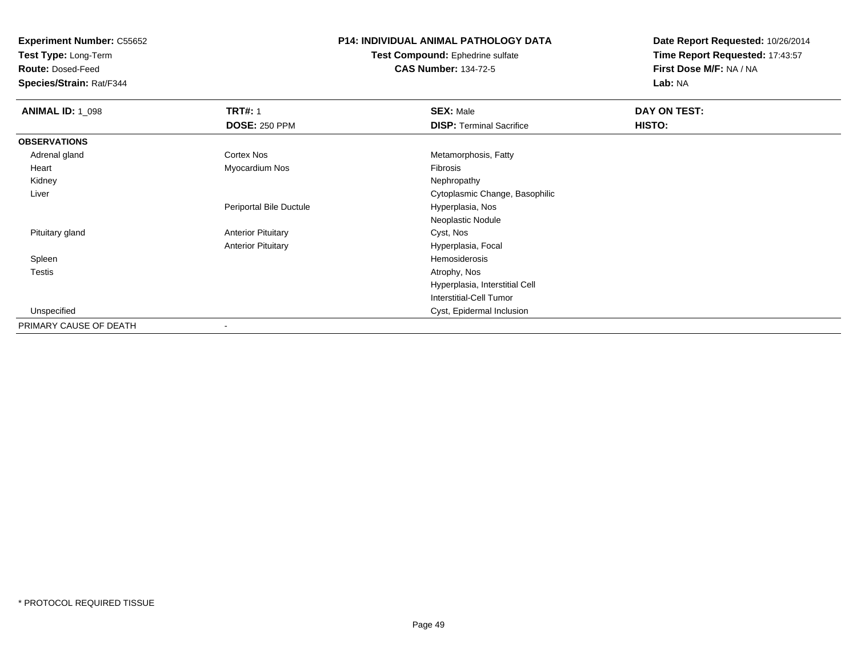**Test Type:** Long-Term

**Route:** Dosed-Feed

**Species/Strain:** Rat/F344

## **P14: INDIVIDUAL ANIMAL PATHOLOGY DATA**

**Test Compound:** Ephedrine sulfate**CAS Number:** 134-72-5

| <b>ANIMAL ID: 1_098</b> | <b>TRT#: 1</b>            | <b>SEX: Male</b>                | DAY ON TEST: |  |
|-------------------------|---------------------------|---------------------------------|--------------|--|
|                         | <b>DOSE: 250 PPM</b>      | <b>DISP: Terminal Sacrifice</b> | HISTO:       |  |
| <b>OBSERVATIONS</b>     |                           |                                 |              |  |
| Adrenal gland           | Cortex Nos                | Metamorphosis, Fatty            |              |  |
| Heart                   | Myocardium Nos            | Fibrosis                        |              |  |
| Kidney                  |                           | Nephropathy                     |              |  |
| Liver                   |                           | Cytoplasmic Change, Basophilic  |              |  |
|                         | Periportal Bile Ductule   | Hyperplasia, Nos                |              |  |
|                         |                           | Neoplastic Nodule               |              |  |
| Pituitary gland         | <b>Anterior Pituitary</b> | Cyst, Nos                       |              |  |
|                         | <b>Anterior Pituitary</b> | Hyperplasia, Focal              |              |  |
| Spleen                  |                           | Hemosiderosis                   |              |  |
| <b>Testis</b>           |                           | Atrophy, Nos                    |              |  |
|                         |                           | Hyperplasia, Interstitial Cell  |              |  |
|                         |                           | Interstitial-Cell Tumor         |              |  |
| Unspecified             |                           | Cyst, Epidermal Inclusion       |              |  |
| PRIMARY CAUSE OF DEATH  | $\overline{\phantom{a}}$  |                                 |              |  |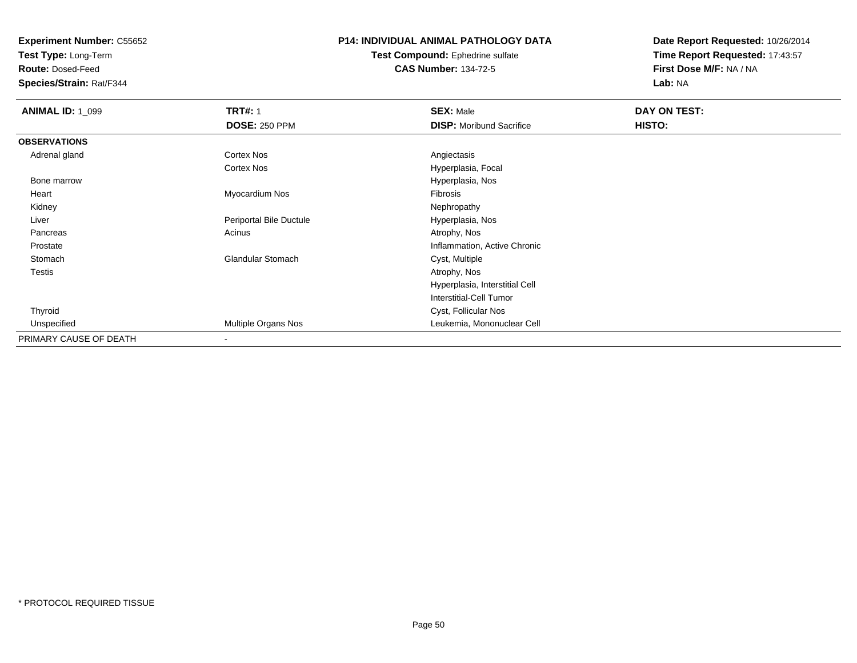**Test Type:** Long-Term

**Route:** Dosed-Feed

**Species/Strain:** Rat/F344

### **P14: INDIVIDUAL ANIMAL PATHOLOGY DATA**

#### **Test Compound:** Ephedrine sulfate**CAS Number:** 134-72-5

| <b>ANIMAL ID: 1 099</b> | <b>TRT#: 1</b>           | <b>SEX: Male</b>                | DAY ON TEST: |  |
|-------------------------|--------------------------|---------------------------------|--------------|--|
|                         | <b>DOSE: 250 PPM</b>     | <b>DISP:</b> Moribund Sacrifice | HISTO:       |  |
| <b>OBSERVATIONS</b>     |                          |                                 |              |  |
| Adrenal gland           | <b>Cortex Nos</b>        | Angiectasis                     |              |  |
|                         | <b>Cortex Nos</b>        | Hyperplasia, Focal              |              |  |
| Bone marrow             |                          | Hyperplasia, Nos                |              |  |
| Heart                   | Myocardium Nos           | Fibrosis                        |              |  |
| Kidney                  |                          | Nephropathy                     |              |  |
| Liver                   | Periportal Bile Ductule  | Hyperplasia, Nos                |              |  |
| Pancreas                | Acinus                   | Atrophy, Nos                    |              |  |
| Prostate                |                          | Inflammation, Active Chronic    |              |  |
| Stomach                 | <b>Glandular Stomach</b> | Cyst, Multiple                  |              |  |
| Testis                  |                          | Atrophy, Nos                    |              |  |
|                         |                          | Hyperplasia, Interstitial Cell  |              |  |
|                         |                          | <b>Interstitial-Cell Tumor</b>  |              |  |
| Thyroid                 |                          | Cyst, Follicular Nos            |              |  |
| Unspecified             | Multiple Organs Nos      | Leukemia, Mononuclear Cell      |              |  |
| PRIMARY CAUSE OF DEATH  | $\blacksquare$           |                                 |              |  |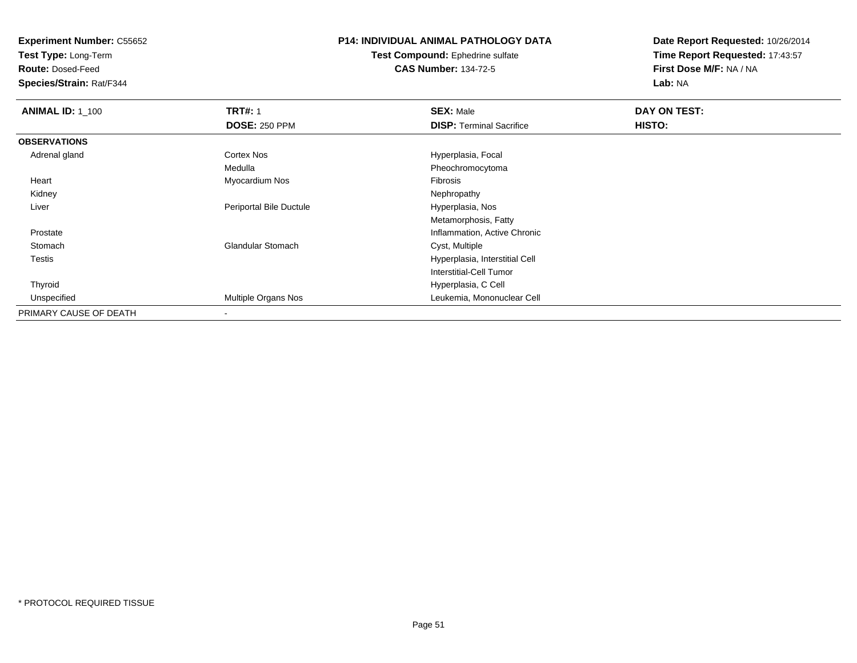**Test Type:** Long-Term

**Route:** Dosed-Feed

**Species/Strain:** Rat/F344

## **P14: INDIVIDUAL ANIMAL PATHOLOGY DATA**

**Test Compound:** Ephedrine sulfate**CAS Number:** 134-72-5

| <b>ANIMAL ID: 1_100</b> | <b>TRT#: 1</b>             | <b>SEX: Male</b>                | DAY ON TEST: |  |
|-------------------------|----------------------------|---------------------------------|--------------|--|
|                         | <b>DOSE: 250 PPM</b>       | <b>DISP:</b> Terminal Sacrifice | HISTO:       |  |
| <b>OBSERVATIONS</b>     |                            |                                 |              |  |
| Adrenal gland           | Cortex Nos                 | Hyperplasia, Focal              |              |  |
|                         | Medulla                    | Pheochromocytoma                |              |  |
| Heart                   | Myocardium Nos             | Fibrosis                        |              |  |
| Kidney                  |                            | Nephropathy                     |              |  |
| Liver                   | Periportal Bile Ductule    | Hyperplasia, Nos                |              |  |
|                         |                            | Metamorphosis, Fatty            |              |  |
| Prostate                |                            | Inflammation, Active Chronic    |              |  |
| Stomach                 | <b>Glandular Stomach</b>   | Cyst, Multiple                  |              |  |
| <b>Testis</b>           |                            | Hyperplasia, Interstitial Cell  |              |  |
|                         |                            | Interstitial-Cell Tumor         |              |  |
| Thyroid                 |                            | Hyperplasia, C Cell             |              |  |
| Unspecified             | <b>Multiple Organs Nos</b> | Leukemia, Mononuclear Cell      |              |  |
| PRIMARY CAUSE OF DEATH  |                            |                                 |              |  |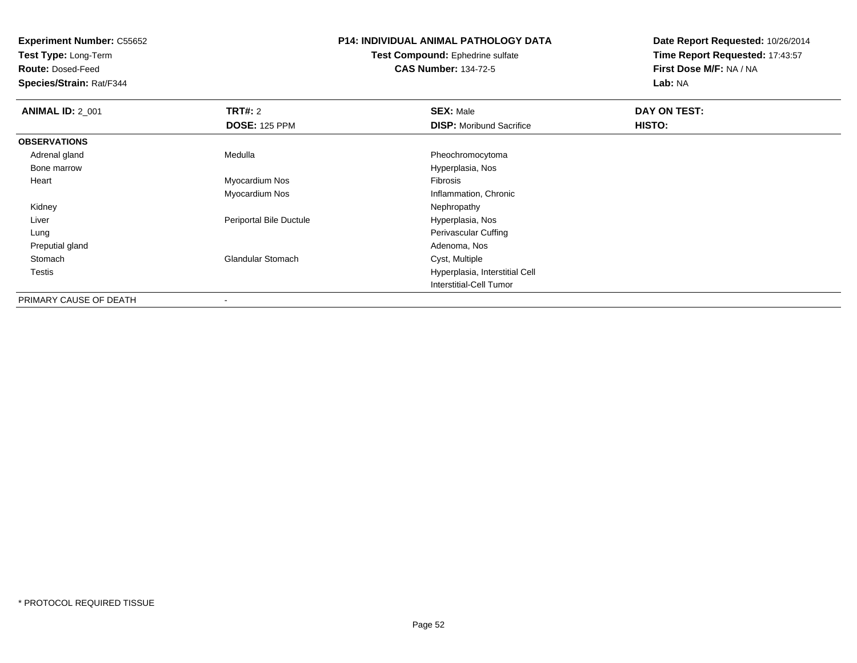**Test Type:** Long-Term

**Route:** Dosed-Feed

**Species/Strain:** Rat/F344

## **P14: INDIVIDUAL ANIMAL PATHOLOGY DATA**

**Test Compound:** Ephedrine sulfate**CAS Number:** 134-72-5

| <b>ANIMAL ID: 2_001</b> | <b>TRT#: 2</b>           | <b>SEX: Male</b>                | DAY ON TEST: |  |
|-------------------------|--------------------------|---------------------------------|--------------|--|
|                         | <b>DOSE: 125 PPM</b>     | <b>DISP:</b> Moribund Sacrifice | HISTO:       |  |
| <b>OBSERVATIONS</b>     |                          |                                 |              |  |
| Adrenal gland           | Medulla                  | Pheochromocytoma                |              |  |
| Bone marrow             |                          | Hyperplasia, Nos                |              |  |
| Heart                   | Myocardium Nos           | Fibrosis                        |              |  |
|                         | Myocardium Nos           | Inflammation, Chronic           |              |  |
| Kidney                  |                          | Nephropathy                     |              |  |
| Liver                   | Periportal Bile Ductule  | Hyperplasia, Nos                |              |  |
| Lung                    |                          | <b>Perivascular Cuffing</b>     |              |  |
| Preputial gland         |                          | Adenoma, Nos                    |              |  |
| Stomach                 | <b>Glandular Stomach</b> | Cyst, Multiple                  |              |  |
| Testis                  |                          | Hyperplasia, Interstitial Cell  |              |  |
|                         |                          | <b>Interstitial-Cell Tumor</b>  |              |  |
| PRIMARY CAUSE OF DEATH  |                          |                                 |              |  |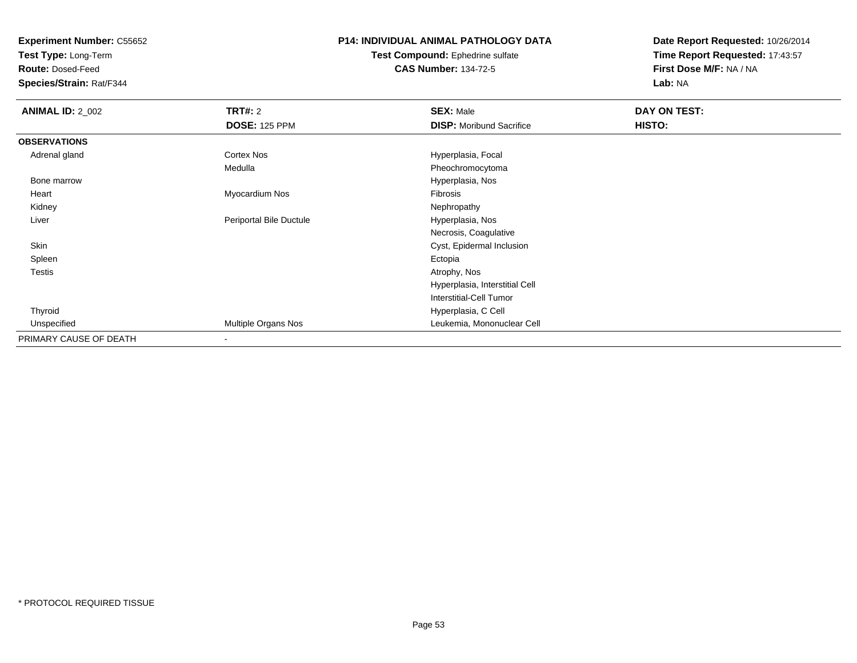**Test Type:** Long-Term

**Route:** Dosed-Feed

**Species/Strain:** Rat/F344

## **P14: INDIVIDUAL ANIMAL PATHOLOGY DATA**

#### **Test Compound:** Ephedrine sulfate**CAS Number:** 134-72-5

| <b>ANIMAL ID: 2_002</b> | TRT#: 2                    | <b>SEX: Male</b>                | DAY ON TEST: |  |
|-------------------------|----------------------------|---------------------------------|--------------|--|
|                         | <b>DOSE: 125 PPM</b>       | <b>DISP:</b> Moribund Sacrifice | HISTO:       |  |
| <b>OBSERVATIONS</b>     |                            |                                 |              |  |
| Adrenal gland           | <b>Cortex Nos</b>          | Hyperplasia, Focal              |              |  |
|                         | Medulla                    | Pheochromocytoma                |              |  |
| Bone marrow             |                            | Hyperplasia, Nos                |              |  |
| Heart                   | Myocardium Nos             | Fibrosis                        |              |  |
| Kidney                  |                            | Nephropathy                     |              |  |
| Liver                   | Periportal Bile Ductule    | Hyperplasia, Nos                |              |  |
|                         |                            | Necrosis, Coagulative           |              |  |
| Skin                    |                            | Cyst, Epidermal Inclusion       |              |  |
| Spleen                  |                            | Ectopia                         |              |  |
| <b>Testis</b>           |                            | Atrophy, Nos                    |              |  |
|                         |                            | Hyperplasia, Interstitial Cell  |              |  |
|                         |                            | <b>Interstitial-Cell Tumor</b>  |              |  |
| Thyroid                 |                            | Hyperplasia, C Cell             |              |  |
| Unspecified             | <b>Multiple Organs Nos</b> | Leukemia, Mononuclear Cell      |              |  |
| PRIMARY CAUSE OF DEATH  |                            |                                 |              |  |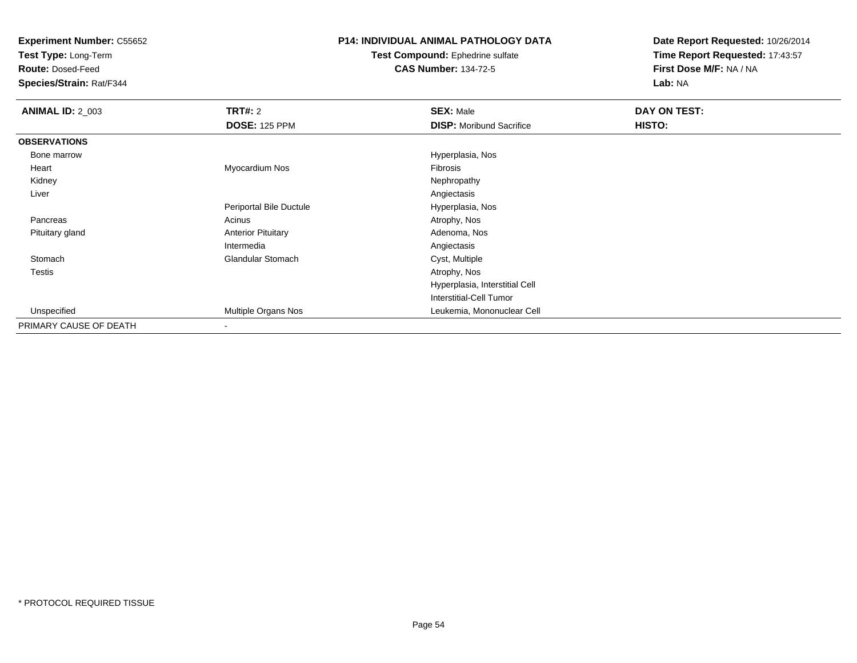**Test Type:** Long-Term

**Route:** Dosed-Feed

**Species/Strain:** Rat/F344

## **P14: INDIVIDUAL ANIMAL PATHOLOGY DATA**

**Test Compound:** Ephedrine sulfate**CAS Number:** 134-72-5

| <b>ANIMAL ID: 2_003</b> | <b>TRT#: 2</b>            | <b>SEX: Male</b>                | DAY ON TEST: |  |
|-------------------------|---------------------------|---------------------------------|--------------|--|
|                         | <b>DOSE: 125 PPM</b>      | <b>DISP:</b> Moribund Sacrifice | HISTO:       |  |
| <b>OBSERVATIONS</b>     |                           |                                 |              |  |
| Bone marrow             |                           | Hyperplasia, Nos                |              |  |
| Heart                   | Myocardium Nos            | Fibrosis                        |              |  |
| Kidney                  |                           | Nephropathy                     |              |  |
| Liver                   |                           | Angiectasis                     |              |  |
|                         | Periportal Bile Ductule   | Hyperplasia, Nos                |              |  |
| Pancreas                | Acinus                    | Atrophy, Nos                    |              |  |
| Pituitary gland         | <b>Anterior Pituitary</b> | Adenoma, Nos                    |              |  |
|                         | Intermedia                | Angiectasis                     |              |  |
| Stomach                 | <b>Glandular Stomach</b>  | Cyst, Multiple                  |              |  |
| <b>Testis</b>           |                           | Atrophy, Nos                    |              |  |
|                         |                           | Hyperplasia, Interstitial Cell  |              |  |
|                         |                           | Interstitial-Cell Tumor         |              |  |
| Unspecified             | Multiple Organs Nos       | Leukemia, Mononuclear Cell      |              |  |
| PRIMARY CAUSE OF DEATH  | $\overline{\phantom{a}}$  |                                 |              |  |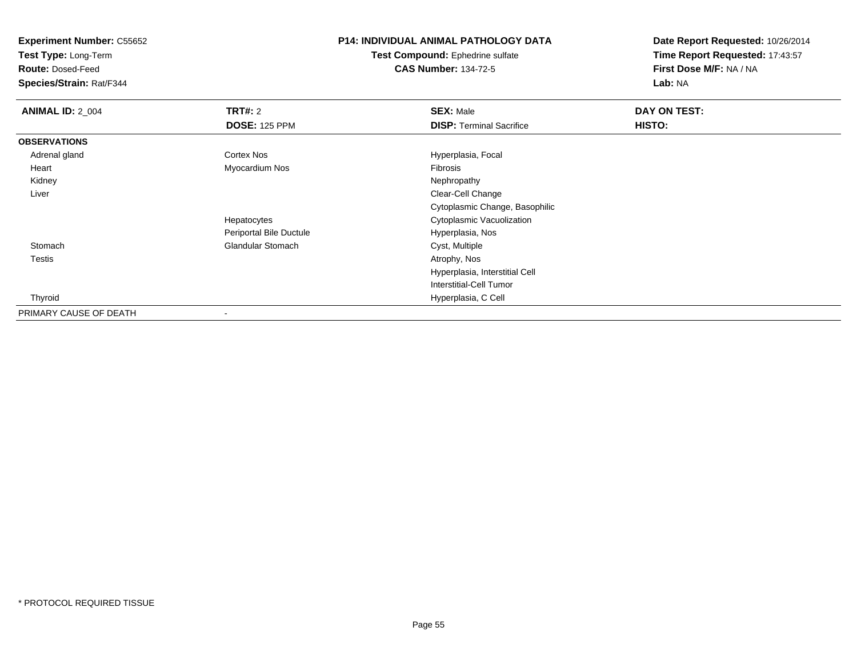**Test Type:** Long-Term

**Route:** Dosed-Feed

**Species/Strain:** Rat/F344

## **P14: INDIVIDUAL ANIMAL PATHOLOGY DATA**

**Test Compound:** Ephedrine sulfate**CAS Number:** 134-72-5

| <b>ANIMAL ID: 2_004</b> | TRT#: 2                  | <b>SEX: Male</b>                | DAY ON TEST: |  |
|-------------------------|--------------------------|---------------------------------|--------------|--|
|                         | <b>DOSE: 125 PPM</b>     | <b>DISP: Terminal Sacrifice</b> | HISTO:       |  |
| <b>OBSERVATIONS</b>     |                          |                                 |              |  |
| Adrenal gland           | <b>Cortex Nos</b>        | Hyperplasia, Focal              |              |  |
| Heart                   | Myocardium Nos           | Fibrosis                        |              |  |
| Kidney                  |                          | Nephropathy                     |              |  |
| Liver                   |                          | Clear-Cell Change               |              |  |
|                         |                          | Cytoplasmic Change, Basophilic  |              |  |
|                         | Hepatocytes              | Cytoplasmic Vacuolization       |              |  |
|                         | Periportal Bile Ductule  | Hyperplasia, Nos                |              |  |
| Stomach                 | <b>Glandular Stomach</b> | Cyst, Multiple                  |              |  |
| <b>Testis</b>           |                          | Atrophy, Nos                    |              |  |
|                         |                          | Hyperplasia, Interstitial Cell  |              |  |
|                         |                          | Interstitial-Cell Tumor         |              |  |
| Thyroid                 |                          | Hyperplasia, C Cell             |              |  |
| PRIMARY CAUSE OF DEATH  |                          |                                 |              |  |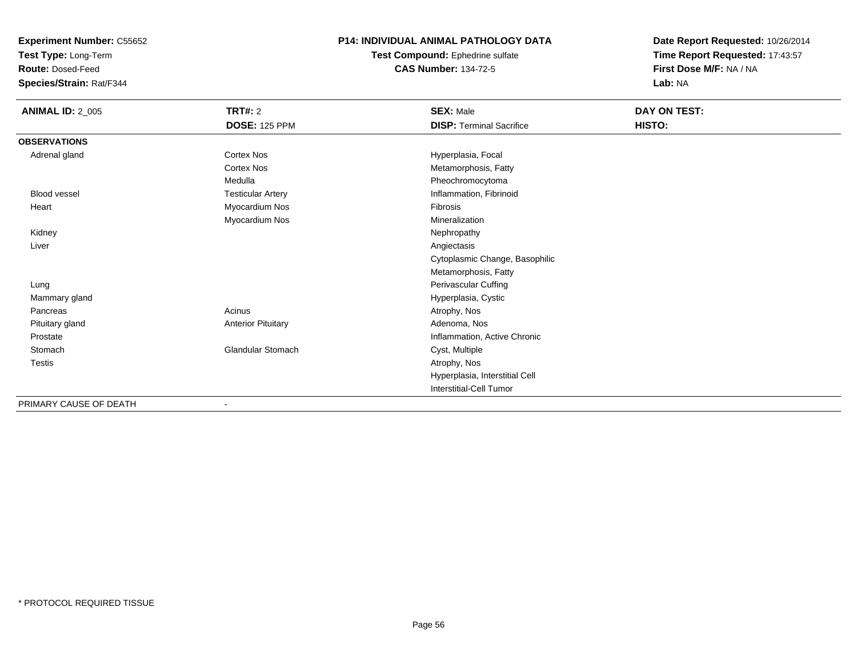**Test Type:** Long-Term

**Route:** Dosed-Feed

**Species/Strain:** Rat/F344

### **P14: INDIVIDUAL ANIMAL PATHOLOGY DATA**

**Test Compound:** Ephedrine sulfate**CAS Number:** 134-72-5

| <b>ANIMAL ID: 2_005</b> | <b>TRT#: 2</b><br><b>DOSE: 125 PPM</b> | <b>SEX: Male</b><br><b>DISP: Terminal Sacrifice</b> | DAY ON TEST:<br>HISTO: |
|-------------------------|----------------------------------------|-----------------------------------------------------|------------------------|
| <b>OBSERVATIONS</b>     |                                        |                                                     |                        |
| Adrenal gland           | <b>Cortex Nos</b>                      | Hyperplasia, Focal                                  |                        |
|                         | <b>Cortex Nos</b>                      | Metamorphosis, Fatty                                |                        |
|                         | Medulla                                | Pheochromocytoma                                    |                        |
| <b>Blood vessel</b>     | <b>Testicular Artery</b>               | Inflammation, Fibrinoid                             |                        |
| Heart                   | Myocardium Nos                         | Fibrosis                                            |                        |
|                         | Myocardium Nos                         | Mineralization                                      |                        |
| Kidney                  |                                        | Nephropathy                                         |                        |
| Liver                   |                                        | Angiectasis                                         |                        |
|                         |                                        | Cytoplasmic Change, Basophilic                      |                        |
|                         |                                        | Metamorphosis, Fatty                                |                        |
| Lung                    |                                        | Perivascular Cuffing                                |                        |
| Mammary gland           |                                        | Hyperplasia, Cystic                                 |                        |
| Pancreas                | Acinus                                 | Atrophy, Nos                                        |                        |
| Pituitary gland         | <b>Anterior Pituitary</b>              | Adenoma, Nos                                        |                        |
| Prostate                |                                        | Inflammation, Active Chronic                        |                        |
| Stomach                 | Glandular Stomach                      | Cyst, Multiple                                      |                        |
| Testis                  |                                        | Atrophy, Nos                                        |                        |
|                         |                                        | Hyperplasia, Interstitial Cell                      |                        |
|                         |                                        | <b>Interstitial-Cell Tumor</b>                      |                        |
| PRIMARY CAUSE OF DEATH  |                                        |                                                     |                        |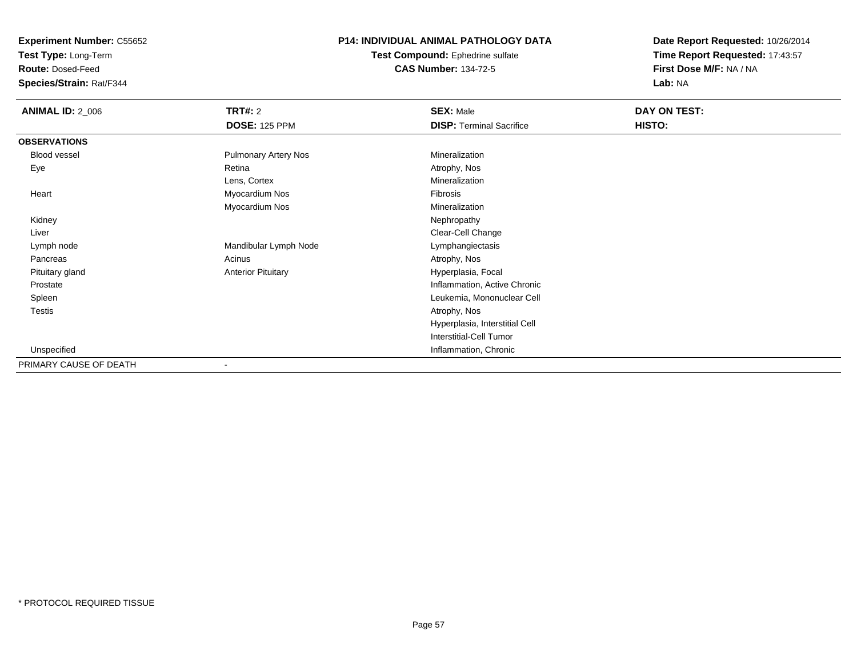**Test Type:** Long-Term

**Route:** Dosed-Feed

**Species/Strain:** Rat/F344

## **P14: INDIVIDUAL ANIMAL PATHOLOGY DATA**

**Test Compound:** Ephedrine sulfate**CAS Number:** 134-72-5

| <b>ANIMAL ID: 2_006</b> | <b>TRT#: 2</b>              | <b>SEX: Male</b>                | DAY ON TEST: |  |
|-------------------------|-----------------------------|---------------------------------|--------------|--|
|                         | <b>DOSE: 125 PPM</b>        | <b>DISP: Terminal Sacrifice</b> | HISTO:       |  |
| <b>OBSERVATIONS</b>     |                             |                                 |              |  |
| Blood vessel            | <b>Pulmonary Artery Nos</b> | Mineralization                  |              |  |
| Eye                     | Retina                      | Atrophy, Nos                    |              |  |
|                         | Lens, Cortex                | Mineralization                  |              |  |
| Heart                   | Myocardium Nos              | Fibrosis                        |              |  |
|                         | Myocardium Nos              | Mineralization                  |              |  |
| Kidney                  |                             | Nephropathy                     |              |  |
| Liver                   |                             | Clear-Cell Change               |              |  |
| Lymph node              | Mandibular Lymph Node       | Lymphangiectasis                |              |  |
| Pancreas                | Acinus                      | Atrophy, Nos                    |              |  |
| Pituitary gland         | <b>Anterior Pituitary</b>   | Hyperplasia, Focal              |              |  |
| Prostate                |                             | Inflammation, Active Chronic    |              |  |
| Spleen                  |                             | Leukemia, Mononuclear Cell      |              |  |
| <b>Testis</b>           |                             | Atrophy, Nos                    |              |  |
|                         |                             | Hyperplasia, Interstitial Cell  |              |  |
|                         |                             | Interstitial-Cell Tumor         |              |  |
| Unspecified             |                             | Inflammation, Chronic           |              |  |
| PRIMARY CAUSE OF DEATH  |                             |                                 |              |  |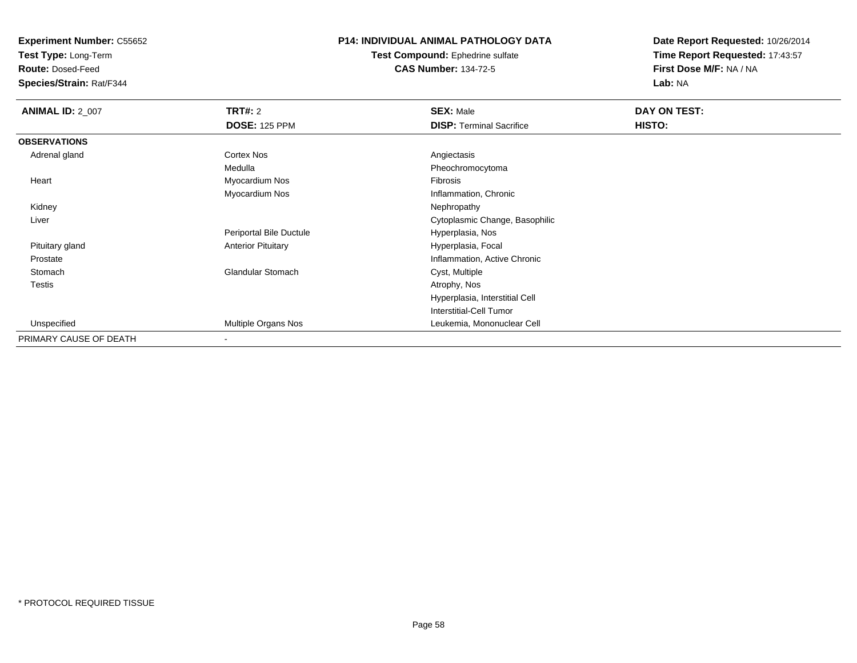**Test Type:** Long-Term

**Route:** Dosed-Feed

**Species/Strain:** Rat/F344

### **P14: INDIVIDUAL ANIMAL PATHOLOGY DATA**

**Test Compound:** Ephedrine sulfate**CAS Number:** 134-72-5

| <b>ANIMAL ID: 2_007</b> | <b>TRT#: 2</b>            | <b>SEX: Male</b>                | DAY ON TEST: |  |
|-------------------------|---------------------------|---------------------------------|--------------|--|
|                         | <b>DOSE: 125 PPM</b>      | <b>DISP: Terminal Sacrifice</b> | HISTO:       |  |
| <b>OBSERVATIONS</b>     |                           |                                 |              |  |
| Adrenal gland           | <b>Cortex Nos</b>         | Angiectasis                     |              |  |
|                         | Medulla                   | Pheochromocytoma                |              |  |
| Heart                   | Myocardium Nos            | Fibrosis                        |              |  |
|                         | Myocardium Nos            | Inflammation, Chronic           |              |  |
| Kidney                  |                           | Nephropathy                     |              |  |
| Liver                   |                           | Cytoplasmic Change, Basophilic  |              |  |
|                         | Periportal Bile Ductule   | Hyperplasia, Nos                |              |  |
| Pituitary gland         | <b>Anterior Pituitary</b> | Hyperplasia, Focal              |              |  |
| Prostate                |                           | Inflammation, Active Chronic    |              |  |
| Stomach                 | <b>Glandular Stomach</b>  | Cyst, Multiple                  |              |  |
| <b>Testis</b>           |                           | Atrophy, Nos                    |              |  |
|                         |                           | Hyperplasia, Interstitial Cell  |              |  |
|                         |                           | <b>Interstitial-Cell Tumor</b>  |              |  |
| Unspecified             | Multiple Organs Nos       | Leukemia, Mononuclear Cell      |              |  |
| PRIMARY CAUSE OF DEATH  | $\,$                      |                                 |              |  |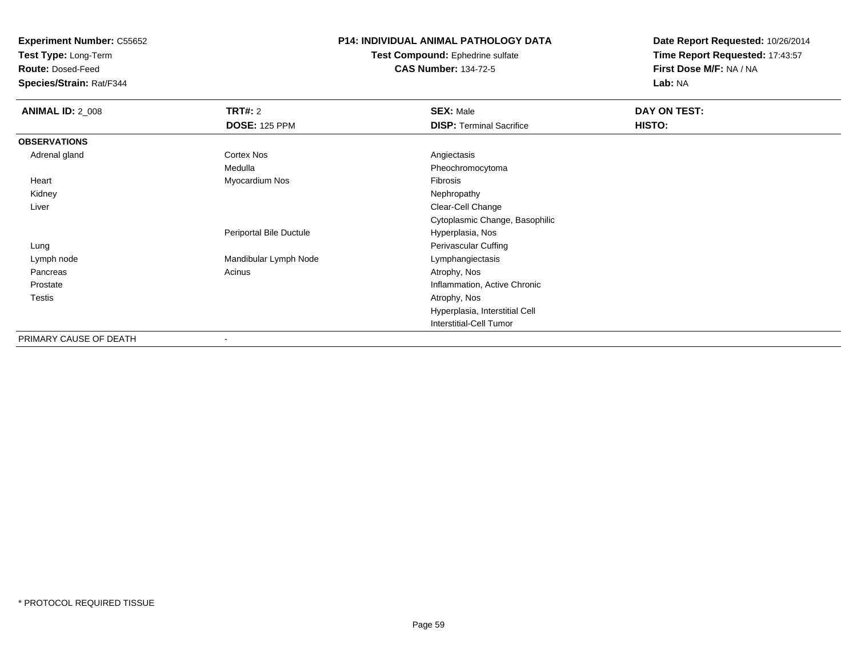**Test Type:** Long-Term

**Route:** Dosed-Feed

**Species/Strain:** Rat/F344

### **P14: INDIVIDUAL ANIMAL PATHOLOGY DATA**

**Test Compound:** Ephedrine sulfate**CAS Number:** 134-72-5

| <b>ANIMAL ID: 2_008</b> | <b>TRT#:</b> 2          | <b>SEX: Male</b>                | DAY ON TEST: |  |
|-------------------------|-------------------------|---------------------------------|--------------|--|
|                         | <b>DOSE: 125 PPM</b>    | <b>DISP: Terminal Sacrifice</b> | HISTO:       |  |
| <b>OBSERVATIONS</b>     |                         |                                 |              |  |
| Adrenal gland           | Cortex Nos              | Angiectasis                     |              |  |
|                         | Medulla                 | Pheochromocytoma                |              |  |
| Heart                   | Myocardium Nos          | Fibrosis                        |              |  |
| Kidney                  |                         | Nephropathy                     |              |  |
| Liver                   |                         | Clear-Cell Change               |              |  |
|                         |                         | Cytoplasmic Change, Basophilic  |              |  |
|                         | Periportal Bile Ductule | Hyperplasia, Nos                |              |  |
| Lung                    |                         | Perivascular Cuffing            |              |  |
| Lymph node              | Mandibular Lymph Node   | Lymphangiectasis                |              |  |
| Pancreas                | Acinus                  | Atrophy, Nos                    |              |  |
| Prostate                |                         | Inflammation, Active Chronic    |              |  |
| <b>Testis</b>           |                         | Atrophy, Nos                    |              |  |
|                         |                         | Hyperplasia, Interstitial Cell  |              |  |
|                         |                         | <b>Interstitial-Cell Tumor</b>  |              |  |
| PRIMARY CAUSE OF DEATH  | $\blacksquare$          |                                 |              |  |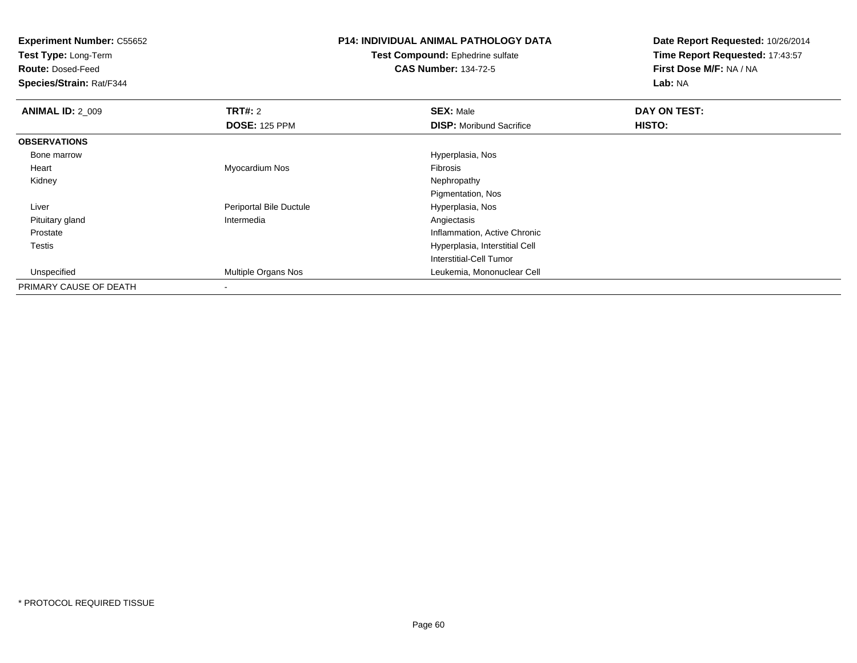**Test Type:** Long-Term

**Route:** Dosed-Feed

**Species/Strain:** Rat/F344

# **P14: INDIVIDUAL ANIMAL PATHOLOGY DATA**

**Test Compound:** Ephedrine sulfate**CAS Number:** 134-72-5

| <b>ANIMAL ID: 2_009</b> | TRT#: 2                  | <b>SEX: Male</b>                | DAY ON TEST:  |  |
|-------------------------|--------------------------|---------------------------------|---------------|--|
|                         | <b>DOSE: 125 PPM</b>     | <b>DISP:</b> Moribund Sacrifice | <b>HISTO:</b> |  |
| <b>OBSERVATIONS</b>     |                          |                                 |               |  |
| Bone marrow             |                          | Hyperplasia, Nos                |               |  |
| Heart                   | Myocardium Nos           | Fibrosis                        |               |  |
| Kidney                  |                          | Nephropathy                     |               |  |
|                         |                          | Pigmentation, Nos               |               |  |
| Liver                   | Periportal Bile Ductule  | Hyperplasia, Nos                |               |  |
| Pituitary gland         | Intermedia               | Angiectasis                     |               |  |
| Prostate                |                          | Inflammation, Active Chronic    |               |  |
| Testis                  |                          | Hyperplasia, Interstitial Cell  |               |  |
|                         |                          | Interstitial-Cell Tumor         |               |  |
| Unspecified             | Multiple Organs Nos      | Leukemia, Mononuclear Cell      |               |  |
| PRIMARY CAUSE OF DEATH  | $\overline{\phantom{a}}$ |                                 |               |  |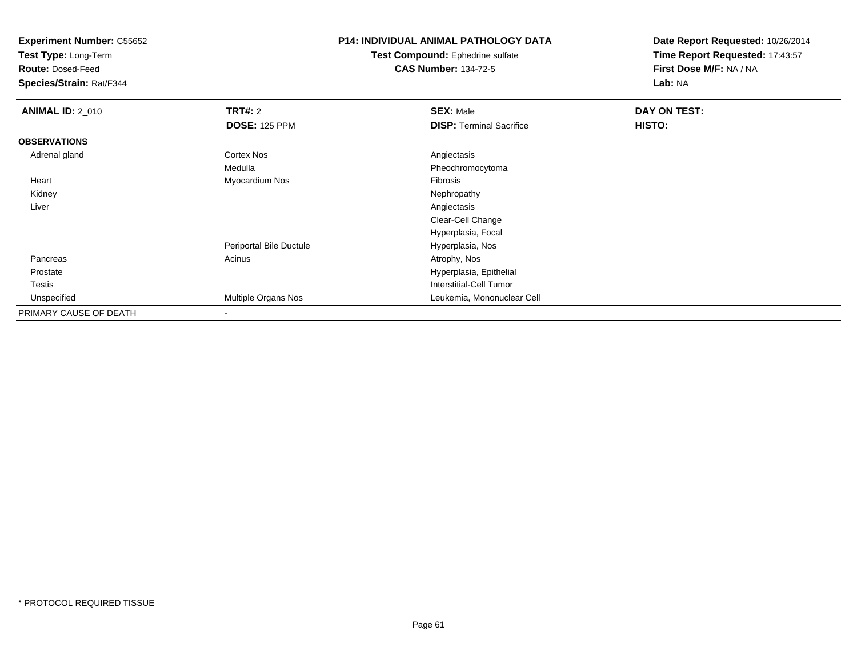**Test Type:** Long-Term

**Route:** Dosed-Feed

**Species/Strain:** Rat/F344

## **P14: INDIVIDUAL ANIMAL PATHOLOGY DATA**

**Test Compound:** Ephedrine sulfate**CAS Number:** 134-72-5

| <b>ANIMAL ID: 2_010</b> | TRT#: 2                  | <b>SEX: Male</b>                | DAY ON TEST: |  |
|-------------------------|--------------------------|---------------------------------|--------------|--|
|                         | <b>DOSE: 125 PPM</b>     | <b>DISP: Terminal Sacrifice</b> | HISTO:       |  |
| <b>OBSERVATIONS</b>     |                          |                                 |              |  |
| Adrenal gland           | <b>Cortex Nos</b>        | Angiectasis                     |              |  |
|                         | Medulla                  | Pheochromocytoma                |              |  |
| Heart                   | Myocardium Nos           | Fibrosis                        |              |  |
| Kidney                  |                          | Nephropathy                     |              |  |
| Liver                   |                          | Angiectasis                     |              |  |
|                         |                          | Clear-Cell Change               |              |  |
|                         |                          | Hyperplasia, Focal              |              |  |
|                         | Periportal Bile Ductule  | Hyperplasia, Nos                |              |  |
| Pancreas                | Acinus                   | Atrophy, Nos                    |              |  |
| Prostate                |                          | Hyperplasia, Epithelial         |              |  |
| Testis                  |                          | <b>Interstitial-Cell Tumor</b>  |              |  |
| Unspecified             | Multiple Organs Nos      | Leukemia, Mononuclear Cell      |              |  |
| PRIMARY CAUSE OF DEATH  | $\overline{\phantom{a}}$ |                                 |              |  |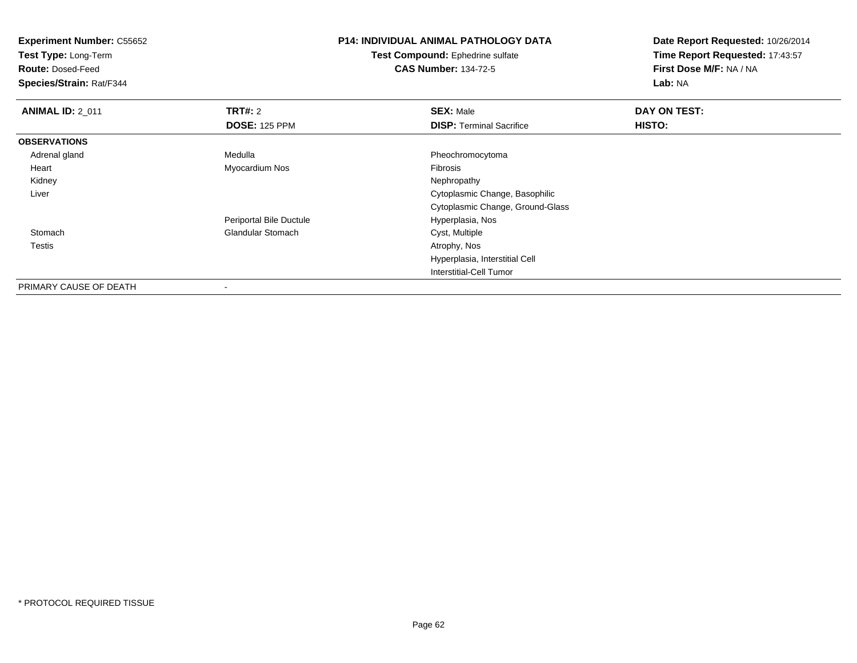**Test Type:** Long-Term

**Route:** Dosed-Feed

**Species/Strain:** Rat/F344

# **P14: INDIVIDUAL ANIMAL PATHOLOGY DATA**

**Test Compound:** Ephedrine sulfate**CAS Number:** 134-72-5

| <b>ANIMAL ID: 2 011</b> | <b>TRT#: 2</b>           | <b>SEX: Male</b>                 | DAY ON TEST: |  |
|-------------------------|--------------------------|----------------------------------|--------------|--|
|                         | <b>DOSE: 125 PPM</b>     | <b>DISP: Terminal Sacrifice</b>  | HISTO:       |  |
| <b>OBSERVATIONS</b>     |                          |                                  |              |  |
| Adrenal gland           | Medulla                  | Pheochromocytoma                 |              |  |
| Heart                   | Myocardium Nos           | Fibrosis                         |              |  |
| Kidney                  |                          | Nephropathy                      |              |  |
| Liver                   |                          | Cytoplasmic Change, Basophilic   |              |  |
|                         |                          | Cytoplasmic Change, Ground-Glass |              |  |
|                         | Periportal Bile Ductule  | Hyperplasia, Nos                 |              |  |
| Stomach                 | <b>Glandular Stomach</b> | Cyst, Multiple                   |              |  |
| Testis                  |                          | Atrophy, Nos                     |              |  |
|                         |                          | Hyperplasia, Interstitial Cell   |              |  |
|                         |                          | Interstitial-Cell Tumor          |              |  |
| PRIMARY CAUSE OF DEATH  |                          |                                  |              |  |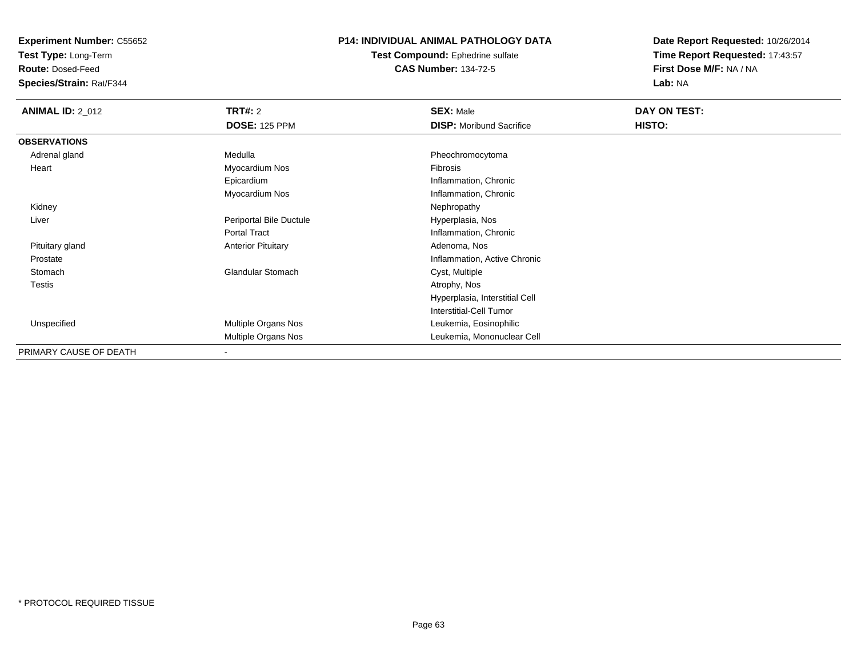**Test Type:** Long-Term

**Route:** Dosed-Feed

**Species/Strain:** Rat/F344

### **P14: INDIVIDUAL ANIMAL PATHOLOGY DATA**

**Test Compound:** Ephedrine sulfate**CAS Number:** 134-72-5

| <b>ANIMAL ID: 2_012</b> | <b>TRT#:</b> 2            | <b>SEX: Male</b>                | DAY ON TEST: |  |
|-------------------------|---------------------------|---------------------------------|--------------|--|
|                         | <b>DOSE: 125 PPM</b>      | <b>DISP:</b> Moribund Sacrifice | HISTO:       |  |
| <b>OBSERVATIONS</b>     |                           |                                 |              |  |
| Adrenal gland           | Medulla                   | Pheochromocytoma                |              |  |
| Heart                   | Myocardium Nos            | Fibrosis                        |              |  |
|                         | Epicardium                | Inflammation, Chronic           |              |  |
|                         | Myocardium Nos            | Inflammation, Chronic           |              |  |
| Kidney                  |                           | Nephropathy                     |              |  |
| Liver                   | Periportal Bile Ductule   | Hyperplasia, Nos                |              |  |
|                         | <b>Portal Tract</b>       | Inflammation, Chronic           |              |  |
| Pituitary gland         | <b>Anterior Pituitary</b> | Adenoma, Nos                    |              |  |
| Prostate                |                           | Inflammation, Active Chronic    |              |  |
| Stomach                 | <b>Glandular Stomach</b>  | Cyst, Multiple                  |              |  |
| <b>Testis</b>           |                           | Atrophy, Nos                    |              |  |
|                         |                           | Hyperplasia, Interstitial Cell  |              |  |
|                         |                           | Interstitial-Cell Tumor         |              |  |
| Unspecified             | Multiple Organs Nos       | Leukemia, Eosinophilic          |              |  |
|                         | Multiple Organs Nos       | Leukemia, Mononuclear Cell      |              |  |
| PRIMARY CAUSE OF DEATH  |                           |                                 |              |  |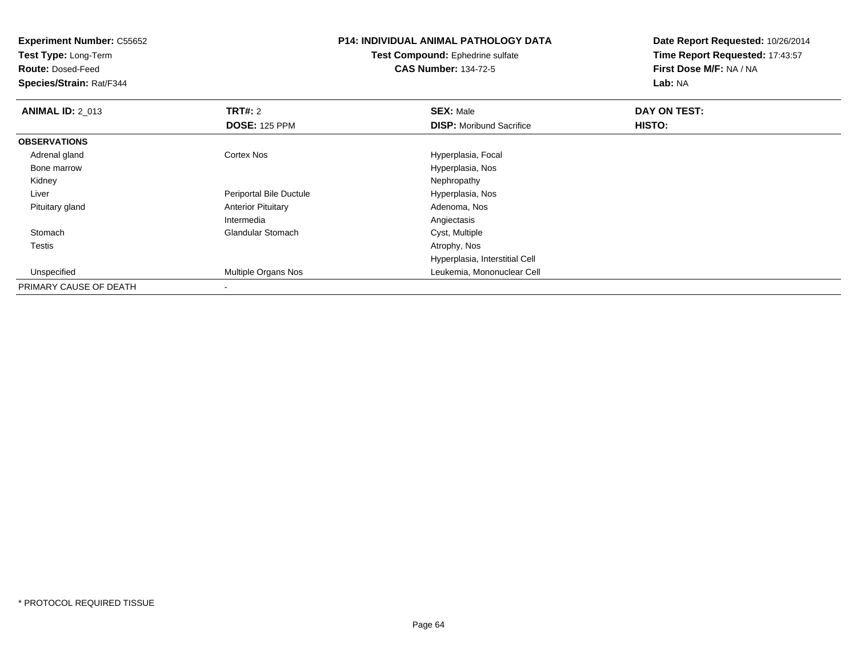**Experiment Number:** C55652**Test Type:** Long-Term**Route:** Dosed-Feed **Species/Strain:** Rat/F344**P14: INDIVIDUAL ANIMAL PATHOLOGY DATATest Compound:** Ephedrine sulfate**CAS Number:** 134-72-5**Date Report Requested:** 10/26/2014**Time Report Requested:** 17:43:57**First Dose M/F:** NA / NA**Lab:** NA**ANIMAL ID: 2 013 TRT#:** 2 **SEX:** Male **DAY ON TEST: DOSE:** 125 PPM**DISP:** Moribund Sacrifice **HISTO: OBSERVATIONS** Adrenal glandCortex Nos **Hyperplasia**, Focal Bone marrow Hyperplasia, Nos Kidneyy the control of the control of the control of the control of the control of the control of the control of the control of the control of the control of the control of the control of the control of the control of the contro Liver Periportal Bile Ductule Hyperplasia, Nos Pituitary glandAnterior Pituitary IntermediaAngiectasis<br>Cyst, Multiple StomachGlandular Stomach Cyst, Multiple<br>
Cyst, Multiple<br>
Atrophy, Nos Testiss and the contract of the contract of the contract of the contract of the contract of the contract of the contract of the contract of the contract of the contract of the contract of the contract of the contract of the cont Hyperplasia, Interstitial Cell Unspecified Multiple Organs Nos Leukemia, Mononuclear Cell PRIMARY CAUSE OF DEATH-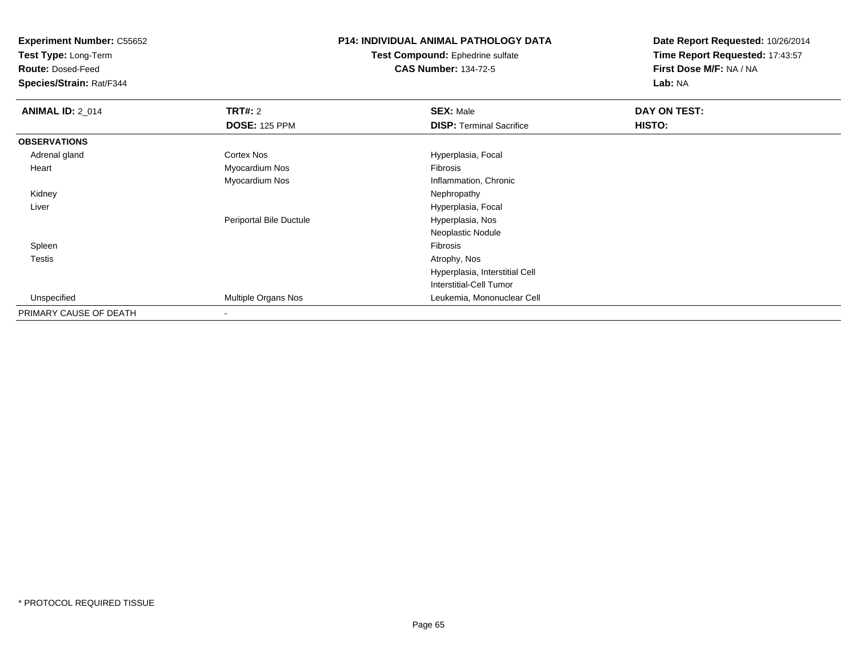**Test Type:** Long-Term

**Route:** Dosed-Feed

**Species/Strain:** Rat/F344

# **P14: INDIVIDUAL ANIMAL PATHOLOGY DATA**

**Test Compound:** Ephedrine sulfate**CAS Number:** 134-72-5

| <b>ANIMAL ID: 2_014</b> | TRT#: 2                 | <b>SEX: Male</b>                | DAY ON TEST: |  |
|-------------------------|-------------------------|---------------------------------|--------------|--|
|                         | <b>DOSE: 125 PPM</b>    | <b>DISP: Terminal Sacrifice</b> | HISTO:       |  |
| <b>OBSERVATIONS</b>     |                         |                                 |              |  |
| Adrenal gland           | <b>Cortex Nos</b>       | Hyperplasia, Focal              |              |  |
| Heart                   | Myocardium Nos          | Fibrosis                        |              |  |
|                         | Myocardium Nos          | Inflammation, Chronic           |              |  |
| Kidney                  |                         | Nephropathy                     |              |  |
| Liver                   |                         | Hyperplasia, Focal              |              |  |
|                         | Periportal Bile Ductule | Hyperplasia, Nos                |              |  |
|                         |                         | Neoplastic Nodule               |              |  |
| Spleen                  |                         | Fibrosis                        |              |  |
| <b>Testis</b>           |                         | Atrophy, Nos                    |              |  |
|                         |                         | Hyperplasia, Interstitial Cell  |              |  |
|                         |                         | Interstitial-Cell Tumor         |              |  |
| Unspecified             | Multiple Organs Nos     | Leukemia, Mononuclear Cell      |              |  |
| PRIMARY CAUSE OF DEATH  | $\blacksquare$          |                                 |              |  |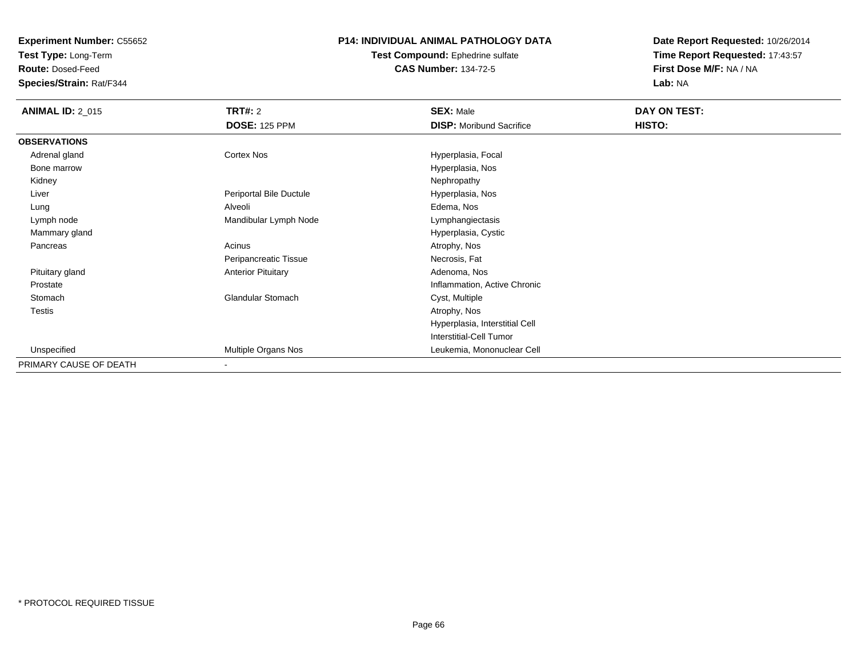**Test Type:** Long-Term

**Route:** Dosed-Feed

**Species/Strain:** Rat/F344

### **P14: INDIVIDUAL ANIMAL PATHOLOGY DATA**

#### **Test Compound:** Ephedrine sulfate**CAS Number:** 134-72-5

| <b>ANIMAL ID: 2_015</b> | <b>TRT#: 2</b>            | <b>SEX: Male</b>                | DAY ON TEST: |  |
|-------------------------|---------------------------|---------------------------------|--------------|--|
|                         | <b>DOSE: 125 PPM</b>      | <b>DISP:</b> Moribund Sacrifice | HISTO:       |  |
| <b>OBSERVATIONS</b>     |                           |                                 |              |  |
| Adrenal gland           | Cortex Nos                | Hyperplasia, Focal              |              |  |
| Bone marrow             |                           | Hyperplasia, Nos                |              |  |
| Kidney                  |                           | Nephropathy                     |              |  |
| Liver                   | Periportal Bile Ductule   | Hyperplasia, Nos                |              |  |
| Lung                    | Alveoli                   | Edema, Nos                      |              |  |
| Lymph node              | Mandibular Lymph Node     | Lymphangiectasis                |              |  |
| Mammary gland           |                           | Hyperplasia, Cystic             |              |  |
| Pancreas                | Acinus                    | Atrophy, Nos                    |              |  |
|                         | Peripancreatic Tissue     | Necrosis, Fat                   |              |  |
| Pituitary gland         | <b>Anterior Pituitary</b> | Adenoma, Nos                    |              |  |
| Prostate                |                           | Inflammation, Active Chronic    |              |  |
| Stomach                 | <b>Glandular Stomach</b>  | Cyst, Multiple                  |              |  |
| <b>Testis</b>           |                           | Atrophy, Nos                    |              |  |
|                         |                           | Hyperplasia, Interstitial Cell  |              |  |
|                         |                           | Interstitial-Cell Tumor         |              |  |
| Unspecified             | Multiple Organs Nos       | Leukemia, Mononuclear Cell      |              |  |
| PRIMARY CAUSE OF DEATH  | $\overline{\phantom{a}}$  |                                 |              |  |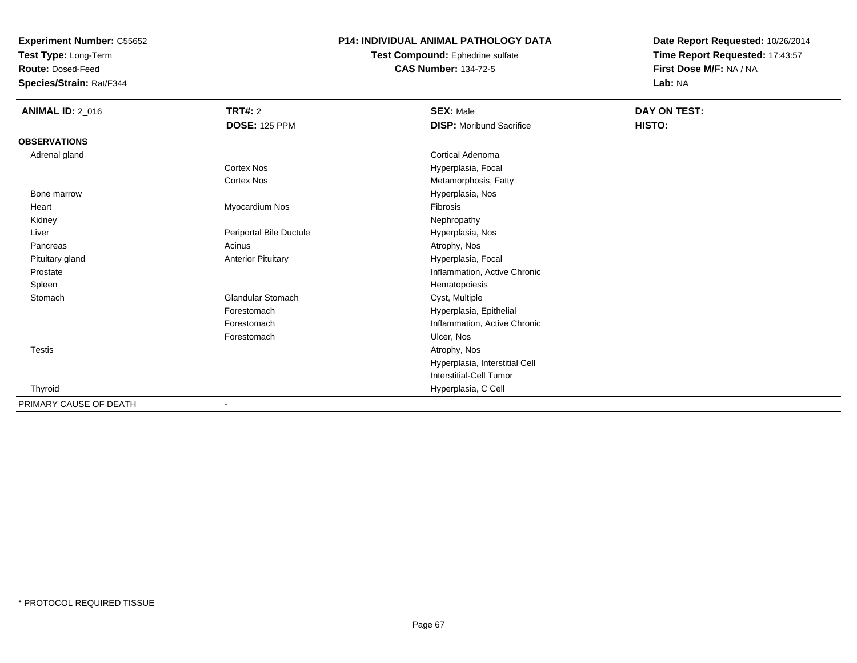**Test Type:** Long-Term

**Route:** Dosed-Feed

**Species/Strain:** Rat/F344

### **P14: INDIVIDUAL ANIMAL PATHOLOGY DATA**

**Test Compound:** Ephedrine sulfate**CAS Number:** 134-72-5

| <b>ANIMAL ID: 2_016</b> | TRT#: 2                   | <b>SEX: Male</b>                | DAY ON TEST: |
|-------------------------|---------------------------|---------------------------------|--------------|
|                         | <b>DOSE: 125 PPM</b>      | <b>DISP:</b> Moribund Sacrifice | HISTO:       |
| <b>OBSERVATIONS</b>     |                           |                                 |              |
| Adrenal gland           |                           | Cortical Adenoma                |              |
|                         | Cortex Nos                | Hyperplasia, Focal              |              |
|                         | <b>Cortex Nos</b>         | Metamorphosis, Fatty            |              |
| Bone marrow             |                           | Hyperplasia, Nos                |              |
| Heart                   | Myocardium Nos            | Fibrosis                        |              |
| Kidney                  |                           | Nephropathy                     |              |
| Liver                   | Periportal Bile Ductule   | Hyperplasia, Nos                |              |
| Pancreas                | Acinus                    | Atrophy, Nos                    |              |
| Pituitary gland         | <b>Anterior Pituitary</b> | Hyperplasia, Focal              |              |
| Prostate                |                           | Inflammation, Active Chronic    |              |
| Spleen                  |                           | Hematopoiesis                   |              |
| Stomach                 | Glandular Stomach         | Cyst, Multiple                  |              |
|                         | Forestomach               | Hyperplasia, Epithelial         |              |
|                         | Forestomach               | Inflammation, Active Chronic    |              |
|                         | Forestomach               | Ulcer, Nos                      |              |
| Testis                  |                           | Atrophy, Nos                    |              |
|                         |                           | Hyperplasia, Interstitial Cell  |              |
|                         |                           | Interstitial-Cell Tumor         |              |
| Thyroid                 |                           | Hyperplasia, C Cell             |              |
| PRIMARY CAUSE OF DEATH  | ۰                         |                                 |              |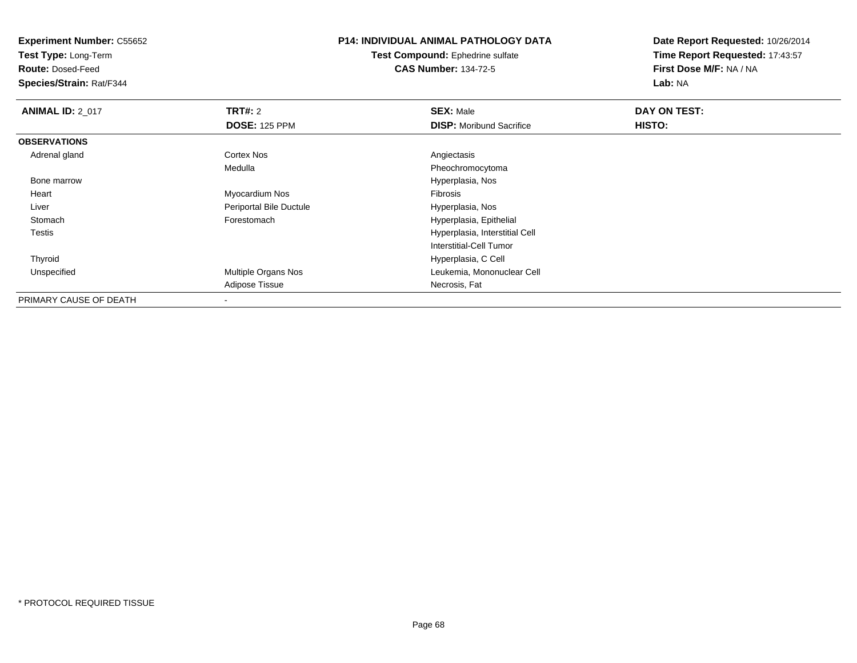**Test Type:** Long-Term

**Route:** Dosed-Feed

**Species/Strain:** Rat/F344

## **P14: INDIVIDUAL ANIMAL PATHOLOGY DATA**

**Test Compound:** Ephedrine sulfate**CAS Number:** 134-72-5

| <b>ANIMAL ID: 2_017</b> | <b>TRT#: 2</b>             | <b>SEX: Male</b>                | DAY ON TEST: |  |
|-------------------------|----------------------------|---------------------------------|--------------|--|
|                         | <b>DOSE: 125 PPM</b>       | <b>DISP:</b> Moribund Sacrifice | HISTO:       |  |
| <b>OBSERVATIONS</b>     |                            |                                 |              |  |
| Adrenal gland           | Cortex Nos                 | Angiectasis                     |              |  |
|                         | Medulla                    | Pheochromocytoma                |              |  |
| Bone marrow             |                            | Hyperplasia, Nos                |              |  |
| Heart                   | Myocardium Nos             | Fibrosis                        |              |  |
| Liver                   | Periportal Bile Ductule    | Hyperplasia, Nos                |              |  |
| Stomach                 | Forestomach                | Hyperplasia, Epithelial         |              |  |
| Testis                  |                            | Hyperplasia, Interstitial Cell  |              |  |
|                         |                            | Interstitial-Cell Tumor         |              |  |
| Thyroid                 |                            | Hyperplasia, C Cell             |              |  |
| Unspecified             | <b>Multiple Organs Nos</b> | Leukemia, Mononuclear Cell      |              |  |
|                         | Adipose Tissue             | Necrosis, Fat                   |              |  |
| PRIMARY CAUSE OF DEATH  |                            |                                 |              |  |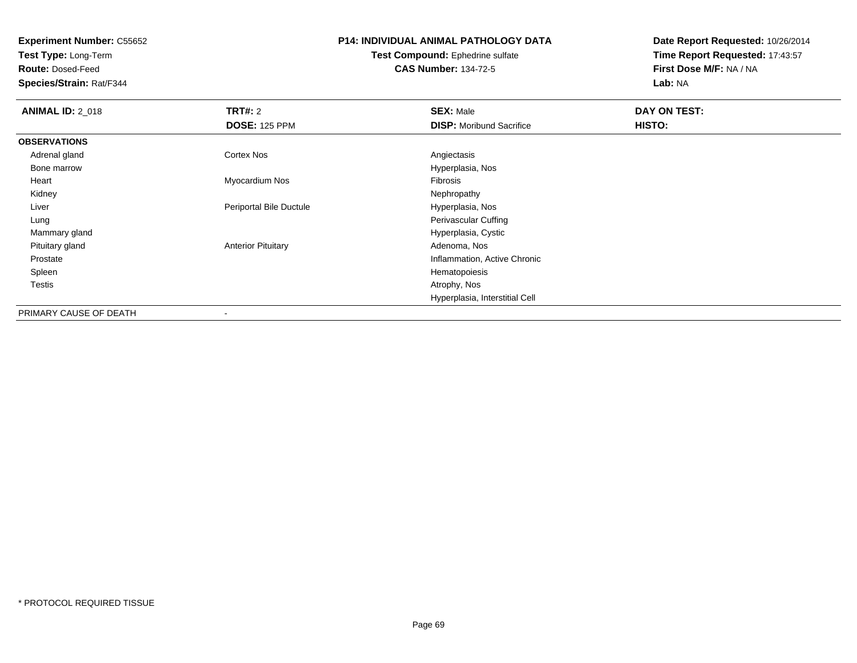**Test Type:** Long-Term

**Route:** Dosed-Feed

**Species/Strain:** Rat/F344

## **P14: INDIVIDUAL ANIMAL PATHOLOGY DATA**

**Test Compound:** Ephedrine sulfate**CAS Number:** 134-72-5

| <b>ANIMAL ID: 2_018</b> | TRT#: 2                   | <b>SEX: Male</b>                | DAY ON TEST: |
|-------------------------|---------------------------|---------------------------------|--------------|
|                         | <b>DOSE: 125 PPM</b>      | <b>DISP:</b> Moribund Sacrifice | HISTO:       |
| <b>OBSERVATIONS</b>     |                           |                                 |              |
| Adrenal gland           | Cortex Nos                | Angiectasis                     |              |
| Bone marrow             |                           | Hyperplasia, Nos                |              |
| Heart                   | Myocardium Nos            | Fibrosis                        |              |
| Kidney                  |                           | Nephropathy                     |              |
| Liver                   | Periportal Bile Ductule   | Hyperplasia, Nos                |              |
| Lung                    |                           | Perivascular Cuffing            |              |
| Mammary gland           |                           | Hyperplasia, Cystic             |              |
| Pituitary gland         | <b>Anterior Pituitary</b> | Adenoma, Nos                    |              |
| Prostate                |                           | Inflammation, Active Chronic    |              |
| Spleen                  |                           | Hematopoiesis                   |              |
| Testis                  |                           | Atrophy, Nos                    |              |
|                         |                           | Hyperplasia, Interstitial Cell  |              |
| PRIMARY CAUSE OF DEATH  | $\overline{\phantom{a}}$  |                                 |              |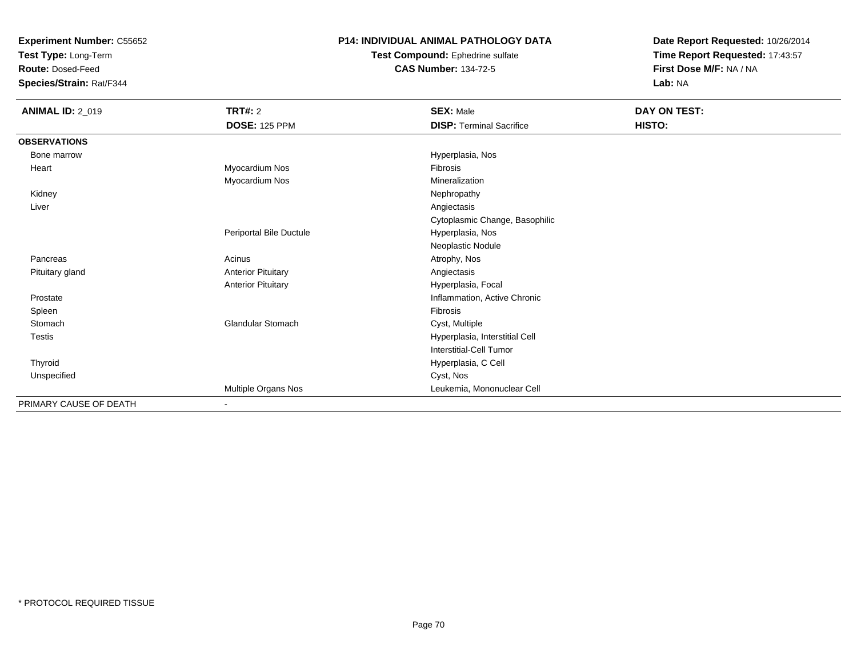**Test Type:** Long-Term

**Route:** Dosed-Feed

**Species/Strain:** Rat/F344

### **P14: INDIVIDUAL ANIMAL PATHOLOGY DATA**

**Test Compound:** Ephedrine sulfate**CAS Number:** 134-72-5

| <b>ANIMAL ID: 2_019</b> | TRT#: 2                   | <b>SEX: Male</b>                | DAY ON TEST: |  |
|-------------------------|---------------------------|---------------------------------|--------------|--|
|                         | <b>DOSE: 125 PPM</b>      | <b>DISP: Terminal Sacrifice</b> | HISTO:       |  |
| <b>OBSERVATIONS</b>     |                           |                                 |              |  |
| Bone marrow             |                           | Hyperplasia, Nos                |              |  |
| Heart                   | Myocardium Nos            | <b>Fibrosis</b>                 |              |  |
|                         | Myocardium Nos            | Mineralization                  |              |  |
| Kidney                  |                           | Nephropathy                     |              |  |
| Liver                   |                           | Angiectasis                     |              |  |
|                         |                           | Cytoplasmic Change, Basophilic  |              |  |
|                         | Periportal Bile Ductule   | Hyperplasia, Nos                |              |  |
|                         |                           | Neoplastic Nodule               |              |  |
| Pancreas                | Acinus                    | Atrophy, Nos                    |              |  |
| Pituitary gland         | <b>Anterior Pituitary</b> | Angiectasis                     |              |  |
|                         | <b>Anterior Pituitary</b> | Hyperplasia, Focal              |              |  |
| Prostate                |                           | Inflammation, Active Chronic    |              |  |
| Spleen                  |                           | <b>Fibrosis</b>                 |              |  |
| Stomach                 | <b>Glandular Stomach</b>  | Cyst, Multiple                  |              |  |
| Testis                  |                           | Hyperplasia, Interstitial Cell  |              |  |
|                         |                           | Interstitial-Cell Tumor         |              |  |
| Thyroid                 |                           | Hyperplasia, C Cell             |              |  |
| Unspecified             |                           | Cyst, Nos                       |              |  |
|                         | Multiple Organs Nos       | Leukemia, Mononuclear Cell      |              |  |
| PRIMARY CAUSE OF DEATH  | $\blacksquare$            |                                 |              |  |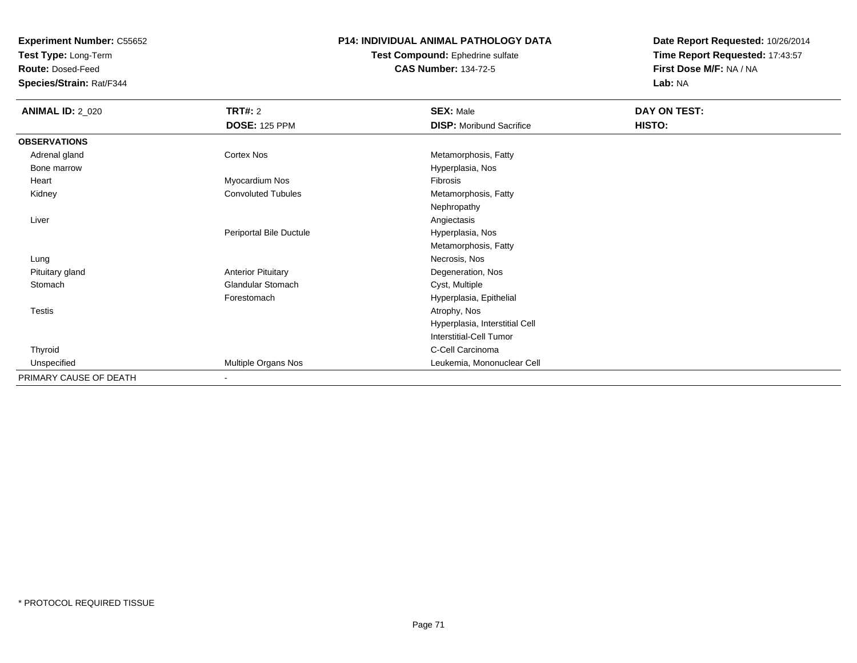**Test Type:** Long-Term

**Route:** Dosed-Feed

**Species/Strain:** Rat/F344

## **P14: INDIVIDUAL ANIMAL PATHOLOGY DATA**

#### **Test Compound:** Ephedrine sulfate**CAS Number:** 134-72-5

| <b>ANIMAL ID: 2_020</b> | <b>TRT#: 2</b>            | <b>SEX: Male</b>                | DAY ON TEST: |  |
|-------------------------|---------------------------|---------------------------------|--------------|--|
|                         | <b>DOSE: 125 PPM</b>      | <b>DISP:</b> Moribund Sacrifice | HISTO:       |  |
| <b>OBSERVATIONS</b>     |                           |                                 |              |  |
| Adrenal gland           | <b>Cortex Nos</b>         | Metamorphosis, Fatty            |              |  |
| Bone marrow             |                           | Hyperplasia, Nos                |              |  |
| Heart                   | Myocardium Nos            | Fibrosis                        |              |  |
| Kidney                  | <b>Convoluted Tubules</b> | Metamorphosis, Fatty            |              |  |
|                         |                           | Nephropathy                     |              |  |
| Liver                   |                           | Angiectasis                     |              |  |
|                         | Periportal Bile Ductule   | Hyperplasia, Nos                |              |  |
|                         |                           | Metamorphosis, Fatty            |              |  |
| Lung                    |                           | Necrosis, Nos                   |              |  |
| Pituitary gland         | <b>Anterior Pituitary</b> | Degeneration, Nos               |              |  |
| Stomach                 | <b>Glandular Stomach</b>  | Cyst, Multiple                  |              |  |
|                         | Forestomach               | Hyperplasia, Epithelial         |              |  |
| <b>Testis</b>           |                           | Atrophy, Nos                    |              |  |
|                         |                           | Hyperplasia, Interstitial Cell  |              |  |
|                         |                           | Interstitial-Cell Tumor         |              |  |
| Thyroid                 |                           | C-Cell Carcinoma                |              |  |
| Unspecified             | Multiple Organs Nos       | Leukemia, Mononuclear Cell      |              |  |
| PRIMARY CAUSE OF DEATH  | $\blacksquare$            |                                 |              |  |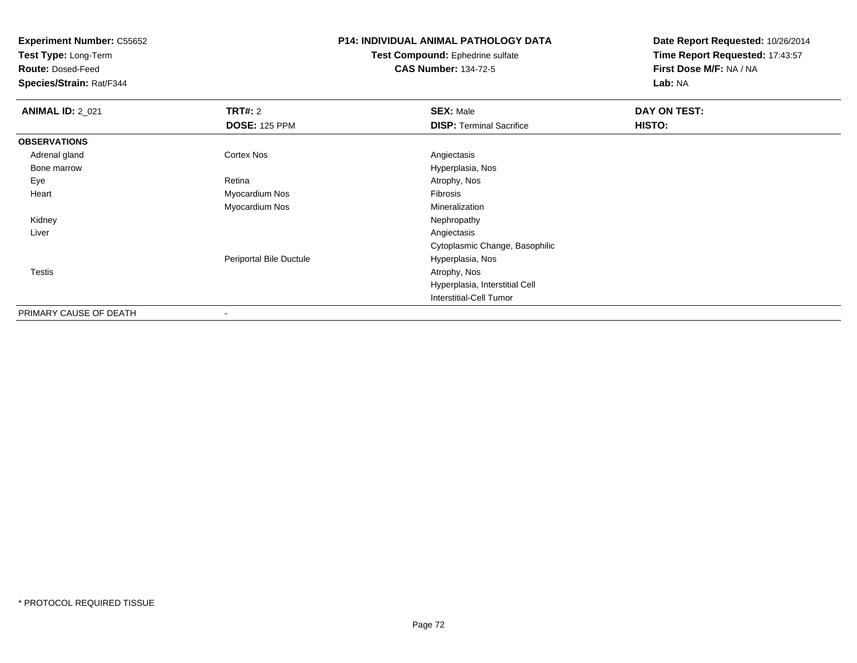**Test Type:** Long-Term

**Route:** Dosed-Feed

**Species/Strain:** Rat/F344

# **P14: INDIVIDUAL ANIMAL PATHOLOGY DATA**

**Test Compound:** Ephedrine sulfate**CAS Number:** 134-72-5

| <b>ANIMAL ID: 2_021</b> | TRT#: 2                  | <b>SEX: Male</b>                | DAY ON TEST: |  |
|-------------------------|--------------------------|---------------------------------|--------------|--|
|                         | <b>DOSE: 125 PPM</b>     | <b>DISP: Terminal Sacrifice</b> | HISTO:       |  |
| <b>OBSERVATIONS</b>     |                          |                                 |              |  |
| Adrenal gland           | <b>Cortex Nos</b>        | Angiectasis                     |              |  |
| Bone marrow             |                          | Hyperplasia, Nos                |              |  |
| Eye                     | Retina                   | Atrophy, Nos                    |              |  |
| Heart                   | Myocardium Nos           | Fibrosis                        |              |  |
|                         | Myocardium Nos           | Mineralization                  |              |  |
| Kidney                  |                          | Nephropathy                     |              |  |
| Liver                   |                          | Angiectasis                     |              |  |
|                         |                          | Cytoplasmic Change, Basophilic  |              |  |
|                         | Periportal Bile Ductule  | Hyperplasia, Nos                |              |  |
| <b>Testis</b>           |                          | Atrophy, Nos                    |              |  |
|                         |                          | Hyperplasia, Interstitial Cell  |              |  |
|                         |                          | Interstitial-Cell Tumor         |              |  |
| PRIMARY CAUSE OF DEATH  | $\overline{\phantom{a}}$ |                                 |              |  |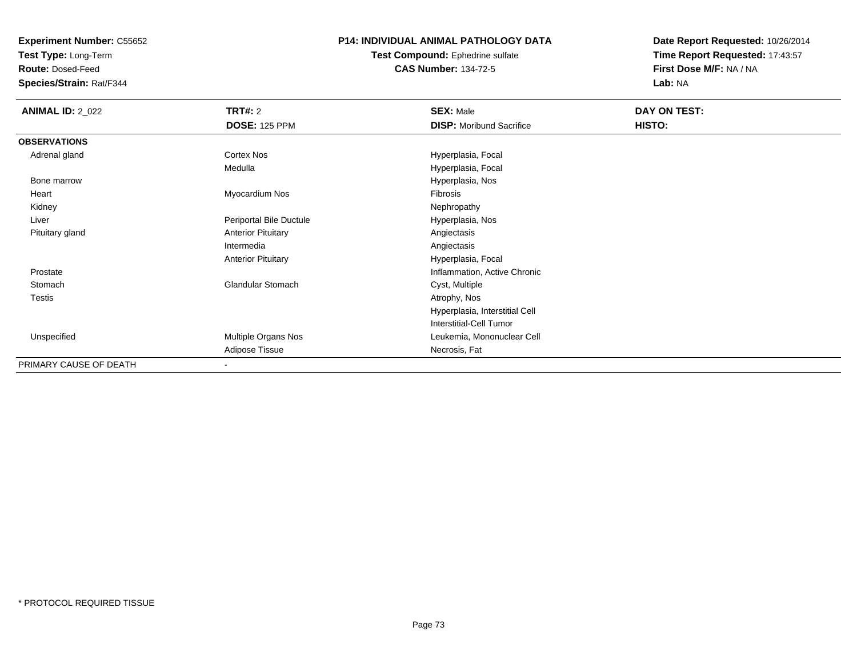**Test Type:** Long-Term

**Route:** Dosed-Feed

**Species/Strain:** Rat/F344

### **P14: INDIVIDUAL ANIMAL PATHOLOGY DATA**

**Test Compound:** Ephedrine sulfate**CAS Number:** 134-72-5

| <b>ANIMAL ID: 2_022</b> | <b>TRT#: 2</b>            | <b>SEX: Male</b>                | DAY ON TEST: |  |
|-------------------------|---------------------------|---------------------------------|--------------|--|
|                         | <b>DOSE: 125 PPM</b>      | <b>DISP:</b> Moribund Sacrifice | HISTO:       |  |
| <b>OBSERVATIONS</b>     |                           |                                 |              |  |
| Adrenal gland           | Cortex Nos                | Hyperplasia, Focal              |              |  |
|                         | Medulla                   | Hyperplasia, Focal              |              |  |
| Bone marrow             |                           | Hyperplasia, Nos                |              |  |
| Heart                   | Myocardium Nos            | Fibrosis                        |              |  |
| Kidney                  |                           | Nephropathy                     |              |  |
| Liver                   | Periportal Bile Ductule   | Hyperplasia, Nos                |              |  |
| Pituitary gland         | <b>Anterior Pituitary</b> | Angiectasis                     |              |  |
|                         | Intermedia                | Angiectasis                     |              |  |
|                         | <b>Anterior Pituitary</b> | Hyperplasia, Focal              |              |  |
| Prostate                |                           | Inflammation, Active Chronic    |              |  |
| Stomach                 | <b>Glandular Stomach</b>  | Cyst, Multiple                  |              |  |
| <b>Testis</b>           |                           | Atrophy, Nos                    |              |  |
|                         |                           | Hyperplasia, Interstitial Cell  |              |  |
|                         |                           | Interstitial-Cell Tumor         |              |  |
| Unspecified             | Multiple Organs Nos       | Leukemia, Mononuclear Cell      |              |  |
|                         | Adipose Tissue            | Necrosis, Fat                   |              |  |
| PRIMARY CAUSE OF DEATH  | $\overline{\phantom{a}}$  |                                 |              |  |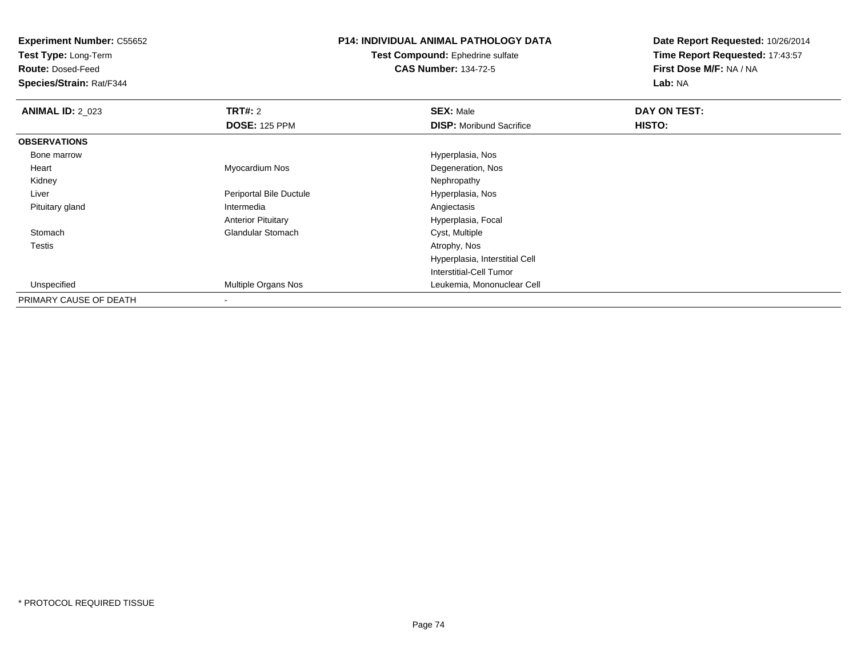**Test Type:** Long-Term

**Route:** Dosed-Feed

**Species/Strain:** Rat/F344

# **P14: INDIVIDUAL ANIMAL PATHOLOGY DATA**

**Test Compound:** Ephedrine sulfate**CAS Number:** 134-72-5

| <b>ANIMAL ID: 2_023</b> | TRT#: 2                    | <b>SEX: Male</b>                | DAY ON TEST: |  |
|-------------------------|----------------------------|---------------------------------|--------------|--|
|                         | <b>DOSE: 125 PPM</b>       | <b>DISP:</b> Moribund Sacrifice | HISTO:       |  |
| <b>OBSERVATIONS</b>     |                            |                                 |              |  |
| Bone marrow             |                            | Hyperplasia, Nos                |              |  |
| Heart                   | Myocardium Nos             | Degeneration, Nos               |              |  |
| Kidney                  |                            | Nephropathy                     |              |  |
| Liver                   | Periportal Bile Ductule    | Hyperplasia, Nos                |              |  |
| Pituitary gland         | Intermedia                 | Angiectasis                     |              |  |
|                         | <b>Anterior Pituitary</b>  | Hyperplasia, Focal              |              |  |
| Stomach                 | <b>Glandular Stomach</b>   | Cyst, Multiple                  |              |  |
| Testis                  |                            | Atrophy, Nos                    |              |  |
|                         |                            | Hyperplasia, Interstitial Cell  |              |  |
|                         |                            | Interstitial-Cell Tumor         |              |  |
| Unspecified             | <b>Multiple Organs Nos</b> | Leukemia, Mononuclear Cell      |              |  |
| PRIMARY CAUSE OF DEATH  |                            |                                 |              |  |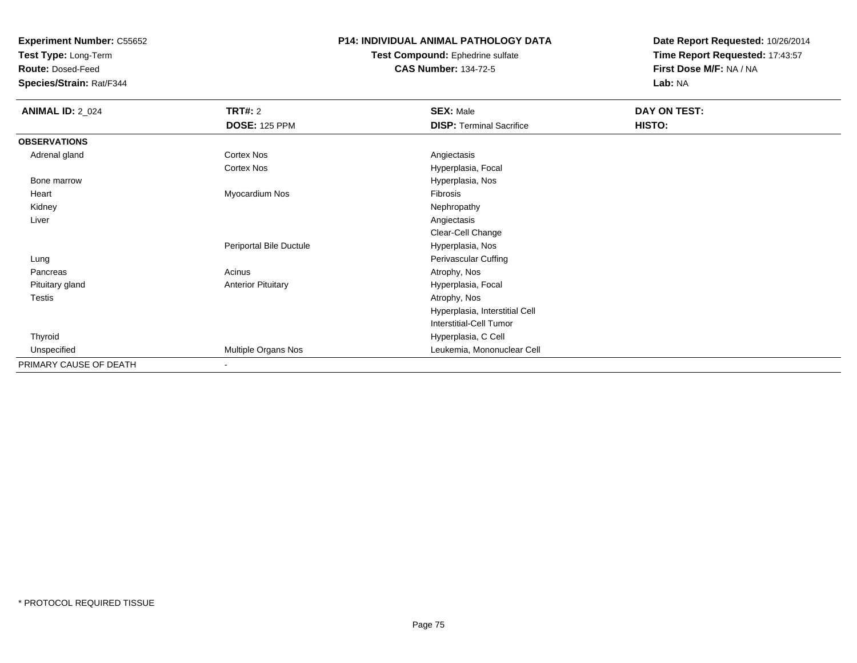**Test Type:** Long-Term

**Route:** Dosed-Feed

**Species/Strain:** Rat/F344

# **P14: INDIVIDUAL ANIMAL PATHOLOGY DATA**

#### **Test Compound:** Ephedrine sulfate**CAS Number:** 134-72-5

| <b>ANIMAL ID: 2_024</b> | <b>TRT#: 2</b>            | <b>SEX: Male</b>                | DAY ON TEST: |  |
|-------------------------|---------------------------|---------------------------------|--------------|--|
|                         | <b>DOSE: 125 PPM</b>      | <b>DISP: Terminal Sacrifice</b> | HISTO:       |  |
| <b>OBSERVATIONS</b>     |                           |                                 |              |  |
| Adrenal gland           | Cortex Nos                | Angiectasis                     |              |  |
|                         | Cortex Nos                | Hyperplasia, Focal              |              |  |
| Bone marrow             |                           | Hyperplasia, Nos                |              |  |
| Heart                   | Myocardium Nos            | Fibrosis                        |              |  |
| Kidney                  |                           | Nephropathy                     |              |  |
| Liver                   |                           | Angiectasis                     |              |  |
|                         |                           | Clear-Cell Change               |              |  |
|                         | Periportal Bile Ductule   | Hyperplasia, Nos                |              |  |
| Lung                    |                           | Perivascular Cuffing            |              |  |
| Pancreas                | Acinus                    | Atrophy, Nos                    |              |  |
| Pituitary gland         | <b>Anterior Pituitary</b> | Hyperplasia, Focal              |              |  |
| Testis                  |                           | Atrophy, Nos                    |              |  |
|                         |                           | Hyperplasia, Interstitial Cell  |              |  |
|                         |                           | <b>Interstitial-Cell Tumor</b>  |              |  |
| Thyroid                 |                           | Hyperplasia, C Cell             |              |  |
| Unspecified             | Multiple Organs Nos       | Leukemia, Mononuclear Cell      |              |  |
| PRIMARY CAUSE OF DEATH  | $\overline{\phantom{a}}$  |                                 |              |  |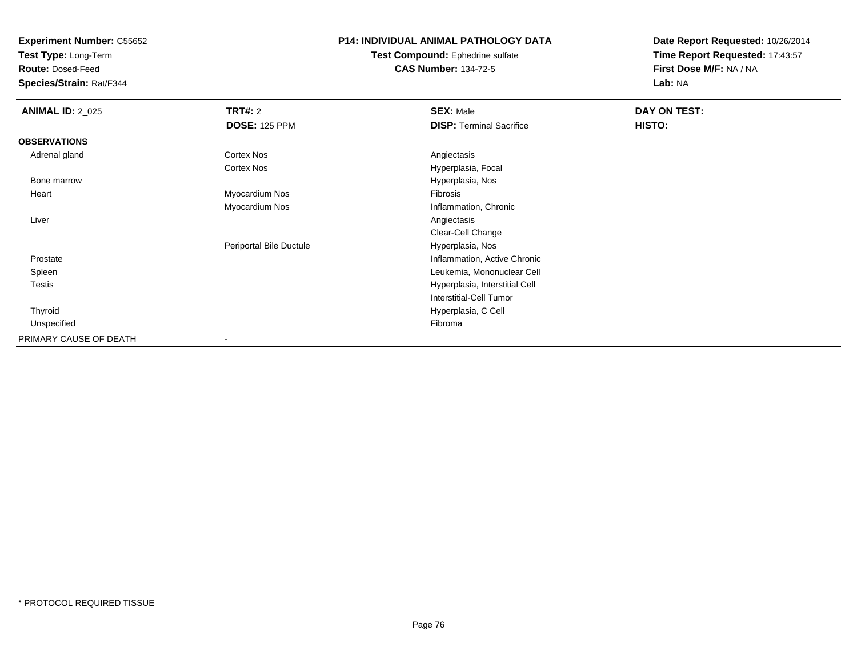**Test Type:** Long-Term

**Route:** Dosed-Feed

**Species/Strain:** Rat/F344

## **P14: INDIVIDUAL ANIMAL PATHOLOGY DATA**

**Test Compound:** Ephedrine sulfate**CAS Number:** 134-72-5

| <b>ANIMAL ID: 2_025</b> | <b>TRT#:</b> 2          | <b>SEX: Male</b>                | DAY ON TEST: |  |
|-------------------------|-------------------------|---------------------------------|--------------|--|
|                         | <b>DOSE: 125 PPM</b>    | <b>DISP: Terminal Sacrifice</b> | HISTO:       |  |
| <b>OBSERVATIONS</b>     |                         |                                 |              |  |
| Adrenal gland           | Cortex Nos              | Angiectasis                     |              |  |
|                         | Cortex Nos              | Hyperplasia, Focal              |              |  |
| Bone marrow             |                         | Hyperplasia, Nos                |              |  |
| Heart                   | Myocardium Nos          | Fibrosis                        |              |  |
|                         | Myocardium Nos          | Inflammation, Chronic           |              |  |
| Liver                   |                         | Angiectasis                     |              |  |
|                         |                         | Clear-Cell Change               |              |  |
|                         | Periportal Bile Ductule | Hyperplasia, Nos                |              |  |
| Prostate                |                         | Inflammation, Active Chronic    |              |  |
| Spleen                  |                         | Leukemia, Mononuclear Cell      |              |  |
| Testis                  |                         | Hyperplasia, Interstitial Cell  |              |  |
|                         |                         | <b>Interstitial-Cell Tumor</b>  |              |  |
| Thyroid                 |                         | Hyperplasia, C Cell             |              |  |
| Unspecified             |                         | Fibroma                         |              |  |
| PRIMARY CAUSE OF DEATH  |                         |                                 |              |  |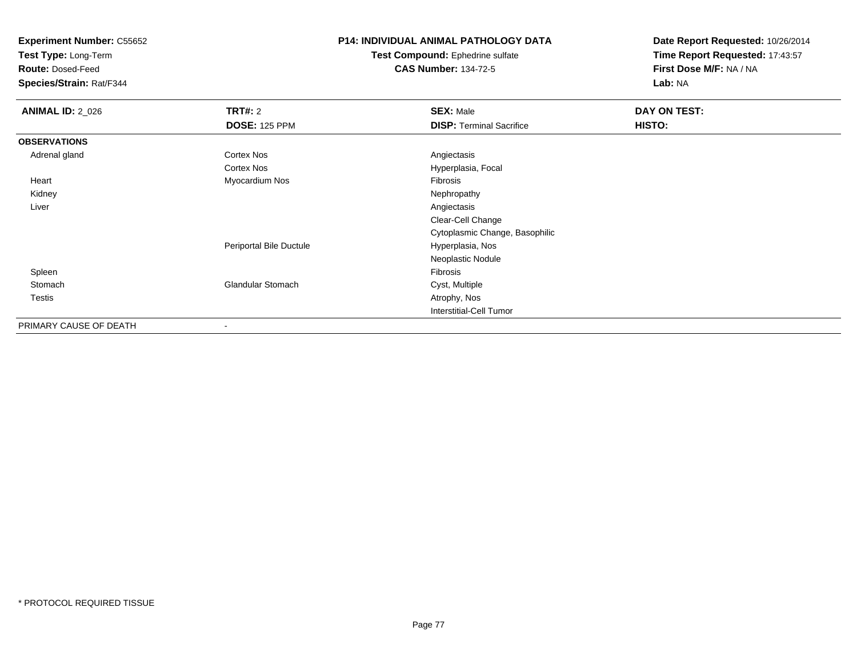**Test Type:** Long-Term

**Route:** Dosed-Feed

**Species/Strain:** Rat/F344

# **P14: INDIVIDUAL ANIMAL PATHOLOGY DATA**

**Test Compound:** Ephedrine sulfate**CAS Number:** 134-72-5

| <b>ANIMAL ID: 2_026</b> | TRT#: 2                  | <b>SEX: Male</b>                | DAY ON TEST: |  |
|-------------------------|--------------------------|---------------------------------|--------------|--|
|                         | <b>DOSE: 125 PPM</b>     | <b>DISP: Terminal Sacrifice</b> | HISTO:       |  |
| <b>OBSERVATIONS</b>     |                          |                                 |              |  |
| Adrenal gland           | <b>Cortex Nos</b>        | Angiectasis                     |              |  |
|                         | <b>Cortex Nos</b>        | Hyperplasia, Focal              |              |  |
| Heart                   | Myocardium Nos           | Fibrosis                        |              |  |
| Kidney                  |                          | Nephropathy                     |              |  |
| Liver                   |                          | Angiectasis                     |              |  |
|                         |                          | Clear-Cell Change               |              |  |
|                         |                          | Cytoplasmic Change, Basophilic  |              |  |
|                         | Periportal Bile Ductule  | Hyperplasia, Nos                |              |  |
|                         |                          | Neoplastic Nodule               |              |  |
| Spleen                  |                          | Fibrosis                        |              |  |
| Stomach                 | <b>Glandular Stomach</b> | Cyst, Multiple                  |              |  |
| Testis                  |                          | Atrophy, Nos                    |              |  |
|                         |                          | <b>Interstitial-Cell Tumor</b>  |              |  |
| PRIMARY CAUSE OF DEATH  |                          |                                 |              |  |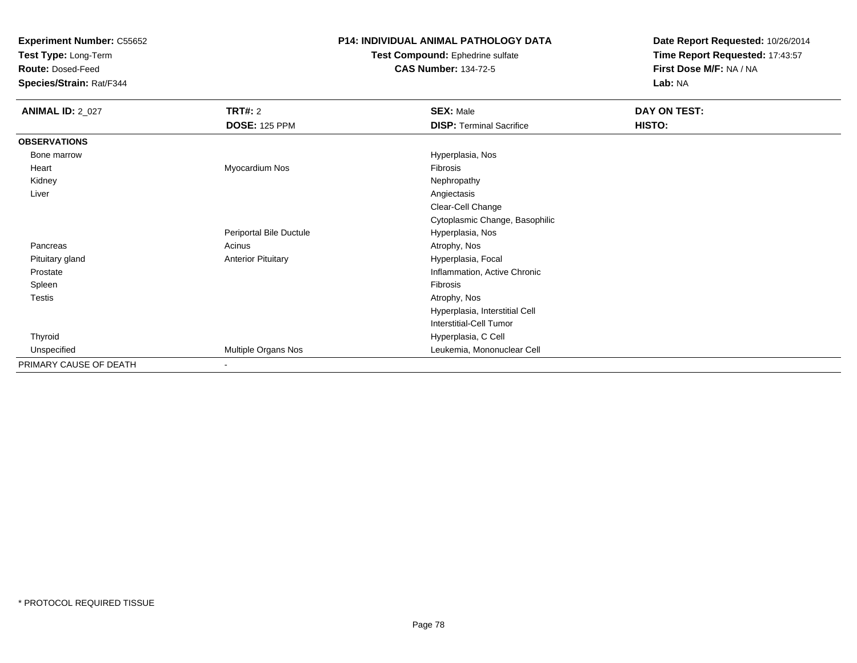**Test Type:** Long-Term

**Route:** Dosed-Feed

**Species/Strain:** Rat/F344

# **P14: INDIVIDUAL ANIMAL PATHOLOGY DATA**

#### **Test Compound:** Ephedrine sulfate**CAS Number:** 134-72-5

| <b>ANIMAL ID: 2_027</b> | <b>TRT#: 2</b>            | <b>SEX: Male</b>                | <b>DAY ON TEST:</b> |
|-------------------------|---------------------------|---------------------------------|---------------------|
|                         | <b>DOSE: 125 PPM</b>      | <b>DISP: Terminal Sacrifice</b> | HISTO:              |
| <b>OBSERVATIONS</b>     |                           |                                 |                     |
| Bone marrow             |                           | Hyperplasia, Nos                |                     |
| Heart                   | Myocardium Nos            | <b>Fibrosis</b>                 |                     |
| Kidney                  |                           | Nephropathy                     |                     |
| Liver                   |                           | Angiectasis                     |                     |
|                         |                           | Clear-Cell Change               |                     |
|                         |                           | Cytoplasmic Change, Basophilic  |                     |
|                         | Periportal Bile Ductule   | Hyperplasia, Nos                |                     |
| Pancreas                | Acinus                    | Atrophy, Nos                    |                     |
| Pituitary gland         | <b>Anterior Pituitary</b> | Hyperplasia, Focal              |                     |
| Prostate                |                           | Inflammation, Active Chronic    |                     |
| Spleen                  |                           | Fibrosis                        |                     |
| <b>Testis</b>           |                           | Atrophy, Nos                    |                     |
|                         |                           | Hyperplasia, Interstitial Cell  |                     |
|                         |                           | <b>Interstitial-Cell Tumor</b>  |                     |
| Thyroid                 |                           | Hyperplasia, C Cell             |                     |
| Unspecified             | Multiple Organs Nos       | Leukemia, Mononuclear Cell      |                     |
| PRIMARY CAUSE OF DEATH  | $\blacksquare$            |                                 |                     |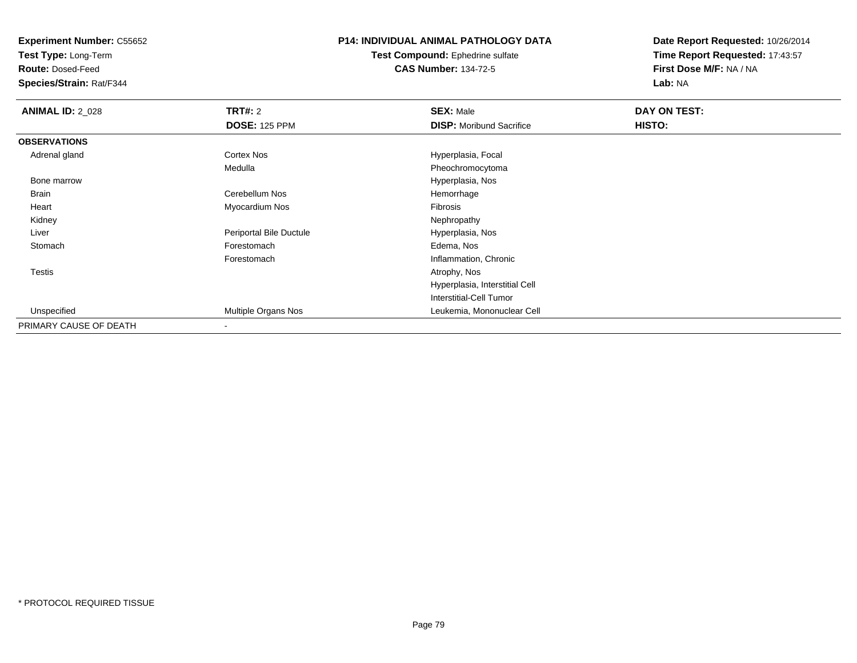**Test Type:** Long-Term

**Route:** Dosed-Feed

**Species/Strain:** Rat/F344

# **P14: INDIVIDUAL ANIMAL PATHOLOGY DATA**

**Test Compound:** Ephedrine sulfate**CAS Number:** 134-72-5

| <b>ANIMAL ID: 2_028</b> | TRT#: 2                 | <b>SEX: Male</b>                | DAY ON TEST: |  |
|-------------------------|-------------------------|---------------------------------|--------------|--|
|                         | <b>DOSE: 125 PPM</b>    | <b>DISP:</b> Moribund Sacrifice | HISTO:       |  |
| <b>OBSERVATIONS</b>     |                         |                                 |              |  |
| Adrenal gland           | <b>Cortex Nos</b>       | Hyperplasia, Focal              |              |  |
|                         | Medulla                 | Pheochromocytoma                |              |  |
| Bone marrow             |                         | Hyperplasia, Nos                |              |  |
| Brain                   | Cerebellum Nos          | Hemorrhage                      |              |  |
| Heart                   | Myocardium Nos          | Fibrosis                        |              |  |
| Kidney                  |                         | Nephropathy                     |              |  |
| Liver                   | Periportal Bile Ductule | Hyperplasia, Nos                |              |  |
| Stomach                 | Forestomach             | Edema, Nos                      |              |  |
|                         | Forestomach             | Inflammation, Chronic           |              |  |
| Testis                  |                         | Atrophy, Nos                    |              |  |
|                         |                         | Hyperplasia, Interstitial Cell  |              |  |
|                         |                         | Interstitial-Cell Tumor         |              |  |
| Unspecified             | Multiple Organs Nos     | Leukemia, Mononuclear Cell      |              |  |
| PRIMARY CAUSE OF DEATH  |                         |                                 |              |  |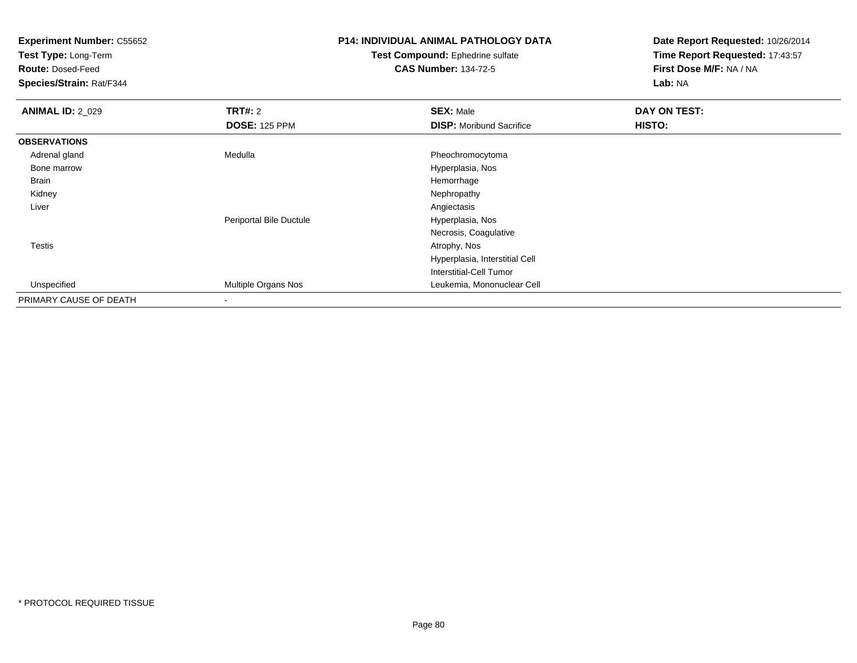**Test Type:** Long-Term

**Route:** Dosed-Feed

**Species/Strain:** Rat/F344

# **P14: INDIVIDUAL ANIMAL PATHOLOGY DATA**

#### **Test Compound:** Ephedrine sulfate**CAS Number:** 134-72-5

| <b>ANIMAL ID: 2_029</b> | TRT#: 2                 | <b>SEX: Male</b>                | DAY ON TEST: |  |
|-------------------------|-------------------------|---------------------------------|--------------|--|
|                         | <b>DOSE: 125 PPM</b>    | <b>DISP:</b> Moribund Sacrifice | HISTO:       |  |
| <b>OBSERVATIONS</b>     |                         |                                 |              |  |
| Adrenal gland           | Medulla                 | Pheochromocytoma                |              |  |
| Bone marrow             |                         | Hyperplasia, Nos                |              |  |
| Brain                   |                         | Hemorrhage                      |              |  |
| Kidney                  |                         | Nephropathy                     |              |  |
| Liver                   |                         | Angiectasis                     |              |  |
|                         | Periportal Bile Ductule | Hyperplasia, Nos                |              |  |
|                         |                         | Necrosis, Coagulative           |              |  |
| Testis                  |                         | Atrophy, Nos                    |              |  |
|                         |                         | Hyperplasia, Interstitial Cell  |              |  |
|                         |                         | Interstitial-Cell Tumor         |              |  |
| Unspecified             | Multiple Organs Nos     | Leukemia, Mononuclear Cell      |              |  |
| PRIMARY CAUSE OF DEATH  |                         |                                 |              |  |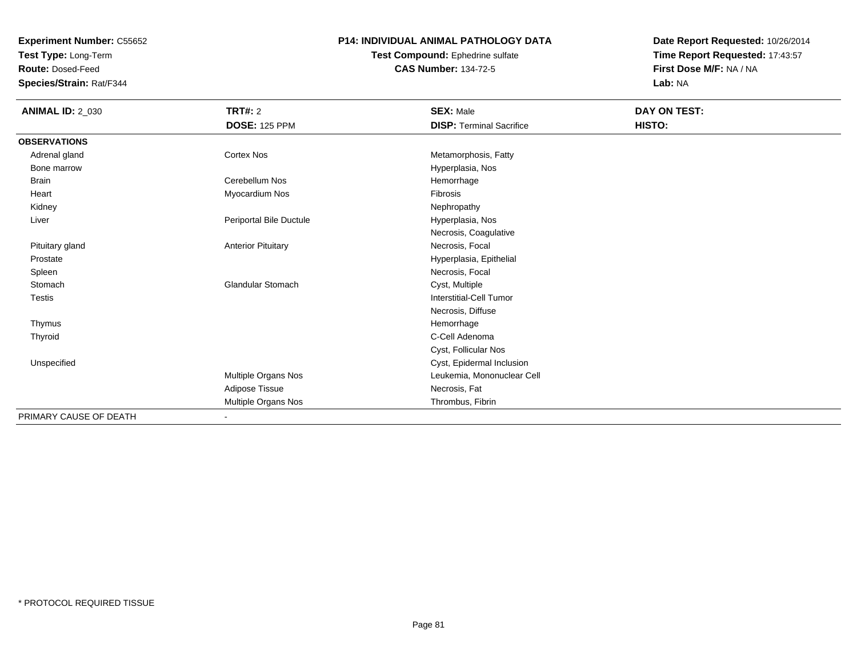**Test Type:** Long-Term

**Route:** Dosed-Feed

**Species/Strain:** Rat/F344

### **P14: INDIVIDUAL ANIMAL PATHOLOGY DATA**

**Test Compound:** Ephedrine sulfate**CAS Number:** 134-72-5

| <b>ANIMAL ID: 2_030</b> | TRT#: 2                   | <b>SEX: Male</b>                | DAY ON TEST: |
|-------------------------|---------------------------|---------------------------------|--------------|
|                         | <b>DOSE: 125 PPM</b>      | <b>DISP: Terminal Sacrifice</b> | HISTO:       |
| <b>OBSERVATIONS</b>     |                           |                                 |              |
| Adrenal gland           | Cortex Nos                | Metamorphosis, Fatty            |              |
| Bone marrow             |                           | Hyperplasia, Nos                |              |
| <b>Brain</b>            | Cerebellum Nos            | Hemorrhage                      |              |
| Heart                   | Myocardium Nos            | Fibrosis                        |              |
| Kidney                  |                           | Nephropathy                     |              |
| Liver                   | Periportal Bile Ductule   | Hyperplasia, Nos                |              |
|                         |                           | Necrosis, Coagulative           |              |
| Pituitary gland         | <b>Anterior Pituitary</b> | Necrosis, Focal                 |              |
| Prostate                |                           | Hyperplasia, Epithelial         |              |
| Spleen                  |                           | Necrosis, Focal                 |              |
| Stomach                 | <b>Glandular Stomach</b>  | Cyst, Multiple                  |              |
| <b>Testis</b>           |                           | Interstitial-Cell Tumor         |              |
|                         |                           | Necrosis, Diffuse               |              |
| Thymus                  |                           | Hemorrhage                      |              |
| Thyroid                 |                           | C-Cell Adenoma                  |              |
|                         |                           | Cyst, Follicular Nos            |              |
| Unspecified             |                           | Cyst, Epidermal Inclusion       |              |
|                         | Multiple Organs Nos       | Leukemia, Mononuclear Cell      |              |
|                         | Adipose Tissue            | Necrosis, Fat                   |              |
|                         | Multiple Organs Nos       | Thrombus, Fibrin                |              |
| PRIMARY CAUSE OF DEATH  | $\blacksquare$            |                                 |              |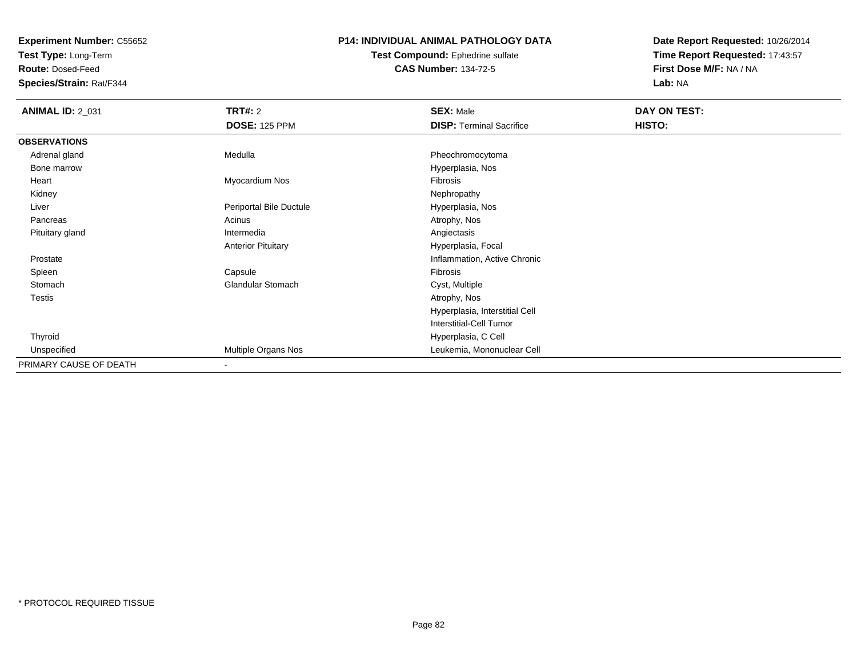**Test Type:** Long-Term

**Route:** Dosed-Feed

**Species/Strain:** Rat/F344

# **P14: INDIVIDUAL ANIMAL PATHOLOGY DATA**

**Test Compound:** Ephedrine sulfate**CAS Number:** 134-72-5

| <b>ANIMAL ID: 2_031</b> | <b>TRT#: 2</b>            | <b>SEX: Male</b>                | DAY ON TEST: |  |
|-------------------------|---------------------------|---------------------------------|--------------|--|
|                         | <b>DOSE: 125 PPM</b>      | <b>DISP: Terminal Sacrifice</b> | HISTO:       |  |
| <b>OBSERVATIONS</b>     |                           |                                 |              |  |
| Adrenal gland           | Medulla                   | Pheochromocytoma                |              |  |
| Bone marrow             |                           | Hyperplasia, Nos                |              |  |
| Heart                   | Myocardium Nos            | Fibrosis                        |              |  |
| Kidney                  |                           | Nephropathy                     |              |  |
| Liver                   | Periportal Bile Ductule   | Hyperplasia, Nos                |              |  |
| Pancreas                | Acinus                    | Atrophy, Nos                    |              |  |
| Pituitary gland         | Intermedia                | Angiectasis                     |              |  |
|                         | <b>Anterior Pituitary</b> | Hyperplasia, Focal              |              |  |
| Prostate                |                           | Inflammation, Active Chronic    |              |  |
| Spleen                  | Capsule                   | Fibrosis                        |              |  |
| Stomach                 | <b>Glandular Stomach</b>  | Cyst, Multiple                  |              |  |
| Testis                  |                           | Atrophy, Nos                    |              |  |
|                         |                           | Hyperplasia, Interstitial Cell  |              |  |
|                         |                           | <b>Interstitial-Cell Tumor</b>  |              |  |
| Thyroid                 |                           | Hyperplasia, C Cell             |              |  |
| Unspecified             | Multiple Organs Nos       | Leukemia, Mononuclear Cell      |              |  |
| PRIMARY CAUSE OF DEATH  | $\overline{\phantom{a}}$  |                                 |              |  |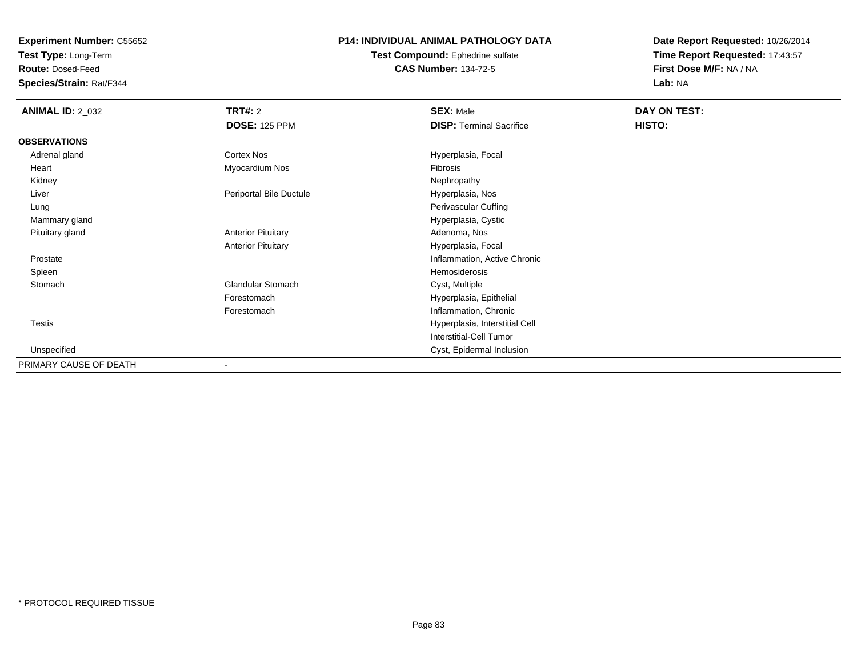**Test Type:** Long-Term

**Route:** Dosed-Feed

**Species/Strain:** Rat/F344

# **P14: INDIVIDUAL ANIMAL PATHOLOGY DATA**

**Test Compound:** Ephedrine sulfate**CAS Number:** 134-72-5

| <b>ANIMAL ID: 2_032</b> | <b>TRT#: 2</b>            | <b>SEX: Male</b>                | DAY ON TEST: |  |
|-------------------------|---------------------------|---------------------------------|--------------|--|
|                         | <b>DOSE: 125 PPM</b>      | <b>DISP: Terminal Sacrifice</b> | HISTO:       |  |
| <b>OBSERVATIONS</b>     |                           |                                 |              |  |
| Adrenal gland           | Cortex Nos                | Hyperplasia, Focal              |              |  |
| Heart                   | Myocardium Nos            | Fibrosis                        |              |  |
| Kidney                  |                           | Nephropathy                     |              |  |
| Liver                   | Periportal Bile Ductule   | Hyperplasia, Nos                |              |  |
| Lung                    |                           | Perivascular Cuffing            |              |  |
| Mammary gland           |                           | Hyperplasia, Cystic             |              |  |
| Pituitary gland         | <b>Anterior Pituitary</b> | Adenoma, Nos                    |              |  |
|                         | <b>Anterior Pituitary</b> | Hyperplasia, Focal              |              |  |
| Prostate                |                           | Inflammation, Active Chronic    |              |  |
| Spleen                  |                           | Hemosiderosis                   |              |  |
| Stomach                 | <b>Glandular Stomach</b>  | Cyst, Multiple                  |              |  |
|                         | Forestomach               | Hyperplasia, Epithelial         |              |  |
|                         | Forestomach               | Inflammation, Chronic           |              |  |
| <b>Testis</b>           |                           | Hyperplasia, Interstitial Cell  |              |  |
|                         |                           | Interstitial-Cell Tumor         |              |  |
| Unspecified             |                           | Cyst, Epidermal Inclusion       |              |  |
| PRIMARY CAUSE OF DEATH  |                           |                                 |              |  |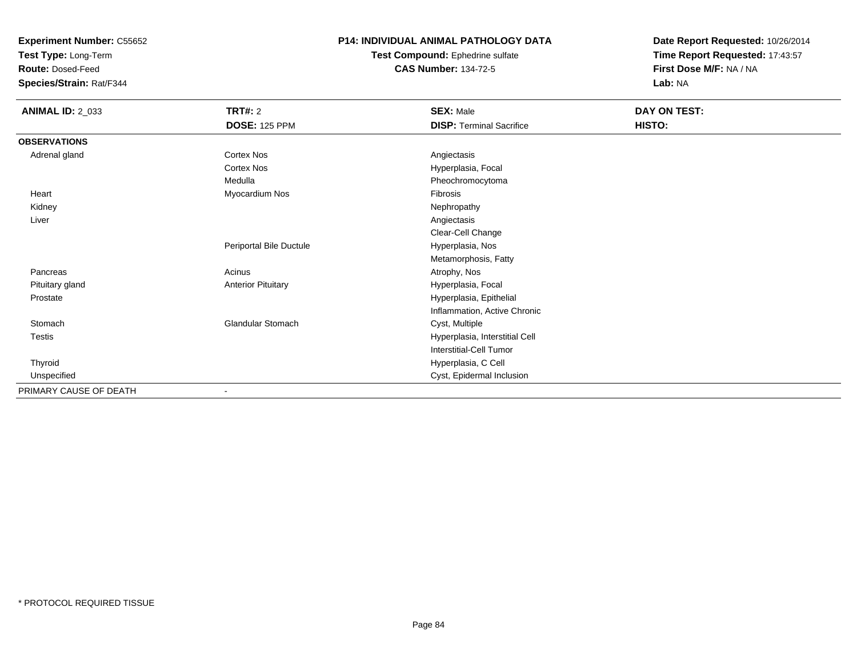**Test Type:** Long-Term

**Route:** Dosed-Feed

**Species/Strain:** Rat/F344

## **P14: INDIVIDUAL ANIMAL PATHOLOGY DATA**

**Test Compound:** Ephedrine sulfate**CAS Number:** 134-72-5

| <b>ANIMAL ID: 2_033</b> | <b>TRT#: 2</b>            | <b>SEX: Male</b>                | DAY ON TEST: |  |
|-------------------------|---------------------------|---------------------------------|--------------|--|
|                         | <b>DOSE: 125 PPM</b>      | <b>DISP: Terminal Sacrifice</b> | HISTO:       |  |
| <b>OBSERVATIONS</b>     |                           |                                 |              |  |
| Adrenal gland           | Cortex Nos                | Angiectasis                     |              |  |
|                         | Cortex Nos                | Hyperplasia, Focal              |              |  |
|                         | Medulla                   | Pheochromocytoma                |              |  |
| Heart                   | Myocardium Nos            | Fibrosis                        |              |  |
| Kidney                  |                           | Nephropathy                     |              |  |
| Liver                   |                           | Angiectasis                     |              |  |
|                         |                           | Clear-Cell Change               |              |  |
|                         | Periportal Bile Ductule   | Hyperplasia, Nos                |              |  |
|                         |                           | Metamorphosis, Fatty            |              |  |
| Pancreas                | Acinus                    | Atrophy, Nos                    |              |  |
| Pituitary gland         | <b>Anterior Pituitary</b> | Hyperplasia, Focal              |              |  |
| Prostate                |                           | Hyperplasia, Epithelial         |              |  |
|                         |                           | Inflammation, Active Chronic    |              |  |
| Stomach                 | Glandular Stomach         | Cyst, Multiple                  |              |  |
| Testis                  |                           | Hyperplasia, Interstitial Cell  |              |  |
|                         |                           | <b>Interstitial-Cell Tumor</b>  |              |  |
| Thyroid                 |                           | Hyperplasia, C Cell             |              |  |
| Unspecified             |                           | Cyst, Epidermal Inclusion       |              |  |
| PRIMARY CAUSE OF DEATH  | $\overline{\phantom{a}}$  |                                 |              |  |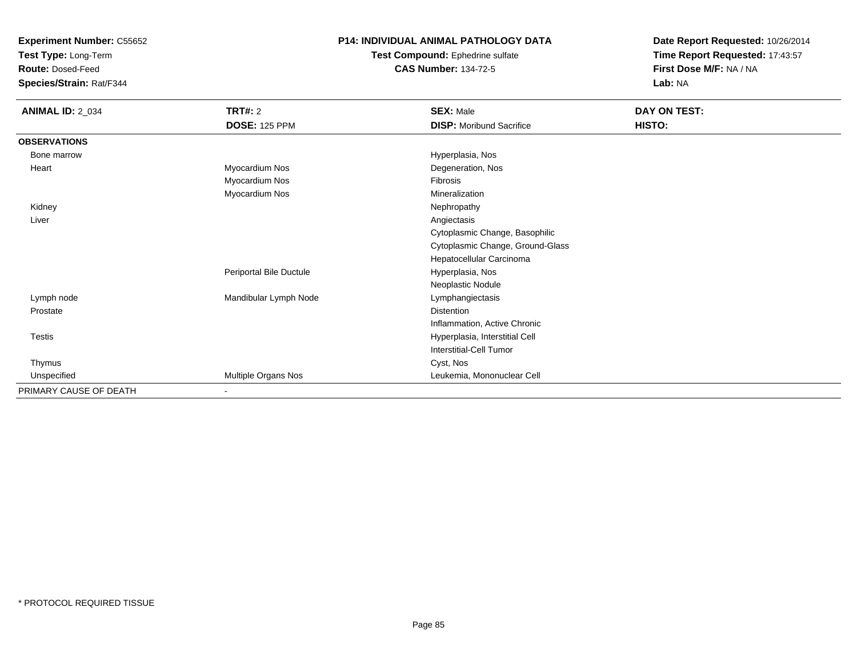**Test Type:** Long-Term

**Route:** Dosed-Feed

**Species/Strain:** Rat/F344

# **P14: INDIVIDUAL ANIMAL PATHOLOGY DATA**

**Test Compound:** Ephedrine sulfate**CAS Number:** 134-72-5

| <b>ANIMAL ID: 2_034</b> | <b>TRT#: 2</b><br><b>DOSE: 125 PPM</b> | <b>SEX: Male</b><br><b>DISP:</b> Moribund Sacrifice | <b>DAY ON TEST:</b><br>HISTO: |
|-------------------------|----------------------------------------|-----------------------------------------------------|-------------------------------|
| <b>OBSERVATIONS</b>     |                                        |                                                     |                               |
| Bone marrow             |                                        | Hyperplasia, Nos                                    |                               |
| Heart                   | Myocardium Nos                         | Degeneration, Nos                                   |                               |
|                         | Myocardium Nos                         | Fibrosis                                            |                               |
|                         | Myocardium Nos                         | Mineralization                                      |                               |
| Kidney                  |                                        | Nephropathy                                         |                               |
| Liver                   |                                        | Angiectasis                                         |                               |
|                         |                                        | Cytoplasmic Change, Basophilic                      |                               |
|                         |                                        | Cytoplasmic Change, Ground-Glass                    |                               |
|                         |                                        | Hepatocellular Carcinoma                            |                               |
|                         | Periportal Bile Ductule                | Hyperplasia, Nos                                    |                               |
|                         |                                        | Neoplastic Nodule                                   |                               |
| Lymph node              | Mandibular Lymph Node                  | Lymphangiectasis                                    |                               |
| Prostate                |                                        | <b>Distention</b>                                   |                               |
|                         |                                        | Inflammation, Active Chronic                        |                               |
| Testis                  |                                        | Hyperplasia, Interstitial Cell                      |                               |
|                         |                                        | Interstitial-Cell Tumor                             |                               |
| Thymus                  |                                        | Cyst, Nos                                           |                               |
| Unspecified             | Multiple Organs Nos                    | Leukemia, Mononuclear Cell                          |                               |
| PRIMARY CAUSE OF DEATH  | ٠                                      |                                                     |                               |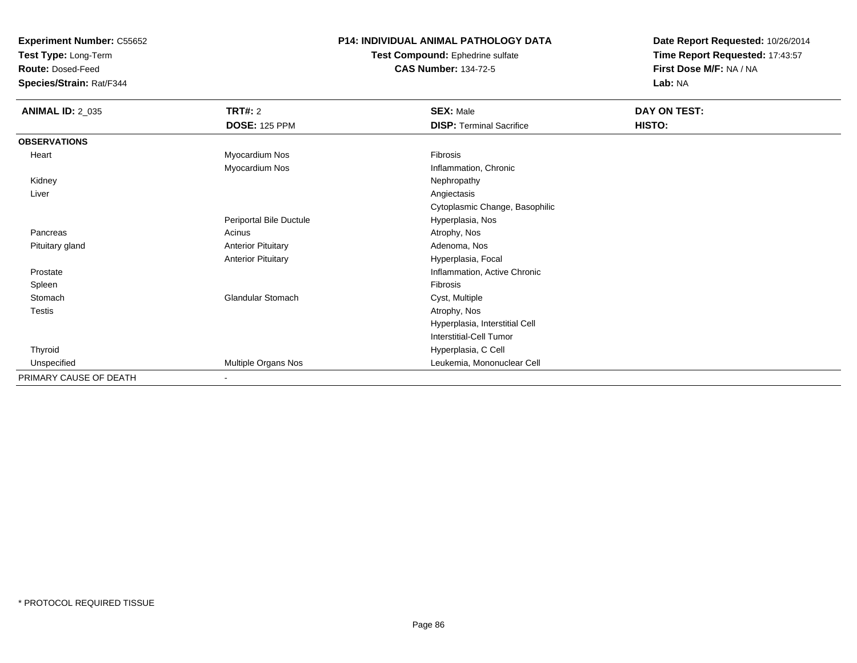**Test Type:** Long-Term

**Route:** Dosed-Feed

**Species/Strain:** Rat/F344

### **P14: INDIVIDUAL ANIMAL PATHOLOGY DATA**

#### **Test Compound:** Ephedrine sulfate**CAS Number:** 134-72-5

| <b>ANIMAL ID: 2_035</b> | TRT#: 2                   | <b>SEX: Male</b>                | DAY ON TEST: |
|-------------------------|---------------------------|---------------------------------|--------------|
|                         | <b>DOSE: 125 PPM</b>      | <b>DISP: Terminal Sacrifice</b> | HISTO:       |
| <b>OBSERVATIONS</b>     |                           |                                 |              |
| Heart                   | Myocardium Nos            | Fibrosis                        |              |
|                         | Myocardium Nos            | Inflammation, Chronic           |              |
| Kidney                  |                           | Nephropathy                     |              |
| Liver                   |                           | Angiectasis                     |              |
|                         |                           | Cytoplasmic Change, Basophilic  |              |
|                         | Periportal Bile Ductule   | Hyperplasia, Nos                |              |
| Pancreas                | Acinus                    | Atrophy, Nos                    |              |
| Pituitary gland         | <b>Anterior Pituitary</b> | Adenoma, Nos                    |              |
|                         | <b>Anterior Pituitary</b> | Hyperplasia, Focal              |              |
| Prostate                |                           | Inflammation, Active Chronic    |              |
| Spleen                  |                           | Fibrosis                        |              |
| Stomach                 | <b>Glandular Stomach</b>  | Cyst, Multiple                  |              |
| Testis                  |                           | Atrophy, Nos                    |              |
|                         |                           | Hyperplasia, Interstitial Cell  |              |
|                         |                           | <b>Interstitial-Cell Tumor</b>  |              |
| Thyroid                 |                           | Hyperplasia, C Cell             |              |
| Unspecified             | Multiple Organs Nos       | Leukemia, Mononuclear Cell      |              |
| PRIMARY CAUSE OF DEATH  | $\sim$                    |                                 |              |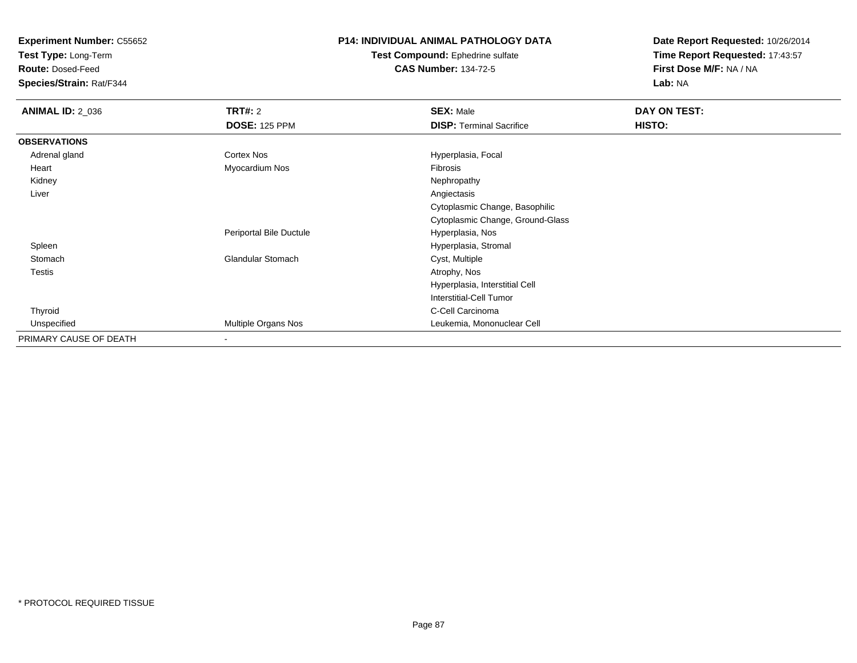**Test Type:** Long-Term

**Route:** Dosed-Feed

**Species/Strain:** Rat/F344

# **P14: INDIVIDUAL ANIMAL PATHOLOGY DATA**

#### **Test Compound:** Ephedrine sulfate**CAS Number:** 134-72-5

| <b>ANIMAL ID: 2_036</b> | <b>TRT#: 2</b>           | <b>SEX: Male</b>                 | DAY ON TEST: |  |
|-------------------------|--------------------------|----------------------------------|--------------|--|
|                         | <b>DOSE: 125 PPM</b>     | <b>DISP: Terminal Sacrifice</b>  | HISTO:       |  |
| <b>OBSERVATIONS</b>     |                          |                                  |              |  |
| Adrenal gland           | Cortex Nos               | Hyperplasia, Focal               |              |  |
| Heart                   | Myocardium Nos           | Fibrosis                         |              |  |
| Kidney                  |                          | Nephropathy                      |              |  |
| Liver                   |                          | Angiectasis                      |              |  |
|                         |                          | Cytoplasmic Change, Basophilic   |              |  |
|                         |                          | Cytoplasmic Change, Ground-Glass |              |  |
|                         | Periportal Bile Ductule  | Hyperplasia, Nos                 |              |  |
| Spleen                  |                          | Hyperplasia, Stromal             |              |  |
| Stomach                 | <b>Glandular Stomach</b> | Cyst, Multiple                   |              |  |
| <b>Testis</b>           |                          | Atrophy, Nos                     |              |  |
|                         |                          | Hyperplasia, Interstitial Cell   |              |  |
|                         |                          | Interstitial-Cell Tumor          |              |  |
| Thyroid                 |                          | C-Cell Carcinoma                 |              |  |
| Unspecified             | Multiple Organs Nos      | Leukemia, Mononuclear Cell       |              |  |
| PRIMARY CAUSE OF DEATH  | $\overline{\phantom{a}}$ |                                  |              |  |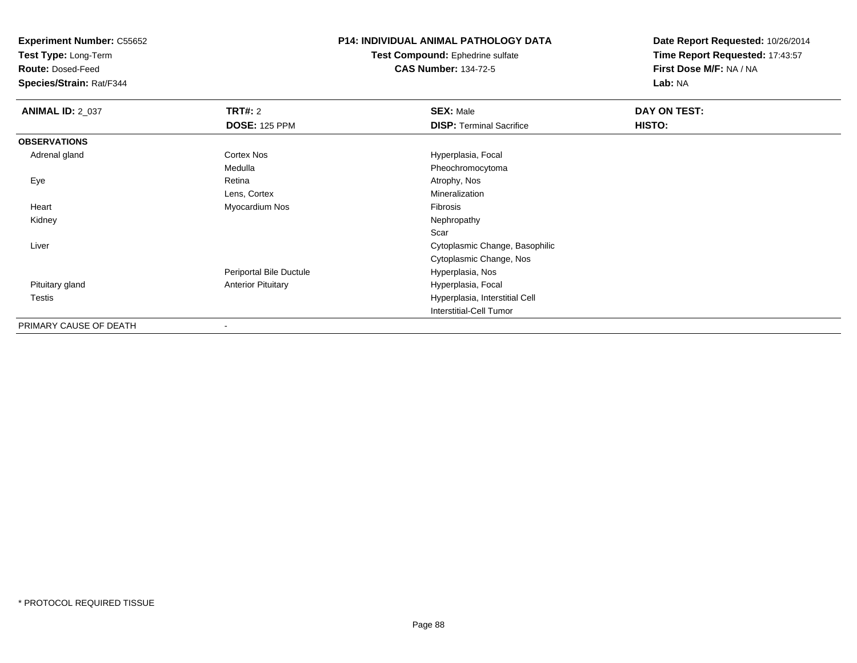**Test Type:** Long-Term

**Route:** Dosed-Feed

**Species/Strain:** Rat/F344

# **P14: INDIVIDUAL ANIMAL PATHOLOGY DATA**

**Test Compound:** Ephedrine sulfate**CAS Number:** 134-72-5

| <b>ANIMAL ID: 2_037</b> | <b>TRT#: 2</b>            | <b>SEX: Male</b>                | DAY ON TEST: |  |
|-------------------------|---------------------------|---------------------------------|--------------|--|
|                         | <b>DOSE: 125 PPM</b>      | <b>DISP: Terminal Sacrifice</b> | HISTO:       |  |
| <b>OBSERVATIONS</b>     |                           |                                 |              |  |
| Adrenal gland           | Cortex Nos                | Hyperplasia, Focal              |              |  |
|                         | Medulla                   | Pheochromocytoma                |              |  |
| Eye                     | Retina                    | Atrophy, Nos                    |              |  |
|                         | Lens, Cortex              | Mineralization                  |              |  |
| Heart                   | Myocardium Nos            | Fibrosis                        |              |  |
| Kidney                  |                           | Nephropathy                     |              |  |
|                         |                           | Scar                            |              |  |
| Liver                   |                           | Cytoplasmic Change, Basophilic  |              |  |
|                         |                           | Cytoplasmic Change, Nos         |              |  |
|                         | Periportal Bile Ductule   | Hyperplasia, Nos                |              |  |
| Pituitary gland         | <b>Anterior Pituitary</b> | Hyperplasia, Focal              |              |  |
| <b>Testis</b>           |                           | Hyperplasia, Interstitial Cell  |              |  |
|                         |                           | Interstitial-Cell Tumor         |              |  |
| PRIMARY CAUSE OF DEATH  |                           |                                 |              |  |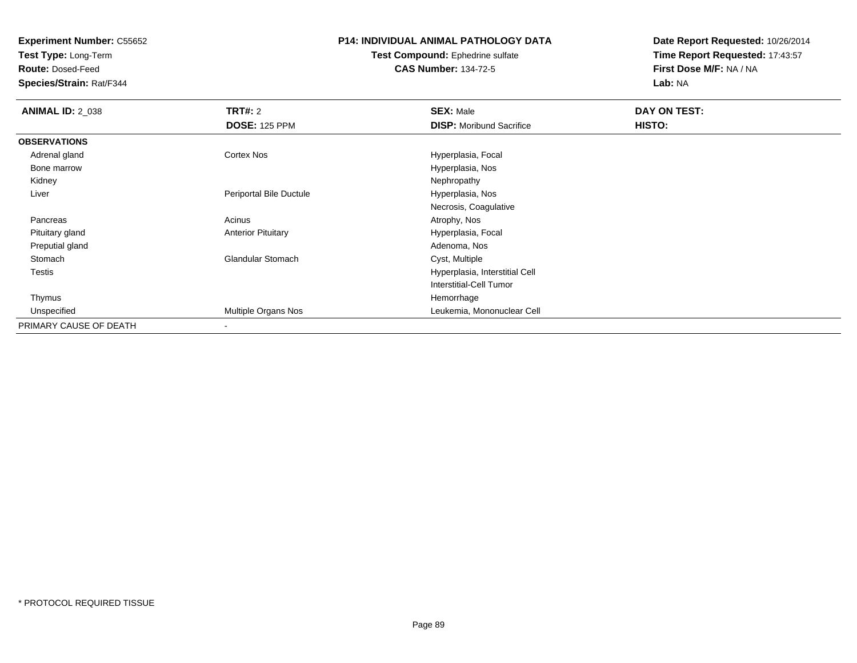**Test Type:** Long-Term

**Route:** Dosed-Feed

**Species/Strain:** Rat/F344

# **P14: INDIVIDUAL ANIMAL PATHOLOGY DATA**

#### **Test Compound:** Ephedrine sulfate**CAS Number:** 134-72-5

| <b>ANIMAL ID: 2_038</b> | <b>TRT#: 2</b>            | <b>SEX: Male</b>                | DAY ON TEST: |  |
|-------------------------|---------------------------|---------------------------------|--------------|--|
|                         | <b>DOSE: 125 PPM</b>      | <b>DISP:</b> Moribund Sacrifice | HISTO:       |  |
| <b>OBSERVATIONS</b>     |                           |                                 |              |  |
| Adrenal gland           | <b>Cortex Nos</b>         | Hyperplasia, Focal              |              |  |
| Bone marrow             |                           | Hyperplasia, Nos                |              |  |
| Kidney                  |                           | Nephropathy                     |              |  |
| Liver                   | Periportal Bile Ductule   | Hyperplasia, Nos                |              |  |
|                         |                           | Necrosis, Coagulative           |              |  |
| Pancreas                | Acinus                    | Atrophy, Nos                    |              |  |
| Pituitary gland         | <b>Anterior Pituitary</b> | Hyperplasia, Focal              |              |  |
| Preputial gland         |                           | Adenoma, Nos                    |              |  |
| Stomach                 | <b>Glandular Stomach</b>  | Cyst, Multiple                  |              |  |
| Testis                  |                           | Hyperplasia, Interstitial Cell  |              |  |
|                         |                           | Interstitial-Cell Tumor         |              |  |
| Thymus                  |                           | Hemorrhage                      |              |  |
| Unspecified             | Multiple Organs Nos       | Leukemia, Mononuclear Cell      |              |  |
| PRIMARY CAUSE OF DEATH  | $\,$                      |                                 |              |  |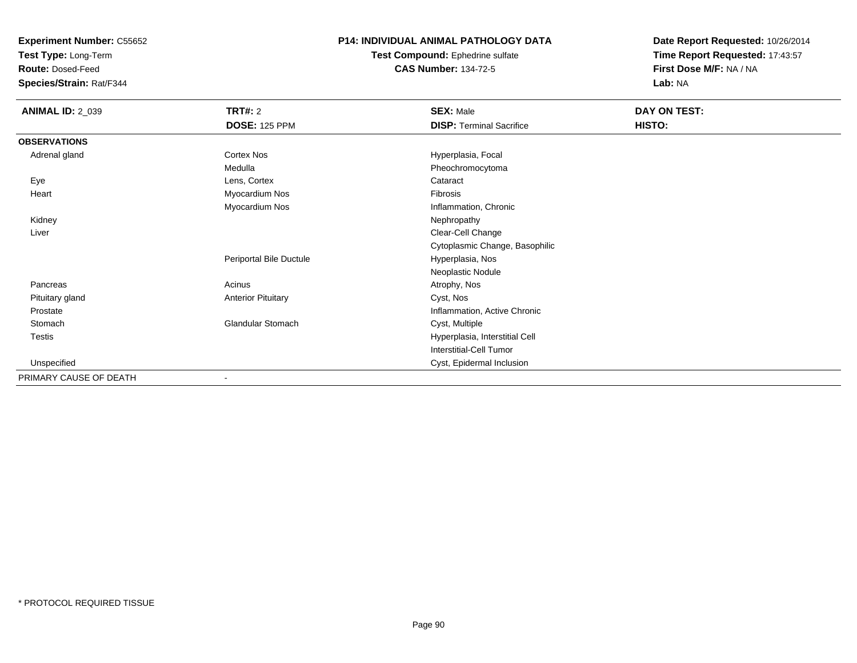**Test Type:** Long-Term

**Route:** Dosed-Feed

**Species/Strain:** Rat/F344

# **P14: INDIVIDUAL ANIMAL PATHOLOGY DATA**

**Test Compound:** Ephedrine sulfate**CAS Number:** 134-72-5

| <b>ANIMAL ID: 2_039</b> | <b>TRT#: 2</b>            | <b>SEX: Male</b>                | DAY ON TEST: |
|-------------------------|---------------------------|---------------------------------|--------------|
|                         | <b>DOSE: 125 PPM</b>      | <b>DISP: Terminal Sacrifice</b> | HISTO:       |
| <b>OBSERVATIONS</b>     |                           |                                 |              |
| Adrenal gland           | Cortex Nos                | Hyperplasia, Focal              |              |
|                         | Medulla                   | Pheochromocytoma                |              |
| Eye                     | Lens, Cortex              | Cataract                        |              |
| Heart                   | Myocardium Nos            | Fibrosis                        |              |
|                         | Myocardium Nos            | Inflammation, Chronic           |              |
| Kidney                  |                           | Nephropathy                     |              |
| Liver                   |                           | Clear-Cell Change               |              |
|                         |                           | Cytoplasmic Change, Basophilic  |              |
|                         | Periportal Bile Ductule   | Hyperplasia, Nos                |              |
|                         |                           | Neoplastic Nodule               |              |
| Pancreas                | Acinus                    | Atrophy, Nos                    |              |
| Pituitary gland         | <b>Anterior Pituitary</b> | Cyst, Nos                       |              |
| Prostate                |                           | Inflammation, Active Chronic    |              |
| Stomach                 | <b>Glandular Stomach</b>  | Cyst, Multiple                  |              |
| Testis                  |                           | Hyperplasia, Interstitial Cell  |              |
|                         |                           | Interstitial-Cell Tumor         |              |
| Unspecified             |                           | Cyst, Epidermal Inclusion       |              |
| PRIMARY CAUSE OF DEATH  | $\blacksquare$            |                                 |              |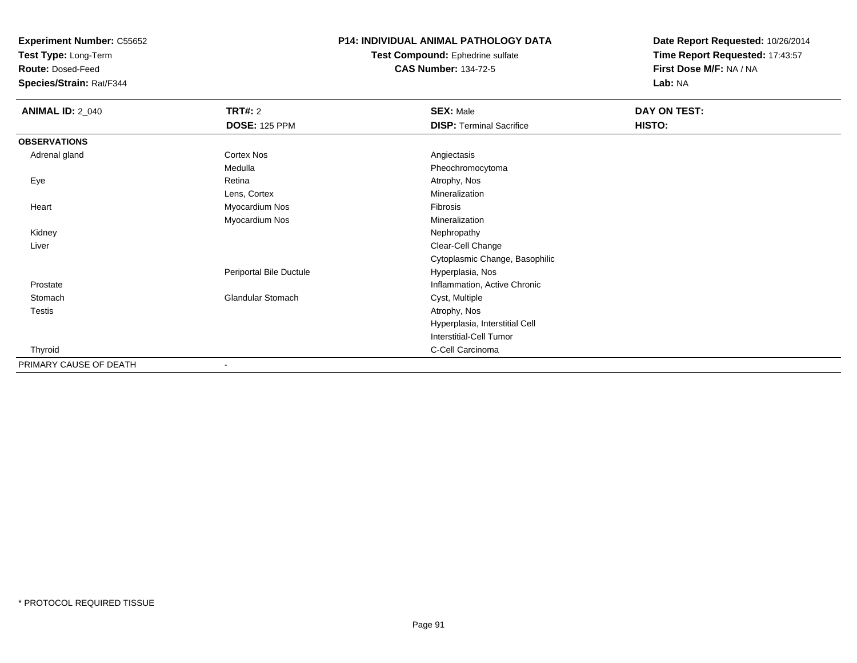**Test Type:** Long-Term

**Route:** Dosed-Feed

**Species/Strain:** Rat/F344

# **P14: INDIVIDUAL ANIMAL PATHOLOGY DATA**

**Test Compound:** Ephedrine sulfate**CAS Number:** 134-72-5

| <b>ANIMAL ID: 2_040</b> | <b>TRT#: 2</b>           | <b>SEX: Male</b>                | DAY ON TEST: |  |
|-------------------------|--------------------------|---------------------------------|--------------|--|
|                         | <b>DOSE: 125 PPM</b>     | <b>DISP: Terminal Sacrifice</b> | HISTO:       |  |
| <b>OBSERVATIONS</b>     |                          |                                 |              |  |
| Adrenal gland           | Cortex Nos               | Angiectasis                     |              |  |
|                         | Medulla                  | Pheochromocytoma                |              |  |
| Eye                     | Retina                   | Atrophy, Nos                    |              |  |
|                         | Lens, Cortex             | Mineralization                  |              |  |
| Heart                   | Myocardium Nos           | Fibrosis                        |              |  |
|                         | Myocardium Nos           | Mineralization                  |              |  |
| Kidney                  |                          | Nephropathy                     |              |  |
| Liver                   |                          | Clear-Cell Change               |              |  |
|                         |                          | Cytoplasmic Change, Basophilic  |              |  |
|                         | Periportal Bile Ductule  | Hyperplasia, Nos                |              |  |
| Prostate                |                          | Inflammation, Active Chronic    |              |  |
| Stomach                 | <b>Glandular Stomach</b> | Cyst, Multiple                  |              |  |
| <b>Testis</b>           |                          | Atrophy, Nos                    |              |  |
|                         |                          | Hyperplasia, Interstitial Cell  |              |  |
|                         |                          | <b>Interstitial-Cell Tumor</b>  |              |  |
| Thyroid                 |                          | C-Cell Carcinoma                |              |  |
| PRIMARY CAUSE OF DEATH  |                          |                                 |              |  |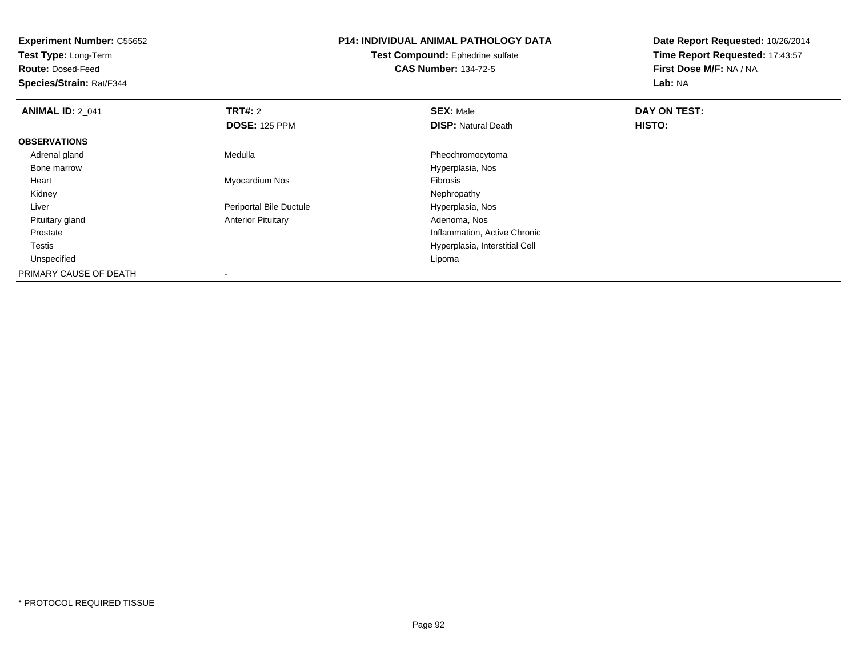| <b>Experiment Number: C55652</b><br>Test Type: Long-Term |                           | <b>P14: INDIVIDUAL ANIMAL PATHOLOGY DATA</b> | Date Report Requested: 10/26/2014 |
|----------------------------------------------------------|---------------------------|----------------------------------------------|-----------------------------------|
|                                                          |                           | Test Compound: Ephedrine sulfate             | Time Report Requested: 17:43:57   |
| <b>Route: Dosed-Feed</b>                                 |                           | <b>CAS Number: 134-72-5</b>                  | First Dose M/F: NA / NA           |
| Species/Strain: Rat/F344                                 |                           |                                              | Lab: NA                           |
| <b>ANIMAL ID: 2_041</b>                                  | <b>TRT#: 2</b>            | <b>SEX: Male</b>                             | DAY ON TEST:                      |
|                                                          | <b>DOSE: 125 PPM</b>      | <b>DISP: Natural Death</b>                   | HISTO:                            |
| <b>OBSERVATIONS</b>                                      |                           |                                              |                                   |
| Adrenal gland                                            | Medulla                   | Pheochromocytoma                             |                                   |
| Bone marrow                                              |                           | Hyperplasia, Nos                             |                                   |
| Heart                                                    | Myocardium Nos            | Fibrosis                                     |                                   |
| Kidney                                                   |                           | Nephropathy                                  |                                   |
| Liver                                                    | Periportal Bile Ductule   | Hyperplasia, Nos                             |                                   |
| Pituitary gland                                          | <b>Anterior Pituitary</b> | Adenoma, Nos                                 |                                   |
| Prostate                                                 |                           | Inflammation, Active Chronic                 |                                   |
| Testis                                                   |                           | Hyperplasia, Interstitial Cell               |                                   |
| Unspecified                                              |                           | Lipoma                                       |                                   |
| PRIMARY CAUSE OF DEATH                                   |                           |                                              |                                   |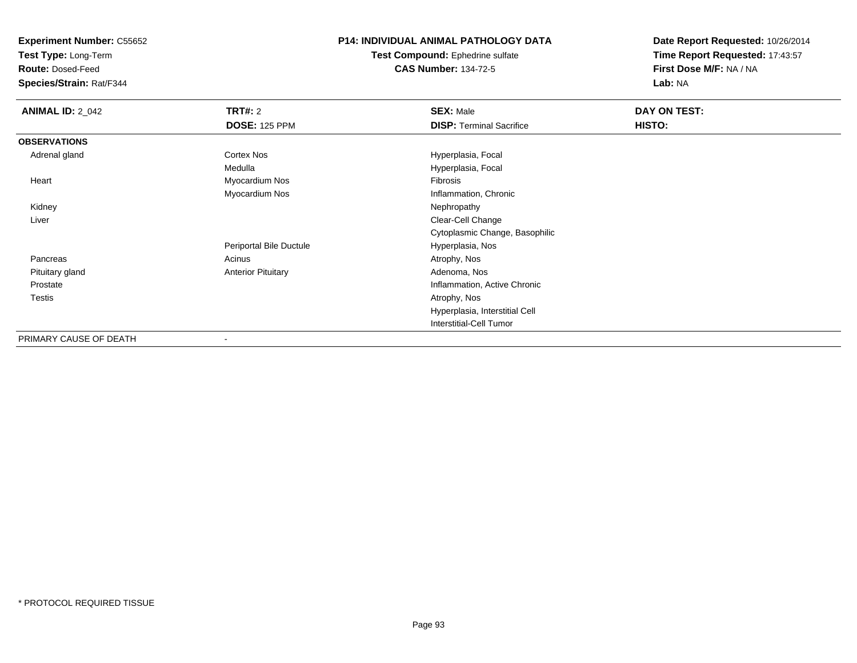**Test Type:** Long-Term

**Route:** Dosed-Feed

**Species/Strain:** Rat/F344

# **P14: INDIVIDUAL ANIMAL PATHOLOGY DATA**

**Test Compound:** Ephedrine sulfate**CAS Number:** 134-72-5

| <b>ANIMAL ID: 2_042</b> | <b>TRT#: 2</b>            | <b>SEX: Male</b>                | DAY ON TEST: |  |
|-------------------------|---------------------------|---------------------------------|--------------|--|
|                         | <b>DOSE: 125 PPM</b>      | <b>DISP: Terminal Sacrifice</b> | HISTO:       |  |
| <b>OBSERVATIONS</b>     |                           |                                 |              |  |
| Adrenal gland           | <b>Cortex Nos</b>         | Hyperplasia, Focal              |              |  |
|                         | Medulla                   | Hyperplasia, Focal              |              |  |
| Heart                   | Myocardium Nos            | Fibrosis                        |              |  |
|                         | Myocardium Nos            | Inflammation, Chronic           |              |  |
| Kidney                  |                           | Nephropathy                     |              |  |
| Liver                   |                           | Clear-Cell Change               |              |  |
|                         |                           | Cytoplasmic Change, Basophilic  |              |  |
|                         | Periportal Bile Ductule   | Hyperplasia, Nos                |              |  |
| Pancreas                | Acinus                    | Atrophy, Nos                    |              |  |
| Pituitary gland         | <b>Anterior Pituitary</b> | Adenoma, Nos                    |              |  |
| Prostate                |                           | Inflammation, Active Chronic    |              |  |
| Testis                  |                           | Atrophy, Nos                    |              |  |
|                         |                           | Hyperplasia, Interstitial Cell  |              |  |
|                         |                           | <b>Interstitial-Cell Tumor</b>  |              |  |
| PRIMARY CAUSE OF DEATH  | $\,$                      |                                 |              |  |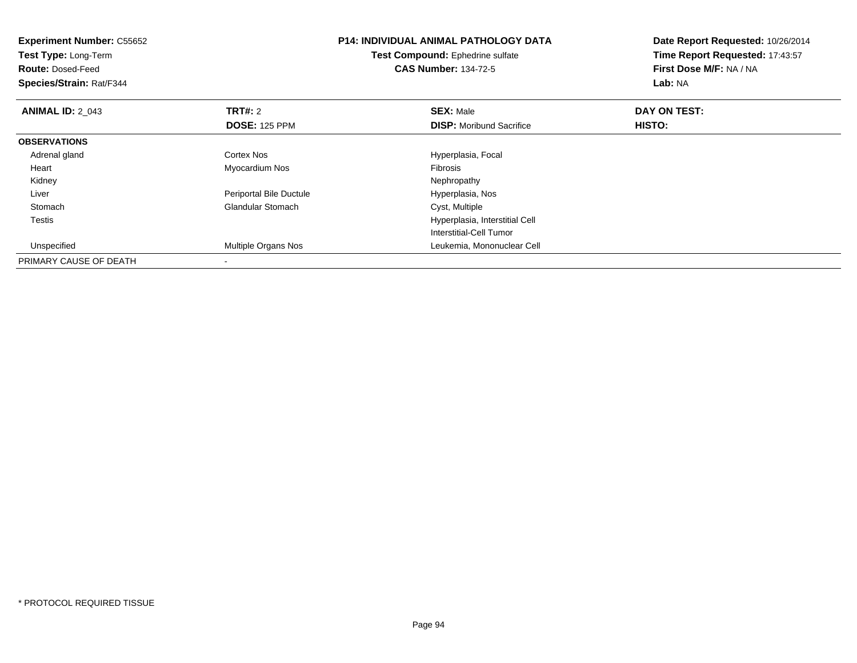| <b>Experiment Number: C55652</b> |                         | <b>P14: INDIVIDUAL ANIMAL PATHOLOGY DATA</b> | Date Report Requested: 10/26/2014 |
|----------------------------------|-------------------------|----------------------------------------------|-----------------------------------|
| Test Type: Long-Term             |                         | Test Compound: Ephedrine sulfate             | Time Report Requested: 17:43:57   |
| <b>Route: Dosed-Feed</b>         |                         | <b>CAS Number: 134-72-5</b>                  | First Dose M/F: NA / NA           |
| <b>Species/Strain: Rat/F344</b>  |                         |                                              | Lab: NA                           |
| <b>ANIMAL ID: 2 043</b>          | <b>TRT#: 2</b>          | <b>SEX: Male</b>                             | DAY ON TEST:                      |
|                                  | <b>DOSE: 125 PPM</b>    | <b>DISP:</b> Moribund Sacrifice              | <b>HISTO:</b>                     |
| <b>OBSERVATIONS</b>              |                         |                                              |                                   |
| Adrenal gland                    | Cortex Nos              | Hyperplasia, Focal                           |                                   |
| Heart                            | Myocardium Nos          | <b>Fibrosis</b>                              |                                   |
| Kidney                           |                         | Nephropathy                                  |                                   |
| Liver                            | Periportal Bile Ductule | Hyperplasia, Nos                             |                                   |
| Stomach                          | Glandular Stomach       | Cyst, Multiple                               |                                   |
| Testis                           |                         | Hyperplasia, Interstitial Cell               |                                   |
|                                  |                         | Interstitial-Cell Tumor                      |                                   |
| Unspecified                      | Multiple Organs Nos     | Leukemia, Mononuclear Cell                   |                                   |
| PRIMARY CAUSE OF DEATH           |                         |                                              |                                   |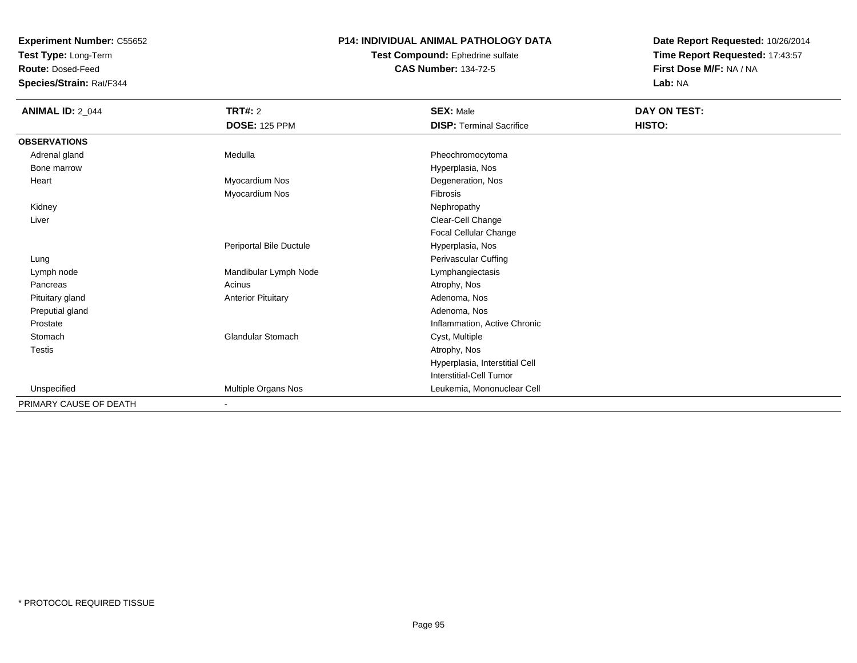**Test Type:** Long-Term

**Route:** Dosed-Feed

**Species/Strain:** Rat/F344

### **P14: INDIVIDUAL ANIMAL PATHOLOGY DATA**

**Test Compound:** Ephedrine sulfate**CAS Number:** 134-72-5

| <b>ANIMAL ID: 2_044</b> | TRT#: 2                   | <b>SEX: Male</b>                | DAY ON TEST: |  |
|-------------------------|---------------------------|---------------------------------|--------------|--|
|                         | <b>DOSE: 125 PPM</b>      | <b>DISP: Terminal Sacrifice</b> | HISTO:       |  |
| <b>OBSERVATIONS</b>     |                           |                                 |              |  |
| Adrenal gland           | Medulla                   | Pheochromocytoma                |              |  |
| Bone marrow             |                           | Hyperplasia, Nos                |              |  |
| Heart                   | Myocardium Nos            | Degeneration, Nos               |              |  |
|                         | Myocardium Nos            | Fibrosis                        |              |  |
| Kidney                  |                           | Nephropathy                     |              |  |
| Liver                   |                           | Clear-Cell Change               |              |  |
|                         |                           | Focal Cellular Change           |              |  |
|                         | Periportal Bile Ductule   | Hyperplasia, Nos                |              |  |
| Lung                    |                           | Perivascular Cuffing            |              |  |
| Lymph node              | Mandibular Lymph Node     | Lymphangiectasis                |              |  |
| Pancreas                | Acinus                    | Atrophy, Nos                    |              |  |
| Pituitary gland         | <b>Anterior Pituitary</b> | Adenoma, Nos                    |              |  |
| Preputial gland         |                           | Adenoma, Nos                    |              |  |
| Prostate                |                           | Inflammation, Active Chronic    |              |  |
| Stomach                 | <b>Glandular Stomach</b>  | Cyst, Multiple                  |              |  |
| Testis                  |                           | Atrophy, Nos                    |              |  |
|                         |                           | Hyperplasia, Interstitial Cell  |              |  |
|                         |                           | Interstitial-Cell Tumor         |              |  |
| Unspecified             | Multiple Organs Nos       | Leukemia, Mononuclear Cell      |              |  |
| PRIMARY CAUSE OF DEATH  | $\overline{\phantom{a}}$  |                                 |              |  |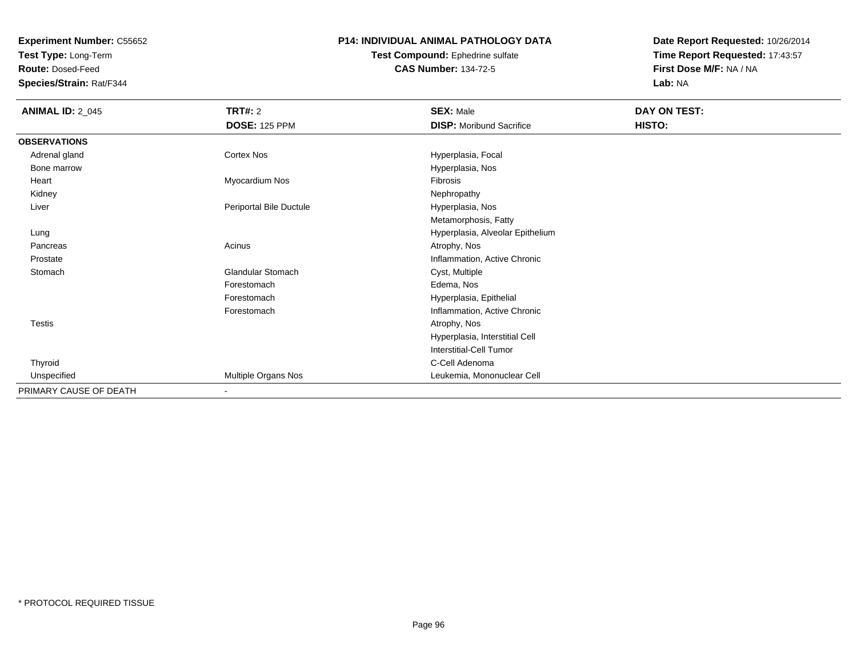**Test Type:** Long-Term

**Route:** Dosed-Feed

**Species/Strain:** Rat/F344

# **P14: INDIVIDUAL ANIMAL PATHOLOGY DATA**

**Test Compound:** Ephedrine sulfate**CAS Number:** 134-72-5

| <b>ANIMAL ID: 2_045</b> | <b>TRT#: 2</b>           | <b>SEX: Male</b>                 | DAY ON TEST: |  |
|-------------------------|--------------------------|----------------------------------|--------------|--|
|                         | <b>DOSE: 125 PPM</b>     | <b>DISP:</b> Moribund Sacrifice  | HISTO:       |  |
| <b>OBSERVATIONS</b>     |                          |                                  |              |  |
| Adrenal gland           | Cortex Nos               | Hyperplasia, Focal               |              |  |
| Bone marrow             |                          | Hyperplasia, Nos                 |              |  |
| Heart                   | Myocardium Nos           | <b>Fibrosis</b>                  |              |  |
| Kidney                  |                          | Nephropathy                      |              |  |
| Liver                   | Periportal Bile Ductule  | Hyperplasia, Nos                 |              |  |
|                         |                          | Metamorphosis, Fatty             |              |  |
| Lung                    |                          | Hyperplasia, Alveolar Epithelium |              |  |
| Pancreas                | Acinus                   | Atrophy, Nos                     |              |  |
| Prostate                |                          | Inflammation, Active Chronic     |              |  |
| Stomach                 | <b>Glandular Stomach</b> | Cyst, Multiple                   |              |  |
|                         | Forestomach              | Edema, Nos                       |              |  |
|                         | Forestomach              | Hyperplasia, Epithelial          |              |  |
|                         | Forestomach              | Inflammation, Active Chronic     |              |  |
| <b>Testis</b>           |                          | Atrophy, Nos                     |              |  |
|                         |                          | Hyperplasia, Interstitial Cell   |              |  |
|                         |                          | Interstitial-Cell Tumor          |              |  |
| Thyroid                 |                          | C-Cell Adenoma                   |              |  |
| Unspecified             | Multiple Organs Nos      | Leukemia, Mononuclear Cell       |              |  |
| PRIMARY CAUSE OF DEATH  | $\overline{\phantom{a}}$ |                                  |              |  |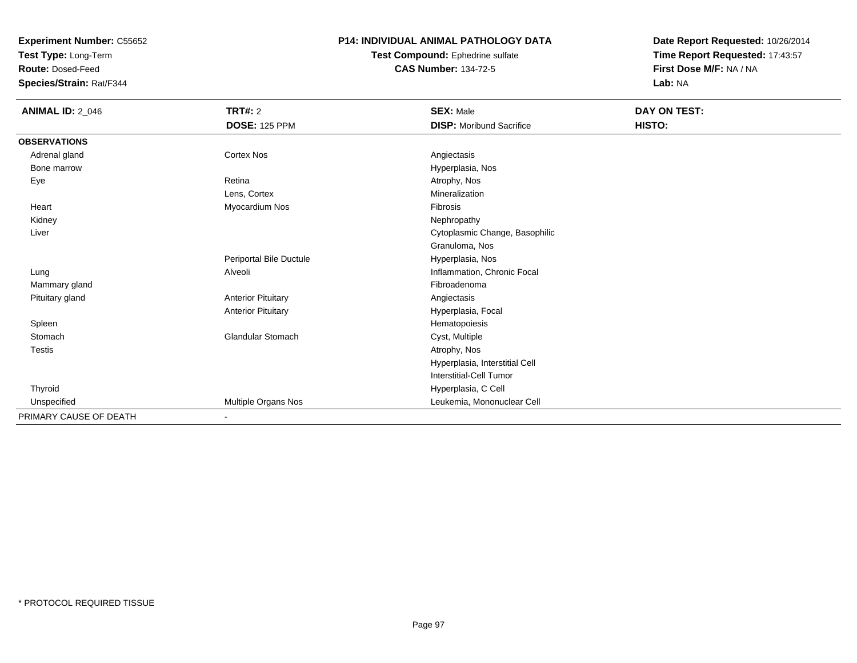**Test Type:** Long-Term

**Route:** Dosed-Feed

**Species/Strain:** Rat/F344

### **P14: INDIVIDUAL ANIMAL PATHOLOGY DATA**

**Test Compound:** Ephedrine sulfate**CAS Number:** 134-72-5

| <b>ANIMAL ID: 2_046</b> | <b>TRT#: 2</b>            | <b>SEX: Male</b>                | DAY ON TEST: |  |
|-------------------------|---------------------------|---------------------------------|--------------|--|
|                         | <b>DOSE: 125 PPM</b>      | <b>DISP:</b> Moribund Sacrifice | HISTO:       |  |
| <b>OBSERVATIONS</b>     |                           |                                 |              |  |
| Adrenal gland           | <b>Cortex Nos</b>         | Angiectasis                     |              |  |
| Bone marrow             |                           | Hyperplasia, Nos                |              |  |
| Eye                     | Retina                    | Atrophy, Nos                    |              |  |
|                         | Lens, Cortex              | Mineralization                  |              |  |
| Heart                   | Myocardium Nos            | Fibrosis                        |              |  |
| Kidney                  |                           | Nephropathy                     |              |  |
| Liver                   |                           | Cytoplasmic Change, Basophilic  |              |  |
|                         |                           | Granuloma, Nos                  |              |  |
|                         | Periportal Bile Ductule   | Hyperplasia, Nos                |              |  |
| Lung                    | Alveoli                   | Inflammation, Chronic Focal     |              |  |
| Mammary gland           |                           | Fibroadenoma                    |              |  |
| Pituitary gland         | <b>Anterior Pituitary</b> | Angiectasis                     |              |  |
|                         | <b>Anterior Pituitary</b> | Hyperplasia, Focal              |              |  |
| Spleen                  |                           | Hematopoiesis                   |              |  |
| Stomach                 | <b>Glandular Stomach</b>  | Cyst, Multiple                  |              |  |
| Testis                  |                           | Atrophy, Nos                    |              |  |
|                         |                           | Hyperplasia, Interstitial Cell  |              |  |
|                         |                           | <b>Interstitial-Cell Tumor</b>  |              |  |
| Thyroid                 |                           | Hyperplasia, C Cell             |              |  |
| Unspecified             | Multiple Organs Nos       | Leukemia, Mononuclear Cell      |              |  |
| PRIMARY CAUSE OF DEATH  | $\blacksquare$            |                                 |              |  |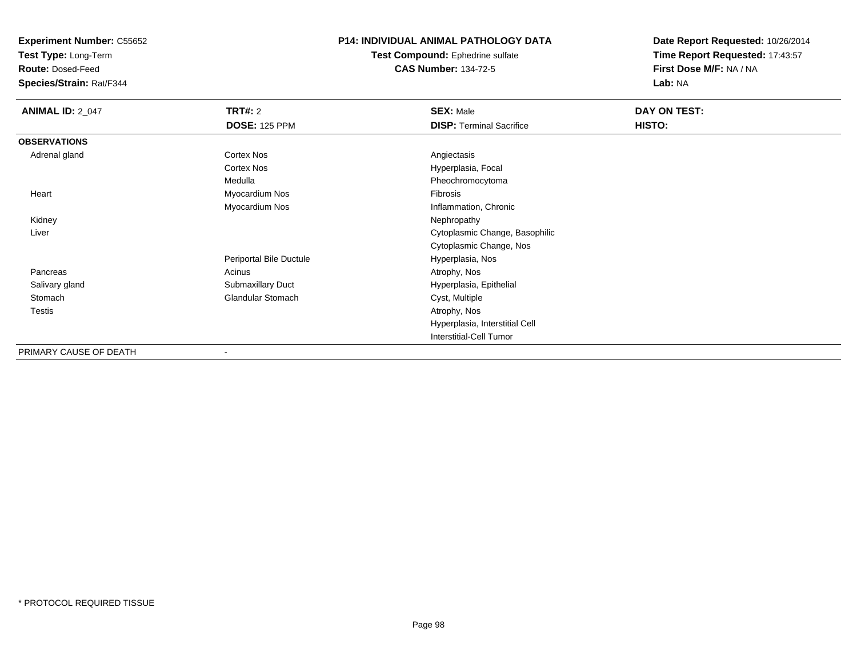**Test Type:** Long-Term

**Route:** Dosed-Feed

**Species/Strain:** Rat/F344

# **P14: INDIVIDUAL ANIMAL PATHOLOGY DATA**

**Test Compound:** Ephedrine sulfate**CAS Number:** 134-72-5

| <b>ANIMAL ID: 2_047</b> | <b>TRT#: 2</b>           | <b>SEX: Male</b>                | <b>DAY ON TEST:</b> |  |
|-------------------------|--------------------------|---------------------------------|---------------------|--|
|                         | <b>DOSE: 125 PPM</b>     | <b>DISP: Terminal Sacrifice</b> | HISTO:              |  |
| <b>OBSERVATIONS</b>     |                          |                                 |                     |  |
| Adrenal gland           | <b>Cortex Nos</b>        | Angiectasis                     |                     |  |
|                         | <b>Cortex Nos</b>        | Hyperplasia, Focal              |                     |  |
|                         | Medulla                  | Pheochromocytoma                |                     |  |
| Heart                   | Myocardium Nos           | Fibrosis                        |                     |  |
|                         | Myocardium Nos           | Inflammation, Chronic           |                     |  |
| Kidney                  |                          | Nephropathy                     |                     |  |
| Liver                   |                          | Cytoplasmic Change, Basophilic  |                     |  |
|                         |                          | Cytoplasmic Change, Nos         |                     |  |
|                         | Periportal Bile Ductule  | Hyperplasia, Nos                |                     |  |
| Pancreas                | Acinus                   | Atrophy, Nos                    |                     |  |
| Salivary gland          | Submaxillary Duct        | Hyperplasia, Epithelial         |                     |  |
| Stomach                 | <b>Glandular Stomach</b> | Cyst, Multiple                  |                     |  |
| Testis                  |                          | Atrophy, Nos                    |                     |  |
|                         |                          | Hyperplasia, Interstitial Cell  |                     |  |
|                         |                          | Interstitial-Cell Tumor         |                     |  |
| PRIMARY CAUSE OF DEATH  |                          |                                 |                     |  |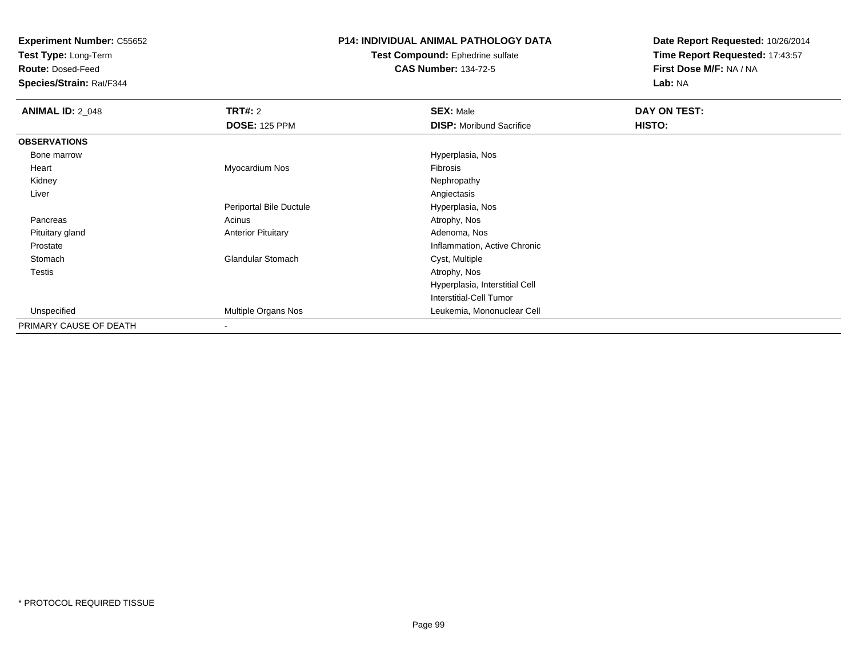**Test Type:** Long-Term

**Route:** Dosed-Feed

**Species/Strain:** Rat/F344

# **P14: INDIVIDUAL ANIMAL PATHOLOGY DATA**

**Test Compound:** Ephedrine sulfate**CAS Number:** 134-72-5

| <b>ANIMAL ID: 2_048</b> | <b>TRT#: 2</b>            | <b>SEX: Male</b>                | DAY ON TEST: |  |
|-------------------------|---------------------------|---------------------------------|--------------|--|
|                         | <b>DOSE: 125 PPM</b>      | <b>DISP:</b> Moribund Sacrifice | HISTO:       |  |
| <b>OBSERVATIONS</b>     |                           |                                 |              |  |
| Bone marrow             |                           | Hyperplasia, Nos                |              |  |
| Heart                   | Myocardium Nos            | Fibrosis                        |              |  |
| Kidney                  |                           | Nephropathy                     |              |  |
| Liver                   |                           | Angiectasis                     |              |  |
|                         | Periportal Bile Ductule   | Hyperplasia, Nos                |              |  |
| Pancreas                | Acinus                    | Atrophy, Nos                    |              |  |
| Pituitary gland         | <b>Anterior Pituitary</b> | Adenoma, Nos                    |              |  |
| Prostate                |                           | Inflammation, Active Chronic    |              |  |
| Stomach                 | Glandular Stomach         | Cyst, Multiple                  |              |  |
| <b>Testis</b>           |                           | Atrophy, Nos                    |              |  |
|                         |                           | Hyperplasia, Interstitial Cell  |              |  |
|                         |                           | Interstitial-Cell Tumor         |              |  |
| Unspecified             | Multiple Organs Nos       | Leukemia, Mononuclear Cell      |              |  |
| PRIMARY CAUSE OF DEATH  | -                         |                                 |              |  |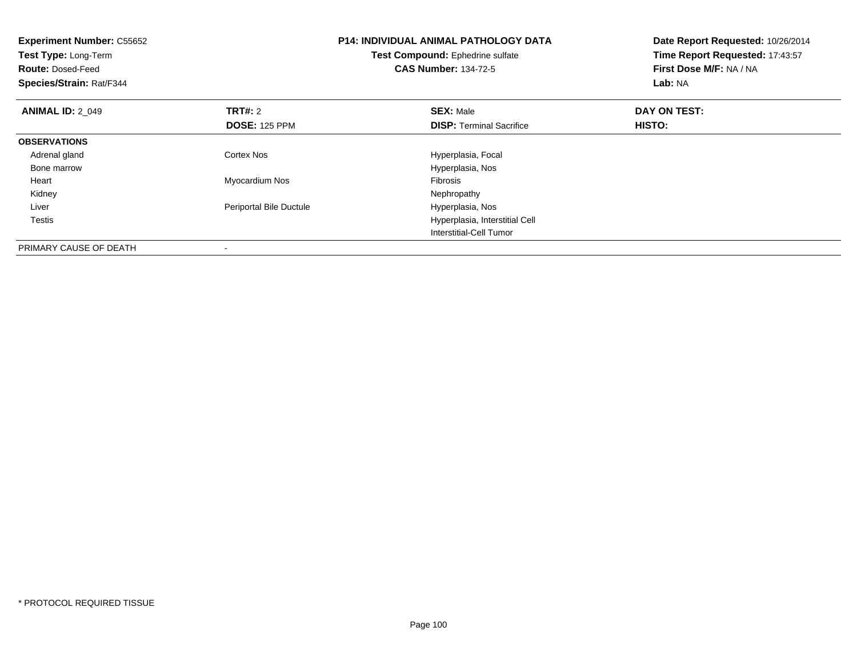| <b>Experiment Number: C55652</b><br>Test Type: Long-Term<br><b>Route: Dosed-Feed</b><br>Species/Strain: Rat/F344 |                         | <b>P14: INDIVIDUAL ANIMAL PATHOLOGY DATA</b><br>Test Compound: Ephedrine sulfate<br><b>CAS Number: 134-72-5</b> | Date Report Requested: 10/26/2014<br>Time Report Requested: 17:43:57<br>First Dose M/F: NA / NA<br>Lab: NA |
|------------------------------------------------------------------------------------------------------------------|-------------------------|-----------------------------------------------------------------------------------------------------------------|------------------------------------------------------------------------------------------------------------|
| <b>ANIMAL ID: 2 049</b>                                                                                          | <b>TRT#: 2</b>          | <b>SEX: Male</b>                                                                                                | DAY ON TEST:                                                                                               |
|                                                                                                                  | <b>DOSE: 125 PPM</b>    | <b>DISP:</b> Terminal Sacrifice                                                                                 | HISTO:                                                                                                     |
| <b>OBSERVATIONS</b>                                                                                              |                         |                                                                                                                 |                                                                                                            |
| Adrenal gland                                                                                                    | Cortex Nos              | Hyperplasia, Focal                                                                                              |                                                                                                            |
| Bone marrow                                                                                                      |                         | Hyperplasia, Nos                                                                                                |                                                                                                            |
| Heart                                                                                                            | Myocardium Nos          | <b>Fibrosis</b>                                                                                                 |                                                                                                            |
| Kidney                                                                                                           |                         | Nephropathy                                                                                                     |                                                                                                            |
| Liver                                                                                                            | Periportal Bile Ductule | Hyperplasia, Nos                                                                                                |                                                                                                            |
| Testis                                                                                                           |                         | Hyperplasia, Interstitial Cell                                                                                  |                                                                                                            |
|                                                                                                                  |                         | Interstitial-Cell Tumor                                                                                         |                                                                                                            |
| PRIMARY CAUSE OF DEATH                                                                                           |                         |                                                                                                                 |                                                                                                            |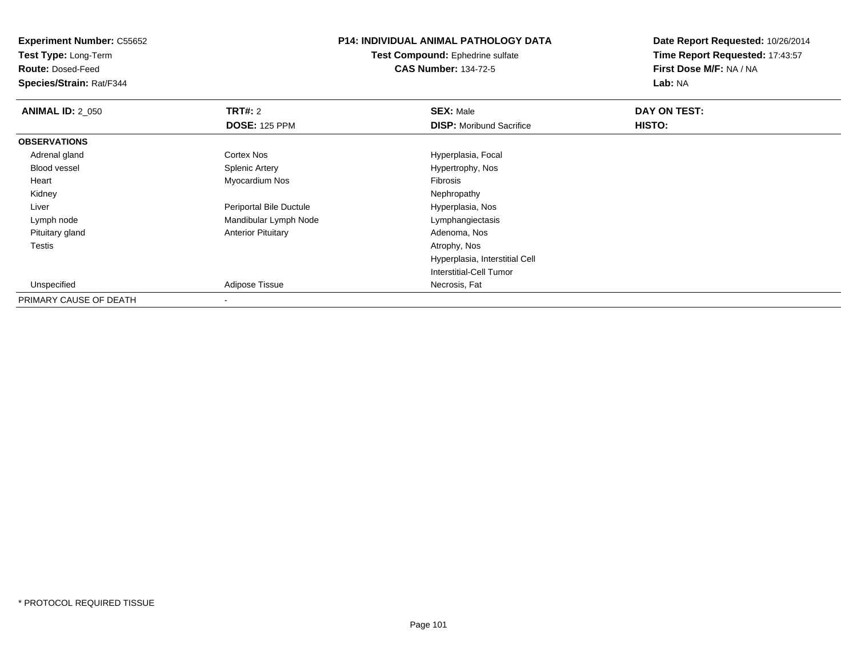**Test Type:** Long-Term

**Route:** Dosed-Feed

**Species/Strain:** Rat/F344

# **P14: INDIVIDUAL ANIMAL PATHOLOGY DATA**

**Test Compound:** Ephedrine sulfate**CAS Number:** 134-72-5

| <b>ANIMAL ID: 2_050</b> | <b>TRT#: 2</b>            | <b>SEX: Male</b>                | DAY ON TEST: |  |
|-------------------------|---------------------------|---------------------------------|--------------|--|
|                         | <b>DOSE: 125 PPM</b>      | <b>DISP:</b> Moribund Sacrifice | HISTO:       |  |
| <b>OBSERVATIONS</b>     |                           |                                 |              |  |
| Adrenal gland           | Cortex Nos                | Hyperplasia, Focal              |              |  |
| <b>Blood vessel</b>     | <b>Splenic Artery</b>     | Hypertrophy, Nos                |              |  |
| Heart                   | Myocardium Nos            | Fibrosis                        |              |  |
| Kidney                  |                           | Nephropathy                     |              |  |
| Liver                   | Periportal Bile Ductule   | Hyperplasia, Nos                |              |  |
| Lymph node              | Mandibular Lymph Node     | Lymphangiectasis                |              |  |
| Pituitary gland         | <b>Anterior Pituitary</b> | Adenoma, Nos                    |              |  |
| Testis                  |                           | Atrophy, Nos                    |              |  |
|                         |                           | Hyperplasia, Interstitial Cell  |              |  |
|                         |                           | Interstitial-Cell Tumor         |              |  |
| Unspecified             | Adipose Tissue            | Necrosis, Fat                   |              |  |
| PRIMARY CAUSE OF DEATH  |                           |                                 |              |  |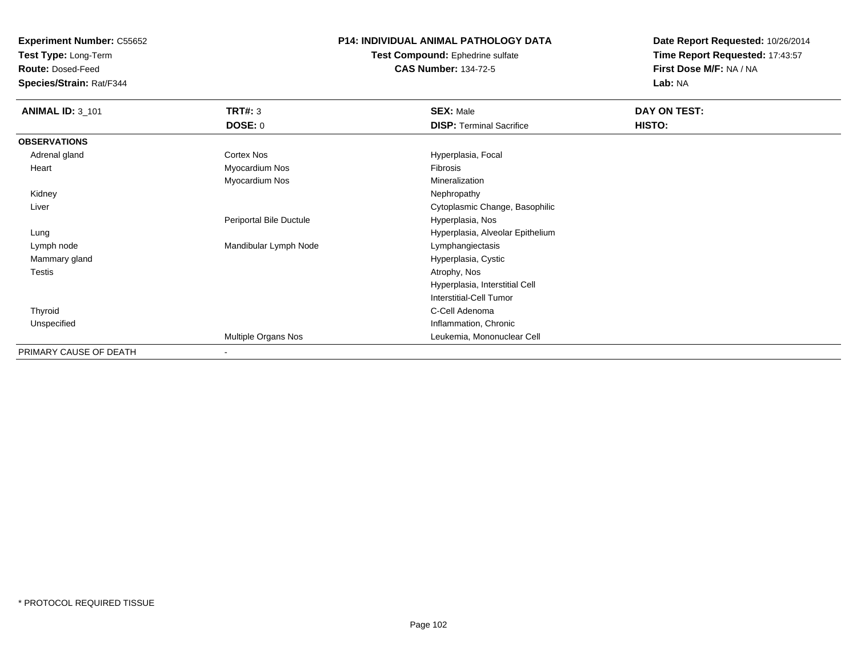**Test Type:** Long-Term

**Route:** Dosed-Feed

**Species/Strain:** Rat/F344

# **P14: INDIVIDUAL ANIMAL PATHOLOGY DATA**

**Test Compound:** Ephedrine sulfate**CAS Number:** 134-72-5

| <b>ANIMAL ID: 3_101</b> | <b>TRT#: 3</b>           | <b>SEX: Male</b>                 | DAY ON TEST: |  |
|-------------------------|--------------------------|----------------------------------|--------------|--|
|                         | <b>DOSE: 0</b>           | <b>DISP: Terminal Sacrifice</b>  | HISTO:       |  |
| <b>OBSERVATIONS</b>     |                          |                                  |              |  |
| Adrenal gland           | Cortex Nos               | Hyperplasia, Focal               |              |  |
| Heart                   | Myocardium Nos           | Fibrosis                         |              |  |
|                         | Myocardium Nos           | Mineralization                   |              |  |
| Kidney                  |                          | Nephropathy                      |              |  |
| Liver                   |                          | Cytoplasmic Change, Basophilic   |              |  |
|                         | Periportal Bile Ductule  | Hyperplasia, Nos                 |              |  |
| Lung                    |                          | Hyperplasia, Alveolar Epithelium |              |  |
| Lymph node              | Mandibular Lymph Node    | Lymphangiectasis                 |              |  |
| Mammary gland           |                          | Hyperplasia, Cystic              |              |  |
| Testis                  |                          | Atrophy, Nos                     |              |  |
|                         |                          | Hyperplasia, Interstitial Cell   |              |  |
|                         |                          | <b>Interstitial-Cell Tumor</b>   |              |  |
| Thyroid                 |                          | C-Cell Adenoma                   |              |  |
| Unspecified             |                          | Inflammation, Chronic            |              |  |
|                         | Multiple Organs Nos      | Leukemia, Mononuclear Cell       |              |  |
| PRIMARY CAUSE OF DEATH  | $\overline{\phantom{a}}$ |                                  |              |  |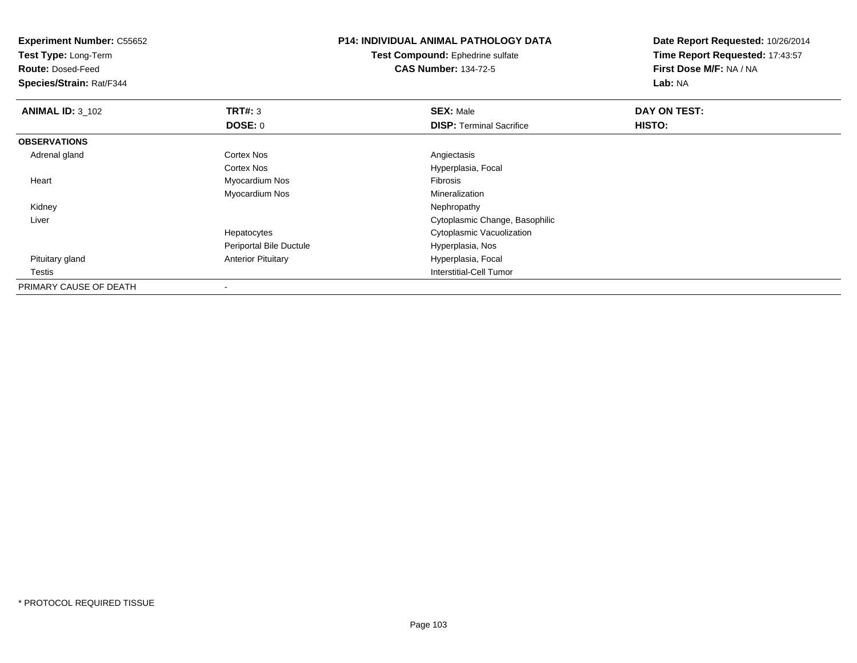**Experiment Number:** C55652**Test Type:** Long-Term**Route:** Dosed-Feed **Species/Strain:** Rat/F344**P14: INDIVIDUAL ANIMAL PATHOLOGY DATATest Compound:** Ephedrine sulfate**CAS Number:** 134-72-5**Date Report Requested:** 10/26/2014**Time Report Requested:** 17:43:57**First Dose M/F:** NA / NA**Lab:** NA**ANIMAL ID:** 3\_102 **TRT#:** <sup>3</sup> **SEX:** Male **DAY ON TEST: DOSE:** 0**DISP:** Terminal Sacrifice **HISTO: OBSERVATIONS** Adrenal glandd and the Cortex Nos and the Cortex Nos and the Angiectasis Cortex Nos Hyperplasia, Focal Heart Myocardium Nos Fibrosis Myocardium Nos MineralizationNephropathy Kidneyy the control of the control of the control of the control of the control of the control of the control of the control of the control of the control of the control of the control of the control of the control of the contro Liver Cytoplasmic Change, BasophilicHepatocytes Cytoplasmic VacuolizationPeriportal Bile Ductule Hyperplasia, Nos Pituitary glandAnterior Pituitary **Hyperplasia**, Focal Testis Interstitial-Cell Tumor PRIMARY CAUSE OF DEATH-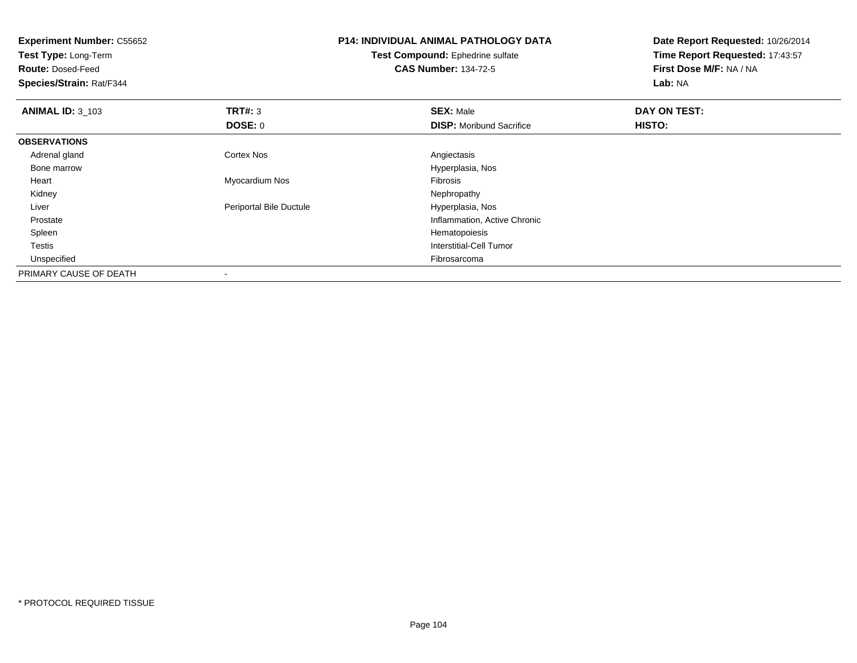| <b>Experiment Number: C55652</b><br>Test Type: Long-Term<br><b>Route: Dosed-Feed</b><br>Species/Strain: Rat/F344 |                         | <b>P14: INDIVIDUAL ANIMAL PATHOLOGY DATA</b><br>Test Compound: Ephedrine sulfate<br><b>CAS Number: 134-72-5</b> | Date Report Requested: 10/26/2014<br>Time Report Requested: 17:43:57<br>First Dose M/F: NA / NA<br>Lab: NA |  |
|------------------------------------------------------------------------------------------------------------------|-------------------------|-----------------------------------------------------------------------------------------------------------------|------------------------------------------------------------------------------------------------------------|--|
| <b>ANIMAL ID: 3 103</b>                                                                                          | TRT#: 3                 | <b>SEX: Male</b>                                                                                                | DAY ON TEST:                                                                                               |  |
|                                                                                                                  | DOSE: 0                 | <b>DISP:</b> Moribund Sacrifice                                                                                 | HISTO:                                                                                                     |  |
| <b>OBSERVATIONS</b>                                                                                              |                         |                                                                                                                 |                                                                                                            |  |
| Adrenal gland                                                                                                    | Cortex Nos              | Angiectasis                                                                                                     |                                                                                                            |  |
| Bone marrow                                                                                                      |                         | Hyperplasia, Nos                                                                                                |                                                                                                            |  |
| Heart                                                                                                            | Myocardium Nos          | Fibrosis                                                                                                        |                                                                                                            |  |
| Kidney                                                                                                           |                         | Nephropathy                                                                                                     |                                                                                                            |  |
| Liver                                                                                                            | Periportal Bile Ductule | Hyperplasia, Nos                                                                                                |                                                                                                            |  |
| Prostate                                                                                                         |                         | Inflammation, Active Chronic                                                                                    |                                                                                                            |  |
| Spleen                                                                                                           |                         | Hematopoiesis                                                                                                   |                                                                                                            |  |
| Testis                                                                                                           |                         | Interstitial-Cell Tumor                                                                                         |                                                                                                            |  |
| Unspecified                                                                                                      |                         | Fibrosarcoma                                                                                                    |                                                                                                            |  |
| PRIMARY CAUSE OF DEATH                                                                                           |                         |                                                                                                                 |                                                                                                            |  |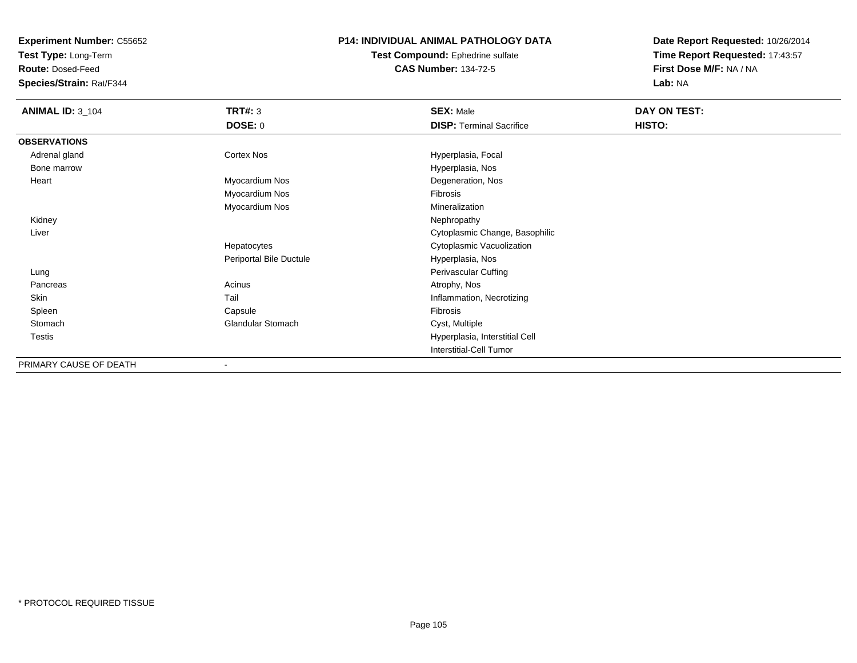**Test Type:** Long-Term

**Route:** Dosed-Feed

**Species/Strain:** Rat/F344

### **P14: INDIVIDUAL ANIMAL PATHOLOGY DATA**

**Test Compound:** Ephedrine sulfate**CAS Number:** 134-72-5

| <b>ANIMAL ID: 3_104</b> | <b>TRT#:</b> 3           | <b>SEX: Male</b>                | DAY ON TEST: |  |
|-------------------------|--------------------------|---------------------------------|--------------|--|
|                         | <b>DOSE: 0</b>           | <b>DISP: Terminal Sacrifice</b> | HISTO:       |  |
| <b>OBSERVATIONS</b>     |                          |                                 |              |  |
| Adrenal gland           | Cortex Nos               | Hyperplasia, Focal              |              |  |
| Bone marrow             |                          | Hyperplasia, Nos                |              |  |
| Heart                   | Myocardium Nos           | Degeneration, Nos               |              |  |
|                         | Myocardium Nos           | Fibrosis                        |              |  |
|                         | Myocardium Nos           | Mineralization                  |              |  |
| Kidney                  |                          | Nephropathy                     |              |  |
| Liver                   |                          | Cytoplasmic Change, Basophilic  |              |  |
|                         | Hepatocytes              | Cytoplasmic Vacuolization       |              |  |
|                         | Periportal Bile Ductule  | Hyperplasia, Nos                |              |  |
| Lung                    |                          | Perivascular Cuffing            |              |  |
| Pancreas                | Acinus                   | Atrophy, Nos                    |              |  |
| Skin                    | Tail                     | Inflammation, Necrotizing       |              |  |
| Spleen                  | Capsule                  | Fibrosis                        |              |  |
| Stomach                 | <b>Glandular Stomach</b> | Cyst, Multiple                  |              |  |
| Testis                  |                          | Hyperplasia, Interstitial Cell  |              |  |
|                         |                          | Interstitial-Cell Tumor         |              |  |
| PRIMARY CAUSE OF DEATH  |                          |                                 |              |  |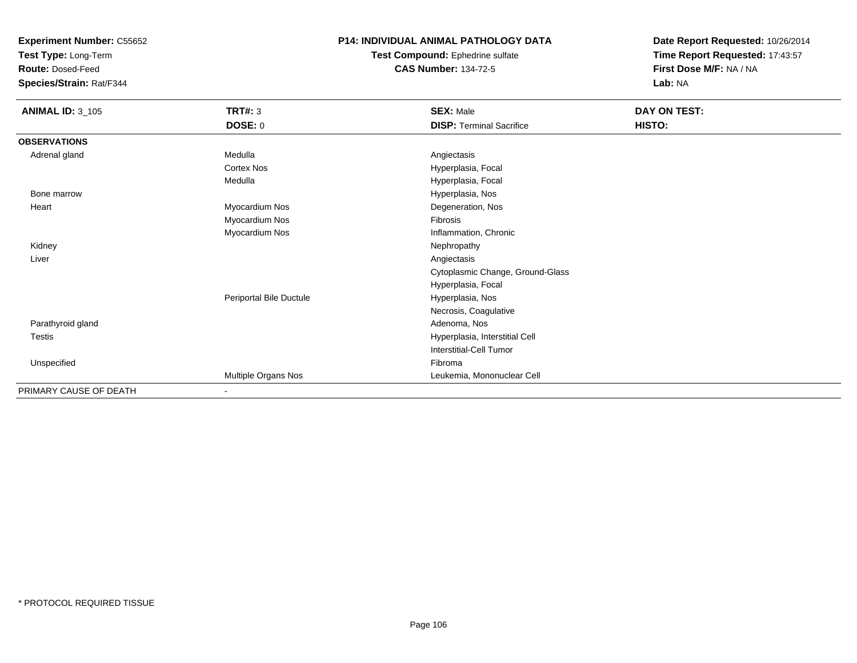**Test Type:** Long-Term

**Route:** Dosed-Feed

**Species/Strain:** Rat/F344

### **P14: INDIVIDUAL ANIMAL PATHOLOGY DATA**

**Test Compound:** Ephedrine sulfate**CAS Number:** 134-72-5

| <b>ANIMAL ID: 3_105</b> | TRT#: 3<br><b>DOSE: 0</b> | <b>SEX: Male</b><br><b>DISP: Terminal Sacrifice</b> | DAY ON TEST:<br>HISTO: |
|-------------------------|---------------------------|-----------------------------------------------------|------------------------|
| <b>OBSERVATIONS</b>     |                           |                                                     |                        |
| Adrenal gland           | Medulla                   | Angiectasis                                         |                        |
|                         | Cortex Nos                | Hyperplasia, Focal                                  |                        |
|                         | Medulla                   | Hyperplasia, Focal                                  |                        |
| Bone marrow             |                           | Hyperplasia, Nos                                    |                        |
| Heart                   | Myocardium Nos            | Degeneration, Nos                                   |                        |
|                         | Myocardium Nos            | Fibrosis                                            |                        |
|                         | Myocardium Nos            | Inflammation, Chronic                               |                        |
| Kidney                  |                           | Nephropathy                                         |                        |
| Liver                   |                           | Angiectasis                                         |                        |
|                         |                           | Cytoplasmic Change, Ground-Glass                    |                        |
|                         |                           | Hyperplasia, Focal                                  |                        |
|                         | Periportal Bile Ductule   | Hyperplasia, Nos                                    |                        |
|                         |                           | Necrosis, Coagulative                               |                        |
| Parathyroid gland       |                           | Adenoma, Nos                                        |                        |
| Testis                  |                           | Hyperplasia, Interstitial Cell                      |                        |
|                         |                           | Interstitial-Cell Tumor                             |                        |
| Unspecified             |                           | Fibroma                                             |                        |
|                         | Multiple Organs Nos       | Leukemia, Mononuclear Cell                          |                        |
| PRIMARY CAUSE OF DEATH  | ۰.                        |                                                     |                        |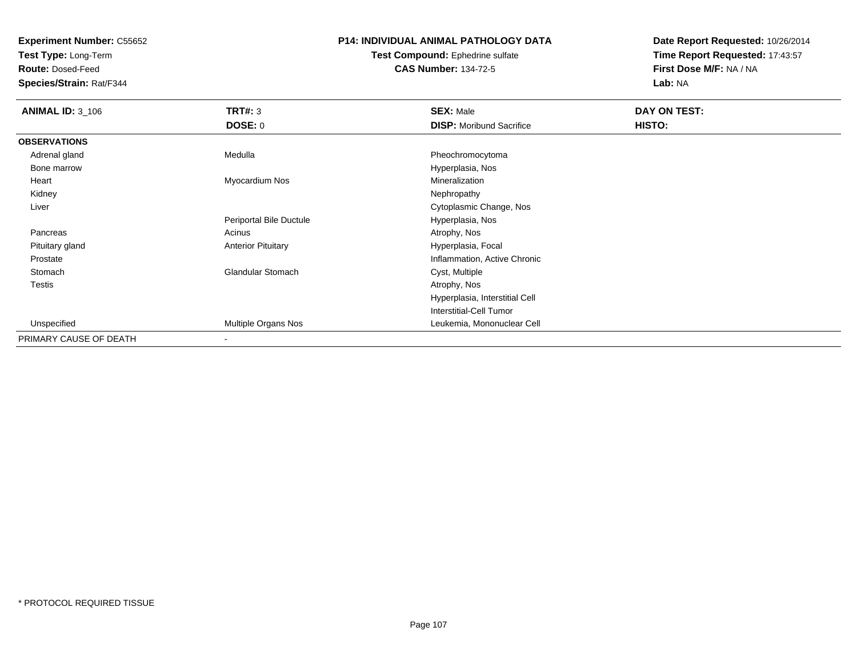**Test Type:** Long-Term

**Route:** Dosed-Feed

**Species/Strain:** Rat/F344

### **P14: INDIVIDUAL ANIMAL PATHOLOGY DATA**

**Test Compound:** Ephedrine sulfate**CAS Number:** 134-72-5

| <b>ANIMAL ID: 3_106</b> | TRT#: 3                   | <b>SEX: Male</b>                | DAY ON TEST: |  |
|-------------------------|---------------------------|---------------------------------|--------------|--|
|                         | <b>DOSE: 0</b>            | <b>DISP:</b> Moribund Sacrifice | HISTO:       |  |
| <b>OBSERVATIONS</b>     |                           |                                 |              |  |
| Adrenal gland           | Medulla                   | Pheochromocytoma                |              |  |
| Bone marrow             |                           | Hyperplasia, Nos                |              |  |
| Heart                   | Myocardium Nos            | Mineralization                  |              |  |
| Kidney                  |                           | Nephropathy                     |              |  |
| Liver                   |                           | Cytoplasmic Change, Nos         |              |  |
|                         | Periportal Bile Ductule   | Hyperplasia, Nos                |              |  |
| Pancreas                | Acinus                    | Atrophy, Nos                    |              |  |
| Pituitary gland         | <b>Anterior Pituitary</b> | Hyperplasia, Focal              |              |  |
| Prostate                |                           | Inflammation, Active Chronic    |              |  |
| Stomach                 | <b>Glandular Stomach</b>  | Cyst, Multiple                  |              |  |
| Testis                  |                           | Atrophy, Nos                    |              |  |
|                         |                           | Hyperplasia, Interstitial Cell  |              |  |
|                         |                           | <b>Interstitial-Cell Tumor</b>  |              |  |
| Unspecified             | Multiple Organs Nos       | Leukemia, Mononuclear Cell      |              |  |
| PRIMARY CAUSE OF DEATH  | $\overline{\phantom{a}}$  |                                 |              |  |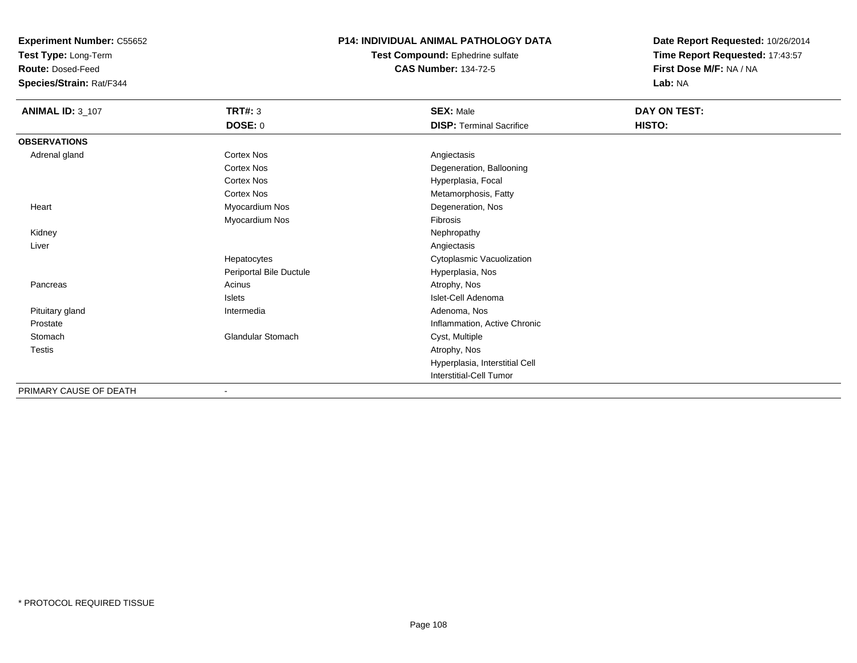**Test Type:** Long-Term

**Route:** Dosed-Feed

**Species/Strain:** Rat/F344

### **P14: INDIVIDUAL ANIMAL PATHOLOGY DATA**

**Test Compound:** Ephedrine sulfate**CAS Number:** 134-72-5

**Date Report Requested:** 10/26/2014**Time Report Requested:** 17:43:57**First Dose M/F:** NA / NA**Lab:** NA

| <b>ANIMAL ID: 3_107</b> | <b>TRT#: 3</b>           | <b>SEX: Male</b>                | DAY ON TEST: |  |
|-------------------------|--------------------------|---------------------------------|--------------|--|
|                         | <b>DOSE: 0</b>           | <b>DISP: Terminal Sacrifice</b> | HISTO:       |  |
| <b>OBSERVATIONS</b>     |                          |                                 |              |  |
| Adrenal gland           | <b>Cortex Nos</b>        | Angiectasis                     |              |  |
|                         | Cortex Nos               | Degeneration, Ballooning        |              |  |
|                         | Cortex Nos               | Hyperplasia, Focal              |              |  |
|                         | Cortex Nos               | Metamorphosis, Fatty            |              |  |
| Heart                   | Myocardium Nos           | Degeneration, Nos               |              |  |
|                         | Myocardium Nos           | Fibrosis                        |              |  |
| Kidney                  |                          | Nephropathy                     |              |  |
| Liver                   |                          | Angiectasis                     |              |  |
|                         | Hepatocytes              | Cytoplasmic Vacuolization       |              |  |
|                         | Periportal Bile Ductule  | Hyperplasia, Nos                |              |  |
| Pancreas                | Acinus                   | Atrophy, Nos                    |              |  |
|                         | Islets                   | Islet-Cell Adenoma              |              |  |
| Pituitary gland         | Intermedia               | Adenoma, Nos                    |              |  |
| Prostate                |                          | Inflammation, Active Chronic    |              |  |
| Stomach                 | <b>Glandular Stomach</b> | Cyst, Multiple                  |              |  |
| <b>Testis</b>           |                          | Atrophy, Nos                    |              |  |
|                         |                          | Hyperplasia, Interstitial Cell  |              |  |
|                         |                          | <b>Interstitial-Cell Tumor</b>  |              |  |

PRIMARY CAUSE OF DEATH-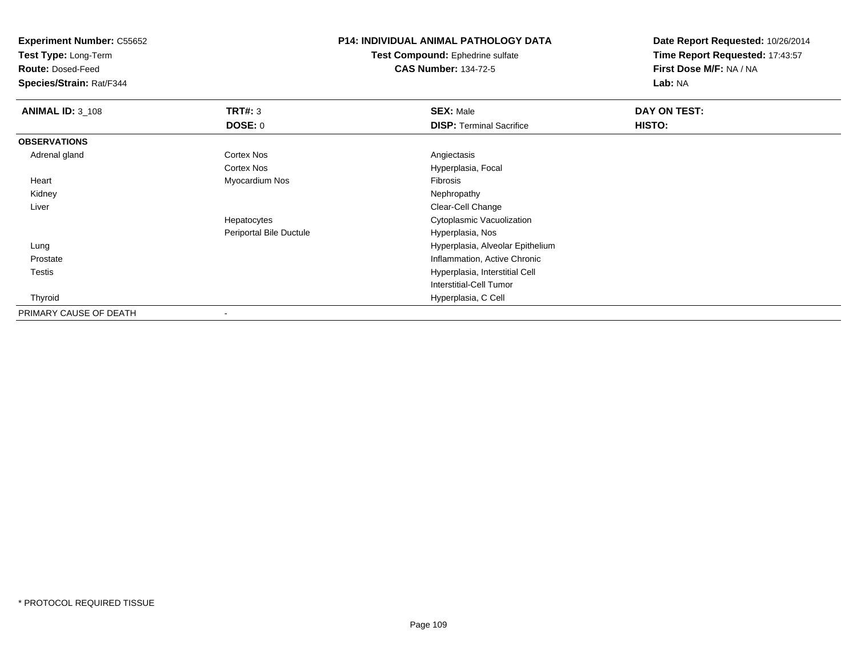**Test Type:** Long-Term

**Route:** Dosed-Feed

**Species/Strain:** Rat/F344

# **P14: INDIVIDUAL ANIMAL PATHOLOGY DATA**

**Test Compound:** Ephedrine sulfate**CAS Number:** 134-72-5

| <b>ANIMAL ID: 3_108</b> | TRT#: 3                 | <b>SEX: Male</b>                 | DAY ON TEST: |  |
|-------------------------|-------------------------|----------------------------------|--------------|--|
|                         | <b>DOSE: 0</b>          | <b>DISP:</b> Terminal Sacrifice  | HISTO:       |  |
| <b>OBSERVATIONS</b>     |                         |                                  |              |  |
| Adrenal gland           | <b>Cortex Nos</b>       | Angiectasis                      |              |  |
|                         | Cortex Nos              | Hyperplasia, Focal               |              |  |
| Heart                   | Myocardium Nos          | Fibrosis                         |              |  |
| Kidney                  |                         | Nephropathy                      |              |  |
| Liver                   |                         | Clear-Cell Change                |              |  |
|                         | Hepatocytes             | Cytoplasmic Vacuolization        |              |  |
|                         | Periportal Bile Ductule | Hyperplasia, Nos                 |              |  |
| Lung                    |                         | Hyperplasia, Alveolar Epithelium |              |  |
| Prostate                |                         | Inflammation, Active Chronic     |              |  |
| Testis                  |                         | Hyperplasia, Interstitial Cell   |              |  |
|                         |                         | <b>Interstitial-Cell Tumor</b>   |              |  |
| Thyroid                 |                         | Hyperplasia, C Cell              |              |  |
| PRIMARY CAUSE OF DEATH  |                         |                                  |              |  |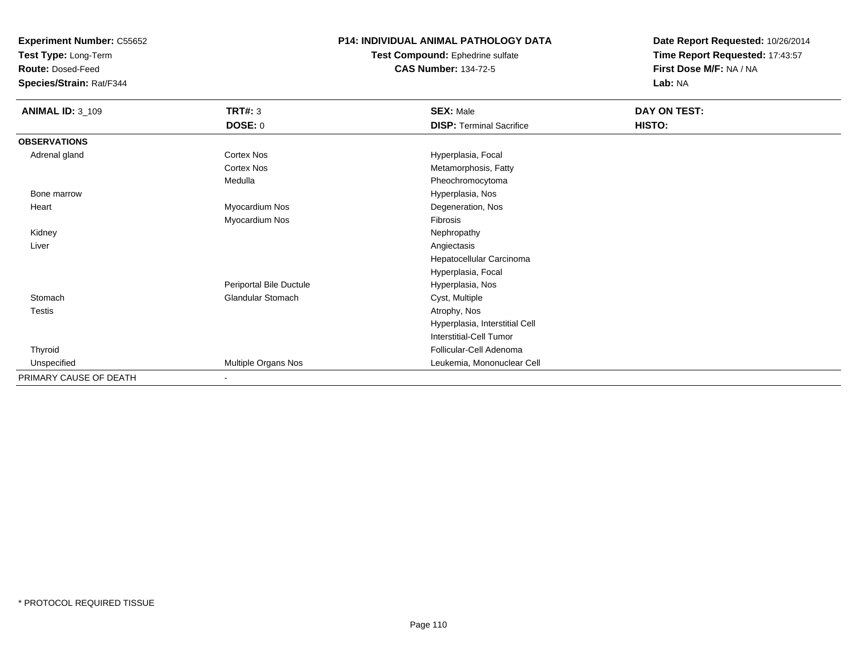**Test Type:** Long-Term

**Route:** Dosed-Feed

**Species/Strain:** Rat/F344

#### **P14: INDIVIDUAL ANIMAL PATHOLOGY DATA**

**Test Compound:** Ephedrine sulfate**CAS Number:** 134-72-5

| <b>ANIMAL ID: 3_109</b> | <b>TRT#: 3</b>           | <b>SEX: Male</b>                | DAY ON TEST: |  |
|-------------------------|--------------------------|---------------------------------|--------------|--|
|                         | <b>DOSE: 0</b>           | <b>DISP: Terminal Sacrifice</b> | HISTO:       |  |
| <b>OBSERVATIONS</b>     |                          |                                 |              |  |
| Adrenal gland           | <b>Cortex Nos</b>        | Hyperplasia, Focal              |              |  |
|                         | <b>Cortex Nos</b>        | Metamorphosis, Fatty            |              |  |
|                         | Medulla                  | Pheochromocytoma                |              |  |
| Bone marrow             |                          | Hyperplasia, Nos                |              |  |
| Heart                   | Myocardium Nos           | Degeneration, Nos               |              |  |
|                         | Myocardium Nos           | Fibrosis                        |              |  |
| Kidney                  |                          | Nephropathy                     |              |  |
| Liver                   |                          | Angiectasis                     |              |  |
|                         |                          | Hepatocellular Carcinoma        |              |  |
|                         |                          | Hyperplasia, Focal              |              |  |
|                         | Periportal Bile Ductule  | Hyperplasia, Nos                |              |  |
| Stomach                 | <b>Glandular Stomach</b> | Cyst, Multiple                  |              |  |
| <b>Testis</b>           |                          | Atrophy, Nos                    |              |  |
|                         |                          | Hyperplasia, Interstitial Cell  |              |  |
|                         |                          | Interstitial-Cell Tumor         |              |  |
| Thyroid                 |                          | Follicular-Cell Adenoma         |              |  |
| Unspecified             | Multiple Organs Nos      | Leukemia, Mononuclear Cell      |              |  |
| PRIMARY CAUSE OF DEATH  | $\blacksquare$           |                                 |              |  |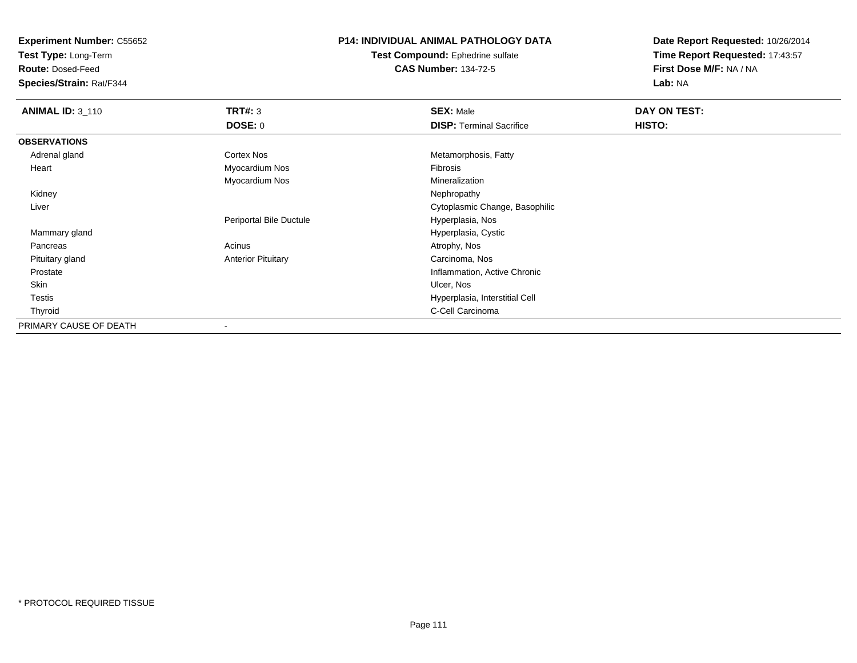**Test Type:** Long-Term

**Route:** Dosed-Feed

**Species/Strain:** Rat/F344

## **P14: INDIVIDUAL ANIMAL PATHOLOGY DATA**

**Test Compound:** Ephedrine sulfate**CAS Number:** 134-72-5

| <b>ANIMAL ID: 3_110</b> | TRT#: 3                   | <b>SEX: Male</b>                | DAY ON TEST: |  |
|-------------------------|---------------------------|---------------------------------|--------------|--|
|                         | <b>DOSE: 0</b>            | <b>DISP: Terminal Sacrifice</b> | HISTO:       |  |
| <b>OBSERVATIONS</b>     |                           |                                 |              |  |
| Adrenal gland           | <b>Cortex Nos</b>         | Metamorphosis, Fatty            |              |  |
| Heart                   | Myocardium Nos            | Fibrosis                        |              |  |
|                         | Myocardium Nos            | Mineralization                  |              |  |
| Kidney                  |                           | Nephropathy                     |              |  |
| Liver                   |                           | Cytoplasmic Change, Basophilic  |              |  |
|                         | Periportal Bile Ductule   | Hyperplasia, Nos                |              |  |
| Mammary gland           |                           | Hyperplasia, Cystic             |              |  |
| Pancreas                | Acinus                    | Atrophy, Nos                    |              |  |
| Pituitary gland         | <b>Anterior Pituitary</b> | Carcinoma, Nos                  |              |  |
| Prostate                |                           | Inflammation, Active Chronic    |              |  |
| Skin                    |                           | Ulcer, Nos                      |              |  |
| <b>Testis</b>           |                           | Hyperplasia, Interstitial Cell  |              |  |
| Thyroid                 |                           | C-Cell Carcinoma                |              |  |
| PRIMARY CAUSE OF DEATH  |                           |                                 |              |  |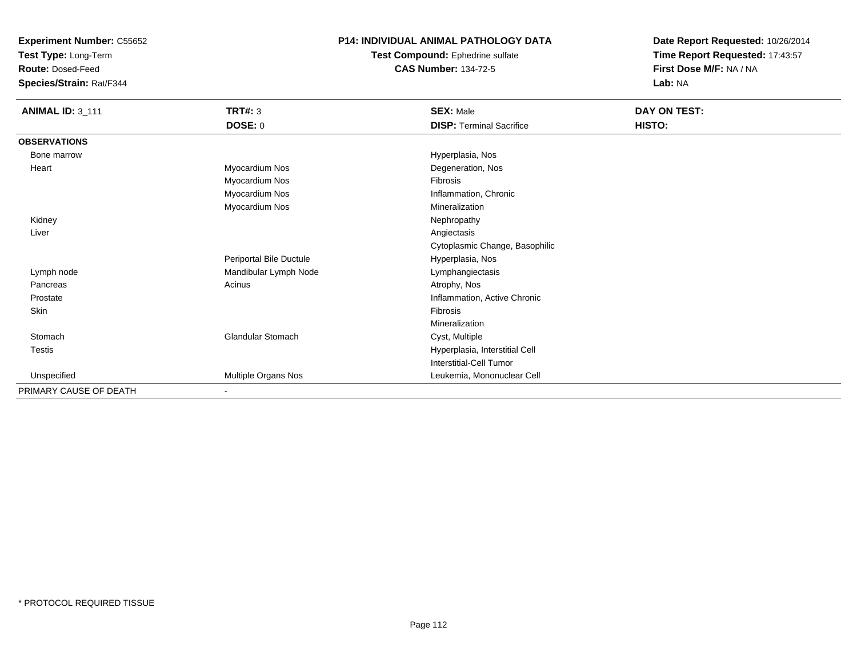**Test Type:** Long-Term

**Route:** Dosed-Feed

**Species/Strain:** Rat/F344

## **P14: INDIVIDUAL ANIMAL PATHOLOGY DATA**

**Test Compound:** Ephedrine sulfate**CAS Number:** 134-72-5

| <b>ANIMAL ID: 3_111</b> | TRT#: 3                  | <b>SEX: Male</b>                | DAY ON TEST: |
|-------------------------|--------------------------|---------------------------------|--------------|
|                         | <b>DOSE: 0</b>           | <b>DISP: Terminal Sacrifice</b> | HISTO:       |
| <b>OBSERVATIONS</b>     |                          |                                 |              |
| Bone marrow             |                          | Hyperplasia, Nos                |              |
| Heart                   | Myocardium Nos           | Degeneration, Nos               |              |
|                         | Myocardium Nos           | Fibrosis                        |              |
|                         | Myocardium Nos           | Inflammation, Chronic           |              |
|                         | Myocardium Nos           | Mineralization                  |              |
| Kidney                  |                          | Nephropathy                     |              |
| Liver                   |                          | Angiectasis                     |              |
|                         |                          | Cytoplasmic Change, Basophilic  |              |
|                         | Periportal Bile Ductule  | Hyperplasia, Nos                |              |
| Lymph node              | Mandibular Lymph Node    | Lymphangiectasis                |              |
| Pancreas                | Acinus                   | Atrophy, Nos                    |              |
| Prostate                |                          | Inflammation, Active Chronic    |              |
| Skin                    |                          | Fibrosis                        |              |
|                         |                          | Mineralization                  |              |
| Stomach                 | Glandular Stomach        | Cyst, Multiple                  |              |
| Testis                  |                          | Hyperplasia, Interstitial Cell  |              |
|                         |                          | Interstitial-Cell Tumor         |              |
| Unspecified             | Multiple Organs Nos      | Leukemia, Mononuclear Cell      |              |
| PRIMARY CAUSE OF DEATH  | $\overline{\phantom{a}}$ |                                 |              |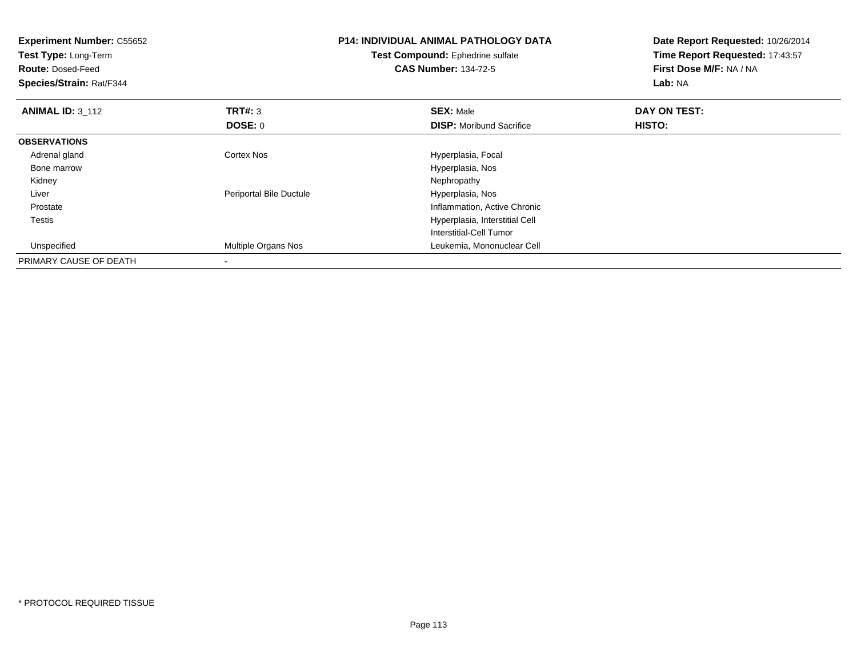| <b>Experiment Number: C55652</b><br>Test Type: Long-Term<br><b>Route: Dosed-Feed</b><br>Species/Strain: Rat/F344 |                         | <b>P14: INDIVIDUAL ANIMAL PATHOLOGY DATA</b><br>Test Compound: Ephedrine sulfate<br><b>CAS Number: 134-72-5</b> | Date Report Requested: 10/26/2014<br>Time Report Requested: 17:43:57<br>First Dose M/F: NA / NA<br>Lab: NA |  |
|------------------------------------------------------------------------------------------------------------------|-------------------------|-----------------------------------------------------------------------------------------------------------------|------------------------------------------------------------------------------------------------------------|--|
| <b>ANIMAL ID: 3 112</b>                                                                                          | <b>TRT#: 3</b>          | <b>SEX: Male</b>                                                                                                | DAY ON TEST:                                                                                               |  |
|                                                                                                                  | DOSE: 0                 | <b>DISP:</b> Moribund Sacrifice                                                                                 | HISTO:                                                                                                     |  |
| <b>OBSERVATIONS</b>                                                                                              |                         |                                                                                                                 |                                                                                                            |  |
| Adrenal gland                                                                                                    | <b>Cortex Nos</b>       | Hyperplasia, Focal                                                                                              |                                                                                                            |  |
| Bone marrow                                                                                                      |                         | Hyperplasia, Nos                                                                                                |                                                                                                            |  |
| Kidney                                                                                                           |                         | Nephropathy                                                                                                     |                                                                                                            |  |
| Liver                                                                                                            | Periportal Bile Ductule | Hyperplasia, Nos                                                                                                |                                                                                                            |  |
| Prostate                                                                                                         |                         | Inflammation, Active Chronic                                                                                    |                                                                                                            |  |
| Testis                                                                                                           |                         | Hyperplasia, Interstitial Cell                                                                                  |                                                                                                            |  |
|                                                                                                                  |                         | Interstitial-Cell Tumor                                                                                         |                                                                                                            |  |
| Unspecified                                                                                                      | Multiple Organs Nos     | Leukemia, Mononuclear Cell                                                                                      |                                                                                                            |  |
| PRIMARY CAUSE OF DEATH                                                                                           |                         |                                                                                                                 |                                                                                                            |  |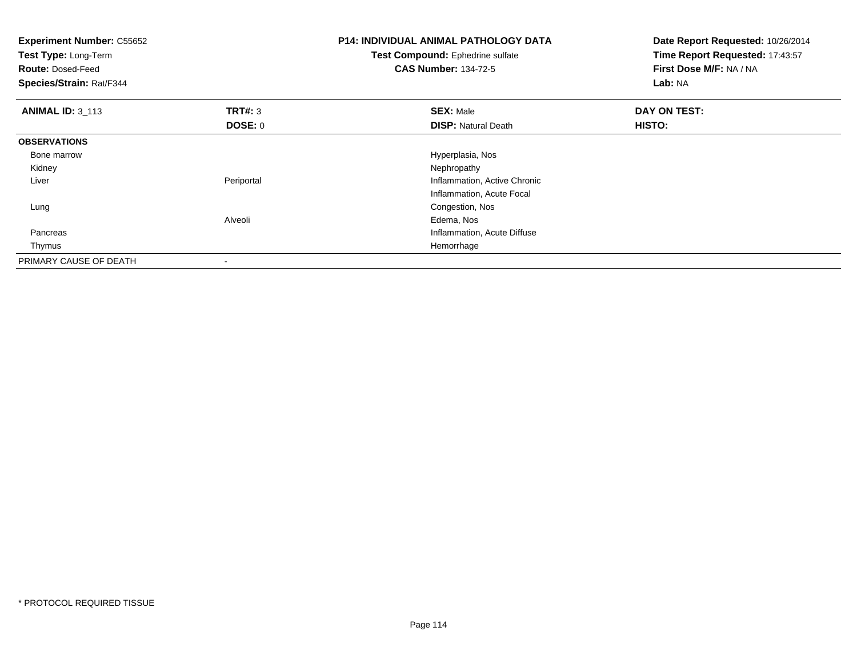| <b>Experiment Number: C55652</b><br>Test Type: Long-Term<br><b>Route: Dosed-Feed</b><br>Species/Strain: Rat/F344 |            | <b>P14: INDIVIDUAL ANIMAL PATHOLOGY DATA</b><br>Test Compound: Ephedrine sulfate<br><b>CAS Number: 134-72-5</b> | Date Report Requested: 10/26/2014<br>Time Report Requested: 17:43:57<br>First Dose M/F: NA / NA<br>Lab: NA |
|------------------------------------------------------------------------------------------------------------------|------------|-----------------------------------------------------------------------------------------------------------------|------------------------------------------------------------------------------------------------------------|
| <b>ANIMAL ID: 3 113</b>                                                                                          | TRT#: 3    | <b>SEX: Male</b>                                                                                                | DAY ON TEST:                                                                                               |
|                                                                                                                  | DOSE: 0    | <b>DISP: Natural Death</b>                                                                                      | HISTO:                                                                                                     |
| <b>OBSERVATIONS</b>                                                                                              |            |                                                                                                                 |                                                                                                            |
| Bone marrow                                                                                                      |            | Hyperplasia, Nos                                                                                                |                                                                                                            |
| Kidney                                                                                                           |            | Nephropathy                                                                                                     |                                                                                                            |
| Liver                                                                                                            | Periportal | Inflammation, Active Chronic                                                                                    |                                                                                                            |
|                                                                                                                  |            | Inflammation, Acute Focal                                                                                       |                                                                                                            |
| Lung                                                                                                             |            | Congestion, Nos                                                                                                 |                                                                                                            |
|                                                                                                                  | Alveoli    | Edema, Nos                                                                                                      |                                                                                                            |
| Pancreas                                                                                                         |            | Inflammation, Acute Diffuse                                                                                     |                                                                                                            |
| Thymus                                                                                                           |            | Hemorrhage                                                                                                      |                                                                                                            |
| PRIMARY CAUSE OF DEATH                                                                                           |            |                                                                                                                 |                                                                                                            |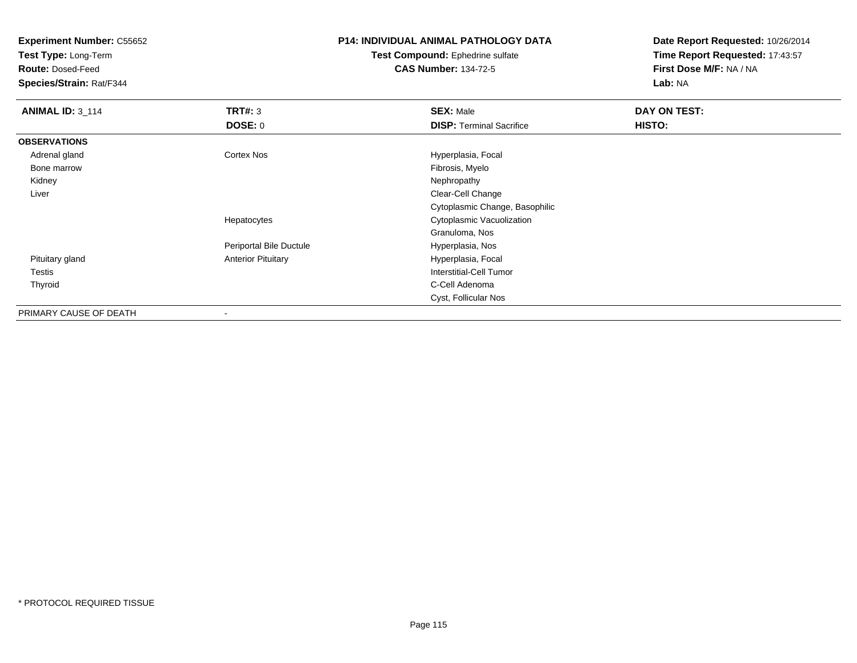**Test Type:** Long-Term

**Route:** Dosed-Feed

**Species/Strain:** Rat/F344

# **P14: INDIVIDUAL ANIMAL PATHOLOGY DATA**

**Test Compound:** Ephedrine sulfate**CAS Number:** 134-72-5

| <b>ANIMAL ID: 3_114</b> | TRT#: 3                   | <b>SEX: Male</b>                | DAY ON TEST: |  |
|-------------------------|---------------------------|---------------------------------|--------------|--|
|                         | <b>DOSE: 0</b>            | <b>DISP: Terminal Sacrifice</b> | HISTO:       |  |
| <b>OBSERVATIONS</b>     |                           |                                 |              |  |
| Adrenal gland           | <b>Cortex Nos</b>         | Hyperplasia, Focal              |              |  |
| Bone marrow             |                           | Fibrosis, Myelo                 |              |  |
| Kidney                  |                           | Nephropathy                     |              |  |
| Liver                   |                           | Clear-Cell Change               |              |  |
|                         |                           | Cytoplasmic Change, Basophilic  |              |  |
|                         | Hepatocytes               | Cytoplasmic Vacuolization       |              |  |
|                         |                           | Granuloma, Nos                  |              |  |
|                         | Periportal Bile Ductule   | Hyperplasia, Nos                |              |  |
| Pituitary gland         | <b>Anterior Pituitary</b> | Hyperplasia, Focal              |              |  |
| Testis                  |                           | Interstitial-Cell Tumor         |              |  |
| Thyroid                 |                           | C-Cell Adenoma                  |              |  |
|                         |                           | Cyst, Follicular Nos            |              |  |
| PRIMARY CAUSE OF DEATH  |                           |                                 |              |  |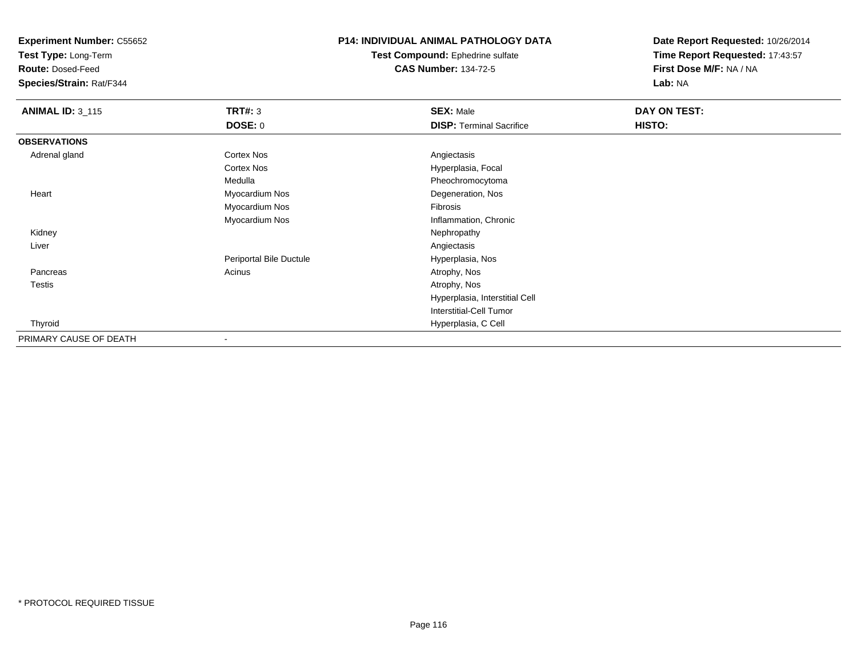**Test Type:** Long-Term

**Route:** Dosed-Feed

**Species/Strain:** Rat/F344

## **P14: INDIVIDUAL ANIMAL PATHOLOGY DATA**

**Test Compound:** Ephedrine sulfate**CAS Number:** 134-72-5

| <b>ANIMAL ID: 3_115</b> | <b>TRT#: 3</b>           | <b>SEX: Male</b>                | DAY ON TEST: |  |
|-------------------------|--------------------------|---------------------------------|--------------|--|
|                         | <b>DOSE: 0</b>           | <b>DISP: Terminal Sacrifice</b> | HISTO:       |  |
| <b>OBSERVATIONS</b>     |                          |                                 |              |  |
| Adrenal gland           | <b>Cortex Nos</b>        | Angiectasis                     |              |  |
|                         | <b>Cortex Nos</b>        | Hyperplasia, Focal              |              |  |
|                         | Medulla                  | Pheochromocytoma                |              |  |
| Heart                   | Myocardium Nos           | Degeneration, Nos               |              |  |
|                         | Myocardium Nos           | Fibrosis                        |              |  |
|                         | Myocardium Nos           | Inflammation, Chronic           |              |  |
| Kidney                  |                          | Nephropathy                     |              |  |
| Liver                   |                          | Angiectasis                     |              |  |
|                         | Periportal Bile Ductule  | Hyperplasia, Nos                |              |  |
| Pancreas                | Acinus                   | Atrophy, Nos                    |              |  |
| Testis                  |                          | Atrophy, Nos                    |              |  |
|                         |                          | Hyperplasia, Interstitial Cell  |              |  |
|                         |                          | <b>Interstitial-Cell Tumor</b>  |              |  |
| Thyroid                 |                          | Hyperplasia, C Cell             |              |  |
| PRIMARY CAUSE OF DEATH  | $\overline{\phantom{a}}$ |                                 |              |  |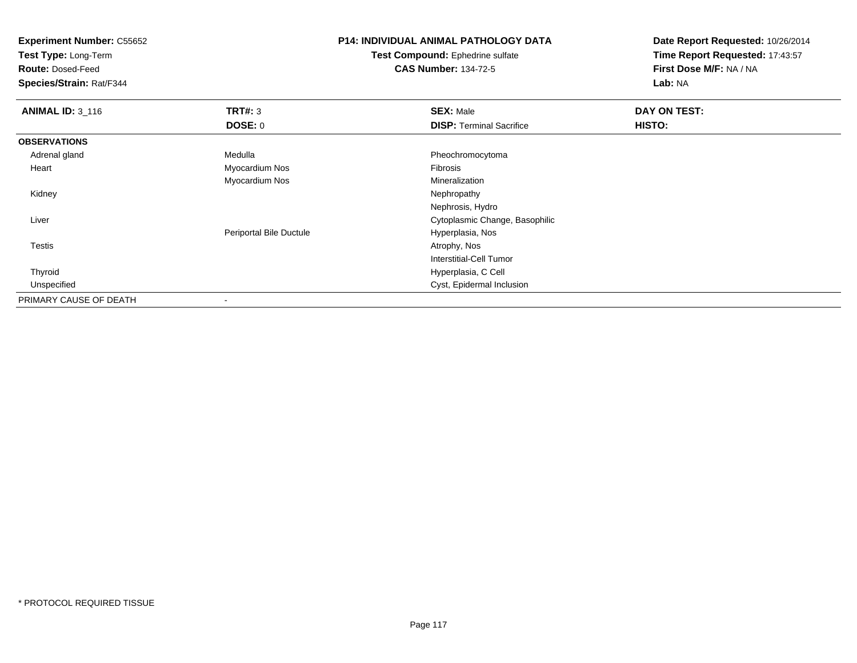**Test Type:** Long-Term

**Route:** Dosed-Feed

**Species/Strain:** Rat/F344

# **P14: INDIVIDUAL ANIMAL PATHOLOGY DATA**

**Test Compound:** Ephedrine sulfate**CAS Number:** 134-72-5

| <b>ANIMAL ID: 3_116</b> | TRT#: 3                 | <b>SEX: Male</b>                | DAY ON TEST: |  |
|-------------------------|-------------------------|---------------------------------|--------------|--|
|                         | DOSE: 0                 | <b>DISP: Terminal Sacrifice</b> | HISTO:       |  |
| <b>OBSERVATIONS</b>     |                         |                                 |              |  |
| Adrenal gland           | Medulla                 | Pheochromocytoma                |              |  |
| Heart                   | Myocardium Nos          | Fibrosis                        |              |  |
|                         | Myocardium Nos          | Mineralization                  |              |  |
| Kidney                  |                         | Nephropathy                     |              |  |
|                         |                         | Nephrosis, Hydro                |              |  |
| Liver                   |                         | Cytoplasmic Change, Basophilic  |              |  |
|                         | Periportal Bile Ductule | Hyperplasia, Nos                |              |  |
| <b>Testis</b>           |                         | Atrophy, Nos                    |              |  |
|                         |                         | <b>Interstitial-Cell Tumor</b>  |              |  |
| Thyroid                 |                         | Hyperplasia, C Cell             |              |  |
| Unspecified             |                         | Cyst, Epidermal Inclusion       |              |  |
| PRIMARY CAUSE OF DEATH  |                         |                                 |              |  |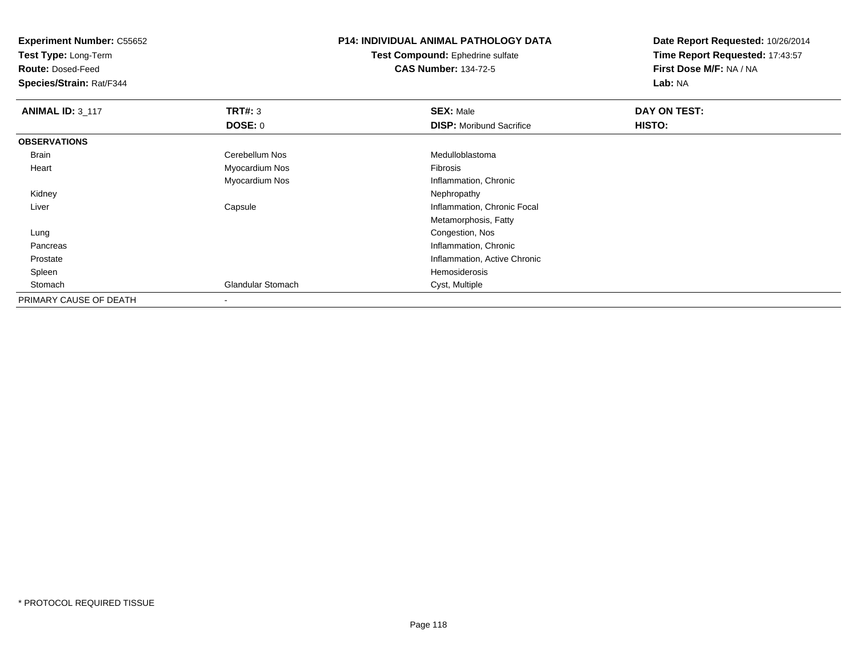**Test Type:** Long-Term

**Route:** Dosed-Feed

**Species/Strain:** Rat/F344

# **P14: INDIVIDUAL ANIMAL PATHOLOGY DATA**

**Test Compound:** Ephedrine sulfate**CAS Number:** 134-72-5

| <b>ANIMAL ID: 3_117</b> | TRT#: 3                  | <b>SEX: Male</b>                | DAY ON TEST: |  |
|-------------------------|--------------------------|---------------------------------|--------------|--|
|                         | <b>DOSE: 0</b>           | <b>DISP:</b> Moribund Sacrifice | HISTO:       |  |
| <b>OBSERVATIONS</b>     |                          |                                 |              |  |
| <b>Brain</b>            | Cerebellum Nos           | Medulloblastoma                 |              |  |
| Heart                   | Myocardium Nos           | Fibrosis                        |              |  |
|                         | Myocardium Nos           | Inflammation, Chronic           |              |  |
| Kidney                  |                          | Nephropathy                     |              |  |
| Liver                   | Capsule                  | Inflammation, Chronic Focal     |              |  |
|                         |                          | Metamorphosis, Fatty            |              |  |
| Lung                    |                          | Congestion, Nos                 |              |  |
| Pancreas                |                          | Inflammation, Chronic           |              |  |
| Prostate                |                          | Inflammation, Active Chronic    |              |  |
| Spleen                  |                          | Hemosiderosis                   |              |  |
| Stomach                 | <b>Glandular Stomach</b> | Cyst, Multiple                  |              |  |
| PRIMARY CAUSE OF DEATH  |                          |                                 |              |  |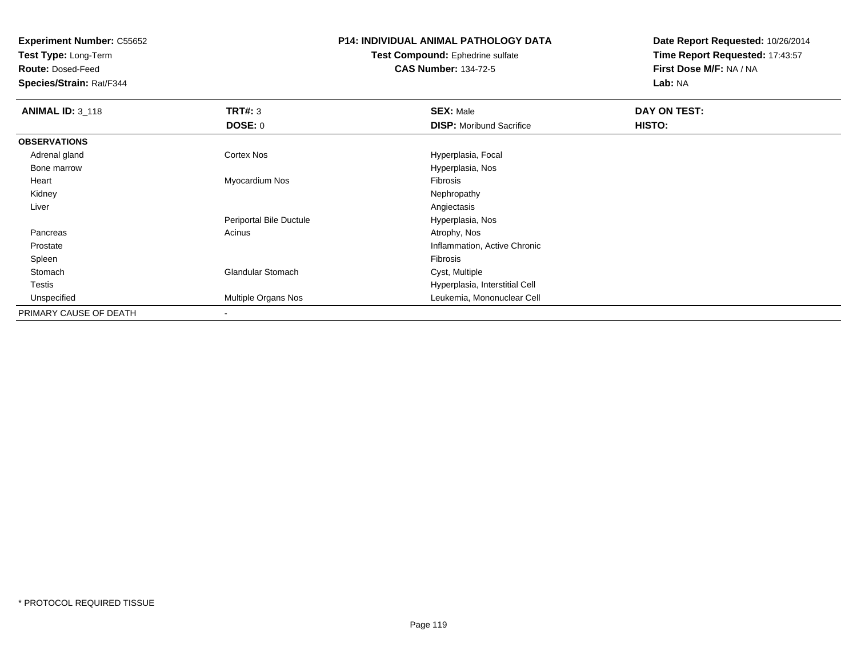**Test Type:** Long-Term

**Route:** Dosed-Feed

**Species/Strain:** Rat/F344

# **P14: INDIVIDUAL ANIMAL PATHOLOGY DATA**

**Test Compound:** Ephedrine sulfate**CAS Number:** 134-72-5

| <b>ANIMAL ID: 3_118</b> | TRT#: 3                  | <b>SEX: Male</b>                | DAY ON TEST: |  |
|-------------------------|--------------------------|---------------------------------|--------------|--|
|                         | <b>DOSE: 0</b>           | <b>DISP:</b> Moribund Sacrifice | HISTO:       |  |
| <b>OBSERVATIONS</b>     |                          |                                 |              |  |
| Adrenal gland           | Cortex Nos               | Hyperplasia, Focal              |              |  |
| Bone marrow             |                          | Hyperplasia, Nos                |              |  |
| Heart                   | Myocardium Nos           | Fibrosis                        |              |  |
| Kidney                  |                          | Nephropathy                     |              |  |
| Liver                   |                          | Angiectasis                     |              |  |
|                         | Periportal Bile Ductule  | Hyperplasia, Nos                |              |  |
| Pancreas                | Acinus                   | Atrophy, Nos                    |              |  |
| Prostate                |                          | Inflammation, Active Chronic    |              |  |
| Spleen                  |                          | Fibrosis                        |              |  |
| Stomach                 | <b>Glandular Stomach</b> | Cyst, Multiple                  |              |  |
| Testis                  |                          | Hyperplasia, Interstitial Cell  |              |  |
| Unspecified             | Multiple Organs Nos      | Leukemia, Mononuclear Cell      |              |  |
| PRIMARY CAUSE OF DEATH  |                          |                                 |              |  |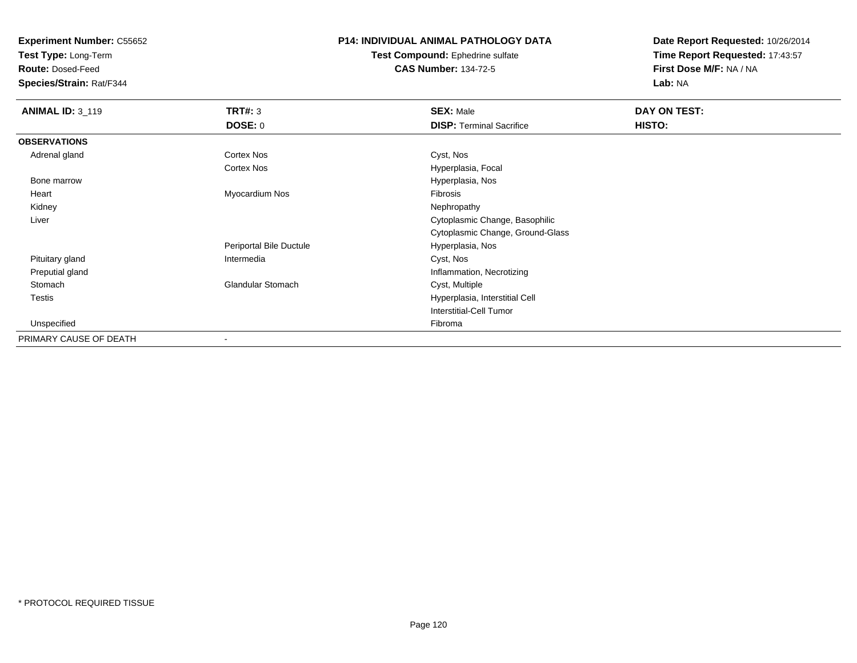**Test Type:** Long-Term

**Route:** Dosed-Feed

**Species/Strain:** Rat/F344

## **P14: INDIVIDUAL ANIMAL PATHOLOGY DATA**

**Test Compound:** Ephedrine sulfate**CAS Number:** 134-72-5

| <b>ANIMAL ID: 3_119</b> | <b>TRT#: 3</b>           | <b>SEX: Male</b>                 | DAY ON TEST: |  |
|-------------------------|--------------------------|----------------------------------|--------------|--|
|                         | <b>DOSE: 0</b>           | <b>DISP: Terminal Sacrifice</b>  | HISTO:       |  |
| <b>OBSERVATIONS</b>     |                          |                                  |              |  |
| Adrenal gland           | <b>Cortex Nos</b>        | Cyst, Nos                        |              |  |
|                         | <b>Cortex Nos</b>        | Hyperplasia, Focal               |              |  |
| Bone marrow             |                          | Hyperplasia, Nos                 |              |  |
| Heart                   | Myocardium Nos           | <b>Fibrosis</b>                  |              |  |
| Kidney                  |                          | Nephropathy                      |              |  |
| Liver                   |                          | Cytoplasmic Change, Basophilic   |              |  |
|                         |                          | Cytoplasmic Change, Ground-Glass |              |  |
|                         | Periportal Bile Ductule  | Hyperplasia, Nos                 |              |  |
| Pituitary gland         | Intermedia               | Cyst, Nos                        |              |  |
| Preputial gland         |                          | Inflammation, Necrotizing        |              |  |
| Stomach                 | <b>Glandular Stomach</b> | Cyst, Multiple                   |              |  |
| <b>Testis</b>           |                          | Hyperplasia, Interstitial Cell   |              |  |
|                         |                          | <b>Interstitial-Cell Tumor</b>   |              |  |
| Unspecified             |                          | Fibroma                          |              |  |
| PRIMARY CAUSE OF DEATH  | $\overline{\phantom{a}}$ |                                  |              |  |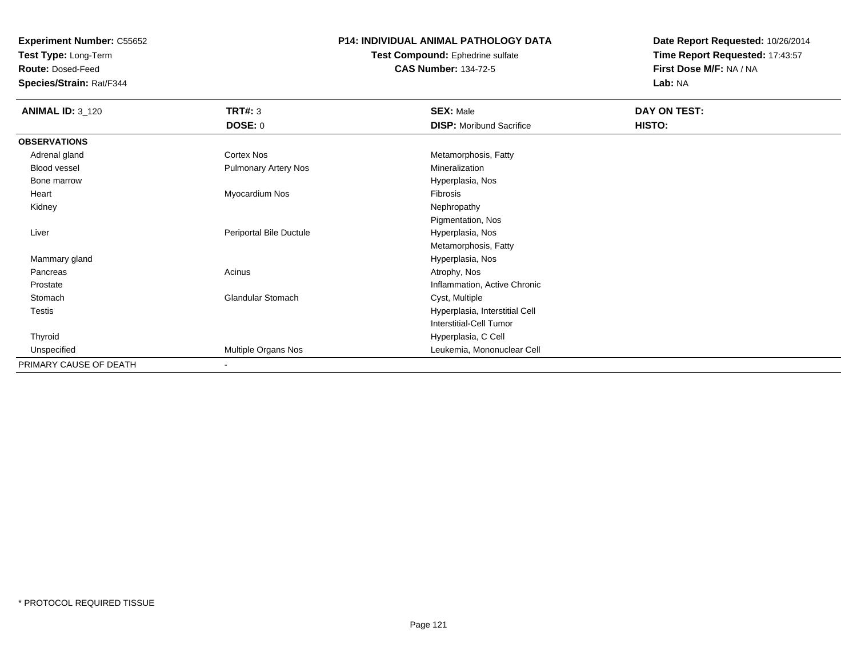**Test Type:** Long-Term

**Route:** Dosed-Feed

**Species/Strain:** Rat/F344

# **P14: INDIVIDUAL ANIMAL PATHOLOGY DATA**

**Test Compound:** Ephedrine sulfate**CAS Number:** 134-72-5

| <b>ANIMAL ID: 3_120</b> | TRT#: 3                     | <b>SEX: Male</b>                | DAY ON TEST: |  |
|-------------------------|-----------------------------|---------------------------------|--------------|--|
|                         | <b>DOSE: 0</b>              | <b>DISP:</b> Moribund Sacrifice | HISTO:       |  |
| <b>OBSERVATIONS</b>     |                             |                                 |              |  |
| Adrenal gland           | Cortex Nos                  | Metamorphosis, Fatty            |              |  |
| Blood vessel            | <b>Pulmonary Artery Nos</b> | Mineralization                  |              |  |
| Bone marrow             |                             | Hyperplasia, Nos                |              |  |
| Heart                   | Myocardium Nos              | Fibrosis                        |              |  |
| Kidney                  |                             | Nephropathy                     |              |  |
|                         |                             | Pigmentation, Nos               |              |  |
| Liver                   | Periportal Bile Ductule     | Hyperplasia, Nos                |              |  |
|                         |                             | Metamorphosis, Fatty            |              |  |
| Mammary gland           |                             | Hyperplasia, Nos                |              |  |
| Pancreas                | Acinus                      | Atrophy, Nos                    |              |  |
| Prostate                |                             | Inflammation, Active Chronic    |              |  |
| Stomach                 | <b>Glandular Stomach</b>    | Cyst, Multiple                  |              |  |
| <b>Testis</b>           |                             | Hyperplasia, Interstitial Cell  |              |  |
|                         |                             | <b>Interstitial-Cell Tumor</b>  |              |  |
| Thyroid                 |                             | Hyperplasia, C Cell             |              |  |
| Unspecified             | Multiple Organs Nos         | Leukemia, Mononuclear Cell      |              |  |
| PRIMARY CAUSE OF DEATH  | $\overline{\phantom{a}}$    |                                 |              |  |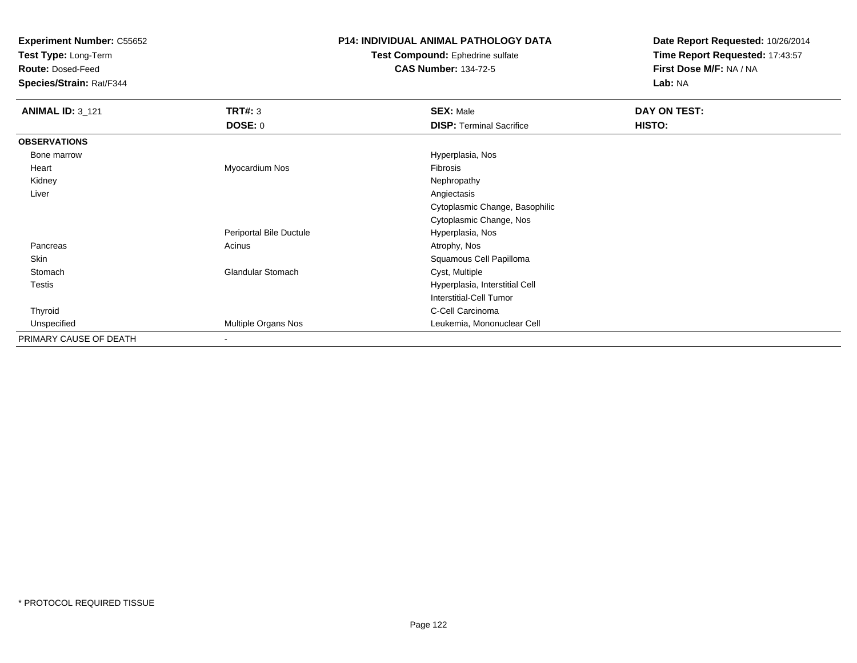**Test Type:** Long-Term

**Route:** Dosed-Feed

**Species/Strain:** Rat/F344

## **P14: INDIVIDUAL ANIMAL PATHOLOGY DATA**

#### **Test Compound:** Ephedrine sulfate**CAS Number:** 134-72-5

| <b>ANIMAL ID: 3_121</b> | TRT#: 3                  | <b>SEX: Male</b>                | DAY ON TEST: |
|-------------------------|--------------------------|---------------------------------|--------------|
|                         | DOSE: 0                  | <b>DISP: Terminal Sacrifice</b> | HISTO:       |
| <b>OBSERVATIONS</b>     |                          |                                 |              |
| Bone marrow             |                          | Hyperplasia, Nos                |              |
| Heart                   | Myocardium Nos           | Fibrosis                        |              |
| Kidney                  |                          | Nephropathy                     |              |
| Liver                   |                          | Angiectasis                     |              |
|                         |                          | Cytoplasmic Change, Basophilic  |              |
|                         |                          | Cytoplasmic Change, Nos         |              |
|                         | Periportal Bile Ductule  | Hyperplasia, Nos                |              |
| Pancreas                | Acinus                   | Atrophy, Nos                    |              |
| Skin                    |                          | Squamous Cell Papilloma         |              |
| Stomach                 | <b>Glandular Stomach</b> | Cyst, Multiple                  |              |
| Testis                  |                          | Hyperplasia, Interstitial Cell  |              |
|                         |                          | <b>Interstitial-Cell Tumor</b>  |              |
| Thyroid                 |                          | C-Cell Carcinoma                |              |
| Unspecified             | Multiple Organs Nos      | Leukemia, Mononuclear Cell      |              |
| PRIMARY CAUSE OF DEATH  | $\blacksquare$           |                                 |              |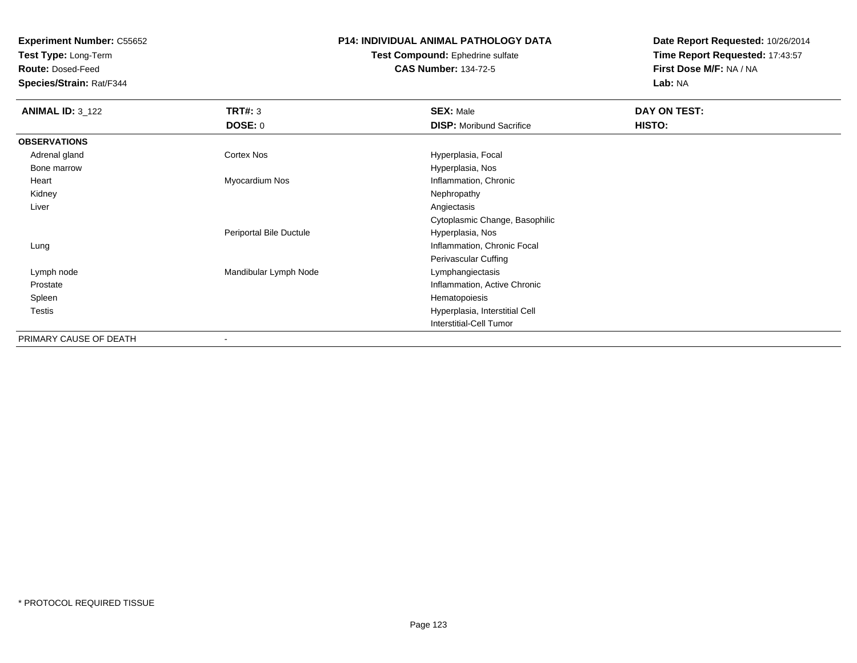**Test Type:** Long-Term

**Route:** Dosed-Feed

**Species/Strain:** Rat/F344

# **P14: INDIVIDUAL ANIMAL PATHOLOGY DATA**

#### **Test Compound:** Ephedrine sulfate**CAS Number:** 134-72-5

| <b>ANIMAL ID: 3_122</b> | <b>TRT#: 3</b>          | <b>SEX: Male</b>                | DAY ON TEST: |  |
|-------------------------|-------------------------|---------------------------------|--------------|--|
|                         | DOSE: 0                 | <b>DISP:</b> Moribund Sacrifice | HISTO:       |  |
| <b>OBSERVATIONS</b>     |                         |                                 |              |  |
| Adrenal gland           | Cortex Nos              | Hyperplasia, Focal              |              |  |
| Bone marrow             |                         | Hyperplasia, Nos                |              |  |
| Heart                   | Myocardium Nos          | Inflammation, Chronic           |              |  |
| Kidney                  |                         | Nephropathy                     |              |  |
| Liver                   |                         | Angiectasis                     |              |  |
|                         |                         | Cytoplasmic Change, Basophilic  |              |  |
|                         | Periportal Bile Ductule | Hyperplasia, Nos                |              |  |
| Lung                    |                         | Inflammation, Chronic Focal     |              |  |
|                         |                         | Perivascular Cuffing            |              |  |
| Lymph node              | Mandibular Lymph Node   | Lymphangiectasis                |              |  |
| Prostate                |                         | Inflammation, Active Chronic    |              |  |
| Spleen                  |                         | Hematopoiesis                   |              |  |
| <b>Testis</b>           |                         | Hyperplasia, Interstitial Cell  |              |  |
|                         |                         | <b>Interstitial-Cell Tumor</b>  |              |  |
| PRIMARY CAUSE OF DEATH  |                         |                                 |              |  |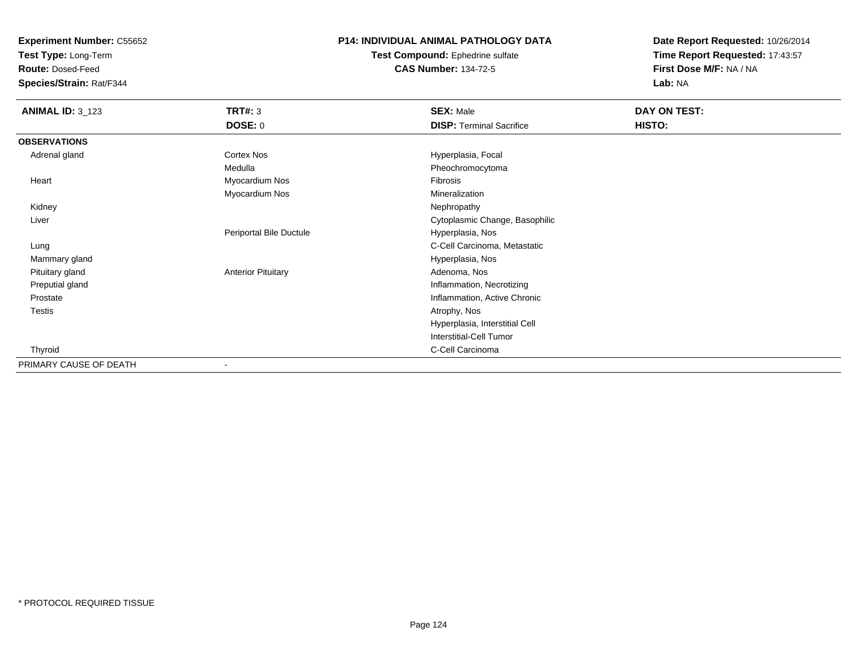**Test Type:** Long-Term

**Route:** Dosed-Feed

**Species/Strain:** Rat/F344

#### **P14: INDIVIDUAL ANIMAL PATHOLOGY DATA**

**Test Compound:** Ephedrine sulfate**CAS Number:** 134-72-5

| <b>ANIMAL ID: 3_123</b> | <b>TRT#: 3</b>            | <b>SEX: Male</b>                | DAY ON TEST: |  |
|-------------------------|---------------------------|---------------------------------|--------------|--|
|                         | <b>DOSE: 0</b>            | <b>DISP: Terminal Sacrifice</b> | HISTO:       |  |
| <b>OBSERVATIONS</b>     |                           |                                 |              |  |
| Adrenal gland           | Cortex Nos                | Hyperplasia, Focal              |              |  |
|                         | Medulla                   | Pheochromocytoma                |              |  |
| Heart                   | Myocardium Nos            | Fibrosis                        |              |  |
|                         | Myocardium Nos            | Mineralization                  |              |  |
| Kidney                  |                           | Nephropathy                     |              |  |
| Liver                   |                           | Cytoplasmic Change, Basophilic  |              |  |
|                         | Periportal Bile Ductule   | Hyperplasia, Nos                |              |  |
| Lung                    |                           | C-Cell Carcinoma, Metastatic    |              |  |
| Mammary gland           |                           | Hyperplasia, Nos                |              |  |
| Pituitary gland         | <b>Anterior Pituitary</b> | Adenoma, Nos                    |              |  |
| Preputial gland         |                           | Inflammation, Necrotizing       |              |  |
| Prostate                |                           | Inflammation, Active Chronic    |              |  |
| Testis                  |                           | Atrophy, Nos                    |              |  |
|                         |                           | Hyperplasia, Interstitial Cell  |              |  |
|                         |                           | Interstitial-Cell Tumor         |              |  |
| Thyroid                 |                           | C-Cell Carcinoma                |              |  |
| PRIMARY CAUSE OF DEATH  |                           |                                 |              |  |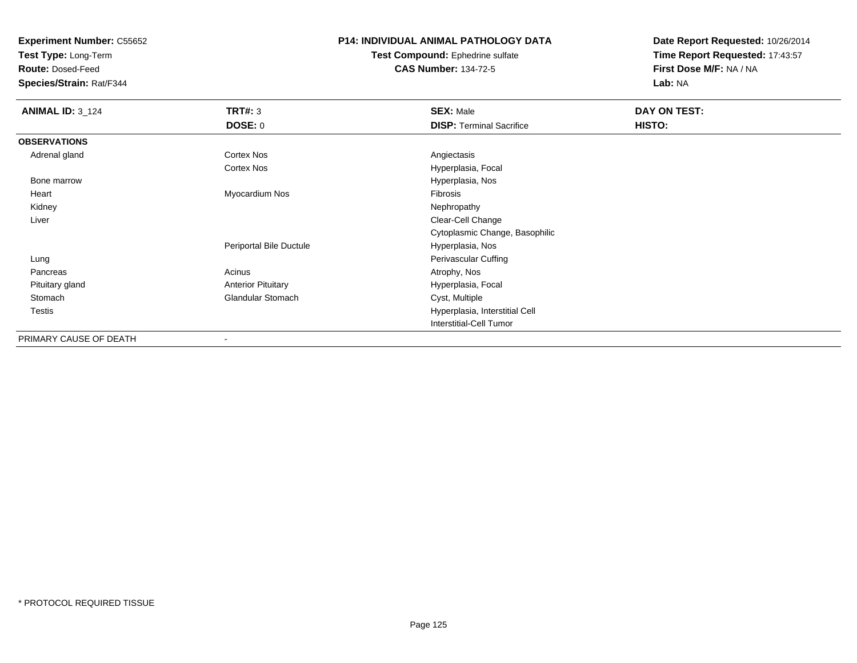**Test Type:** Long-Term

**Route:** Dosed-Feed

**Species/Strain:** Rat/F344

#### **P14: INDIVIDUAL ANIMAL PATHOLOGY DATA**

**Test Compound:** Ephedrine sulfate**CAS Number:** 134-72-5

| <b>ANIMAL ID: 3_124</b> | TRT#: 3                   | <b>SEX: Male</b>                | DAY ON TEST: |  |
|-------------------------|---------------------------|---------------------------------|--------------|--|
|                         | <b>DOSE: 0</b>            | <b>DISP: Terminal Sacrifice</b> | HISTO:       |  |
| <b>OBSERVATIONS</b>     |                           |                                 |              |  |
| Adrenal gland           | Cortex Nos                | Angiectasis                     |              |  |
|                         | Cortex Nos                | Hyperplasia, Focal              |              |  |
| Bone marrow             |                           | Hyperplasia, Nos                |              |  |
| Heart                   | Myocardium Nos            | Fibrosis                        |              |  |
| Kidney                  |                           | Nephropathy                     |              |  |
| Liver                   |                           | Clear-Cell Change               |              |  |
|                         |                           | Cytoplasmic Change, Basophilic  |              |  |
|                         | Periportal Bile Ductule   | Hyperplasia, Nos                |              |  |
| Lung                    |                           | Perivascular Cuffing            |              |  |
| Pancreas                | Acinus                    | Atrophy, Nos                    |              |  |
| Pituitary gland         | <b>Anterior Pituitary</b> | Hyperplasia, Focal              |              |  |
| Stomach                 | <b>Glandular Stomach</b>  | Cyst, Multiple                  |              |  |
| Testis                  |                           | Hyperplasia, Interstitial Cell  |              |  |
|                         |                           | <b>Interstitial-Cell Tumor</b>  |              |  |
| PRIMARY CAUSE OF DEATH  | $\overline{\phantom{a}}$  |                                 |              |  |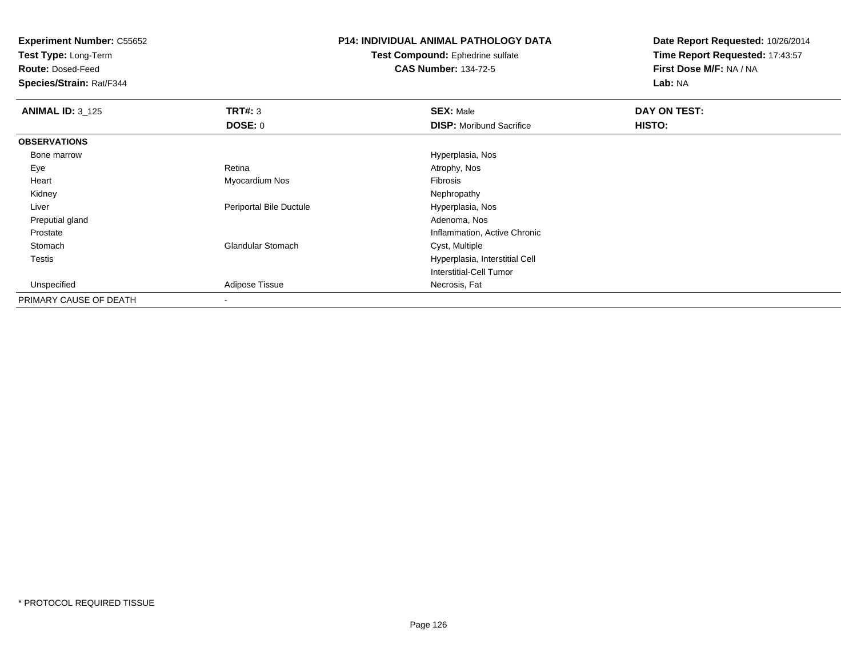**Test Type:** Long-Term

**Route:** Dosed-Feed

**Species/Strain:** Rat/F344

# **P14: INDIVIDUAL ANIMAL PATHOLOGY DATA**

**Test Compound:** Ephedrine sulfate**CAS Number:** 134-72-5

| <b>ANIMAL ID: 3_125</b> | TRT#: 3                  | <b>SEX: Male</b>                | DAY ON TEST: |  |
|-------------------------|--------------------------|---------------------------------|--------------|--|
|                         | <b>DOSE: 0</b>           | <b>DISP:</b> Moribund Sacrifice | HISTO:       |  |
| <b>OBSERVATIONS</b>     |                          |                                 |              |  |
| Bone marrow             |                          | Hyperplasia, Nos                |              |  |
| Eye                     | Retina                   | Atrophy, Nos                    |              |  |
| Heart                   | Myocardium Nos           | Fibrosis                        |              |  |
| Kidney                  |                          | Nephropathy                     |              |  |
| Liver                   | Periportal Bile Ductule  | Hyperplasia, Nos                |              |  |
| Preputial gland         |                          | Adenoma, Nos                    |              |  |
| Prostate                |                          | Inflammation, Active Chronic    |              |  |
| Stomach                 | <b>Glandular Stomach</b> | Cyst, Multiple                  |              |  |
| <b>Testis</b>           |                          | Hyperplasia, Interstitial Cell  |              |  |
|                         |                          | <b>Interstitial-Cell Tumor</b>  |              |  |
| Unspecified             | Adipose Tissue           | Necrosis, Fat                   |              |  |
| PRIMARY CAUSE OF DEATH  |                          |                                 |              |  |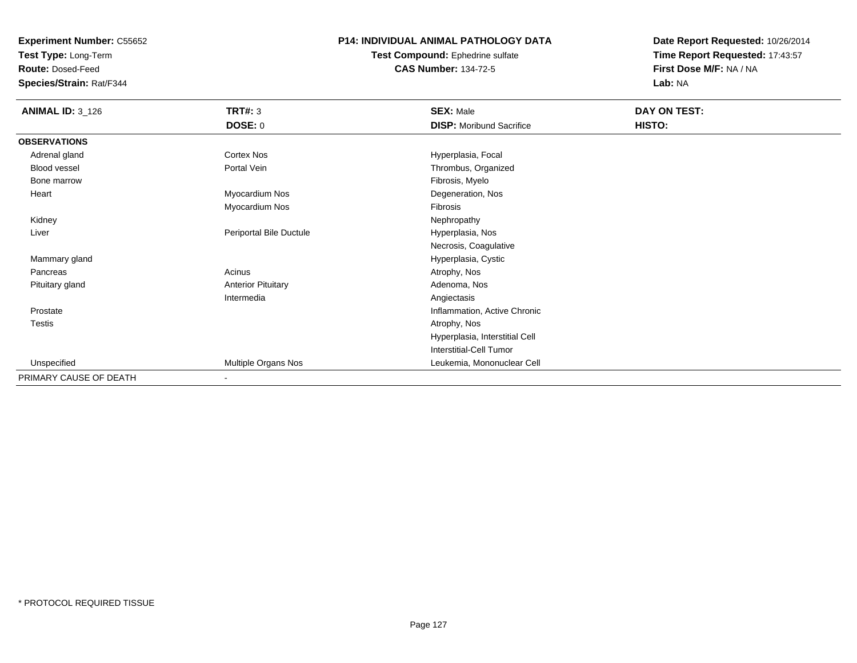**Test Type:** Long-Term

**Route:** Dosed-Feed

**Species/Strain:** Rat/F344

#### **P14: INDIVIDUAL ANIMAL PATHOLOGY DATA**

**Test Compound:** Ephedrine sulfate**CAS Number:** 134-72-5

| <b>ANIMAL ID: 3_126</b> | TRT#: 3                    | <b>SEX: Male</b>                | DAY ON TEST: |
|-------------------------|----------------------------|---------------------------------|--------------|
|                         | <b>DOSE: 0</b>             | <b>DISP:</b> Moribund Sacrifice | HISTO:       |
| <b>OBSERVATIONS</b>     |                            |                                 |              |
| Adrenal gland           | Cortex Nos                 | Hyperplasia, Focal              |              |
| Blood vessel            | Portal Vein                | Thrombus, Organized             |              |
| Bone marrow             |                            | Fibrosis, Myelo                 |              |
| Heart                   | Myocardium Nos             | Degeneration, Nos               |              |
|                         | Myocardium Nos             | <b>Fibrosis</b>                 |              |
| Kidney                  |                            | Nephropathy                     |              |
| Liver                   | Periportal Bile Ductule    | Hyperplasia, Nos                |              |
|                         |                            | Necrosis, Coagulative           |              |
| Mammary gland           |                            | Hyperplasia, Cystic             |              |
| Pancreas                | Acinus                     | Atrophy, Nos                    |              |
| Pituitary gland         | <b>Anterior Pituitary</b>  | Adenoma, Nos                    |              |
|                         | Intermedia                 | Angiectasis                     |              |
| Prostate                |                            | Inflammation, Active Chronic    |              |
| <b>Testis</b>           |                            | Atrophy, Nos                    |              |
|                         |                            | Hyperplasia, Interstitial Cell  |              |
|                         |                            | Interstitial-Cell Tumor         |              |
| Unspecified             | <b>Multiple Organs Nos</b> | Leukemia, Mononuclear Cell      |              |
| PRIMARY CAUSE OF DEATH  | $\overline{\phantom{a}}$   |                                 |              |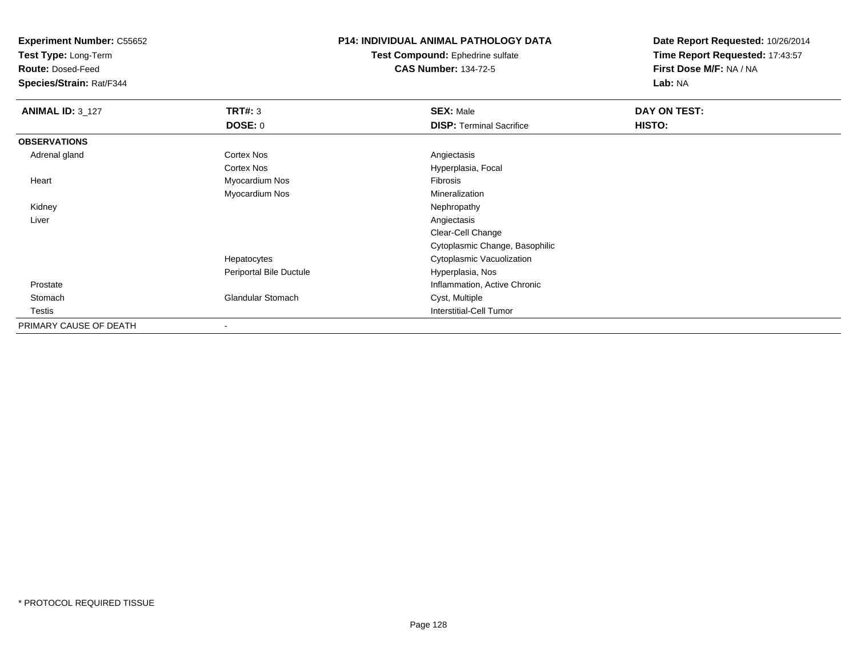**Test Type:** Long-Term

**Route:** Dosed-Feed

**Species/Strain:** Rat/F344

# **P14: INDIVIDUAL ANIMAL PATHOLOGY DATA**

**Test Compound:** Ephedrine sulfate**CAS Number:** 134-72-5

| <b>ANIMAL ID: 3_127</b> | TRT#: 3                  | <b>SEX: Male</b>                | DAY ON TEST: |  |
|-------------------------|--------------------------|---------------------------------|--------------|--|
|                         | <b>DOSE: 0</b>           | <b>DISP: Terminal Sacrifice</b> | HISTO:       |  |
| <b>OBSERVATIONS</b>     |                          |                                 |              |  |
| Adrenal gland           | <b>Cortex Nos</b>        | Angiectasis                     |              |  |
|                         | <b>Cortex Nos</b>        | Hyperplasia, Focal              |              |  |
| Heart                   | Myocardium Nos           | Fibrosis                        |              |  |
|                         | Myocardium Nos           | Mineralization                  |              |  |
| Kidney                  |                          | Nephropathy                     |              |  |
| Liver                   |                          | Angiectasis                     |              |  |
|                         |                          | Clear-Cell Change               |              |  |
|                         |                          | Cytoplasmic Change, Basophilic  |              |  |
|                         | Hepatocytes              | Cytoplasmic Vacuolization       |              |  |
|                         | Periportal Bile Ductule  | Hyperplasia, Nos                |              |  |
| Prostate                |                          | Inflammation, Active Chronic    |              |  |
| Stomach                 | <b>Glandular Stomach</b> | Cyst, Multiple                  |              |  |
| Testis                  |                          | <b>Interstitial-Cell Tumor</b>  |              |  |
| PRIMARY CAUSE OF DEATH  |                          |                                 |              |  |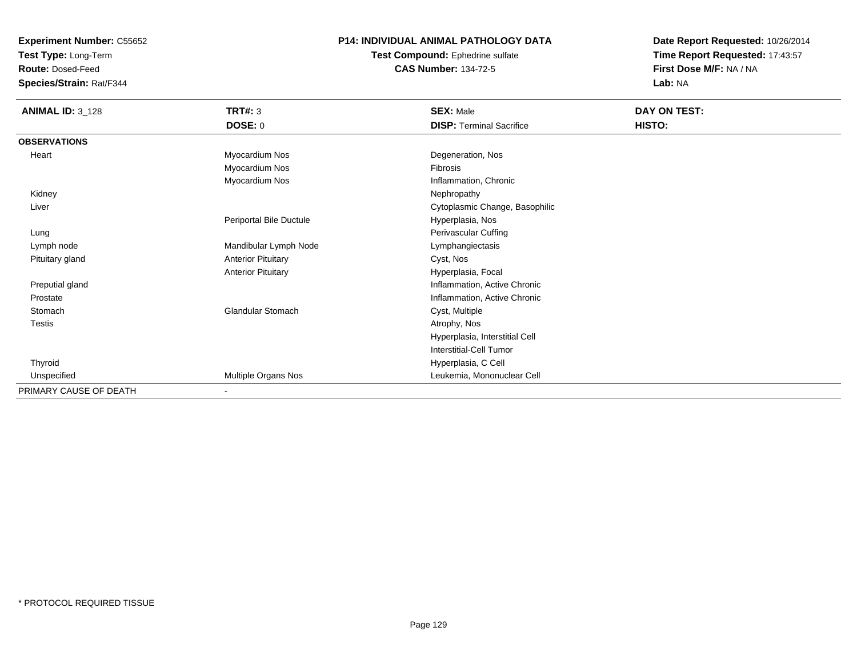**Test Type:** Long-Term

**Route:** Dosed-Feed

**Species/Strain:** Rat/F344

## **P14: INDIVIDUAL ANIMAL PATHOLOGY DATA**

**Test Compound:** Ephedrine sulfate**CAS Number:** 134-72-5

| <b>ANIMAL ID: 3_128</b> | <b>TRT#: 3</b><br><b>DOSE: 0</b> | <b>SEX: Male</b><br><b>DISP: Terminal Sacrifice</b> | DAY ON TEST:<br>HISTO: |
|-------------------------|----------------------------------|-----------------------------------------------------|------------------------|
| <b>OBSERVATIONS</b>     |                                  |                                                     |                        |
| Heart                   | Myocardium Nos                   | Degeneration, Nos                                   |                        |
|                         | Myocardium Nos                   | Fibrosis                                            |                        |
|                         | Myocardium Nos                   | Inflammation, Chronic                               |                        |
| Kidney                  |                                  | Nephropathy                                         |                        |
| Liver                   |                                  | Cytoplasmic Change, Basophilic                      |                        |
|                         | Periportal Bile Ductule          | Hyperplasia, Nos                                    |                        |
| Lung                    |                                  | Perivascular Cuffing                                |                        |
| Lymph node              | Mandibular Lymph Node            | Lymphangiectasis                                    |                        |
| Pituitary gland         | <b>Anterior Pituitary</b>        | Cyst, Nos                                           |                        |
|                         | <b>Anterior Pituitary</b>        | Hyperplasia, Focal                                  |                        |
| Preputial gland         |                                  | Inflammation, Active Chronic                        |                        |
| Prostate                |                                  | Inflammation, Active Chronic                        |                        |
| Stomach                 | Glandular Stomach                | Cyst, Multiple                                      |                        |
| Testis                  |                                  | Atrophy, Nos                                        |                        |
|                         |                                  | Hyperplasia, Interstitial Cell                      |                        |
|                         |                                  | <b>Interstitial-Cell Tumor</b>                      |                        |
| Thyroid                 |                                  | Hyperplasia, C Cell                                 |                        |
| Unspecified             | Multiple Organs Nos              | Leukemia, Mononuclear Cell                          |                        |
| PRIMARY CAUSE OF DEATH  | ٠                                |                                                     |                        |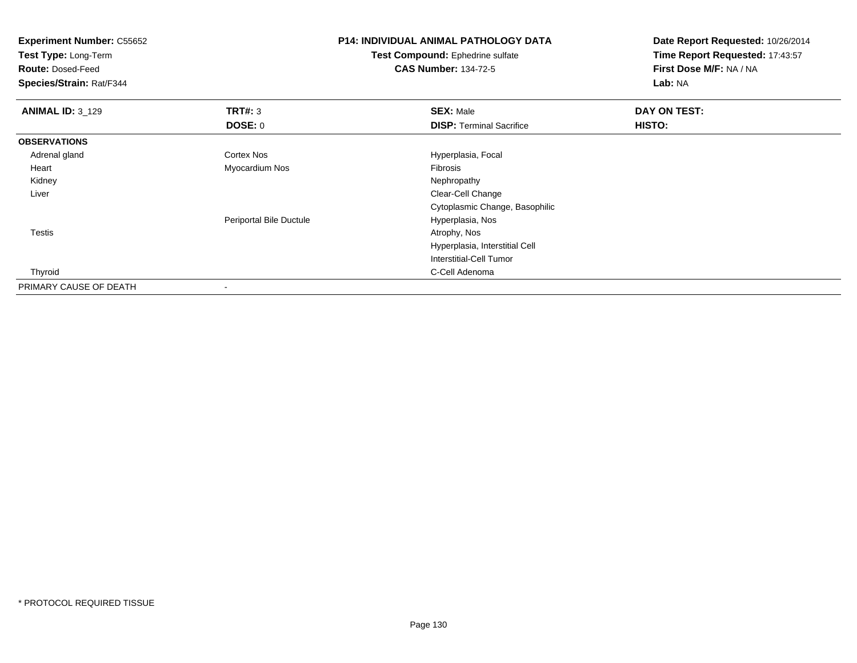| <b>Experiment Number: C55652</b> |                         | <b>P14: INDIVIDUAL ANIMAL PATHOLOGY DATA</b> | Date Report Requested: 10/26/2014 |
|----------------------------------|-------------------------|----------------------------------------------|-----------------------------------|
| Test Type: Long-Term             |                         | Test Compound: Ephedrine sulfate             | Time Report Requested: 17:43:57   |
| <b>Route: Dosed-Feed</b>         |                         | <b>CAS Number: 134-72-5</b>                  | First Dose M/F: NA / NA           |
| Species/Strain: Rat/F344         |                         |                                              | Lab: NA                           |
| <b>ANIMAL ID: 3_129</b>          | <b>TRT#: 3</b>          | <b>SEX: Male</b>                             | DAY ON TEST:                      |
|                                  | <b>DOSE: 0</b>          | <b>DISP: Terminal Sacrifice</b>              | HISTO:                            |
| <b>OBSERVATIONS</b>              |                         |                                              |                                   |
| Adrenal gland                    | Cortex Nos              | Hyperplasia, Focal                           |                                   |
| Heart                            | Myocardium Nos          | Fibrosis                                     |                                   |
| Kidney                           |                         | Nephropathy                                  |                                   |
| Liver                            |                         | Clear-Cell Change                            |                                   |
|                                  |                         | Cytoplasmic Change, Basophilic               |                                   |
|                                  | Periportal Bile Ductule | Hyperplasia, Nos                             |                                   |
| <b>Testis</b>                    |                         | Atrophy, Nos                                 |                                   |
|                                  |                         | Hyperplasia, Interstitial Cell               |                                   |
|                                  |                         | Interstitial-Cell Tumor                      |                                   |
| Thyroid                          |                         | C-Cell Adenoma                               |                                   |
| PRIMARY CAUSE OF DEATH           |                         |                                              |                                   |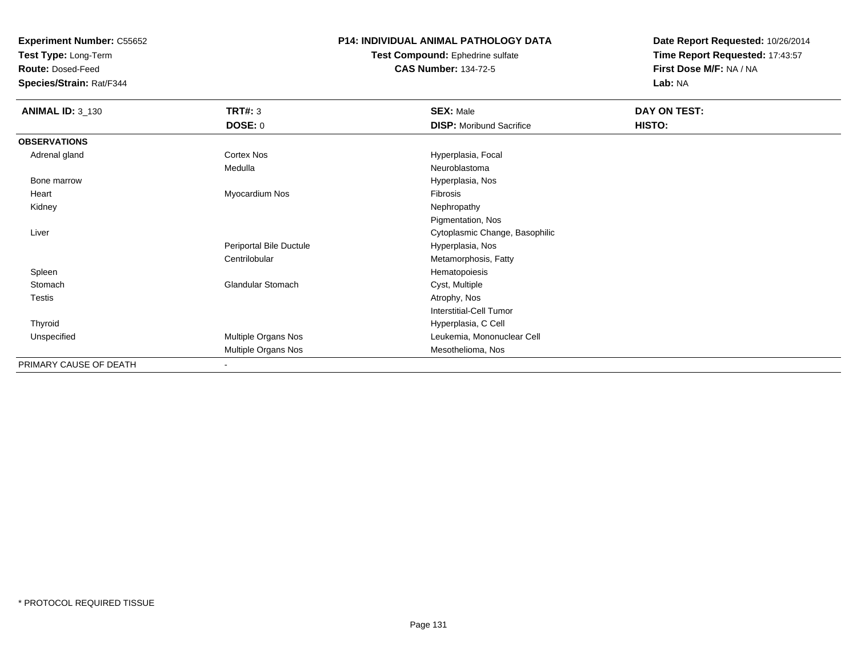**Test Type:** Long-Term

**Route:** Dosed-Feed

**Species/Strain:** Rat/F344

## **P14: INDIVIDUAL ANIMAL PATHOLOGY DATA**

#### **Test Compound:** Ephedrine sulfate**CAS Number:** 134-72-5

| <b>ANIMAL ID: 3_130</b> | <b>TRT#: 3</b>           | <b>SEX: Male</b>                | DAY ON TEST: |
|-------------------------|--------------------------|---------------------------------|--------------|
|                         | DOSE: 0                  | <b>DISP:</b> Moribund Sacrifice | HISTO:       |
| <b>OBSERVATIONS</b>     |                          |                                 |              |
| Adrenal gland           | Cortex Nos               | Hyperplasia, Focal              |              |
|                         | Medulla                  | Neuroblastoma                   |              |
| Bone marrow             |                          | Hyperplasia, Nos                |              |
| Heart                   | Myocardium Nos           | Fibrosis                        |              |
| Kidney                  |                          | Nephropathy                     |              |
|                         |                          | Pigmentation, Nos               |              |
| Liver                   |                          | Cytoplasmic Change, Basophilic  |              |
|                         | Periportal Bile Ductule  | Hyperplasia, Nos                |              |
|                         | Centrilobular            | Metamorphosis, Fatty            |              |
| Spleen                  |                          | Hematopoiesis                   |              |
| Stomach                 | <b>Glandular Stomach</b> | Cyst, Multiple                  |              |
| <b>Testis</b>           |                          | Atrophy, Nos                    |              |
|                         |                          | <b>Interstitial-Cell Tumor</b>  |              |
| Thyroid                 |                          | Hyperplasia, C Cell             |              |
| Unspecified             | Multiple Organs Nos      | Leukemia, Mononuclear Cell      |              |
|                         | Multiple Organs Nos      | Mesothelioma, Nos               |              |
| PRIMARY CAUSE OF DEATH  | $\overline{\phantom{a}}$ |                                 |              |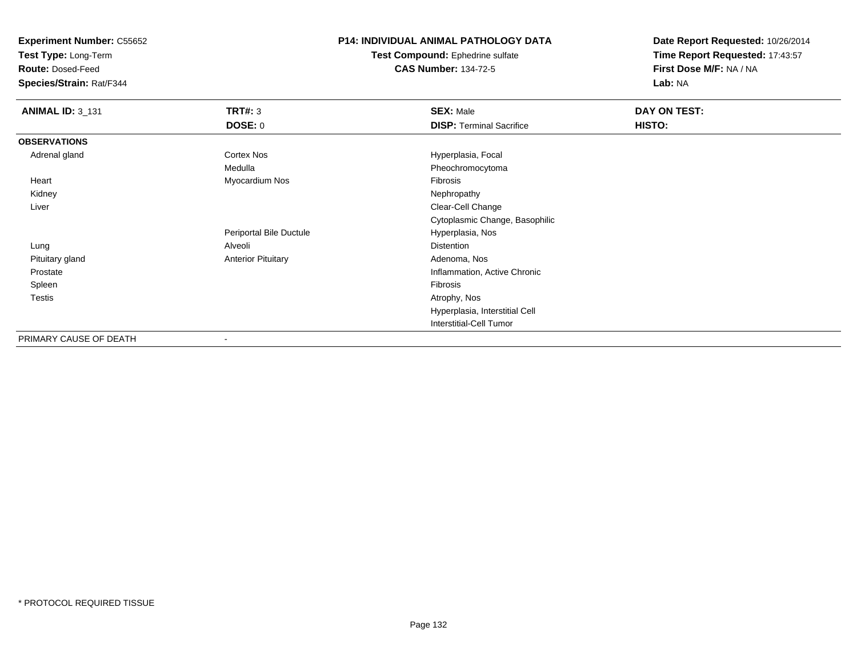**Test Type:** Long-Term

**Route:** Dosed-Feed

**Species/Strain:** Rat/F344

## **P14: INDIVIDUAL ANIMAL PATHOLOGY DATA**

**Test Compound:** Ephedrine sulfate**CAS Number:** 134-72-5

| <b>ANIMAL ID: 3_131</b> | <b>TRT#: 3</b>            | <b>SEX: Male</b>                | DAY ON TEST: |  |
|-------------------------|---------------------------|---------------------------------|--------------|--|
|                         | <b>DOSE: 0</b>            | <b>DISP: Terminal Sacrifice</b> | HISTO:       |  |
| <b>OBSERVATIONS</b>     |                           |                                 |              |  |
| Adrenal gland           | <b>Cortex Nos</b>         | Hyperplasia, Focal              |              |  |
|                         | Medulla                   | Pheochromocytoma                |              |  |
| Heart                   | Myocardium Nos            | Fibrosis                        |              |  |
| Kidney                  |                           | Nephropathy                     |              |  |
| Liver                   |                           | Clear-Cell Change               |              |  |
|                         |                           | Cytoplasmic Change, Basophilic  |              |  |
|                         | Periportal Bile Ductule   | Hyperplasia, Nos                |              |  |
| Lung                    | Alveoli                   | <b>Distention</b>               |              |  |
| Pituitary gland         | <b>Anterior Pituitary</b> | Adenoma, Nos                    |              |  |
| Prostate                |                           | Inflammation, Active Chronic    |              |  |
| Spleen                  |                           | Fibrosis                        |              |  |
| Testis                  |                           | Atrophy, Nos                    |              |  |
|                         |                           | Hyperplasia, Interstitial Cell  |              |  |
|                         |                           | <b>Interstitial-Cell Tumor</b>  |              |  |
| PRIMARY CAUSE OF DEATH  | $\overline{\phantom{a}}$  |                                 |              |  |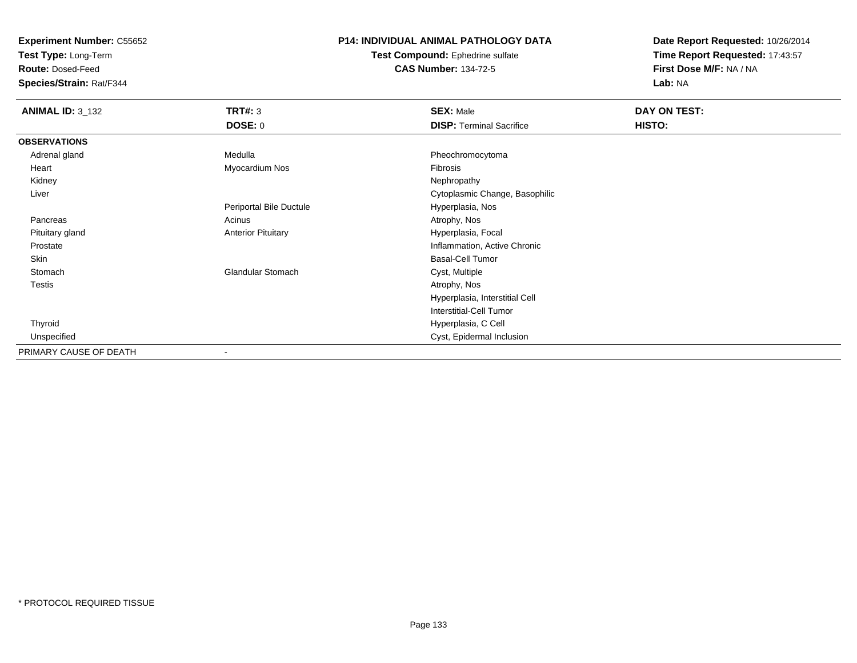**Test Type:** Long-Term

**Route:** Dosed-Feed

**Species/Strain:** Rat/F344

### **P14: INDIVIDUAL ANIMAL PATHOLOGY DATA**

**Test Compound:** Ephedrine sulfate**CAS Number:** 134-72-5

| <b>ANIMAL ID: 3_132</b> | TRT#: 3                   | <b>SEX: Male</b>                | DAY ON TEST: |
|-------------------------|---------------------------|---------------------------------|--------------|
|                         | <b>DOSE: 0</b>            | <b>DISP: Terminal Sacrifice</b> | HISTO:       |
| <b>OBSERVATIONS</b>     |                           |                                 |              |
| Adrenal gland           | Medulla                   | Pheochromocytoma                |              |
| Heart                   | Myocardium Nos            | Fibrosis                        |              |
| Kidney                  |                           | Nephropathy                     |              |
| Liver                   |                           | Cytoplasmic Change, Basophilic  |              |
|                         | Periportal Bile Ductule   | Hyperplasia, Nos                |              |
| Pancreas                | Acinus                    | Atrophy, Nos                    |              |
| Pituitary gland         | <b>Anterior Pituitary</b> | Hyperplasia, Focal              |              |
| Prostate                |                           | Inflammation, Active Chronic    |              |
| Skin                    |                           | <b>Basal-Cell Tumor</b>         |              |
| Stomach                 | <b>Glandular Stomach</b>  | Cyst, Multiple                  |              |
| <b>Testis</b>           |                           | Atrophy, Nos                    |              |
|                         |                           | Hyperplasia, Interstitial Cell  |              |
|                         |                           | Interstitial-Cell Tumor         |              |
| Thyroid                 |                           | Hyperplasia, C Cell             |              |
| Unspecified             |                           | Cyst, Epidermal Inclusion       |              |
| PRIMARY CAUSE OF DEATH  |                           |                                 |              |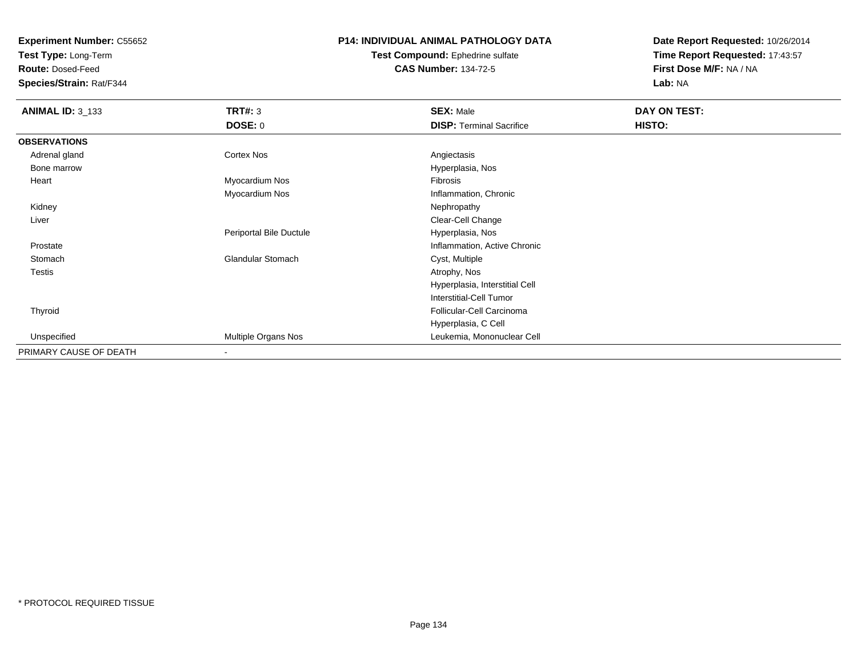**Test Type:** Long-Term

**Route:** Dosed-Feed

**Species/Strain:** Rat/F344

## **P14: INDIVIDUAL ANIMAL PATHOLOGY DATA**

**Test Compound:** Ephedrine sulfate**CAS Number:** 134-72-5

| <b>ANIMAL ID: 3_133</b> | <b>TRT#: 3</b>           | <b>SEX: Male</b>                | DAY ON TEST: |  |
|-------------------------|--------------------------|---------------------------------|--------------|--|
|                         | DOSE: 0                  | <b>DISP: Terminal Sacrifice</b> | HISTO:       |  |
| <b>OBSERVATIONS</b>     |                          |                                 |              |  |
| Adrenal gland           | Cortex Nos               | Angiectasis                     |              |  |
| Bone marrow             |                          | Hyperplasia, Nos                |              |  |
| Heart                   | Myocardium Nos           | Fibrosis                        |              |  |
|                         | Myocardium Nos           | Inflammation, Chronic           |              |  |
| Kidney                  |                          | Nephropathy                     |              |  |
| Liver                   |                          | Clear-Cell Change               |              |  |
|                         | Periportal Bile Ductule  | Hyperplasia, Nos                |              |  |
| Prostate                |                          | Inflammation, Active Chronic    |              |  |
| Stomach                 | <b>Glandular Stomach</b> | Cyst, Multiple                  |              |  |
| <b>Testis</b>           |                          | Atrophy, Nos                    |              |  |
|                         |                          | Hyperplasia, Interstitial Cell  |              |  |
|                         |                          | <b>Interstitial-Cell Tumor</b>  |              |  |
| Thyroid                 |                          | Follicular-Cell Carcinoma       |              |  |
|                         |                          | Hyperplasia, C Cell             |              |  |
| Unspecified             | Multiple Organs Nos      | Leukemia, Mononuclear Cell      |              |  |
| PRIMARY CAUSE OF DEATH  | $\overline{\phantom{a}}$ |                                 |              |  |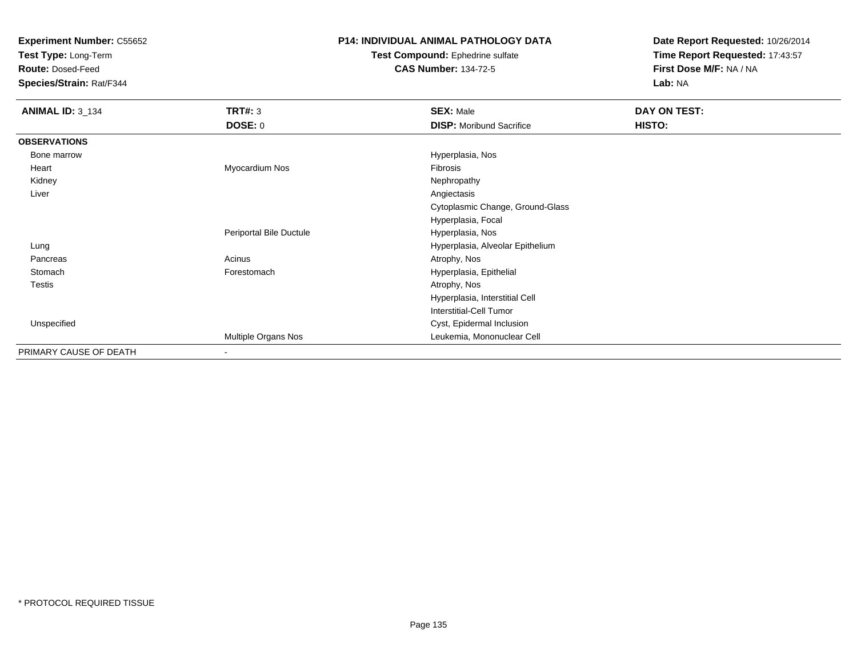**Test Type:** Long-Term

**Route:** Dosed-Feed

**Species/Strain:** Rat/F344

## **P14: INDIVIDUAL ANIMAL PATHOLOGY DATA**

#### **Test Compound:** Ephedrine sulfate**CAS Number:** 134-72-5

| <b>ANIMAL ID: 3_134</b> | <b>TRT#: 3</b>           | <b>SEX: Male</b>                 | DAY ON TEST: |
|-------------------------|--------------------------|----------------------------------|--------------|
|                         | DOSE: 0                  | <b>DISP:</b> Moribund Sacrifice  | HISTO:       |
| <b>OBSERVATIONS</b>     |                          |                                  |              |
| Bone marrow             |                          | Hyperplasia, Nos                 |              |
| Heart                   | Myocardium Nos           | Fibrosis                         |              |
| Kidney                  |                          | Nephropathy                      |              |
| Liver                   |                          | Angiectasis                      |              |
|                         |                          | Cytoplasmic Change, Ground-Glass |              |
|                         |                          | Hyperplasia, Focal               |              |
|                         | Periportal Bile Ductule  | Hyperplasia, Nos                 |              |
| Lung                    |                          | Hyperplasia, Alveolar Epithelium |              |
| Pancreas                | Acinus                   | Atrophy, Nos                     |              |
| Stomach                 | Forestomach              | Hyperplasia, Epithelial          |              |
| <b>Testis</b>           |                          | Atrophy, Nos                     |              |
|                         |                          | Hyperplasia, Interstitial Cell   |              |
|                         |                          | <b>Interstitial-Cell Tumor</b>   |              |
| Unspecified             |                          | Cyst, Epidermal Inclusion        |              |
|                         | Multiple Organs Nos      | Leukemia, Mononuclear Cell       |              |
| PRIMARY CAUSE OF DEATH  | $\overline{\phantom{a}}$ |                                  |              |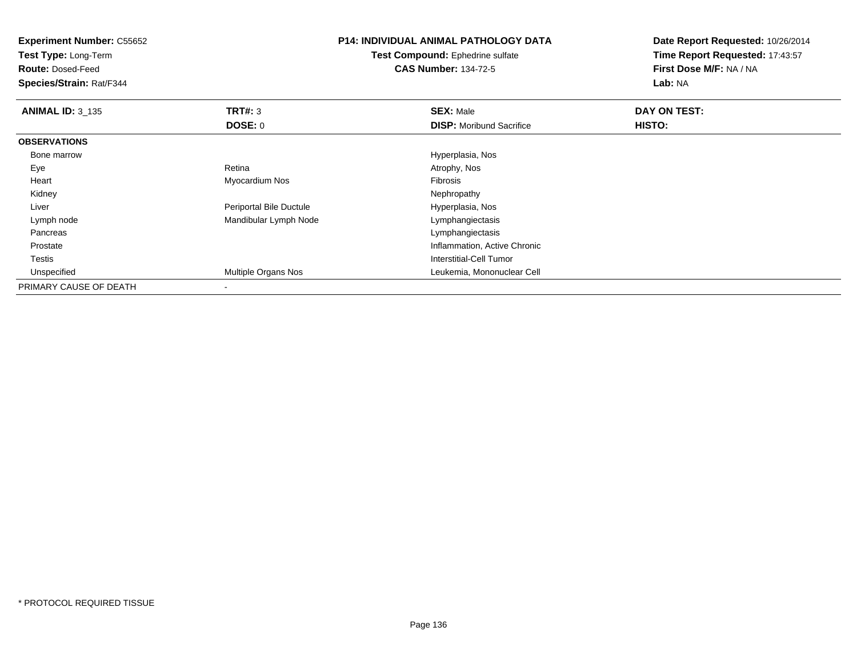**Experiment Number:** C55652**Test Type:** Long-Term**Route:** Dosed-Feed **Species/Strain:** Rat/F344**P14: INDIVIDUAL ANIMAL PATHOLOGY DATATest Compound:** Ephedrine sulfate**CAS Number:** 134-72-5**Date Report Requested:** 10/26/2014**Time Report Requested:** 17:43:57**First Dose M/F:** NA / NA**Lab:** NA**ANIMAL ID:** 3\_135 **TRT#:** <sup>3</sup> **SEX:** Male **DAY ON TEST: DOSE:** 0**DISP:** Moribund Sacrifice **HISTO: OBSERVATIONS** Bone marrow Hyperplasia, Nos Eyee and the contract of the Retina Atrophy, Nos and Atrophy, Nos and Atrophy, Nos and Atrophy, Nos and Atrophy, Nos Heart Myocardium Nos Fibrosis Kidneyy the control of the control of the control of the control of the control of the control of the control of the control of the control of the control of the control of the control of the control of the control of the contro Liver Periportal Bile Ductule Hyperplasia, Nos Lymph nodeMandibular Lymph Node Pancreas Lymphangiectasis Prostate Inflammation, Active Chronic Testis Interstitial-Cell Tumor UnspecifiedMultiple Organs Nos Leukemia, Mononuclear Cell

PRIMARY CAUSE OF DEATH-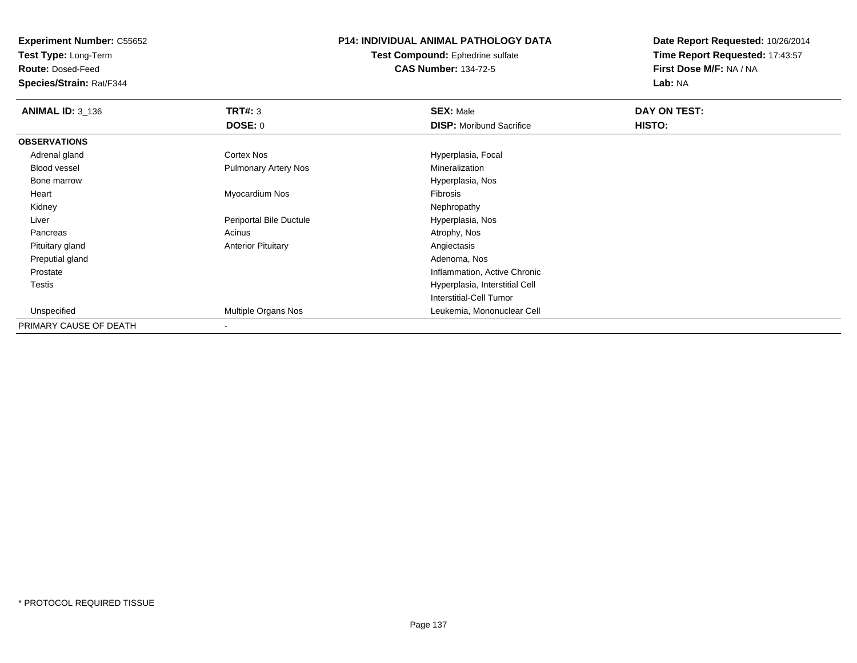**Test Type:** Long-Term

**Route:** Dosed-Feed

**Species/Strain:** Rat/F344

## **P14: INDIVIDUAL ANIMAL PATHOLOGY DATA**

**Test Compound:** Ephedrine sulfate**CAS Number:** 134-72-5

| <b>ANIMAL ID: 3_136</b> | TRT#: 3                     | <b>SEX: Male</b>                | DAY ON TEST: |  |
|-------------------------|-----------------------------|---------------------------------|--------------|--|
|                         | <b>DOSE: 0</b>              | <b>DISP:</b> Moribund Sacrifice | HISTO:       |  |
| <b>OBSERVATIONS</b>     |                             |                                 |              |  |
| Adrenal gland           | Cortex Nos                  | Hyperplasia, Focal              |              |  |
| <b>Blood vessel</b>     | <b>Pulmonary Artery Nos</b> | Mineralization                  |              |  |
| Bone marrow             |                             | Hyperplasia, Nos                |              |  |
| Heart                   | Myocardium Nos              | Fibrosis                        |              |  |
| Kidney                  |                             | Nephropathy                     |              |  |
| Liver                   | Periportal Bile Ductule     | Hyperplasia, Nos                |              |  |
| Pancreas                | Acinus                      | Atrophy, Nos                    |              |  |
| Pituitary gland         | <b>Anterior Pituitary</b>   | Angiectasis                     |              |  |
| Preputial gland         |                             | Adenoma, Nos                    |              |  |
| Prostate                |                             | Inflammation, Active Chronic    |              |  |
| Testis                  |                             | Hyperplasia, Interstitial Cell  |              |  |
|                         |                             | Interstitial-Cell Tumor         |              |  |
| Unspecified             | Multiple Organs Nos         | Leukemia, Mononuclear Cell      |              |  |
| PRIMARY CAUSE OF DEATH  |                             |                                 |              |  |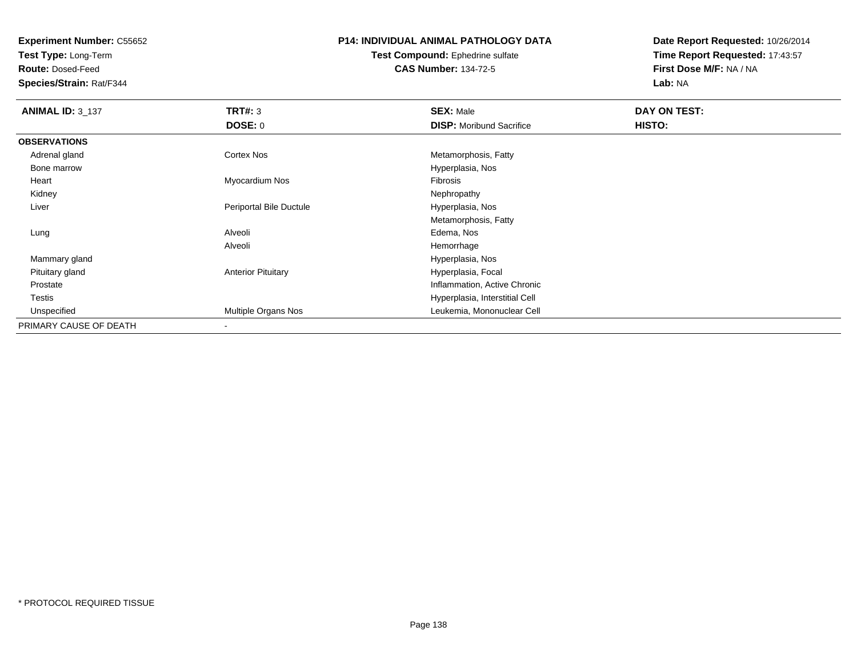**Test Type:** Long-Term

**Route:** Dosed-Feed

**Species/Strain:** Rat/F344

# **P14: INDIVIDUAL ANIMAL PATHOLOGY DATA**

**Test Compound:** Ephedrine sulfate**CAS Number:** 134-72-5

| <b>ANIMAL ID: 3_137</b> | TRT#: 3                   | <b>SEX: Male</b>                | DAY ON TEST: |  |
|-------------------------|---------------------------|---------------------------------|--------------|--|
|                         | <b>DOSE: 0</b>            | <b>DISP:</b> Moribund Sacrifice | HISTO:       |  |
| <b>OBSERVATIONS</b>     |                           |                                 |              |  |
| Adrenal gland           | <b>Cortex Nos</b>         | Metamorphosis, Fatty            |              |  |
| Bone marrow             |                           | Hyperplasia, Nos                |              |  |
| Heart                   | Myocardium Nos            | Fibrosis                        |              |  |
| Kidney                  |                           | Nephropathy                     |              |  |
| Liver                   | Periportal Bile Ductule   | Hyperplasia, Nos                |              |  |
|                         |                           | Metamorphosis, Fatty            |              |  |
| Lung                    | Alveoli                   | Edema, Nos                      |              |  |
|                         | Alveoli                   | Hemorrhage                      |              |  |
| Mammary gland           |                           | Hyperplasia, Nos                |              |  |
| Pituitary gland         | <b>Anterior Pituitary</b> | Hyperplasia, Focal              |              |  |
| Prostate                |                           | Inflammation, Active Chronic    |              |  |
| Testis                  |                           | Hyperplasia, Interstitial Cell  |              |  |
| Unspecified             | Multiple Organs Nos       | Leukemia, Mononuclear Cell      |              |  |
| PRIMARY CAUSE OF DEATH  |                           |                                 |              |  |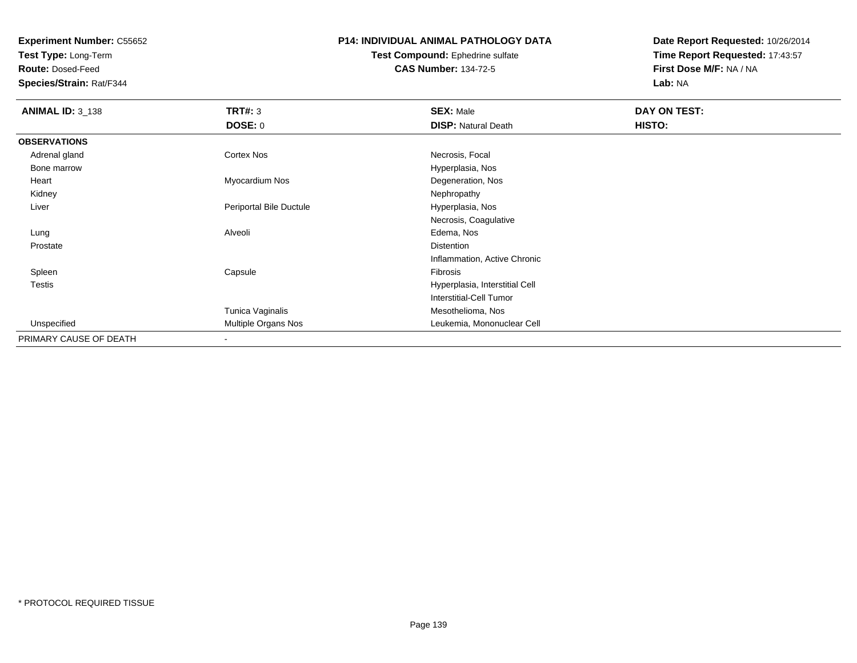**Test Type:** Long-Term

**Route:** Dosed-Feed

**Species/Strain:** Rat/F344

#### **P14: INDIVIDUAL ANIMAL PATHOLOGY DATA**

#### **Test Compound:** Ephedrine sulfate**CAS Number:** 134-72-5

| <b>ANIMAL ID: 3_138</b> | <b>TRT#: 3</b>          | <b>SEX: Male</b>               | DAY ON TEST: |  |
|-------------------------|-------------------------|--------------------------------|--------------|--|
|                         | <b>DOSE: 0</b>          | <b>DISP: Natural Death</b>     | HISTO:       |  |
| <b>OBSERVATIONS</b>     |                         |                                |              |  |
| Adrenal gland           | <b>Cortex Nos</b>       | Necrosis, Focal                |              |  |
| Bone marrow             |                         | Hyperplasia, Nos               |              |  |
| Heart                   | Myocardium Nos          | Degeneration, Nos              |              |  |
| Kidney                  |                         | Nephropathy                    |              |  |
| Liver                   | Periportal Bile Ductule | Hyperplasia, Nos               |              |  |
|                         |                         | Necrosis, Coagulative          |              |  |
| Lung                    | Alveoli                 | Edema, Nos                     |              |  |
| Prostate                |                         | Distention                     |              |  |
|                         |                         | Inflammation, Active Chronic   |              |  |
| Spleen                  | Capsule                 | Fibrosis                       |              |  |
| <b>Testis</b>           |                         | Hyperplasia, Interstitial Cell |              |  |
|                         |                         | <b>Interstitial-Cell Tumor</b> |              |  |
|                         | Tunica Vaginalis        | Mesothelioma, Nos              |              |  |
| Unspecified             | Multiple Organs Nos     | Leukemia, Mononuclear Cell     |              |  |
| PRIMARY CAUSE OF DEATH  | $\sim$                  |                                |              |  |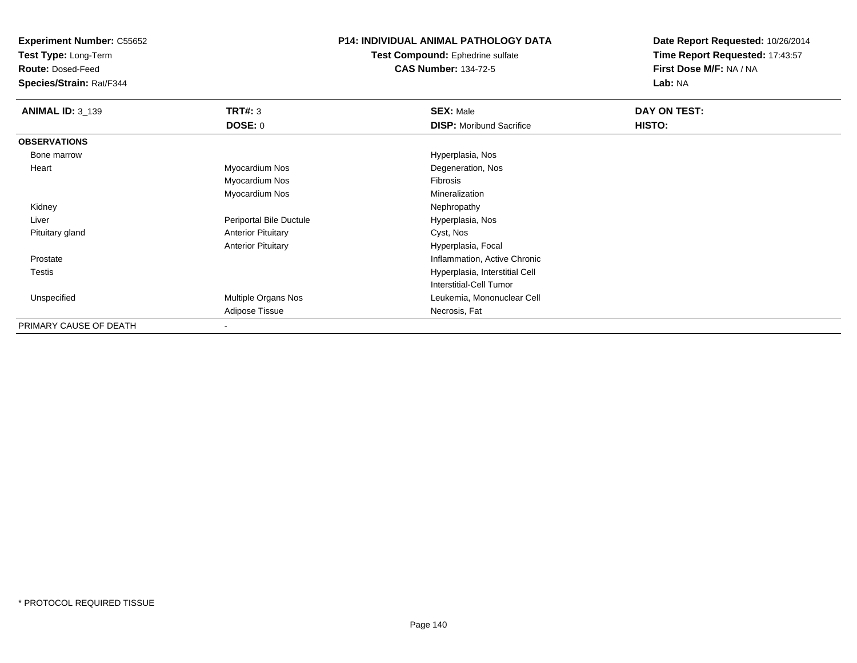**Test Type:** Long-Term

**Route:** Dosed-Feed

**Species/Strain:** Rat/F344

## **P14: INDIVIDUAL ANIMAL PATHOLOGY DATA**

**Test Compound:** Ephedrine sulfate**CAS Number:** 134-72-5

| <b>ANIMAL ID: 3_139</b> | TRT#: 3                   | <b>SEX: Male</b>                | DAY ON TEST: |  |
|-------------------------|---------------------------|---------------------------------|--------------|--|
|                         | <b>DOSE: 0</b>            | <b>DISP:</b> Moribund Sacrifice | HISTO:       |  |
| <b>OBSERVATIONS</b>     |                           |                                 |              |  |
| Bone marrow             |                           | Hyperplasia, Nos                |              |  |
| Heart                   | Myocardium Nos            | Degeneration, Nos               |              |  |
|                         | Myocardium Nos            | Fibrosis                        |              |  |
|                         | Myocardium Nos            | Mineralization                  |              |  |
| Kidney                  |                           | Nephropathy                     |              |  |
| Liver                   | Periportal Bile Ductule   | Hyperplasia, Nos                |              |  |
| Pituitary gland         | <b>Anterior Pituitary</b> | Cyst, Nos                       |              |  |
|                         | <b>Anterior Pituitary</b> | Hyperplasia, Focal              |              |  |
| Prostate                |                           | Inflammation, Active Chronic    |              |  |
| <b>Testis</b>           |                           | Hyperplasia, Interstitial Cell  |              |  |
|                         |                           | Interstitial-Cell Tumor         |              |  |
| Unspecified             | Multiple Organs Nos       | Leukemia, Mononuclear Cell      |              |  |
|                         | Adipose Tissue            | Necrosis, Fat                   |              |  |
| PRIMARY CAUSE OF DEATH  |                           |                                 |              |  |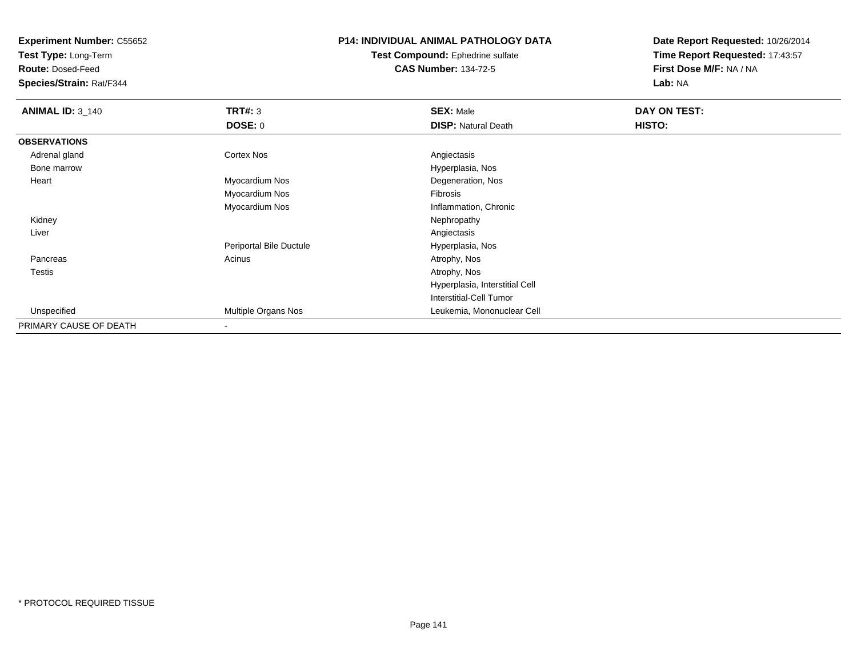**Test Type:** Long-Term

**Route:** Dosed-Feed

**Species/Strain:** Rat/F344

# **P14: INDIVIDUAL ANIMAL PATHOLOGY DATA**

**Test Compound:** Ephedrine sulfate**CAS Number:** 134-72-5

| <b>ANIMAL ID: 3_140</b> | TRT#: 3                 | <b>SEX: Male</b>               | DAY ON TEST: |  |
|-------------------------|-------------------------|--------------------------------|--------------|--|
|                         | <b>DOSE: 0</b>          | <b>DISP: Natural Death</b>     | HISTO:       |  |
| <b>OBSERVATIONS</b>     |                         |                                |              |  |
| Adrenal gland           | <b>Cortex Nos</b>       | Angiectasis                    |              |  |
| Bone marrow             |                         | Hyperplasia, Nos               |              |  |
| Heart                   | Myocardium Nos          | Degeneration, Nos              |              |  |
|                         | Myocardium Nos          | Fibrosis                       |              |  |
|                         | Myocardium Nos          | Inflammation, Chronic          |              |  |
| Kidney                  |                         | Nephropathy                    |              |  |
| Liver                   |                         | Angiectasis                    |              |  |
|                         | Periportal Bile Ductule | Hyperplasia, Nos               |              |  |
| Pancreas                | Acinus                  | Atrophy, Nos                   |              |  |
| Testis                  |                         | Atrophy, Nos                   |              |  |
|                         |                         | Hyperplasia, Interstitial Cell |              |  |
|                         |                         | Interstitial-Cell Tumor        |              |  |
| Unspecified             | Multiple Organs Nos     | Leukemia, Mononuclear Cell     |              |  |
| PRIMARY CAUSE OF DEATH  | $\,$                    |                                |              |  |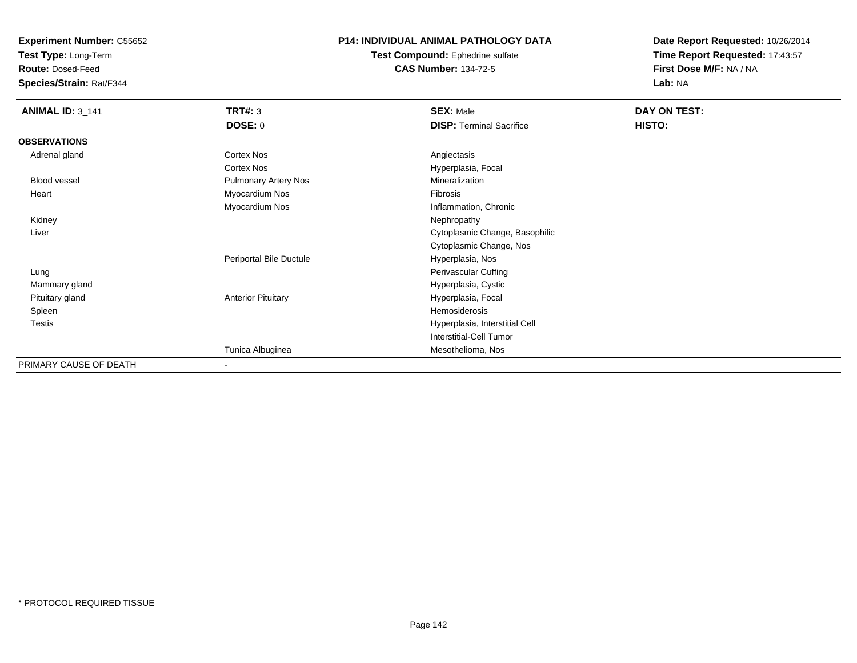**Test Type:** Long-Term

**Route:** Dosed-Feed

**Species/Strain:** Rat/F344

#### **P14: INDIVIDUAL ANIMAL PATHOLOGY DATA**

**Test Compound:** Ephedrine sulfate**CAS Number:** 134-72-5

| <b>ANIMAL ID: 3_141</b> | <b>TRT#: 3</b>            | <b>SEX: Male</b>                | DAY ON TEST: |
|-------------------------|---------------------------|---------------------------------|--------------|
|                         | <b>DOSE: 0</b>            | <b>DISP: Terminal Sacrifice</b> | HISTO:       |
| <b>OBSERVATIONS</b>     |                           |                                 |              |
| Adrenal gland           | Cortex Nos                | Angiectasis                     |              |
|                         | Cortex Nos                | Hyperplasia, Focal              |              |
| Blood vessel            | Pulmonary Artery Nos      | Mineralization                  |              |
| Heart                   | Myocardium Nos            | Fibrosis                        |              |
|                         | Myocardium Nos            | Inflammation, Chronic           |              |
| Kidney                  |                           | Nephropathy                     |              |
| Liver                   |                           | Cytoplasmic Change, Basophilic  |              |
|                         |                           | Cytoplasmic Change, Nos         |              |
|                         | Periportal Bile Ductule   | Hyperplasia, Nos                |              |
| Lung                    |                           | Perivascular Cuffing            |              |
| Mammary gland           |                           | Hyperplasia, Cystic             |              |
| Pituitary gland         | <b>Anterior Pituitary</b> | Hyperplasia, Focal              |              |
| Spleen                  |                           | Hemosiderosis                   |              |
| <b>Testis</b>           |                           | Hyperplasia, Interstitial Cell  |              |
|                         |                           | Interstitial-Cell Tumor         |              |
|                         | Tunica Albuginea          | Mesothelioma, Nos               |              |
| PRIMARY CAUSE OF DEATH  | $\overline{\phantom{a}}$  |                                 |              |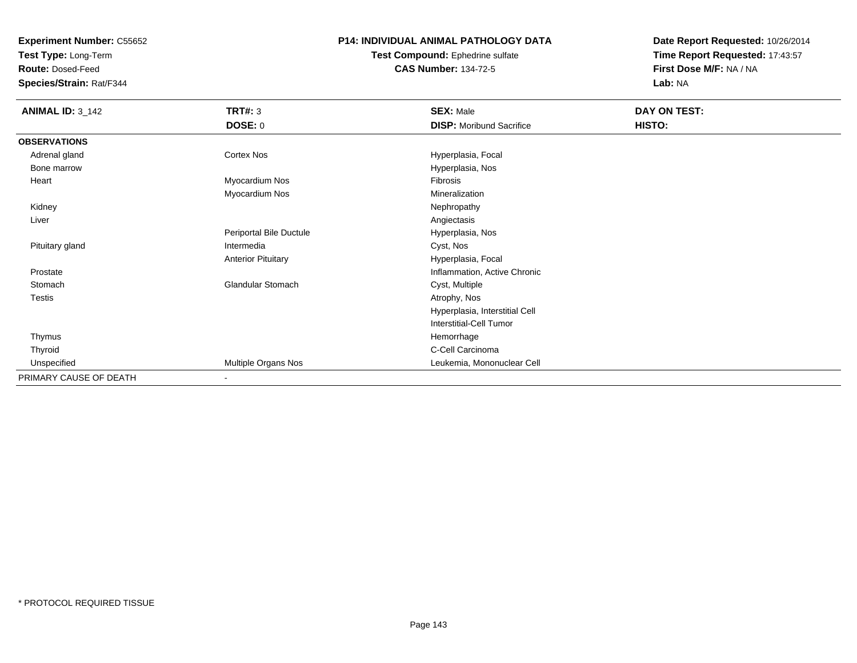**Test Type:** Long-Term

**Route:** Dosed-Feed

**Species/Strain:** Rat/F344

## **P14: INDIVIDUAL ANIMAL PATHOLOGY DATA**

**Test Compound:** Ephedrine sulfate**CAS Number:** 134-72-5

| <b>ANIMAL ID: 3_142</b> | TRT#: 3                   | <b>SEX: Male</b>                | DAY ON TEST: |
|-------------------------|---------------------------|---------------------------------|--------------|
|                         | <b>DOSE: 0</b>            | <b>DISP:</b> Moribund Sacrifice | HISTO:       |
| <b>OBSERVATIONS</b>     |                           |                                 |              |
| Adrenal gland           | Cortex Nos                | Hyperplasia, Focal              |              |
| Bone marrow             |                           | Hyperplasia, Nos                |              |
| Heart                   | Myocardium Nos            | Fibrosis                        |              |
|                         | Myocardium Nos            | Mineralization                  |              |
| Kidney                  |                           | Nephropathy                     |              |
| Liver                   |                           | Angiectasis                     |              |
|                         | Periportal Bile Ductule   | Hyperplasia, Nos                |              |
| Pituitary gland         | Intermedia                | Cyst, Nos                       |              |
|                         | <b>Anterior Pituitary</b> | Hyperplasia, Focal              |              |
| Prostate                |                           | Inflammation, Active Chronic    |              |
| Stomach                 | <b>Glandular Stomach</b>  | Cyst, Multiple                  |              |
| Testis                  |                           | Atrophy, Nos                    |              |
|                         |                           | Hyperplasia, Interstitial Cell  |              |
|                         |                           | Interstitial-Cell Tumor         |              |
| Thymus                  |                           | Hemorrhage                      |              |
| Thyroid                 |                           | C-Cell Carcinoma                |              |
| Unspecified             | Multiple Organs Nos       | Leukemia, Mononuclear Cell      |              |
| PRIMARY CAUSE OF DEATH  | $\blacksquare$            |                                 |              |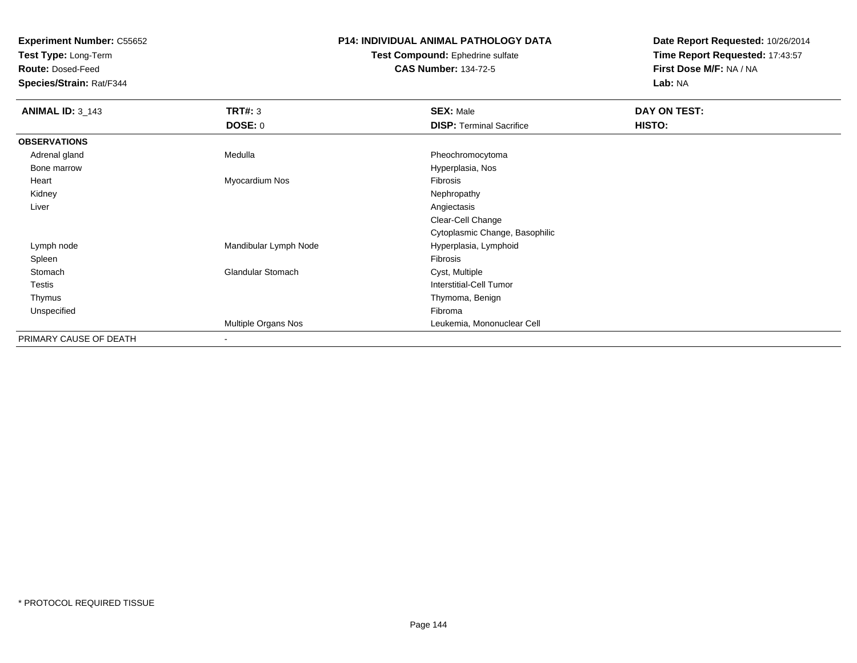**Test Type:** Long-Term

**Route:** Dosed-Feed

**Species/Strain:** Rat/F344

# **P14: INDIVIDUAL ANIMAL PATHOLOGY DATA**

**Test Compound:** Ephedrine sulfate**CAS Number:** 134-72-5

| <b>ANIMAL ID: 3_143</b> | <b>TRT#: 3</b>             | <b>SEX: Male</b>                | DAY ON TEST: |  |
|-------------------------|----------------------------|---------------------------------|--------------|--|
|                         | DOSE: 0                    | <b>DISP: Terminal Sacrifice</b> | HISTO:       |  |
| <b>OBSERVATIONS</b>     |                            |                                 |              |  |
| Adrenal gland           | Medulla                    | Pheochromocytoma                |              |  |
| Bone marrow             |                            | Hyperplasia, Nos                |              |  |
| Heart                   | Myocardium Nos             | Fibrosis                        |              |  |
| Kidney                  |                            | Nephropathy                     |              |  |
| Liver                   |                            | Angiectasis                     |              |  |
|                         |                            | Clear-Cell Change               |              |  |
|                         |                            | Cytoplasmic Change, Basophilic  |              |  |
| Lymph node              | Mandibular Lymph Node      | Hyperplasia, Lymphoid           |              |  |
| Spleen                  |                            | Fibrosis                        |              |  |
| Stomach                 | <b>Glandular Stomach</b>   | Cyst, Multiple                  |              |  |
| Testis                  |                            | <b>Interstitial-Cell Tumor</b>  |              |  |
| Thymus                  |                            | Thymoma, Benign                 |              |  |
| Unspecified             |                            | Fibroma                         |              |  |
|                         | <b>Multiple Organs Nos</b> | Leukemia, Mononuclear Cell      |              |  |
| PRIMARY CAUSE OF DEATH  | $\overline{\phantom{0}}$   |                                 |              |  |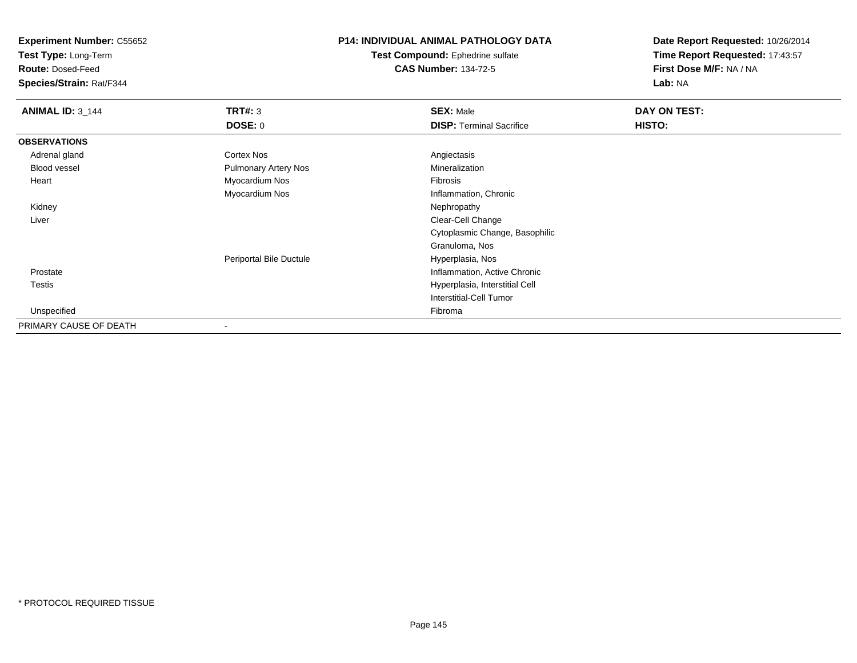**Test Type:** Long-Term

**Route:** Dosed-Feed

**Species/Strain:** Rat/F344

### **P14: INDIVIDUAL ANIMAL PATHOLOGY DATA**

**Test Compound:** Ephedrine sulfate**CAS Number:** 134-72-5

| <b>ANIMAL ID: 3_144</b> | TRT#: 3                     | <b>SEX: Male</b>                | DAY ON TEST: |  |
|-------------------------|-----------------------------|---------------------------------|--------------|--|
|                         | <b>DOSE: 0</b>              | <b>DISP: Terminal Sacrifice</b> | HISTO:       |  |
| <b>OBSERVATIONS</b>     |                             |                                 |              |  |
| Adrenal gland           | Cortex Nos                  | Angiectasis                     |              |  |
| Blood vessel            | <b>Pulmonary Artery Nos</b> | Mineralization                  |              |  |
| Heart                   | Myocardium Nos              | Fibrosis                        |              |  |
|                         | Myocardium Nos              | Inflammation, Chronic           |              |  |
| Kidney                  |                             | Nephropathy                     |              |  |
| Liver                   |                             | Clear-Cell Change               |              |  |
|                         |                             | Cytoplasmic Change, Basophilic  |              |  |
|                         |                             | Granuloma, Nos                  |              |  |
|                         | Periportal Bile Ductule     | Hyperplasia, Nos                |              |  |
| Prostate                |                             | Inflammation, Active Chronic    |              |  |
| Testis                  |                             | Hyperplasia, Interstitial Cell  |              |  |
|                         |                             | <b>Interstitial-Cell Tumor</b>  |              |  |
| Unspecified             |                             | Fibroma                         |              |  |
| PRIMARY CAUSE OF DEATH  |                             |                                 |              |  |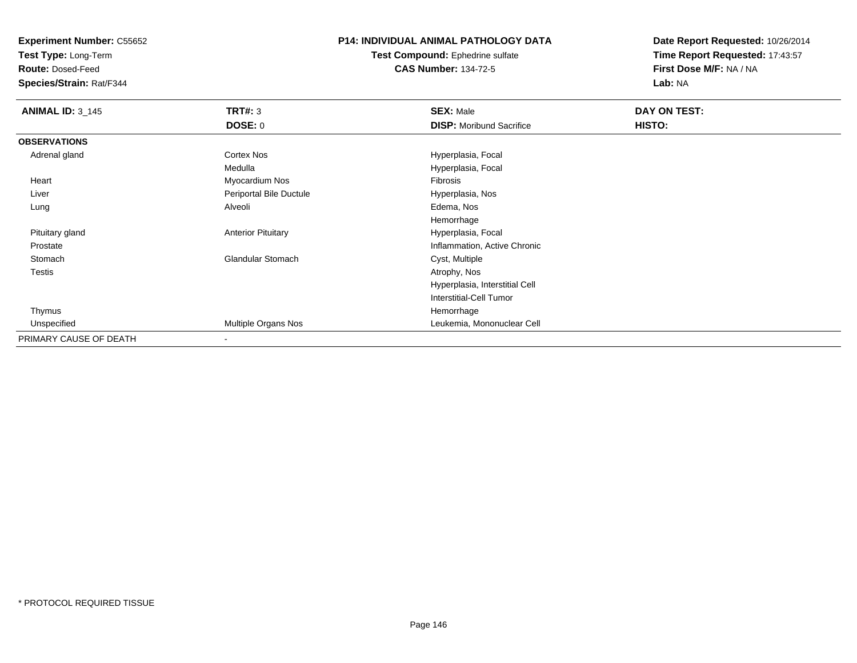**Test Type:** Long-Term

**Route:** Dosed-Feed

**Species/Strain:** Rat/F344

#### **P14: INDIVIDUAL ANIMAL PATHOLOGY DATA**

**Test Compound:** Ephedrine sulfate**CAS Number:** 134-72-5

| <b>ANIMAL ID: 3_145</b> | <b>TRT#: 3</b>            | <b>SEX: Male</b>                | DAY ON TEST: |  |
|-------------------------|---------------------------|---------------------------------|--------------|--|
|                         | DOSE: 0                   | <b>DISP:</b> Moribund Sacrifice | HISTO:       |  |
| <b>OBSERVATIONS</b>     |                           |                                 |              |  |
| Adrenal gland           | Cortex Nos                | Hyperplasia, Focal              |              |  |
|                         | Medulla                   | Hyperplasia, Focal              |              |  |
| Heart                   | Myocardium Nos            | Fibrosis                        |              |  |
| Liver                   | Periportal Bile Ductule   | Hyperplasia, Nos                |              |  |
| Lung                    | Alveoli                   | Edema, Nos                      |              |  |
|                         |                           | Hemorrhage                      |              |  |
| Pituitary gland         | <b>Anterior Pituitary</b> | Hyperplasia, Focal              |              |  |
| Prostate                |                           | Inflammation, Active Chronic    |              |  |
| Stomach                 | <b>Glandular Stomach</b>  | Cyst, Multiple                  |              |  |
| Testis                  |                           | Atrophy, Nos                    |              |  |
|                         |                           | Hyperplasia, Interstitial Cell  |              |  |
|                         |                           | <b>Interstitial-Cell Tumor</b>  |              |  |
| Thymus                  |                           | Hemorrhage                      |              |  |
| Unspecified             | Multiple Organs Nos       | Leukemia, Mononuclear Cell      |              |  |
| PRIMARY CAUSE OF DEATH  | $\,$ $\,$                 |                                 |              |  |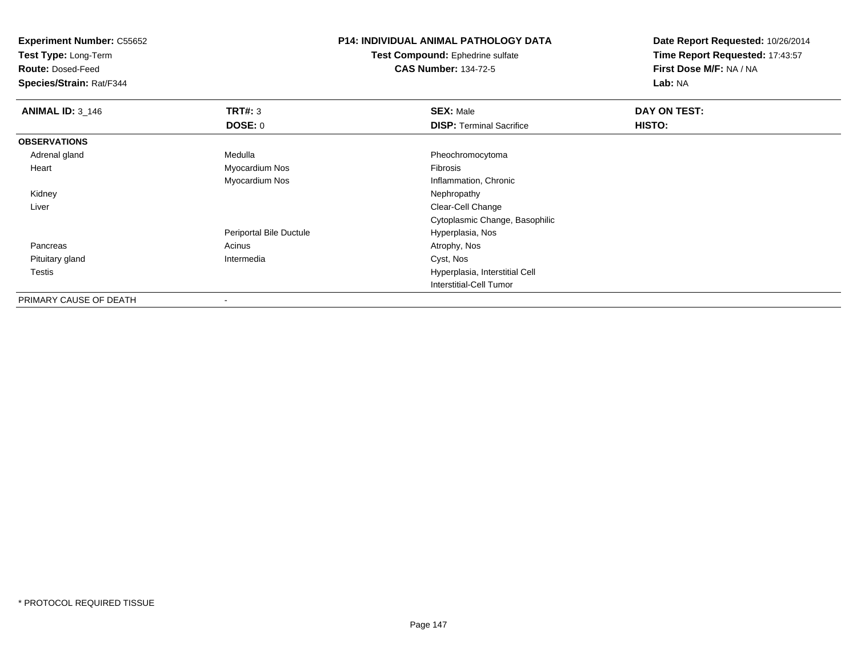**Test Type:** Long-Term

**Route:** Dosed-Feed

**Species/Strain:** Rat/F344

# **P14: INDIVIDUAL ANIMAL PATHOLOGY DATA**

**Test Compound:** Ephedrine sulfate**CAS Number:** 134-72-5

| <b>ANIMAL ID: 3_146</b> | TRT#: 3                 | <b>SEX: Male</b>                | DAY ON TEST: |  |
|-------------------------|-------------------------|---------------------------------|--------------|--|
|                         | DOSE: 0                 | <b>DISP: Terminal Sacrifice</b> | HISTO:       |  |
| <b>OBSERVATIONS</b>     |                         |                                 |              |  |
| Adrenal gland           | Medulla                 | Pheochromocytoma                |              |  |
| Heart                   | Myocardium Nos          | Fibrosis                        |              |  |
|                         | Myocardium Nos          | Inflammation, Chronic           |              |  |
| Kidney                  |                         | Nephropathy                     |              |  |
| Liver                   |                         | Clear-Cell Change               |              |  |
|                         |                         | Cytoplasmic Change, Basophilic  |              |  |
|                         | Periportal Bile Ductule | Hyperplasia, Nos                |              |  |
| Pancreas                | Acinus                  | Atrophy, Nos                    |              |  |
| Pituitary gland         | Intermedia              | Cyst, Nos                       |              |  |
| Testis                  |                         | Hyperplasia, Interstitial Cell  |              |  |
|                         |                         | <b>Interstitial-Cell Tumor</b>  |              |  |
| PRIMARY CAUSE OF DEATH  | $\,$ $\,$               |                                 |              |  |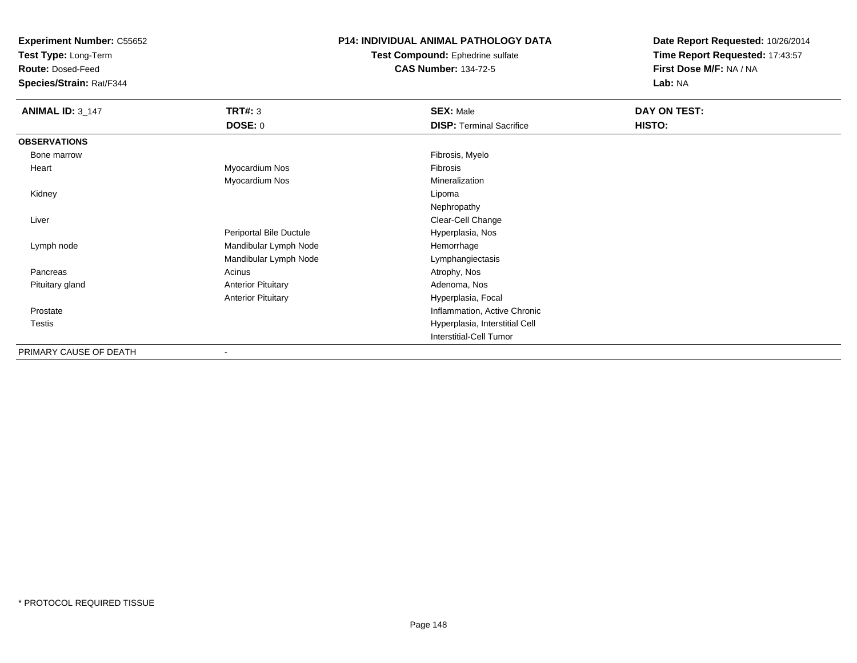**Test Type:** Long-Term

**Route:** Dosed-Feed

**Species/Strain:** Rat/F344

#### **P14: INDIVIDUAL ANIMAL PATHOLOGY DATA**

**Test Compound:** Ephedrine sulfate**CAS Number:** 134-72-5

| <b>ANIMAL ID: 3_147</b> | <b>TRT#: 3</b>            | <b>SEX: Male</b>                | DAY ON TEST: |  |
|-------------------------|---------------------------|---------------------------------|--------------|--|
|                         | <b>DOSE: 0</b>            | <b>DISP: Terminal Sacrifice</b> | HISTO:       |  |
| <b>OBSERVATIONS</b>     |                           |                                 |              |  |
| Bone marrow             |                           | Fibrosis, Myelo                 |              |  |
| Heart                   | Myocardium Nos            | Fibrosis                        |              |  |
|                         | Myocardium Nos            | Mineralization                  |              |  |
| Kidney                  |                           | Lipoma                          |              |  |
|                         |                           | Nephropathy                     |              |  |
| Liver                   |                           | Clear-Cell Change               |              |  |
|                         | Periportal Bile Ductule   | Hyperplasia, Nos                |              |  |
| Lymph node              | Mandibular Lymph Node     | Hemorrhage                      |              |  |
|                         | Mandibular Lymph Node     | Lymphangiectasis                |              |  |
| Pancreas                | Acinus                    | Atrophy, Nos                    |              |  |
| Pituitary gland         | <b>Anterior Pituitary</b> | Adenoma, Nos                    |              |  |
|                         | <b>Anterior Pituitary</b> | Hyperplasia, Focal              |              |  |
| Prostate                |                           | Inflammation, Active Chronic    |              |  |
| Testis                  |                           | Hyperplasia, Interstitial Cell  |              |  |
|                         |                           | <b>Interstitial-Cell Tumor</b>  |              |  |
| PRIMARY CAUSE OF DEATH  | $\overline{\phantom{a}}$  |                                 |              |  |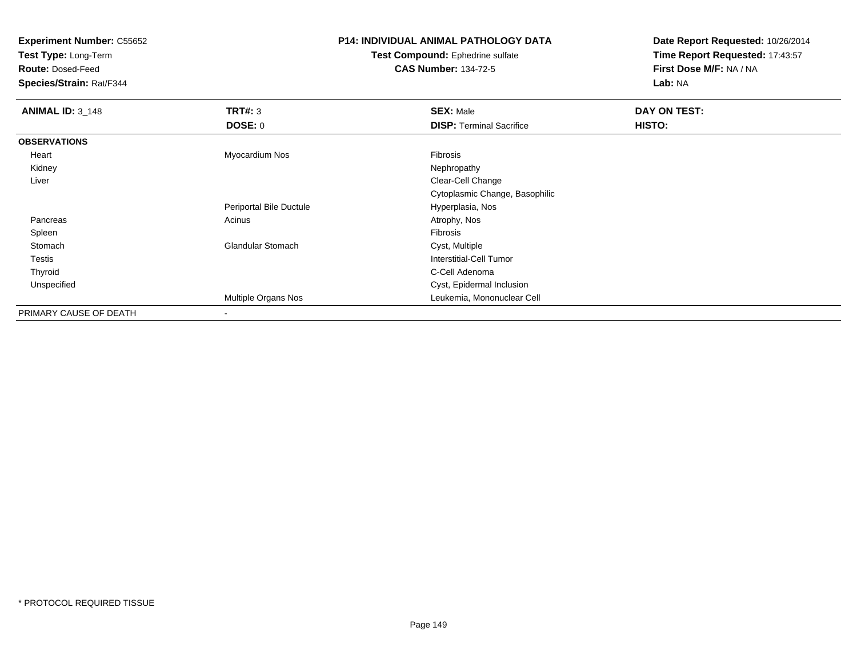**Test Type:** Long-Term

**Route:** Dosed-Feed

**Species/Strain:** Rat/F344

# **P14: INDIVIDUAL ANIMAL PATHOLOGY DATA**

**Test Compound:** Ephedrine sulfate**CAS Number:** 134-72-5

| <b>ANIMAL ID: 3_148</b> | TRT#: 3                  | <b>SEX: Male</b>                | DAY ON TEST: |
|-------------------------|--------------------------|---------------------------------|--------------|
|                         | <b>DOSE: 0</b>           | <b>DISP: Terminal Sacrifice</b> | HISTO:       |
| <b>OBSERVATIONS</b>     |                          |                                 |              |
| Heart                   | Myocardium Nos           | <b>Fibrosis</b>                 |              |
| Kidney                  |                          | Nephropathy                     |              |
| Liver                   |                          | Clear-Cell Change               |              |
|                         |                          | Cytoplasmic Change, Basophilic  |              |
|                         | Periportal Bile Ductule  | Hyperplasia, Nos                |              |
| Pancreas                | Acinus                   | Atrophy, Nos                    |              |
| Spleen                  |                          | Fibrosis                        |              |
| Stomach                 | <b>Glandular Stomach</b> | Cyst, Multiple                  |              |
| <b>Testis</b>           |                          | <b>Interstitial-Cell Tumor</b>  |              |
| Thyroid                 |                          | C-Cell Adenoma                  |              |
| Unspecified             |                          | Cyst, Epidermal Inclusion       |              |
|                         | Multiple Organs Nos      | Leukemia, Mononuclear Cell      |              |
| PRIMARY CAUSE OF DEATH  |                          |                                 |              |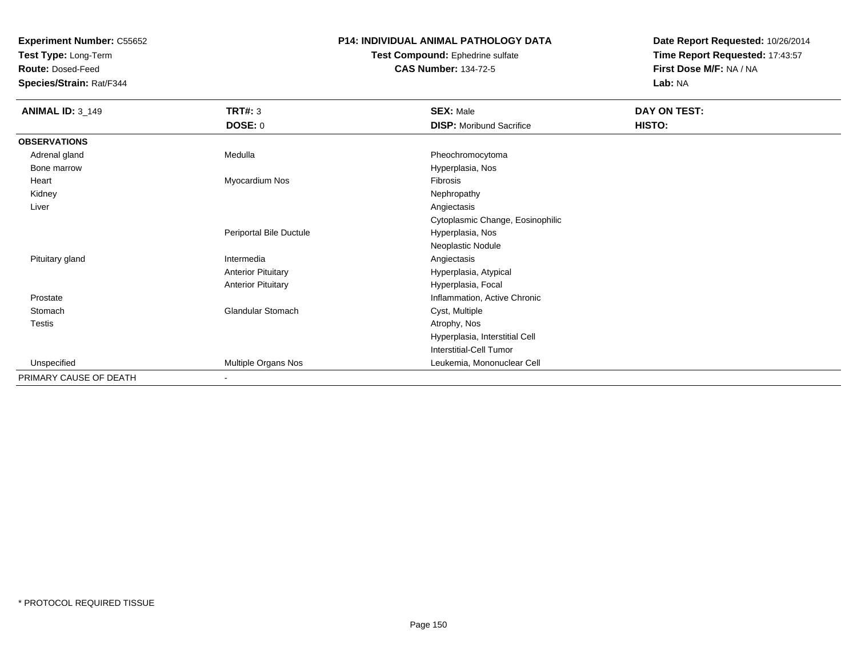**Test Type:** Long-Term

**Route:** Dosed-Feed

**Species/Strain:** Rat/F344

### **P14: INDIVIDUAL ANIMAL PATHOLOGY DATA**

**Test Compound:** Ephedrine sulfate**CAS Number:** 134-72-5

| <b>ANIMAL ID: 3_149</b> | TRT#: 3                    | <b>SEX: Male</b>                 | DAY ON TEST: |
|-------------------------|----------------------------|----------------------------------|--------------|
|                         | <b>DOSE: 0</b>             | <b>DISP:</b> Moribund Sacrifice  | HISTO:       |
| <b>OBSERVATIONS</b>     |                            |                                  |              |
| Adrenal gland           | Medulla                    | Pheochromocytoma                 |              |
| Bone marrow             |                            | Hyperplasia, Nos                 |              |
| Heart                   | Myocardium Nos             | Fibrosis                         |              |
| Kidney                  |                            | Nephropathy                      |              |
| Liver                   |                            | Angiectasis                      |              |
|                         |                            | Cytoplasmic Change, Eosinophilic |              |
|                         | Periportal Bile Ductule    | Hyperplasia, Nos                 |              |
|                         |                            | Neoplastic Nodule                |              |
| Pituitary gland         | Intermedia                 | Angiectasis                      |              |
|                         | <b>Anterior Pituitary</b>  | Hyperplasia, Atypical            |              |
|                         | <b>Anterior Pituitary</b>  | Hyperplasia, Focal               |              |
| Prostate                |                            | Inflammation, Active Chronic     |              |
| Stomach                 | <b>Glandular Stomach</b>   | Cyst, Multiple                   |              |
| Testis                  |                            | Atrophy, Nos                     |              |
|                         |                            | Hyperplasia, Interstitial Cell   |              |
|                         |                            | Interstitial-Cell Tumor          |              |
| Unspecified             | <b>Multiple Organs Nos</b> | Leukemia, Mononuclear Cell       |              |
| PRIMARY CAUSE OF DEATH  |                            |                                  |              |